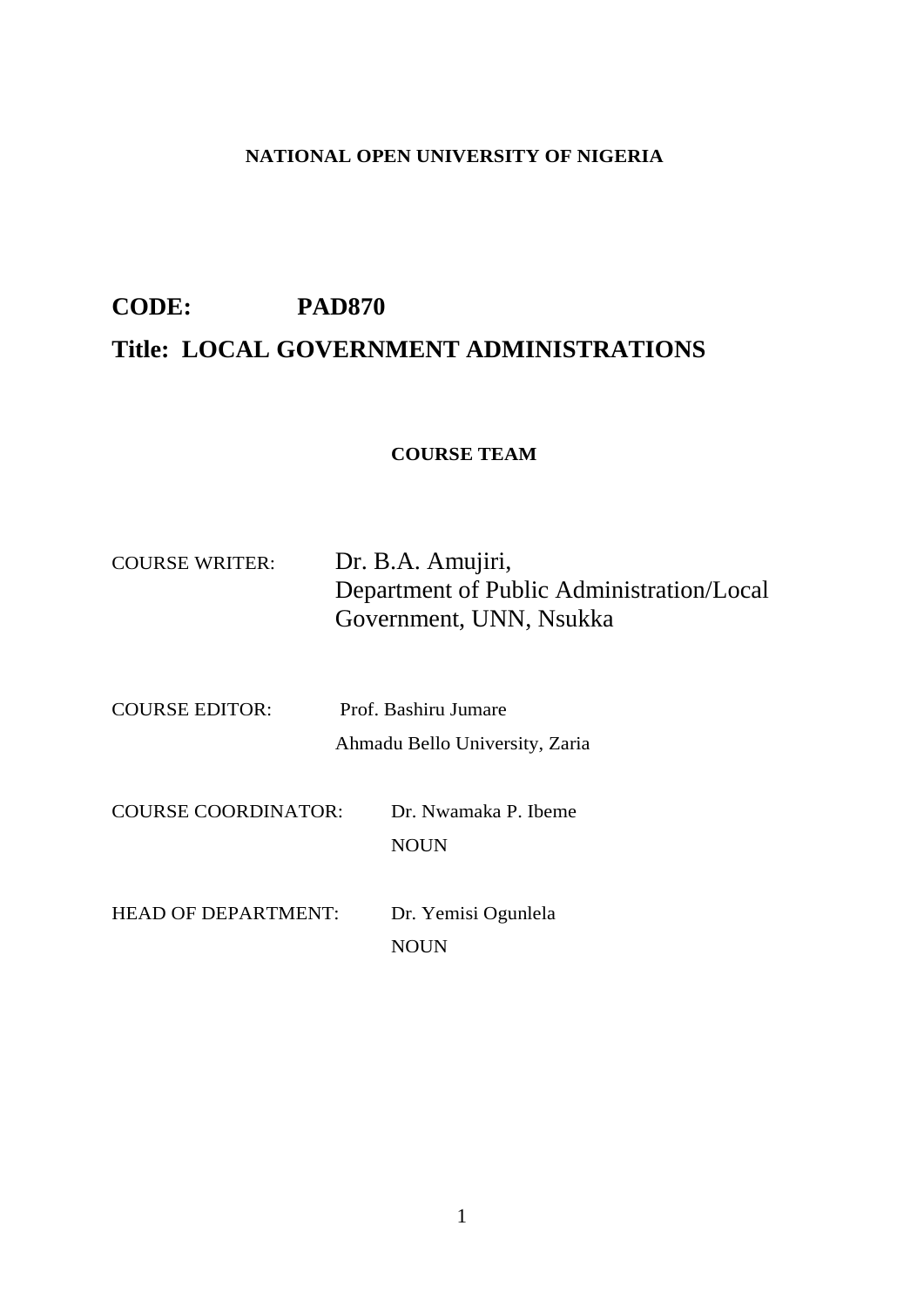# **NATIONAL OPEN UNIVERSITY OF NIGERIA**

# **CODE: PAD870 Title: LOCAL GOVERNMENT ADMINISTRATIONS**

# **COURSE TEAM**

| <b>COURSE WRITER:</b>      | Dr. B.A. Amujiri,<br>Department of Public Administration/Local<br>Government, UNN, Nsukka |  |  |  |  |  |  |
|----------------------------|-------------------------------------------------------------------------------------------|--|--|--|--|--|--|
| <b>COURSE EDITOR:</b>      | Prof. Bashiru Jumare<br>Ahmadu Bello University, Zaria                                    |  |  |  |  |  |  |
| <b>COURSE COORDINATOR:</b> | Dr. Nwamaka P. Ibeme<br><b>NOUN</b>                                                       |  |  |  |  |  |  |
| <b>HEAD OF DEPARTMENT:</b> | Dr. Yemisi Ogunlela<br><b>NOUN</b>                                                        |  |  |  |  |  |  |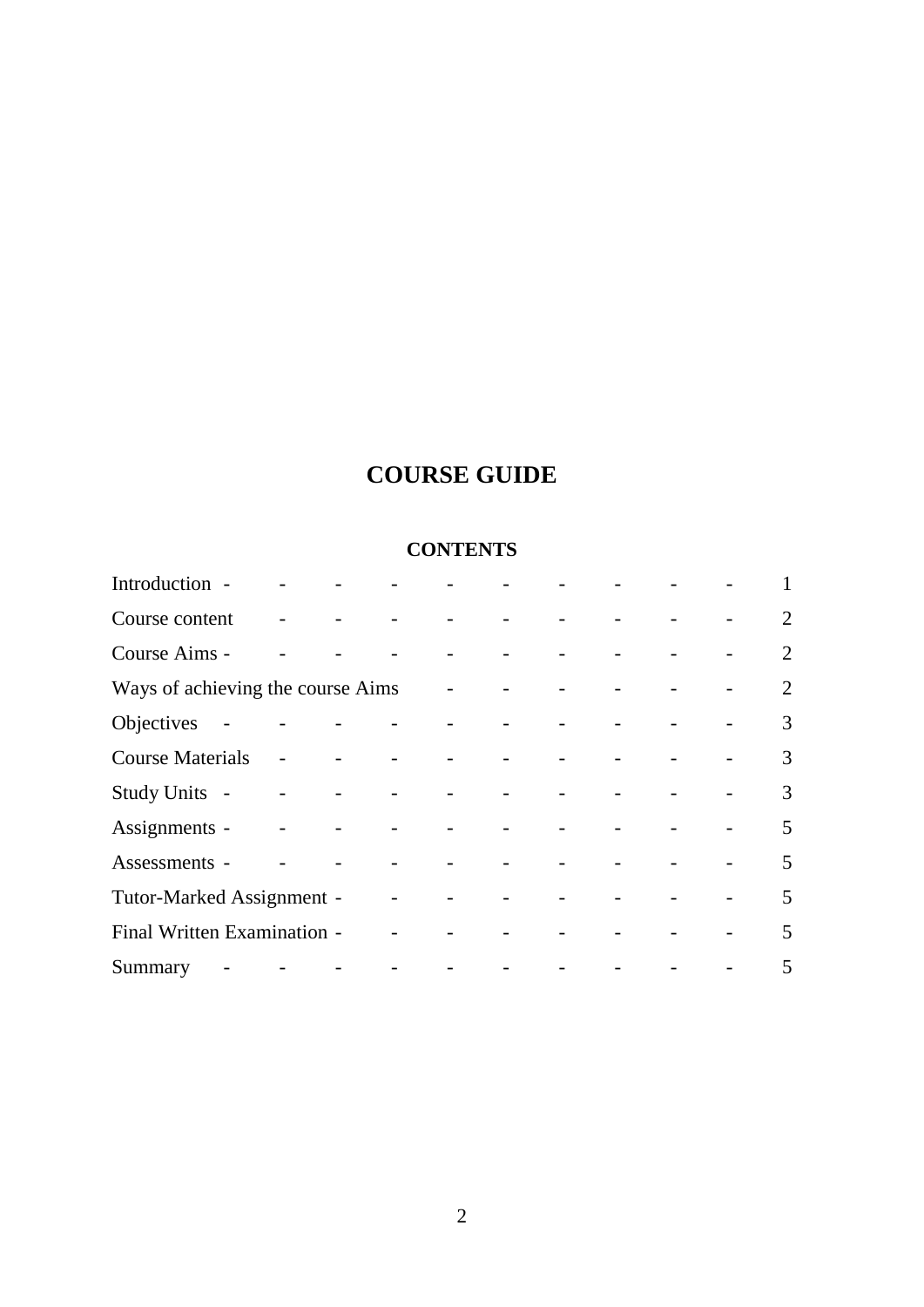# **COURSE GUIDE**

# **CONTENTS**

| Introduction -                    |  |                                                                                      |                                                                                                                                                                                                                                           |  | 1 |
|-----------------------------------|--|--------------------------------------------------------------------------------------|-------------------------------------------------------------------------------------------------------------------------------------------------------------------------------------------------------------------------------------------|--|---|
| Course content                    |  | والمستوات والمستورد والمستور والمستور                                                |                                                                                                                                                                                                                                           |  | 2 |
| Course Aims -                     |  | $\mathcal{O}(\mathbb{R}^2)$ . The set of the set of the $\mathcal{O}(\mathbb{R}^2)$  |                                                                                                                                                                                                                                           |  | 2 |
| Ways of achieving the course Aims |  |                                                                                      | $\mathcal{L}^{\mathcal{A}}$ . The set of the set of the set of the set of the set of the set of the set of the set of the set of the set of the set of the set of the set of the set of the set of the set of the set of the set of the s |  | 2 |
| Objectives -                      |  | فالمستحيل والمستنقي والمستنق والمستحدث والمستنق                                      |                                                                                                                                                                                                                                           |  | 3 |
| <b>Course Materials</b>           |  | $\mathcal{A}$ and $\mathcal{A}$ are the set of the set of the set of $\mathcal{A}$ . |                                                                                                                                                                                                                                           |  | 3 |
| Study Units -                     |  | المستحقق والمستحقق والمستحدث والمستحدث                                               |                                                                                                                                                                                                                                           |  | 3 |
| Assignments -                     |  | والموالي والموالي والموالي والموالي والموالي                                         |                                                                                                                                                                                                                                           |  | 5 |
| Assessments -                     |  | and a straightful and a straight and a straight and                                  |                                                                                                                                                                                                                                           |  | 5 |
| Tutor-Marked Assignment -         |  |                                                                                      | and the state of the state of the                                                                                                                                                                                                         |  | 5 |
| Final Written Examination -       |  |                                                                                      | and the state of the state of                                                                                                                                                                                                             |  | 5 |
|                                   |  |                                                                                      |                                                                                                                                                                                                                                           |  | 5 |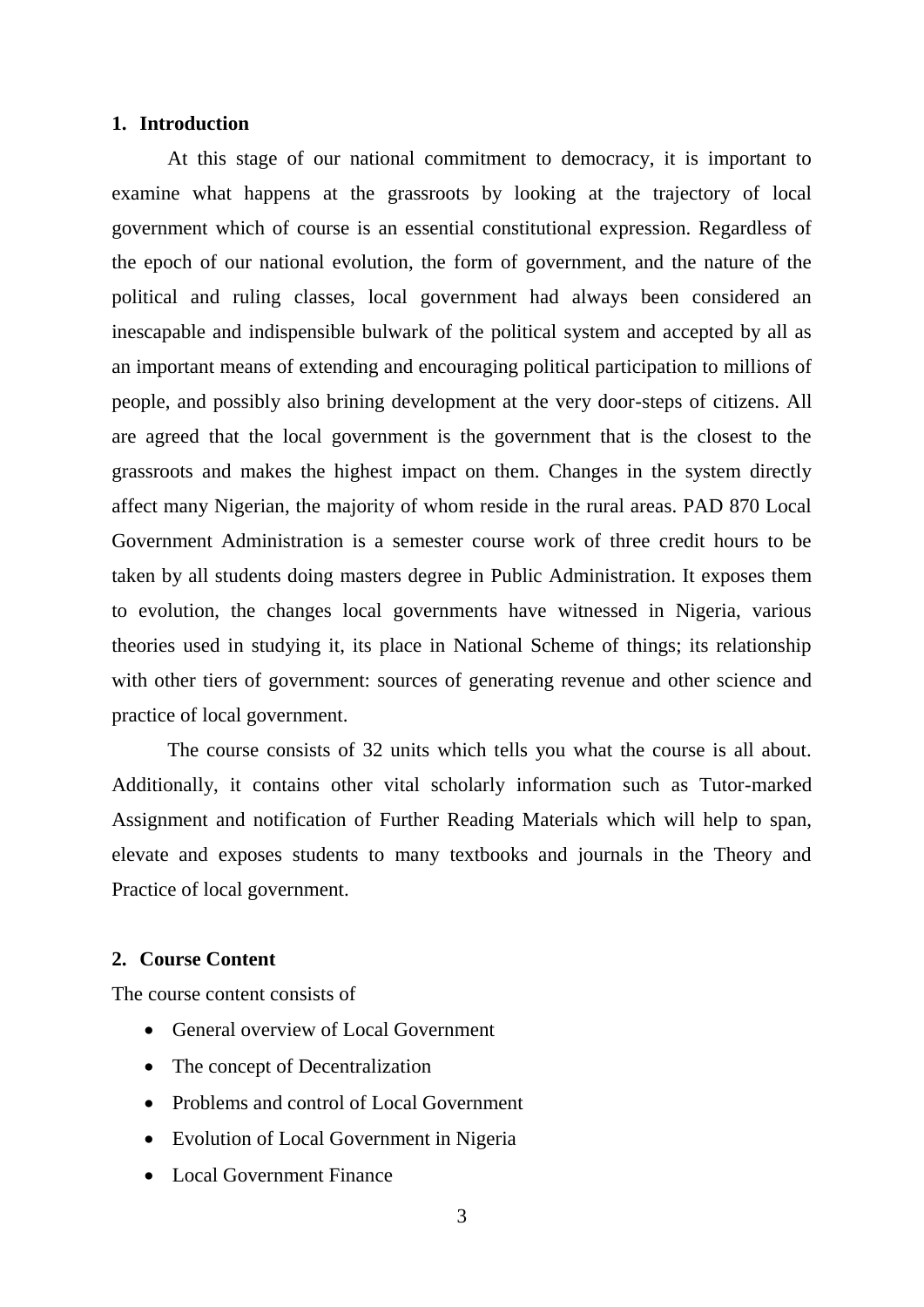#### **1. Introduction**

At this stage of our national commitment to democracy, it is important to examine what happens at the grassroots by looking at the trajectory of local government which of course is an essential constitutional expression. Regardless of the epoch of our national evolution, the form of government, and the nature of the political and ruling classes, local government had always been considered an inescapable and indispensible bulwark of the political system and accepted by all as an important means of extending and encouraging political participation to millions of people, and possibly also brining development at the very door-steps of citizens. All are agreed that the local government is the government that is the closest to the grassroots and makes the highest impact on them. Changes in the system directly affect many Nigerian, the majority of whom reside in the rural areas. PAD 870 Local Government Administration is a semester course work of three credit hours to be taken by all students doing masters degree in Public Administration. It exposes them to evolution, the changes local governments have witnessed in Nigeria, various theories used in studying it, its place in National Scheme of things; its relationship with other tiers of government: sources of generating revenue and other science and practice of local government.

The course consists of 32 units which tells you what the course is all about. Additionally, it contains other vital scholarly information such as Tutor-marked Assignment and notification of Further Reading Materials which will help to span, elevate and exposes students to many textbooks and journals in the Theory and Practice of local government.

### **2. Course Content**

The course content consists of

- General overview of Local Government
- The concept of Decentralization
- Problems and control of Local Government
- Evolution of Local Government in Nigeria
- Local Government Finance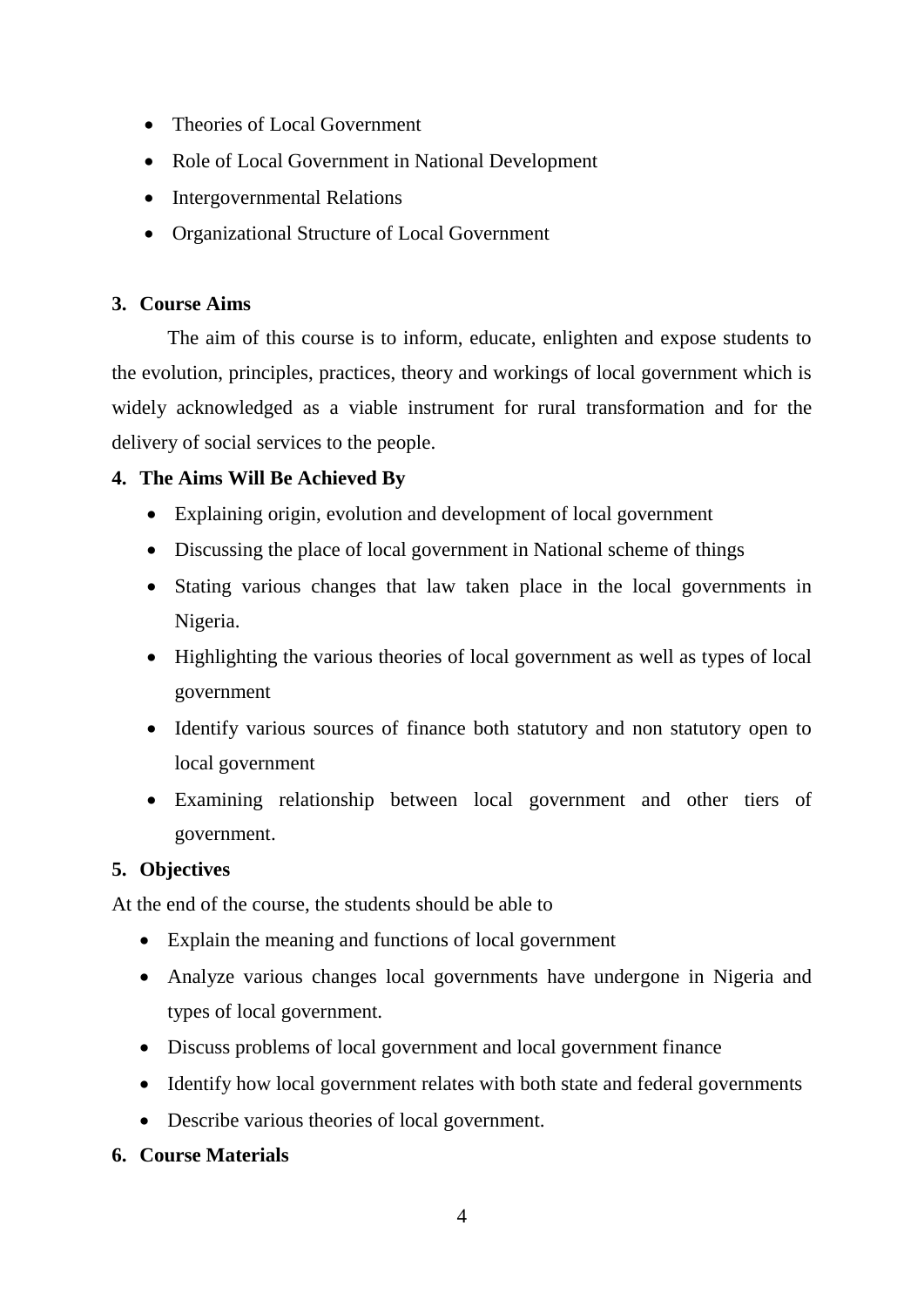- Theories of Local Government
- Role of Local Government in National Development
- Intergovernmental Relations
- Organizational Structure of Local Government

# **3. Course Aims**

The aim of this course is to inform, educate, enlighten and expose students to the evolution, principles, practices, theory and workings of local government which is widely acknowledged as a viable instrument for rural transformation and for the delivery of social services to the people.

# **4. The Aims Will Be Achieved By**

- Explaining origin, evolution and development of local government
- Discussing the place of local government in National scheme of things
- Stating various changes that law taken place in the local governments in Nigeria.
- Highlighting the various theories of local government as well as types of local government
- Identify various sources of finance both statutory and non statutory open to local government
- Examining relationship between local government and other tiers of government.

# **5. Objectives**

At the end of the course, the students should be able to

- Explain the meaning and functions of local government
- Analyze various changes local governments have undergone in Nigeria and types of local government.
- Discuss problems of local government and local government finance
- Identify how local government relates with both state and federal governments
- Describe various theories of local government.

# **6. Course Materials**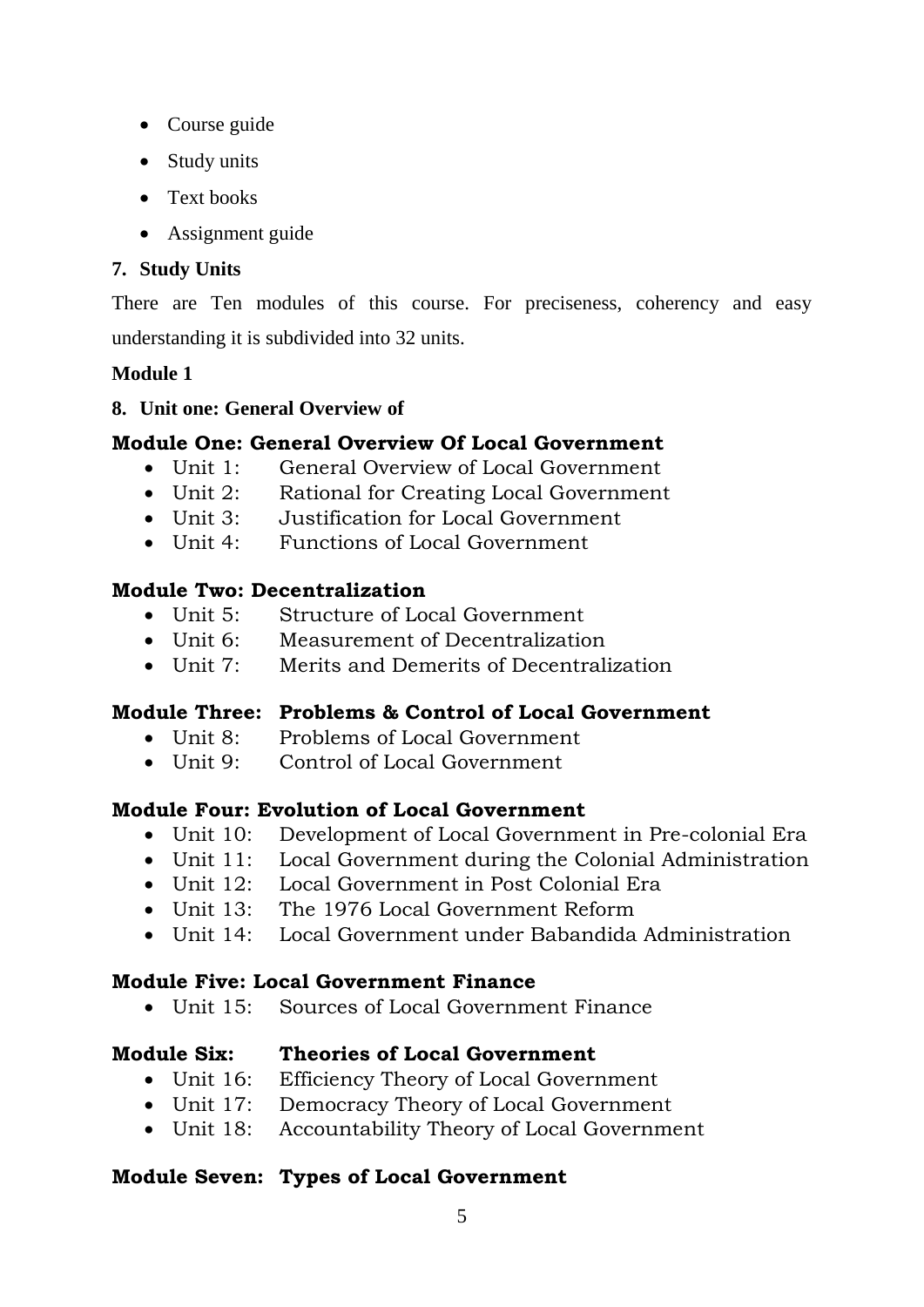- Course guide
- Study units
- Text books
- Assignment guide

# **7. Study Units**

There are Ten modules of this course. For preciseness, coherency and easy understanding it is subdivided into 32 units.

# **Module 1**

# **8. Unit one: General Overview of**

# **Module One: General Overview Of Local Government**

- Unit 1: General Overview of Local Government
- Unit 2: Rational for Creating Local Government<br>• Unit 3: Justification for Local Government
- Justification for Local Government
- Unit 4: Functions of Local Government

# **Module Two: Decentralization**

- Unit 5: Structure of Local Government
- Unit 6: Measurement of Decentralization
- Unit 7: Merits and Demerits of Decentralization

# **Module Three: Problems & Control of Local Government**

- Unit 8: Problems of Local Government
- Unit 9: Control of Local Government

# **Module Four: Evolution of Local Government**

- Unit 10: Development of Local Government in Pre-colonial Era
- Unit 11: Local Government during the Colonial Administration
- Unit 12: Local Government in Post Colonial Era
- Unit 13: The 1976 Local Government Reform
- Unit 14: Local Government under Babandida Administration

# **Module Five: Local Government Finance**

Unit 15: Sources of Local Government Finance

# **Module Six: Theories of Local Government**

- Unit 16: Efficiency Theory of Local Government
- Unit 17: Democracy Theory of Local Government
- Unit 18: Accountability Theory of Local Government

# **Module Seven: Types of Local Government**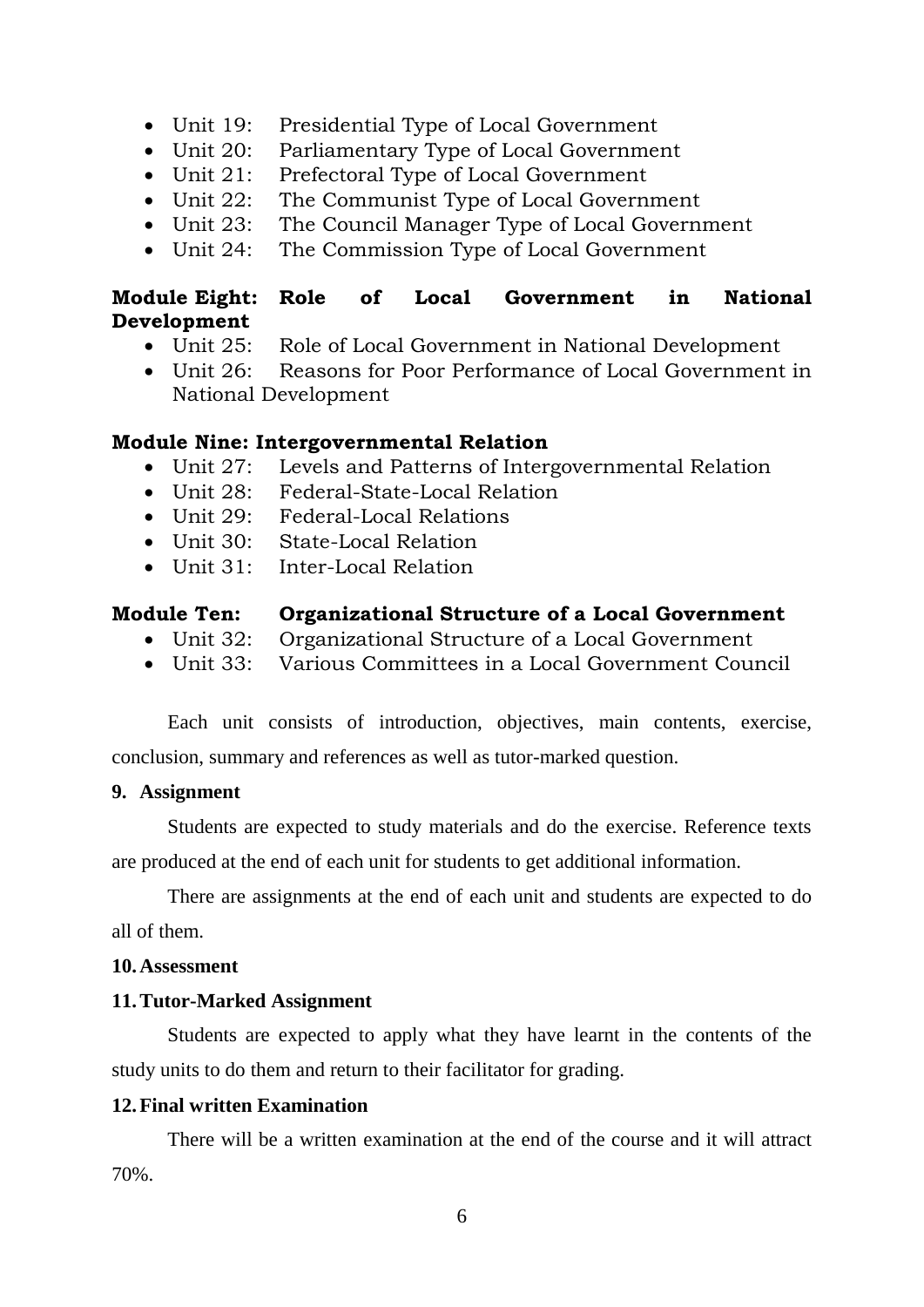- Unit 19: Presidential Type of Local Government
- Unit 20: Parliamentary Type of Local Government
- Unit 21: Prefectoral Type of Local Government
- Unit 22: The Communist Type of Local Government
- Unit 23: The Council Manager Type of Local Government
- Unit 24: The Commission Type of Local Government

# **Module Eight: Role of Local Government in National Development**

- Unit 25: Role of Local Government in National Development
- Unit 26: Reasons for Poor Performance of Local Government in National Development

# **Module Nine: Intergovernmental Relation**

- Unit 27: Levels and Patterns of Intergovernmental Relation
- Unit 28: Federal-State-Local Relation
- Unit 29: Federal-Local Relations
- Unit 30: State-Local Relation
- Unit 31: Inter-Local Relation

# **Module Ten: Organizational Structure of a Local Government**

- Unit 32: Organizational Structure of a Local Government
- Unit 33: Various Committees in a Local Government Council

Each unit consists of introduction, objectives, main contents, exercise, conclusion, summary and references as well as tutor-marked question.

### **9. Assignment**

Students are expected to study materials and do the exercise. Reference texts are produced at the end of each unit for students to get additional information.

There are assignments at the end of each unit and students are expected to do all of them.

# **10.Assessment**

# **11.Tutor-Marked Assignment**

Students are expected to apply what they have learnt in the contents of the study units to do them and return to their facilitator for grading.

# **12.Final written Examination**

There will be a written examination at the end of the course and it will attract 70%.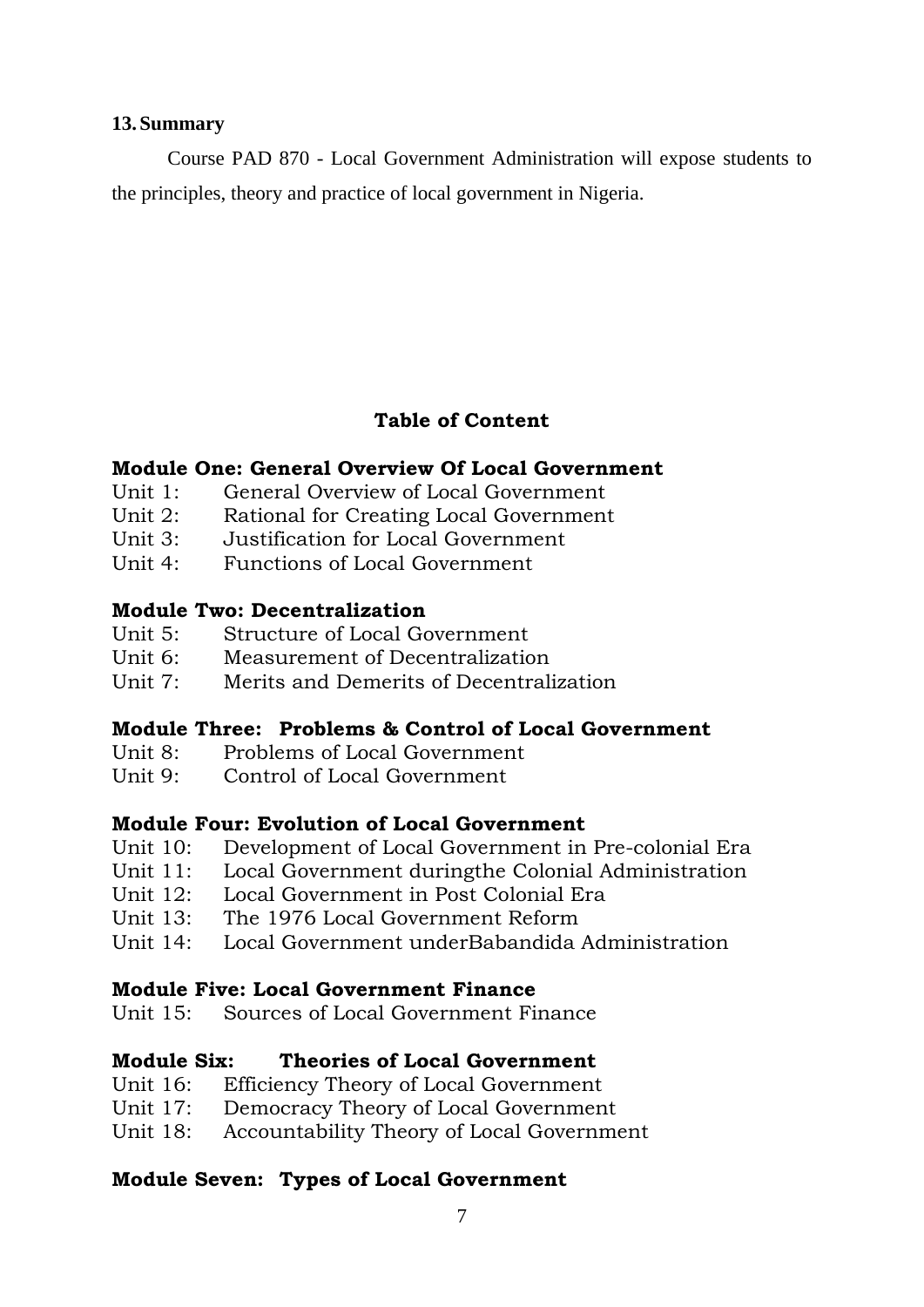### **13.Summary**

Course PAD 870 - Local Government Administration will expose students to the principles, theory and practice of local government in Nigeria.

# **Table of Content**

### **Module One: General Overview Of Local Government**

- Unit 1: General Overview of Local Government
- Unit 2: Rational for Creating Local Government
- Unit 3: Justification for Local Government
- Unit 4: Functions of Local Government

# **Module Two: Decentralization**

- Unit 5: Structure of Local Government
- Unit 6: Measurement of Decentralization
- Unit 7: Merits and Demerits of Decentralization

# **Module Three: Problems & Control of Local Government**

- Unit 8: Problems of Local Government
- Unit 9: Control of Local Government

# **Module Four: Evolution of Local Government**

- Unit 10: Development of Local Government in Pre-colonial Era
- Unit 11: Local Government duringthe Colonial Administration
- Unit 12: Local Government in Post Colonial Era
- Unit 13: The 1976 Local Government Reform
- Unit 14: Local Government underBabandida Administration

# **Module Five: Local Government Finance**

Unit 15: Sources of Local Government Finance

# **Module Six: Theories of Local Government**

- Unit 16: Efficiency Theory of Local Government
- Unit 17: Democracy Theory of Local Government
- Unit 18: Accountability Theory of Local Government

# **Module Seven: Types of Local Government**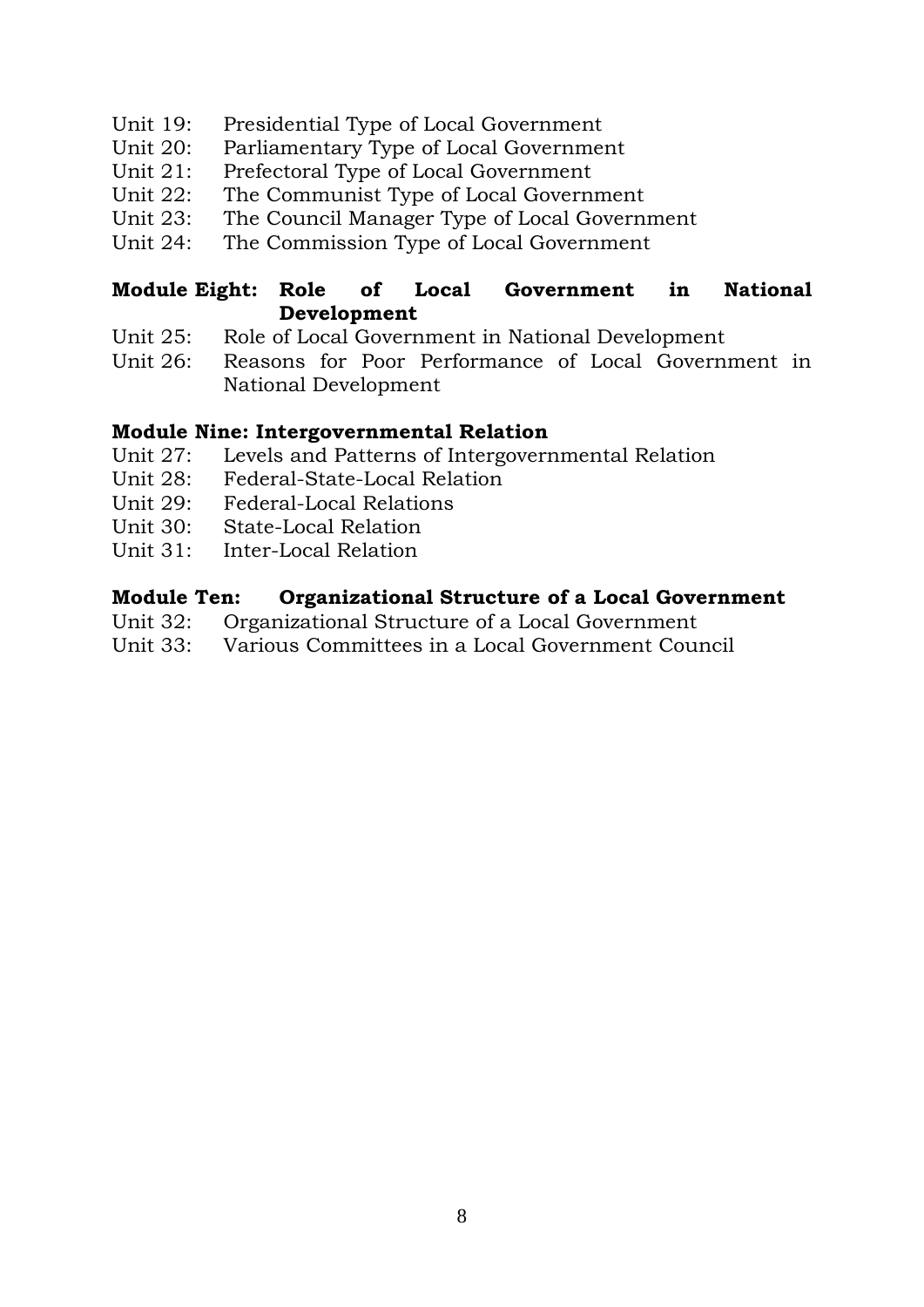- Unit 19: Presidential Type of Local Government
- Unit 20: Parliamentary Type of Local Government
- Unit 21: Prefectoral Type of Local Government
- Unit 22: The Communist Type of Local Government
- Unit 23: The Council Manager Type of Local Government
- Unit 24: The Commission Type of Local Government

# **Module Eight: Role of Local Government in National Development**

- Unit 25: Role of Local Government in National Development
- Unit 26: Reasons for Poor Performance of Local Government in National Development

# **Module Nine: Intergovernmental Relation**

- Unit 27: Levels and Patterns of Intergovernmental Relation
- Unit 28: Federal-State-Local Relation
- Unit 29: Federal-Local Relations
- Unit 30: State-Local Relation
- Unit 31: Inter-Local Relation

# **Module Ten: Organizational Structure of a Local Government**

- Unit 32: Organizational Structure of a Local Government
- Unit 33: Various Committees in a Local Government Council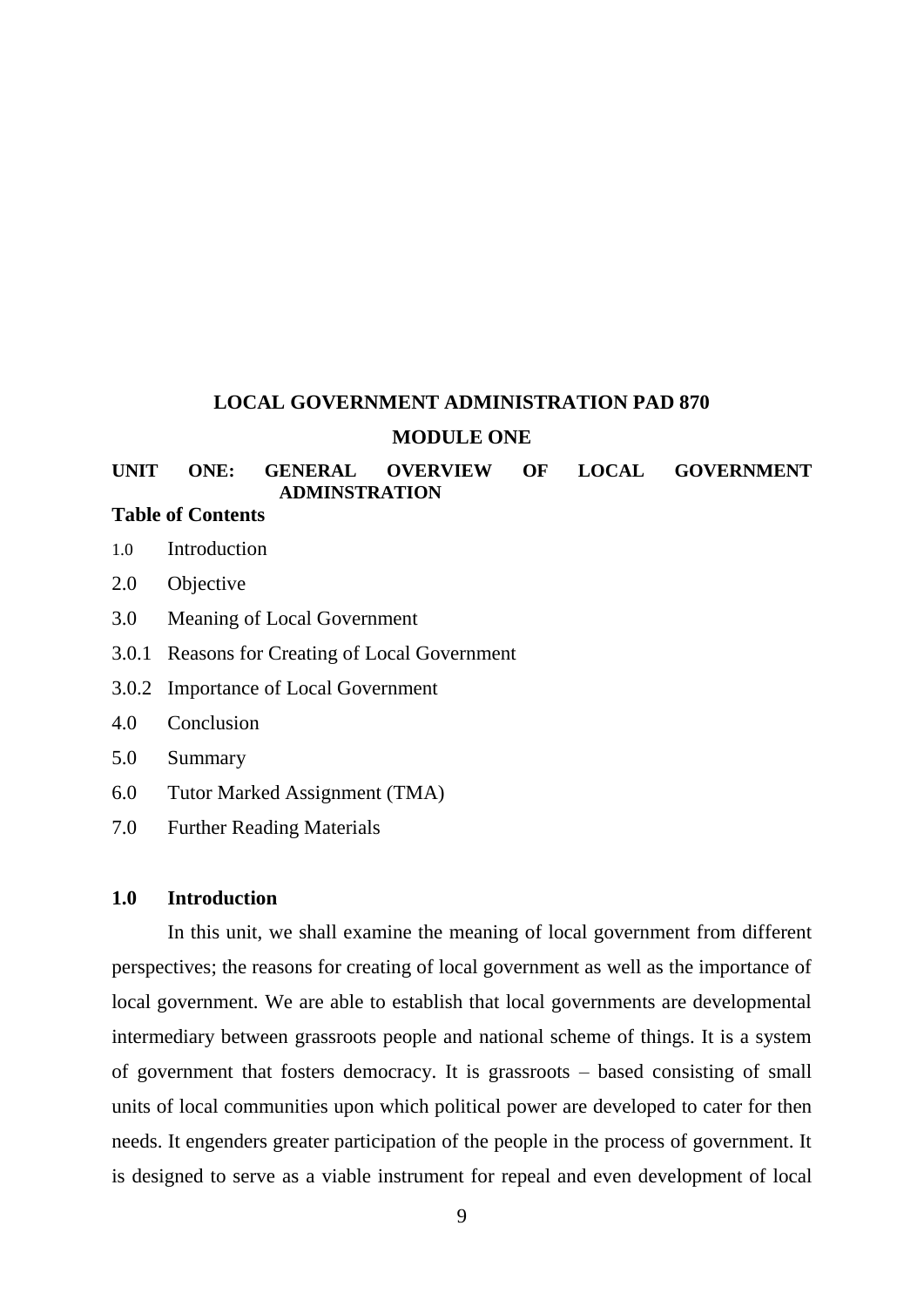# **LOCAL GOVERNMENT ADMINISTRATION PAD 870 MODULE ONE**

### **UNIT ONE: GENERAL OVERVIEW OF LOCAL GOVERNMENT ADMINSTRATION**

# **Table of Contents**

- 1.0 Introduction
- 2.0 Objective
- 3.0 Meaning of Local Government
- 3.0.1 Reasons for Creating of Local Government
- 3.0.2 Importance of Local Government
- 4.0 Conclusion
- 5.0 Summary
- 6.0 Tutor Marked Assignment (TMA)
- 7.0 Further Reading Materials

#### **1.0 Introduction**

In this unit, we shall examine the meaning of local government from different perspectives; the reasons for creating of local government as well as the importance of local government. We are able to establish that local governments are developmental intermediary between grassroots people and national scheme of things. It is a system of government that fosters democracy. It is grassroots – based consisting of small units of local communities upon which political power are developed to cater for then needs. It engenders greater participation of the people in the process of government. It is designed to serve as a viable instrument for repeal and even development of local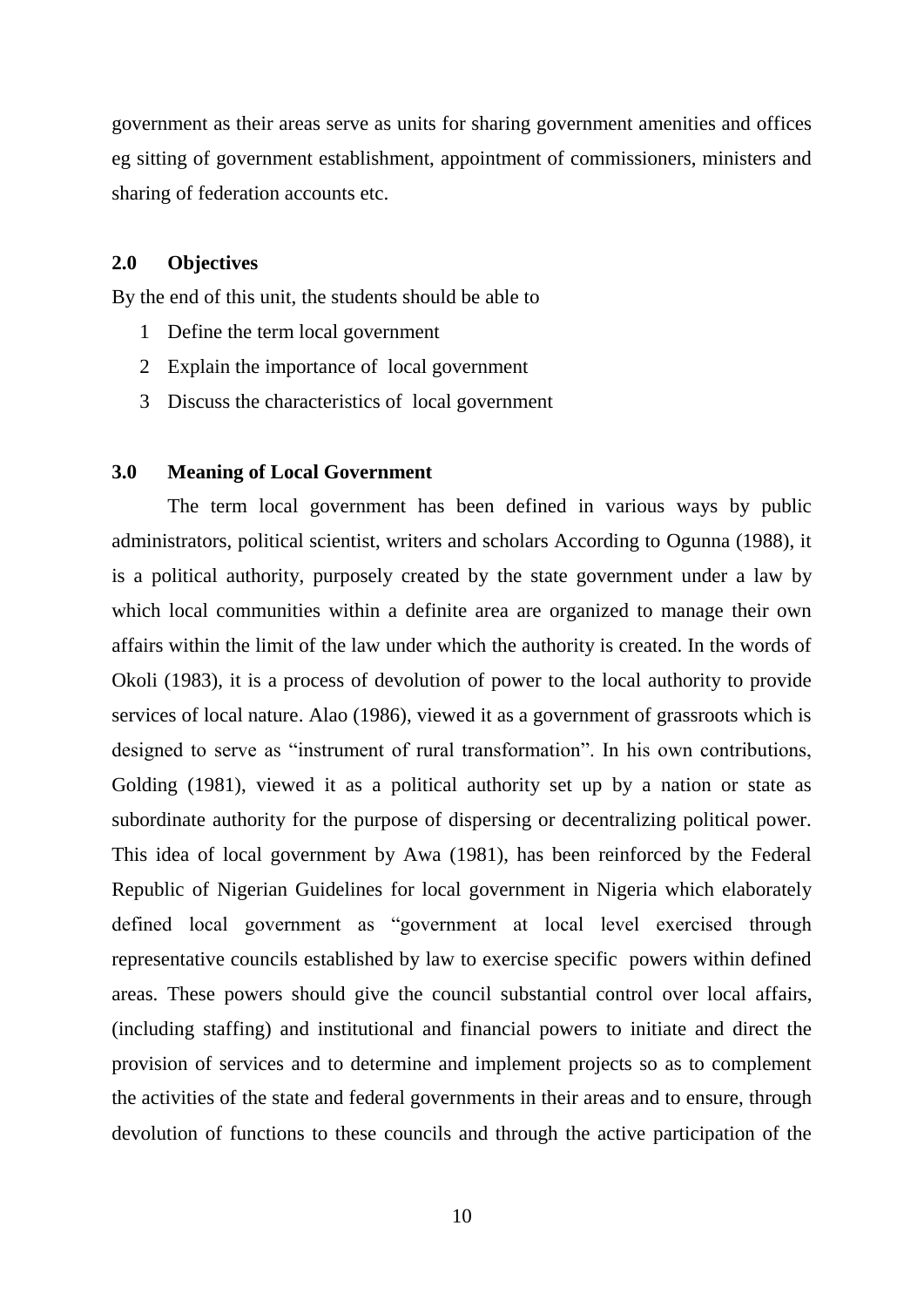government as their areas serve as units for sharing government amenities and offices eg sitting of government establishment, appointment of commissioners, ministers and sharing of federation accounts etc.

### **2.0 Objectives**

By the end of this unit, the students should be able to

- 1 Define the term local government
- 2 Explain the importance of local government
- 3 Discuss the characteristics of local government

#### **3.0 Meaning of Local Government**

The term local government has been defined in various ways by public administrators, political scientist, writers and scholars According to Ogunna (1988), it is a political authority, purposely created by the state government under a law by which local communities within a definite area are organized to manage their own affairs within the limit of the law under which the authority is created. In the words of Okoli (1983), it is a process of devolution of power to the local authority to provide services of local nature. Alao (1986), viewed it as a government of grassroots which is designed to serve as "instrument of rural transformation". In his own contributions, Golding (1981), viewed it as a political authority set up by a nation or state as subordinate authority for the purpose of dispersing or decentralizing political power. This idea of local government by Awa (1981), has been reinforced by the Federal Republic of Nigerian Guidelines for local government in Nigeria which elaborately defined local government as "government at local level exercised through representative councils established by law to exercise specific powers within defined areas. These powers should give the council substantial control over local affairs, (including staffing) and institutional and financial powers to initiate and direct the provision of services and to determine and implement projects so as to complement the activities of the state and federal governments in their areas and to ensure, through devolution of functions to these councils and through the active participation of the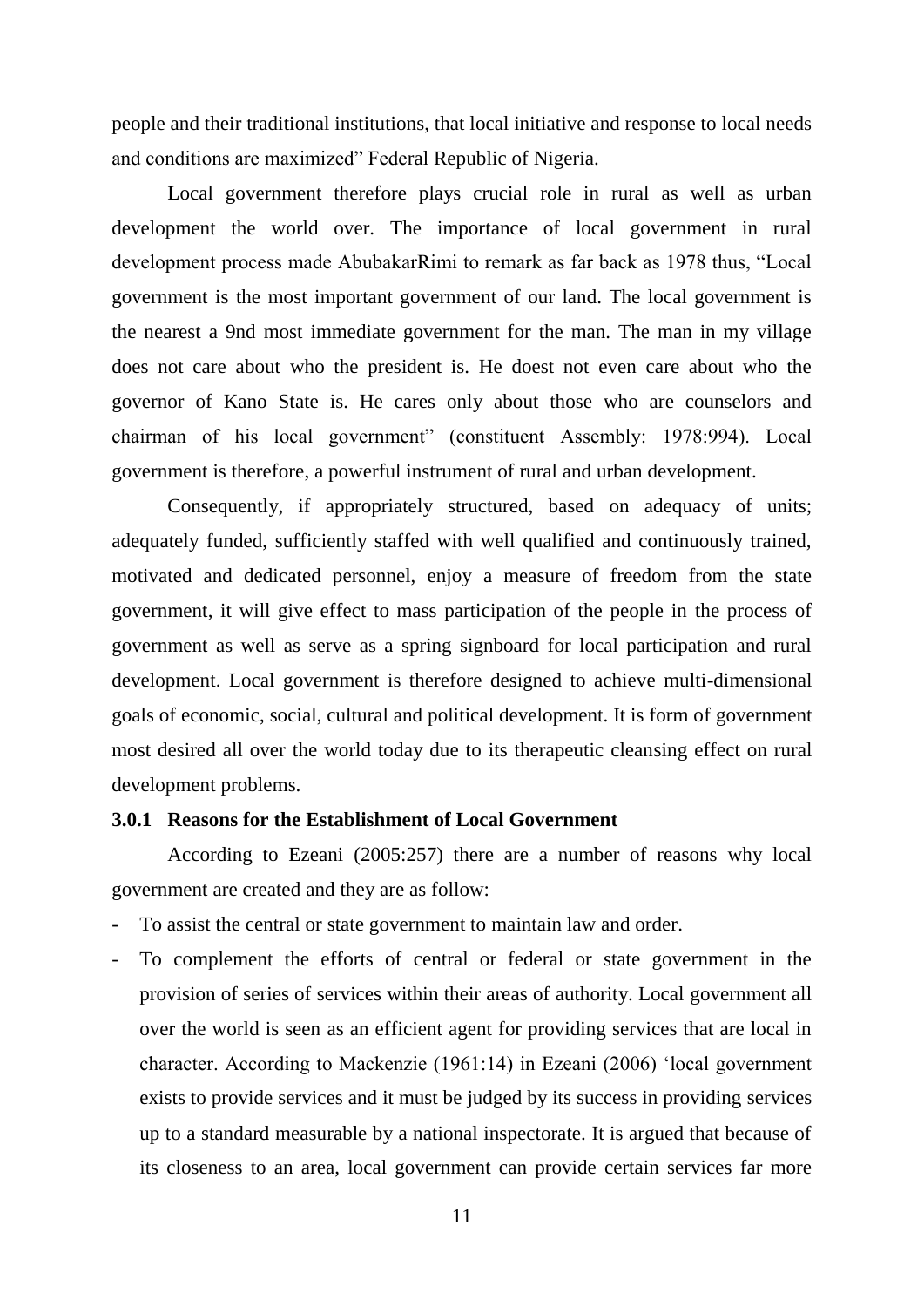people and their traditional institutions, that local initiative and response to local needs and conditions are maximized" Federal Republic of Nigeria.

Local government therefore plays crucial role in rural as well as urban development the world over. The importance of local government in rural development process made AbubakarRimi to remark as far back as 1978 thus, "Local government is the most important government of our land. The local government is the nearest a 9nd most immediate government for the man. The man in my village does not care about who the president is. He doest not even care about who the governor of Kano State is. He cares only about those who are counselors and chairman of his local government" (constituent Assembly: 1978:994). Local government is therefore, a powerful instrument of rural and urban development.

Consequently, if appropriately structured, based on adequacy of units; adequately funded, sufficiently staffed with well qualified and continuously trained, motivated and dedicated personnel, enjoy a measure of freedom from the state government, it will give effect to mass participation of the people in the process of government as well as serve as a spring signboard for local participation and rural development. Local government is therefore designed to achieve multi-dimensional goals of economic, social, cultural and political development. It is form of government most desired all over the world today due to its therapeutic cleansing effect on rural development problems.

#### **3.0.1 Reasons for the Establishment of Local Government**

According to Ezeani (2005:257) there are a number of reasons why local government are created and they are as follow:

- To assist the central or state government to maintain law and order.
- To complement the efforts of central or federal or state government in the provision of series of services within their areas of authority. Local government all over the world is seen as an efficient agent for providing services that are local in character. According to Mackenzie (1961:14) in Ezeani (2006) "local government exists to provide services and it must be judged by its success in providing services up to a standard measurable by a national inspectorate. It is argued that because of its closeness to an area, local government can provide certain services far more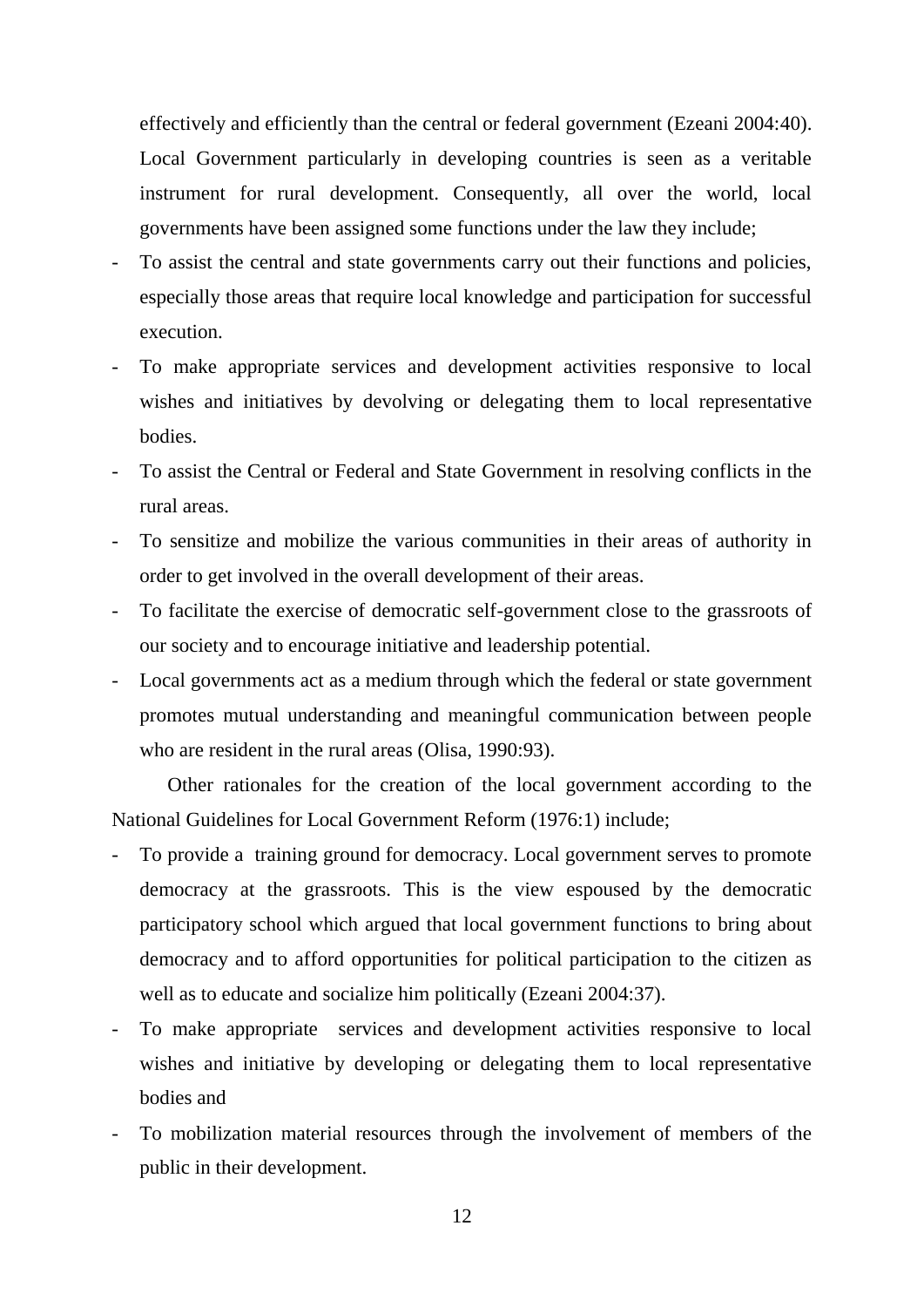effectively and efficiently than the central or federal government (Ezeani 2004:40). Local Government particularly in developing countries is seen as a veritable instrument for rural development. Consequently, all over the world, local governments have been assigned some functions under the law they include;

- To assist the central and state governments carry out their functions and policies, especially those areas that require local knowledge and participation for successful execution.
- To make appropriate services and development activities responsive to local wishes and initiatives by devolving or delegating them to local representative bodies.
- To assist the Central or Federal and State Government in resolving conflicts in the rural areas.
- To sensitize and mobilize the various communities in their areas of authority in order to get involved in the overall development of their areas.
- To facilitate the exercise of democratic self-government close to the grassroots of our society and to encourage initiative and leadership potential.
- Local governments act as a medium through which the federal or state government promotes mutual understanding and meaningful communication between people who are resident in the rural areas (Olisa, 1990:93).

Other rationales for the creation of the local government according to the National Guidelines for Local Government Reform (1976:1) include;

- To provide a training ground for democracy. Local government serves to promote democracy at the grassroots. This is the view espoused by the democratic participatory school which argued that local government functions to bring about democracy and to afford opportunities for political participation to the citizen as well as to educate and socialize him politically (Ezeani 2004:37).
- To make appropriate services and development activities responsive to local wishes and initiative by developing or delegating them to local representative bodies and
- To mobilization material resources through the involvement of members of the public in their development.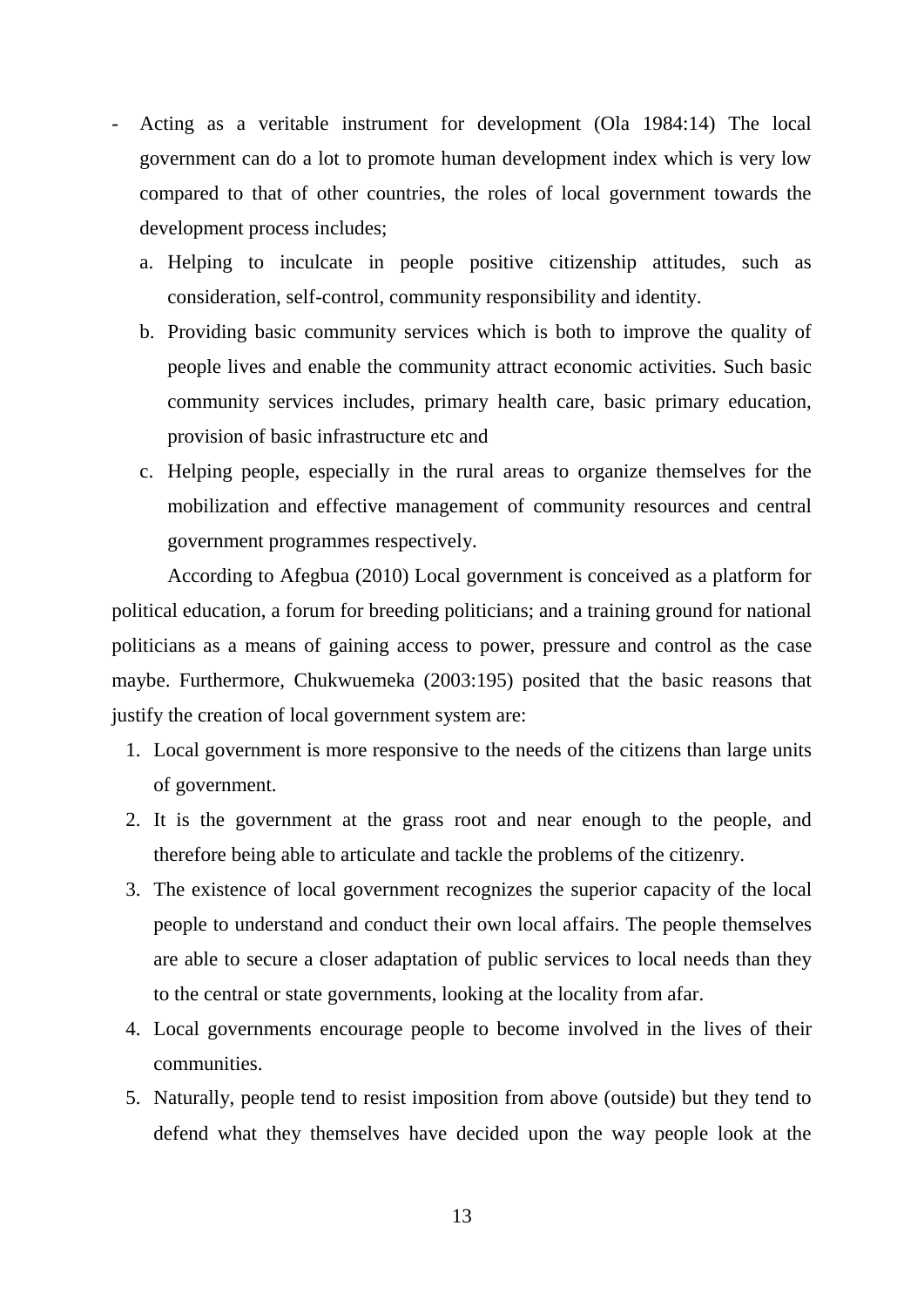- Acting as a veritable instrument for development (Ola 1984:14) The local government can do a lot to promote human development index which is very low compared to that of other countries, the roles of local government towards the development process includes;
	- a. Helping to inculcate in people positive citizenship attitudes, such as consideration, self-control, community responsibility and identity.
	- b. Providing basic community services which is both to improve the quality of people lives and enable the community attract economic activities. Such basic community services includes, primary health care, basic primary education, provision of basic infrastructure etc and
	- c. Helping people, especially in the rural areas to organize themselves for the mobilization and effective management of community resources and central government programmes respectively.

According to Afegbua (2010) Local government is conceived as a platform for political education, a forum for breeding politicians; and a training ground for national politicians as a means of gaining access to power, pressure and control as the case maybe. Furthermore, Chukwuemeka (2003:195) posited that the basic reasons that justify the creation of local government system are:

- 1. Local government is more responsive to the needs of the citizens than large units of government.
- 2. It is the government at the grass root and near enough to the people, and therefore being able to articulate and tackle the problems of the citizenry.
- 3. The existence of local government recognizes the superior capacity of the local people to understand and conduct their own local affairs. The people themselves are able to secure a closer adaptation of public services to local needs than they to the central or state governments, looking at the locality from afar.
- 4. Local governments encourage people to become involved in the lives of their communities.
- 5. Naturally, people tend to resist imposition from above (outside) but they tend to defend what they themselves have decided upon the way people look at the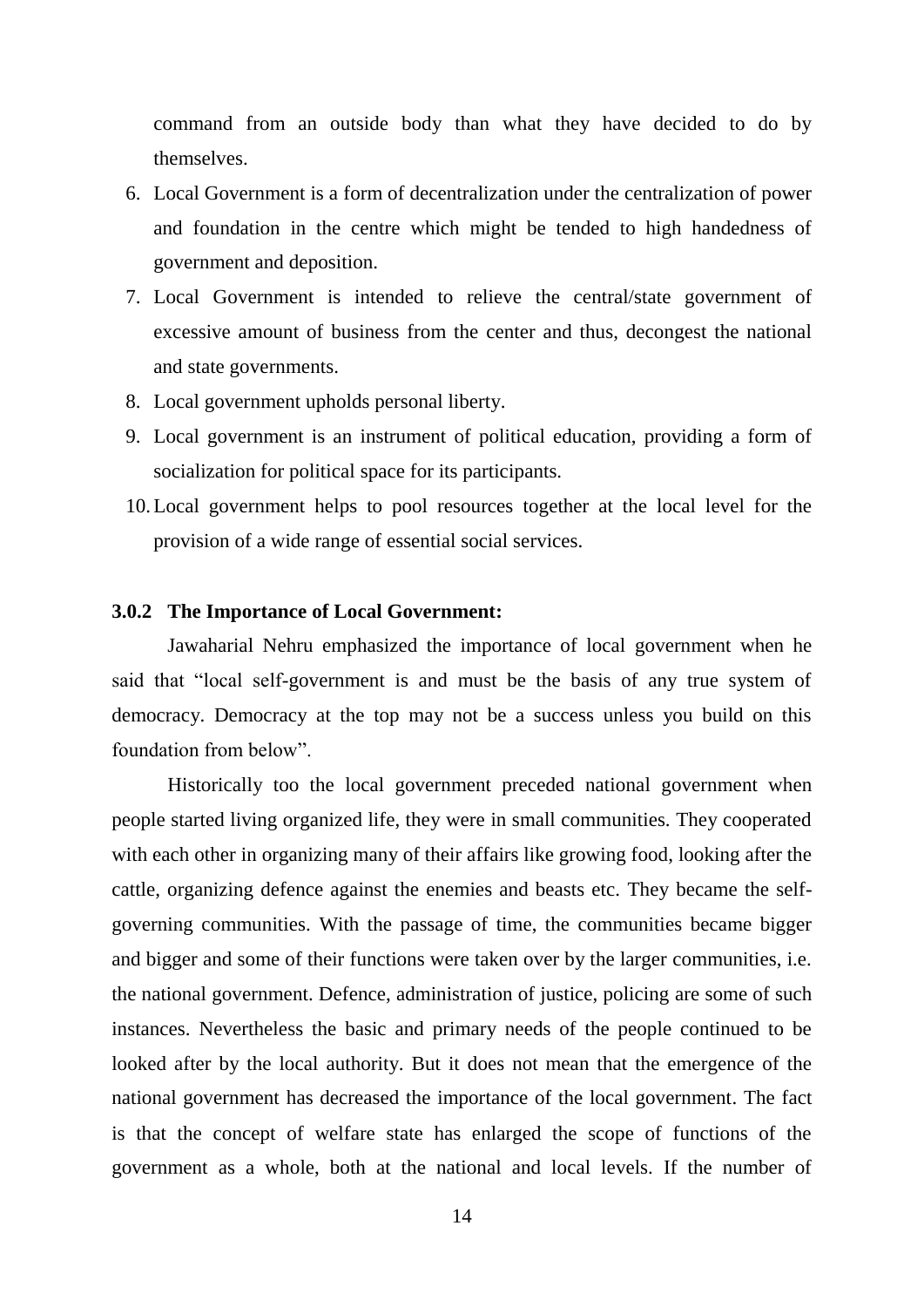command from an outside body than what they have decided to do by themselves.

- 6. Local Government is a form of decentralization under the centralization of power and foundation in the centre which might be tended to high handedness of government and deposition.
- 7. Local Government is intended to relieve the central/state government of excessive amount of business from the center and thus, decongest the national and state governments.
- 8. Local government upholds personal liberty.
- 9. Local government is an instrument of political education, providing a form of socialization for political space for its participants.
- 10.Local government helps to pool resources together at the local level for the provision of a wide range of essential social services.

#### **3.0.2 The Importance of Local Government:**

Jawaharial Nehru emphasized the importance of local government when he said that "local self-government is and must be the basis of any true system of democracy. Democracy at the top may not be a success unless you build on this foundation from below".

Historically too the local government preceded national government when people started living organized life, they were in small communities. They cooperated with each other in organizing many of their affairs like growing food, looking after the cattle, organizing defence against the enemies and beasts etc. They became the selfgoverning communities. With the passage of time, the communities became bigger and bigger and some of their functions were taken over by the larger communities, i.e. the national government. Defence, administration of justice, policing are some of such instances. Nevertheless the basic and primary needs of the people continued to be looked after by the local authority. But it does not mean that the emergence of the national government has decreased the importance of the local government. The fact is that the concept of welfare state has enlarged the scope of functions of the government as a whole, both at the national and local levels. If the number of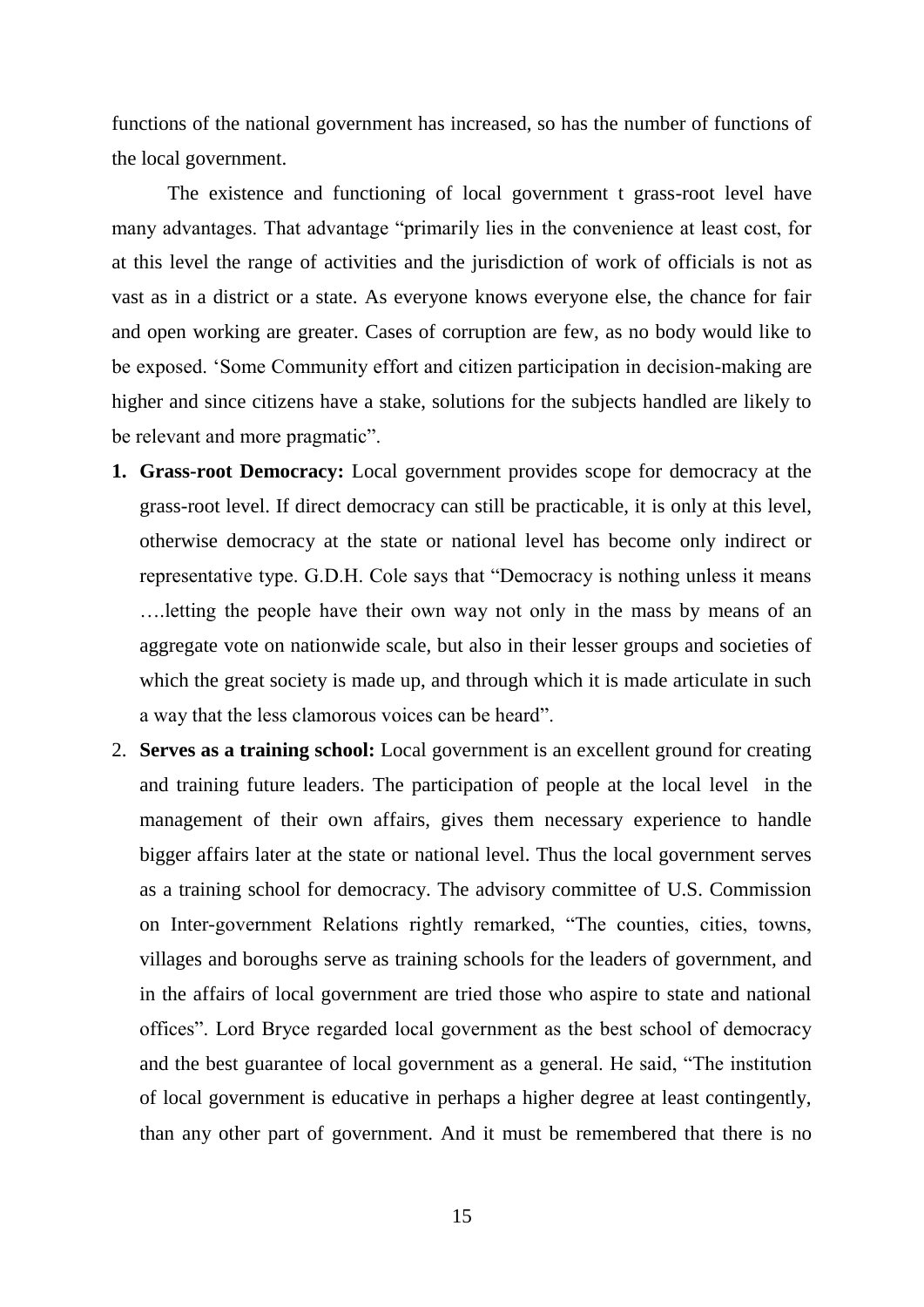functions of the national government has increased, so has the number of functions of the local government.

The existence and functioning of local government t grass-root level have many advantages. That advantage "primarily lies in the convenience at least cost, for at this level the range of activities and the jurisdiction of work of officials is not as vast as in a district or a state. As everyone knows everyone else, the chance for fair and open working are greater. Cases of corruption are few, as no body would like to be exposed. "Some Community effort and citizen participation in decision-making are higher and since citizens have a stake, solutions for the subjects handled are likely to be relevant and more pragmatic".

- **1. Grass-root Democracy:** Local government provides scope for democracy at the grass-root level. If direct democracy can still be practicable, it is only at this level, otherwise democracy at the state or national level has become only indirect or representative type. G.D.H. Cole says that "Democracy is nothing unless it means ….letting the people have their own way not only in the mass by means of an aggregate vote on nationwide scale, but also in their lesser groups and societies of which the great society is made up, and through which it is made articulate in such a way that the less clamorous voices can be heard".
- 2. **Serves as a training school:** Local government is an excellent ground for creating and training future leaders. The participation of people at the local level in the management of their own affairs, gives them necessary experience to handle bigger affairs later at the state or national level. Thus the local government serves as a training school for democracy. The advisory committee of U.S. Commission on Inter-government Relations rightly remarked, "The counties, cities, towns, villages and boroughs serve as training schools for the leaders of government, and in the affairs of local government are tried those who aspire to state and national offices". Lord Bryce regarded local government as the best school of democracy and the best guarantee of local government as a general. He said, "The institution of local government is educative in perhaps a higher degree at least contingently, than any other part of government. And it must be remembered that there is no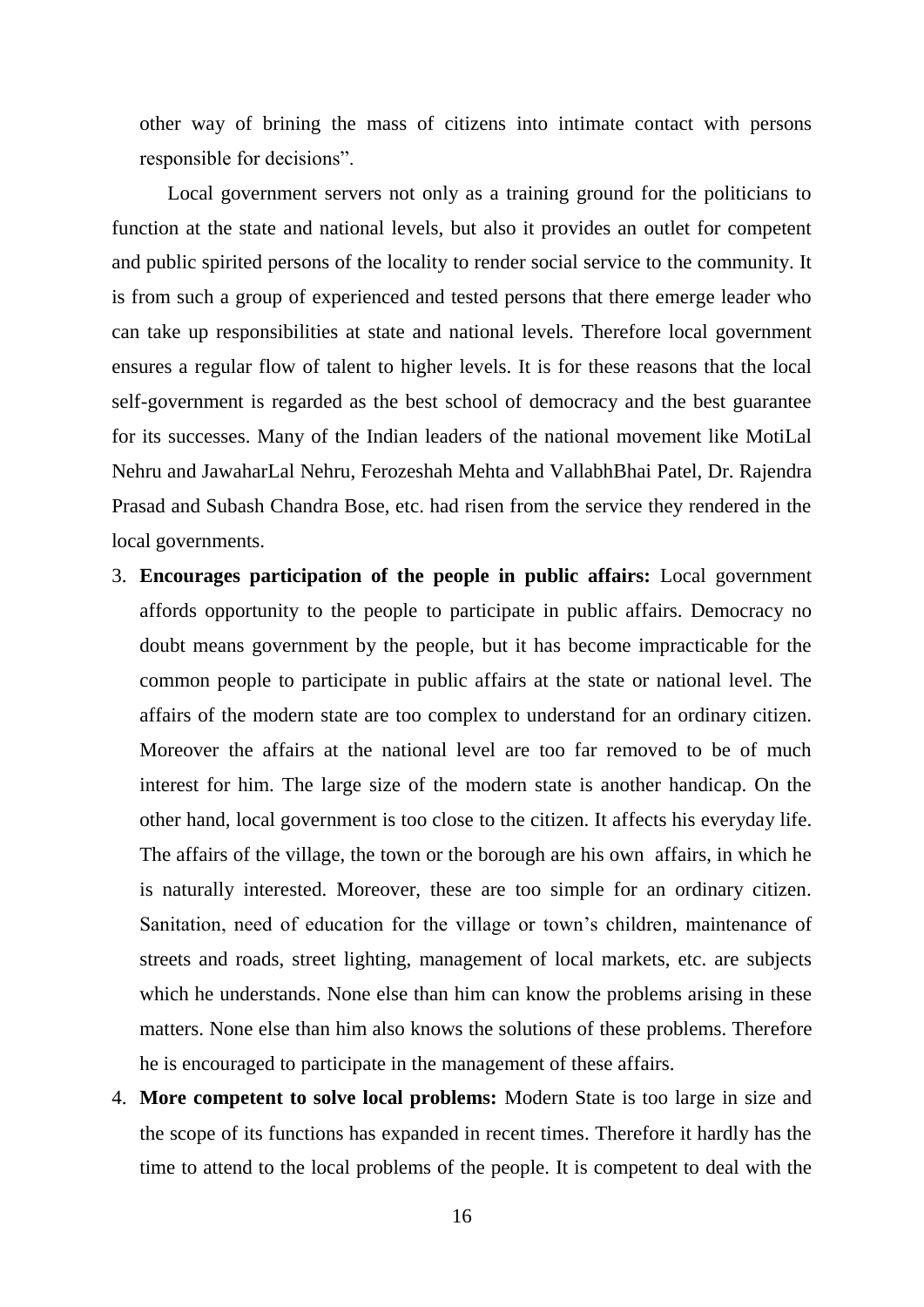other way of brining the mass of citizens into intimate contact with persons responsible for decisions".

Local government servers not only as a training ground for the politicians to function at the state and national levels, but also it provides an outlet for competent and public spirited persons of the locality to render social service to the community. It is from such a group of experienced and tested persons that there emerge leader who can take up responsibilities at state and national levels. Therefore local government ensures a regular flow of talent to higher levels. It is for these reasons that the local self-government is regarded as the best school of democracy and the best guarantee for its successes. Many of the Indian leaders of the national movement like MotiLal Nehru and JawaharLal Nehru, Ferozeshah Mehta and VallabhBhai Patel, Dr. Rajendra Prasad and Subash Chandra Bose, etc. had risen from the service they rendered in the local governments.

- 3. **Encourages participation of the people in public affairs:** Local government affords opportunity to the people to participate in public affairs. Democracy no doubt means government by the people, but it has become impracticable for the common people to participate in public affairs at the state or national level. The affairs of the modern state are too complex to understand for an ordinary citizen. Moreover the affairs at the national level are too far removed to be of much interest for him. The large size of the modern state is another handicap. On the other hand, local government is too close to the citizen. It affects his everyday life. The affairs of the village, the town or the borough are his own affairs, in which he is naturally interested. Moreover, these are too simple for an ordinary citizen. Sanitation, need of education for the village or town"s children, maintenance of streets and roads, street lighting, management of local markets, etc. are subjects which he understands. None else than him can know the problems arising in these matters. None else than him also knows the solutions of these problems. Therefore he is encouraged to participate in the management of these affairs.
- 4. **More competent to solve local problems:** Modern State is too large in size and the scope of its functions has expanded in recent times. Therefore it hardly has the time to attend to the local problems of the people. It is competent to deal with the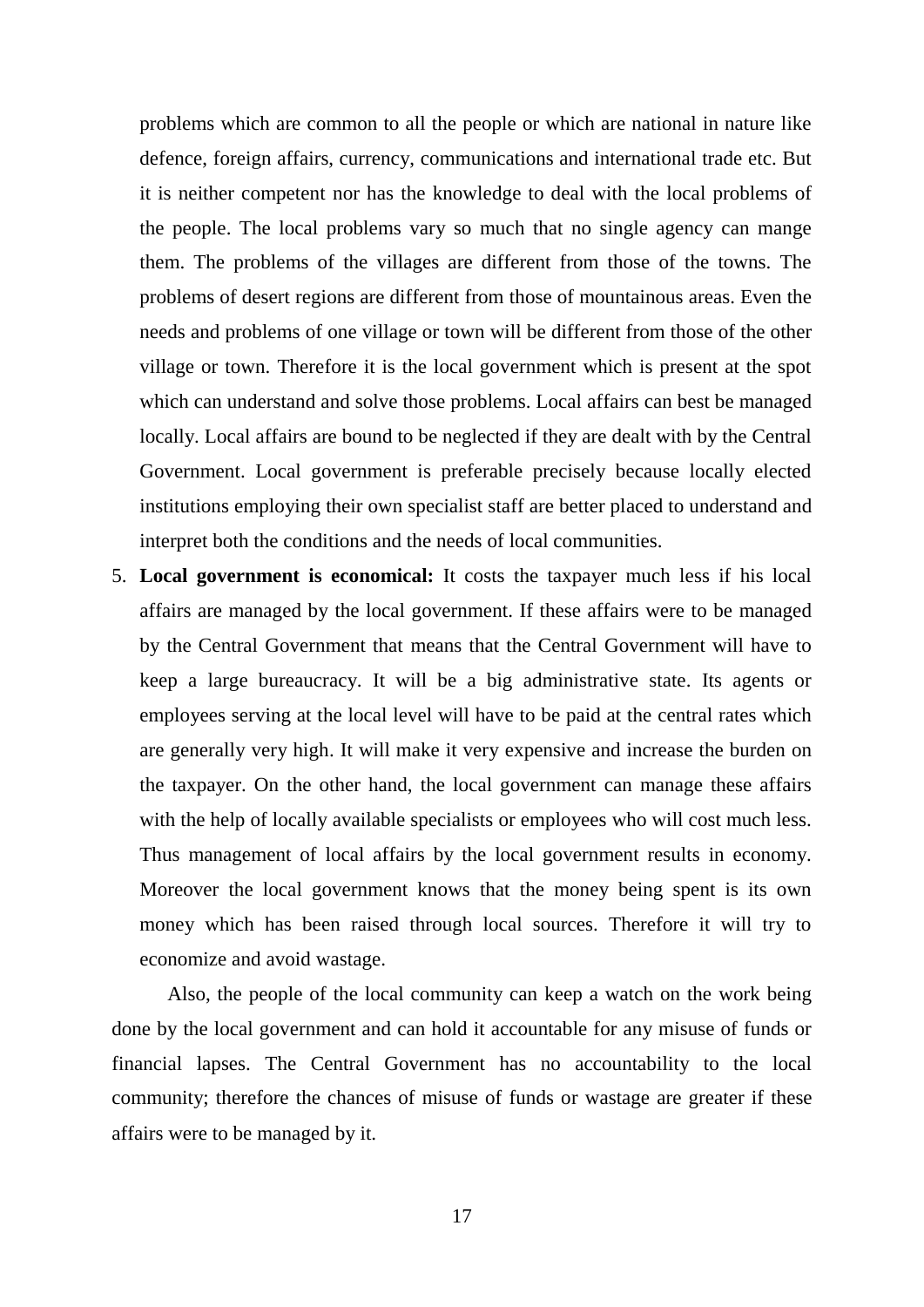problems which are common to all the people or which are national in nature like defence, foreign affairs, currency, communications and international trade etc. But it is neither competent nor has the knowledge to deal with the local problems of the people. The local problems vary so much that no single agency can mange them. The problems of the villages are different from those of the towns. The problems of desert regions are different from those of mountainous areas. Even the needs and problems of one village or town will be different from those of the other village or town. Therefore it is the local government which is present at the spot which can understand and solve those problems. Local affairs can best be managed locally. Local affairs are bound to be neglected if they are dealt with by the Central Government. Local government is preferable precisely because locally elected institutions employing their own specialist staff are better placed to understand and interpret both the conditions and the needs of local communities.

5. **Local government is economical:** It costs the taxpayer much less if his local affairs are managed by the local government. If these affairs were to be managed by the Central Government that means that the Central Government will have to keep a large bureaucracy. It will be a big administrative state. Its agents or employees serving at the local level will have to be paid at the central rates which are generally very high. It will make it very expensive and increase the burden on the taxpayer. On the other hand, the local government can manage these affairs with the help of locally available specialists or employees who will cost much less. Thus management of local affairs by the local government results in economy. Moreover the local government knows that the money being spent is its own money which has been raised through local sources. Therefore it will try to economize and avoid wastage.

Also, the people of the local community can keep a watch on the work being done by the local government and can hold it accountable for any misuse of funds or financial lapses. The Central Government has no accountability to the local community; therefore the chances of misuse of funds or wastage are greater if these affairs were to be managed by it.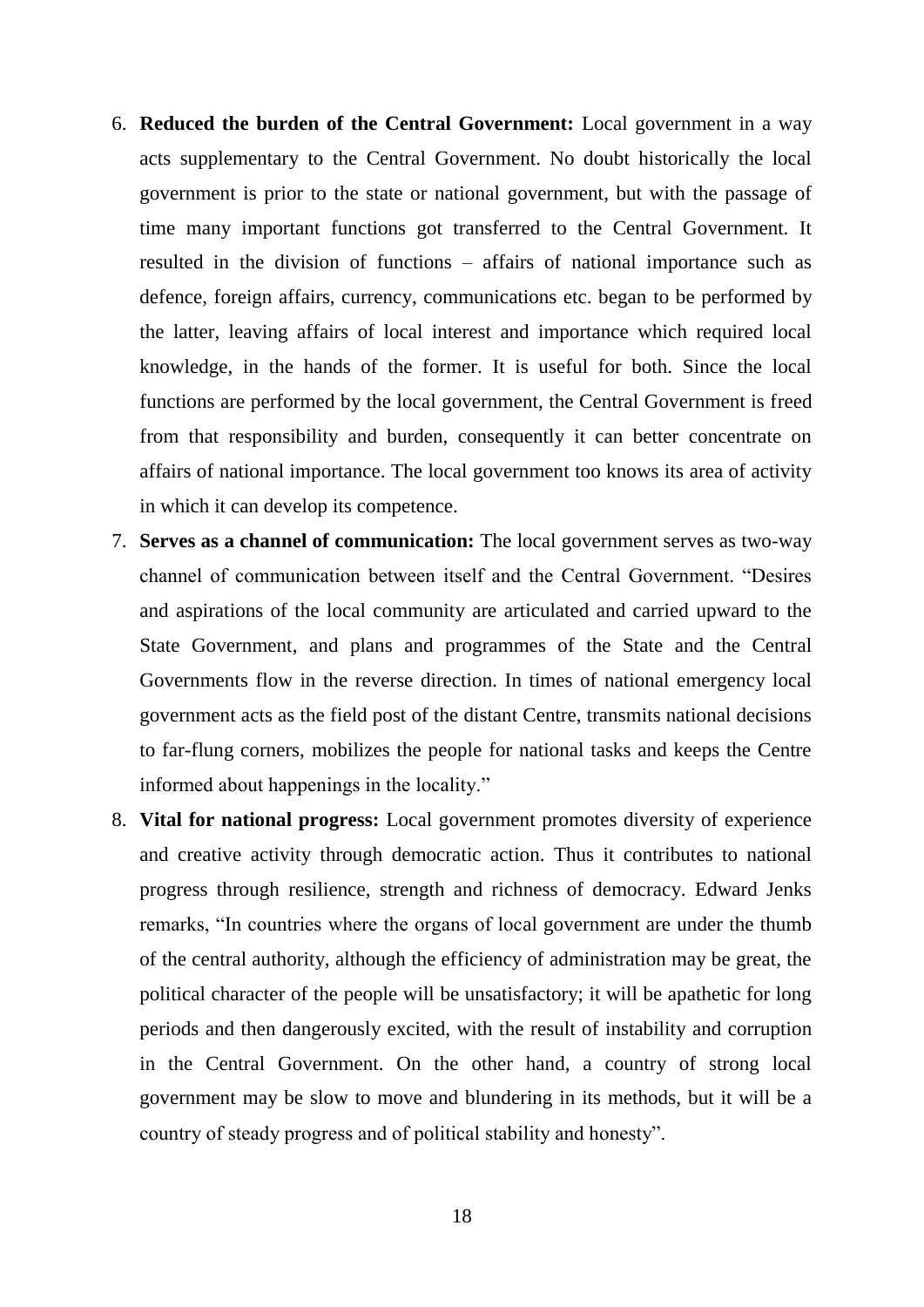- 6. **Reduced the burden of the Central Government:** Local government in a way acts supplementary to the Central Government. No doubt historically the local government is prior to the state or national government, but with the passage of time many important functions got transferred to the Central Government. It resulted in the division of functions – affairs of national importance such as defence, foreign affairs, currency, communications etc. began to be performed by the latter, leaving affairs of local interest and importance which required local knowledge, in the hands of the former. It is useful for both. Since the local functions are performed by the local government, the Central Government is freed from that responsibility and burden, consequently it can better concentrate on affairs of national importance. The local government too knows its area of activity in which it can develop its competence.
- 7. **Serves as a channel of communication:** The local government serves as two-way channel of communication between itself and the Central Government. "Desires and aspirations of the local community are articulated and carried upward to the State Government, and plans and programmes of the State and the Central Governments flow in the reverse direction. In times of national emergency local government acts as the field post of the distant Centre, transmits national decisions to far-flung corners, mobilizes the people for national tasks and keeps the Centre informed about happenings in the locality."
- 8. **Vital for national progress:** Local government promotes diversity of experience and creative activity through democratic action. Thus it contributes to national progress through resilience, strength and richness of democracy. Edward Jenks remarks, "In countries where the organs of local government are under the thumb of the central authority, although the efficiency of administration may be great, the political character of the people will be unsatisfactory; it will be apathetic for long periods and then dangerously excited, with the result of instability and corruption in the Central Government. On the other hand, a country of strong local government may be slow to move and blundering in its methods, but it will be a country of steady progress and of political stability and honesty".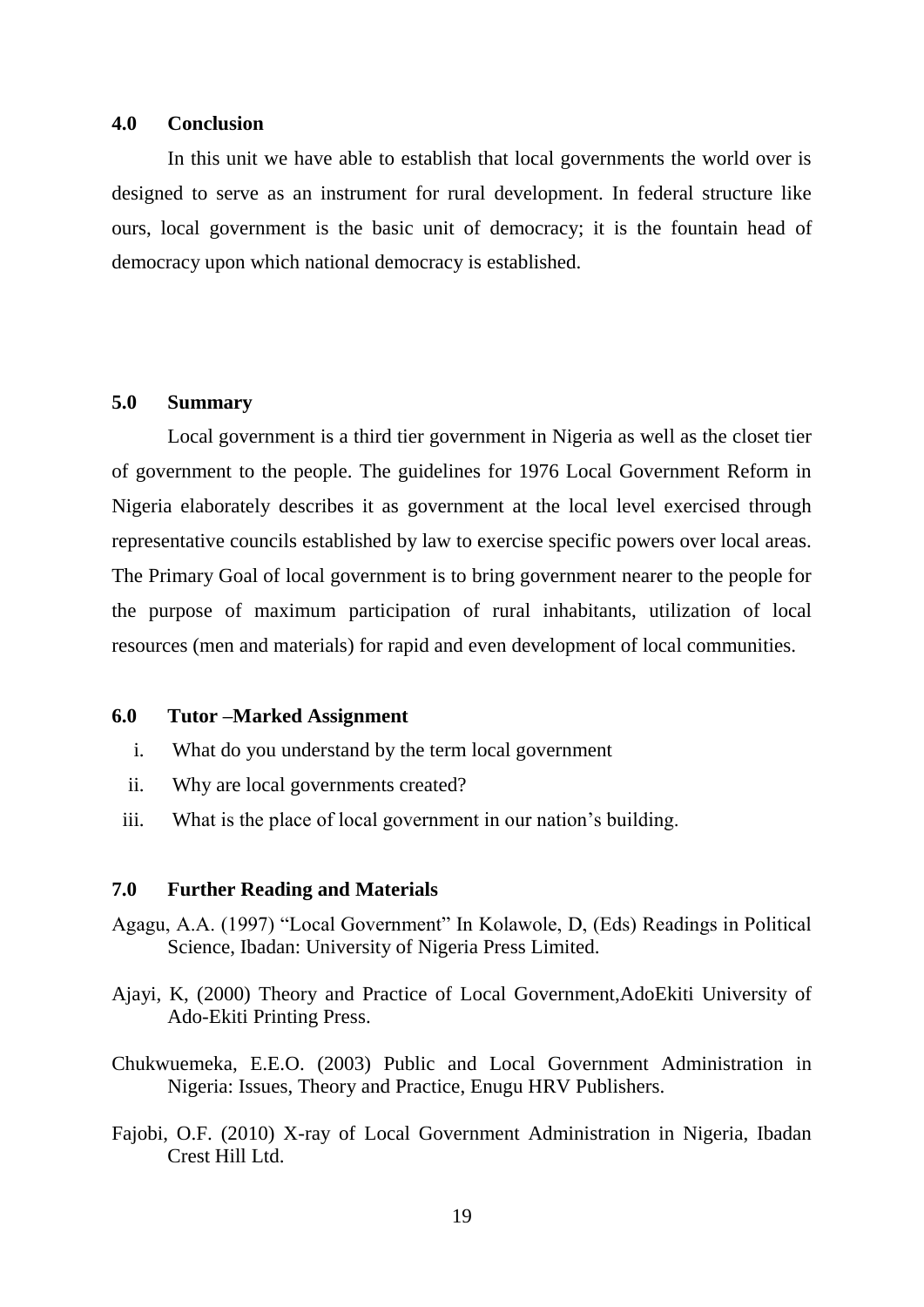#### **4.0 Conclusion**

In this unit we have able to establish that local governments the world over is designed to serve as an instrument for rural development. In federal structure like ours, local government is the basic unit of democracy; it is the fountain head of democracy upon which national democracy is established.

### **5.0 Summary**

Local government is a third tier government in Nigeria as well as the closet tier of government to the people. The guidelines for 1976 Local Government Reform in Nigeria elaborately describes it as government at the local level exercised through representative councils established by law to exercise specific powers over local areas. The Primary Goal of local government is to bring government nearer to the people for the purpose of maximum participation of rural inhabitants, utilization of local resources (men and materials) for rapid and even development of local communities.

#### **6.0 Tutor –Marked Assignment**

- i. What do you understand by the term local government
- ii. Why are local governments created?
- iii. What is the place of local government in our nation"s building.

#### **7.0 Further Reading and Materials**

- Agagu, A.A. (1997) "Local Government" In Kolawole, D, (Eds) Readings in Political Science, Ibadan: University of Nigeria Press Limited.
- Ajayi, K, (2000) Theory and Practice of Local Government,AdoEkiti University of Ado-Ekiti Printing Press.
- Chukwuemeka, E.E.O. (2003) Public and Local Government Administration in Nigeria: Issues, Theory and Practice, Enugu HRV Publishers.
- Fajobi, O.F. (2010) X-ray of Local Government Administration in Nigeria, Ibadan Crest Hill Ltd.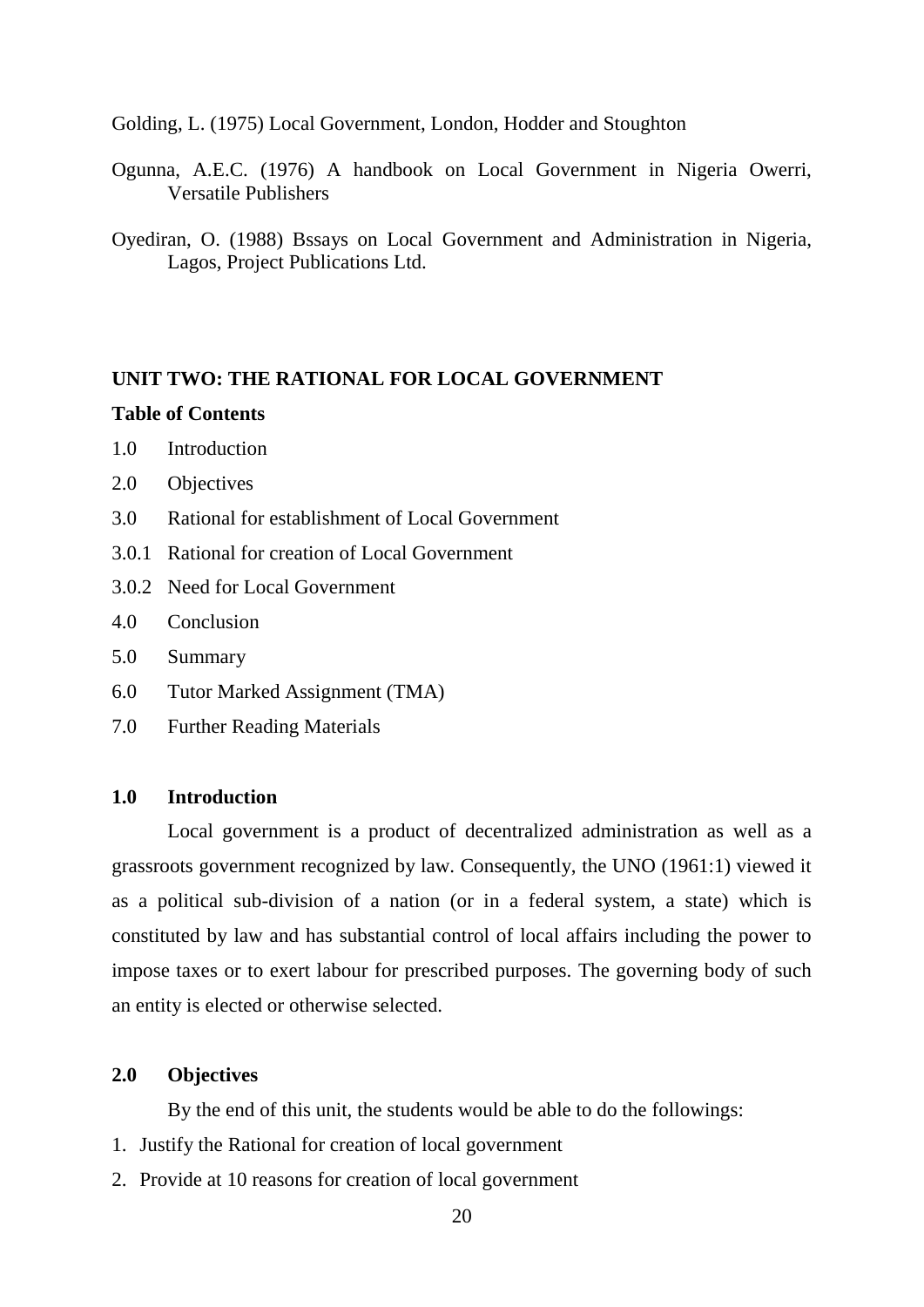Golding, L. (1975) Local Government, London, Hodder and Stoughton

- Ogunna, A.E.C. (1976) A handbook on Local Government in Nigeria Owerri, Versatile Publishers
- Oyediran, O. (1988) Bssays on Local Government and Administration in Nigeria, Lagos, Project Publications Ltd.

#### **UNIT TWO: THE RATIONAL FOR LOCAL GOVERNMENT**

#### **Table of Contents**

- 1.0 Introduction
- 2.0 Objectives
- 3.0 Rational for establishment of Local Government
- 3.0.1 Rational for creation of Local Government
- 3.0.2 Need for Local Government
- 4.0 Conclusion
- 5.0 Summary
- 6.0 Tutor Marked Assignment (TMA)
- 7.0 Further Reading Materials

#### **1.0 Introduction**

Local government is a product of decentralized administration as well as a grassroots government recognized by law. Consequently, the UNO (1961:1) viewed it as a political sub-division of a nation (or in a federal system, a state) which is constituted by law and has substantial control of local affairs including the power to impose taxes or to exert labour for prescribed purposes. The governing body of such an entity is elected or otherwise selected.

#### **2.0 Objectives**

By the end of this unit, the students would be able to do the followings:

- 1. Justify the Rational for creation of local government
- 2. Provide at 10 reasons for creation of local government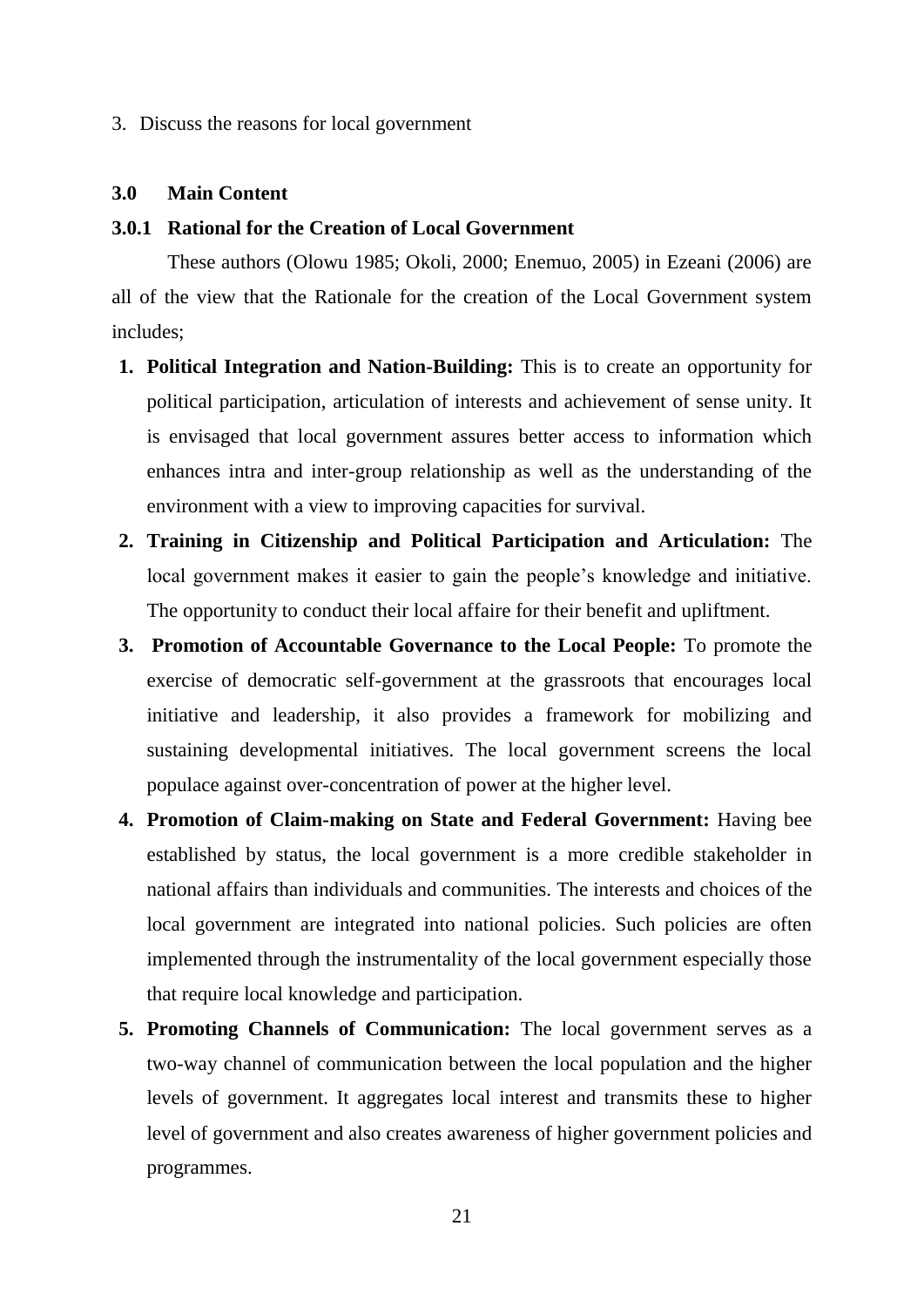#### 3. Discuss the reasons for local government

#### **3.0 Main Content**

#### **3.0.1 Rational for the Creation of Local Government**

These authors (Olowu 1985; Okoli, 2000; Enemuo, 2005) in Ezeani (2006) are all of the view that the Rationale for the creation of the Local Government system includes;

- **1. Political Integration and Nation-Building:** This is to create an opportunity for political participation, articulation of interests and achievement of sense unity. It is envisaged that local government assures better access to information which enhances intra and inter-group relationship as well as the understanding of the environment with a view to improving capacities for survival.
- **2. Training in Citizenship and Political Participation and Articulation:** The local government makes it easier to gain the people's knowledge and initiative. The opportunity to conduct their local affaire for their benefit and upliftment.
- **3. Promotion of Accountable Governance to the Local People:** To promote the exercise of democratic self-government at the grassroots that encourages local initiative and leadership, it also provides a framework for mobilizing and sustaining developmental initiatives. The local government screens the local populace against over-concentration of power at the higher level.
- **4. Promotion of Claim-making on State and Federal Government:** Having bee established by status, the local government is a more credible stakeholder in national affairs than individuals and communities. The interests and choices of the local government are integrated into national policies. Such policies are often implemented through the instrumentality of the local government especially those that require local knowledge and participation.
- **5. Promoting Channels of Communication:** The local government serves as a two-way channel of communication between the local population and the higher levels of government. It aggregates local interest and transmits these to higher level of government and also creates awareness of higher government policies and programmes.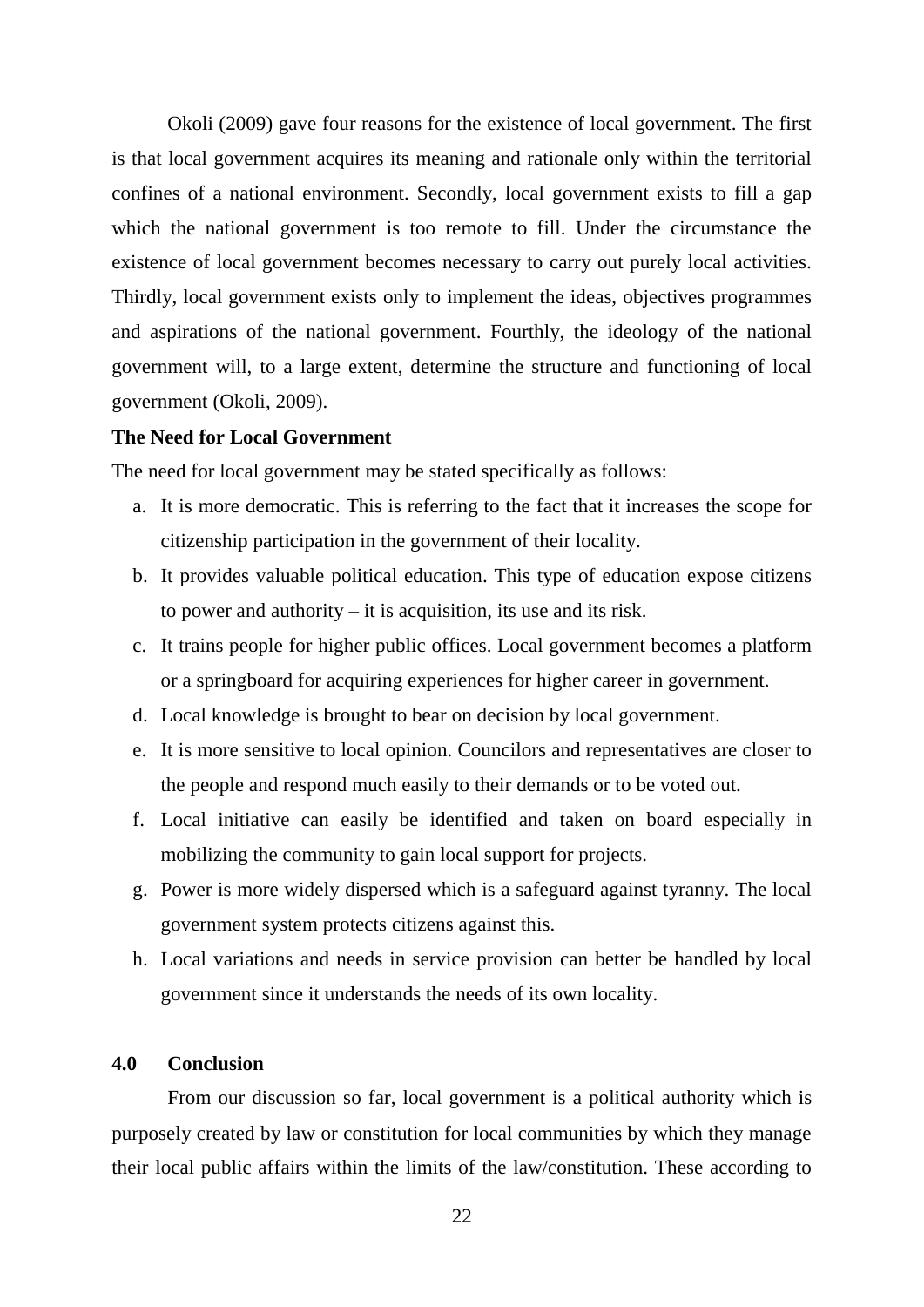Okoli (2009) gave four reasons for the existence of local government. The first is that local government acquires its meaning and rationale only within the territorial confines of a national environment. Secondly, local government exists to fill a gap which the national government is too remote to fill. Under the circumstance the existence of local government becomes necessary to carry out purely local activities. Thirdly, local government exists only to implement the ideas, objectives programmes and aspirations of the national government. Fourthly, the ideology of the national government will, to a large extent, determine the structure and functioning of local government (Okoli, 2009).

#### **The Need for Local Government**

The need for local government may be stated specifically as follows:

- a. It is more democratic. This is referring to the fact that it increases the scope for citizenship participation in the government of their locality.
- b. It provides valuable political education. This type of education expose citizens to power and authority – it is acquisition, its use and its risk.
- c. It trains people for higher public offices. Local government becomes a platform or a springboard for acquiring experiences for higher career in government.
- d. Local knowledge is brought to bear on decision by local government.
- e. It is more sensitive to local opinion. Councilors and representatives are closer to the people and respond much easily to their demands or to be voted out.
- f. Local initiative can easily be identified and taken on board especially in mobilizing the community to gain local support for projects.
- g. Power is more widely dispersed which is a safeguard against tyranny. The local government system protects citizens against this.
- h. Local variations and needs in service provision can better be handled by local government since it understands the needs of its own locality.

### **4.0 Conclusion**

From our discussion so far, local government is a political authority which is purposely created by law or constitution for local communities by which they manage their local public affairs within the limits of the law/constitution. These according to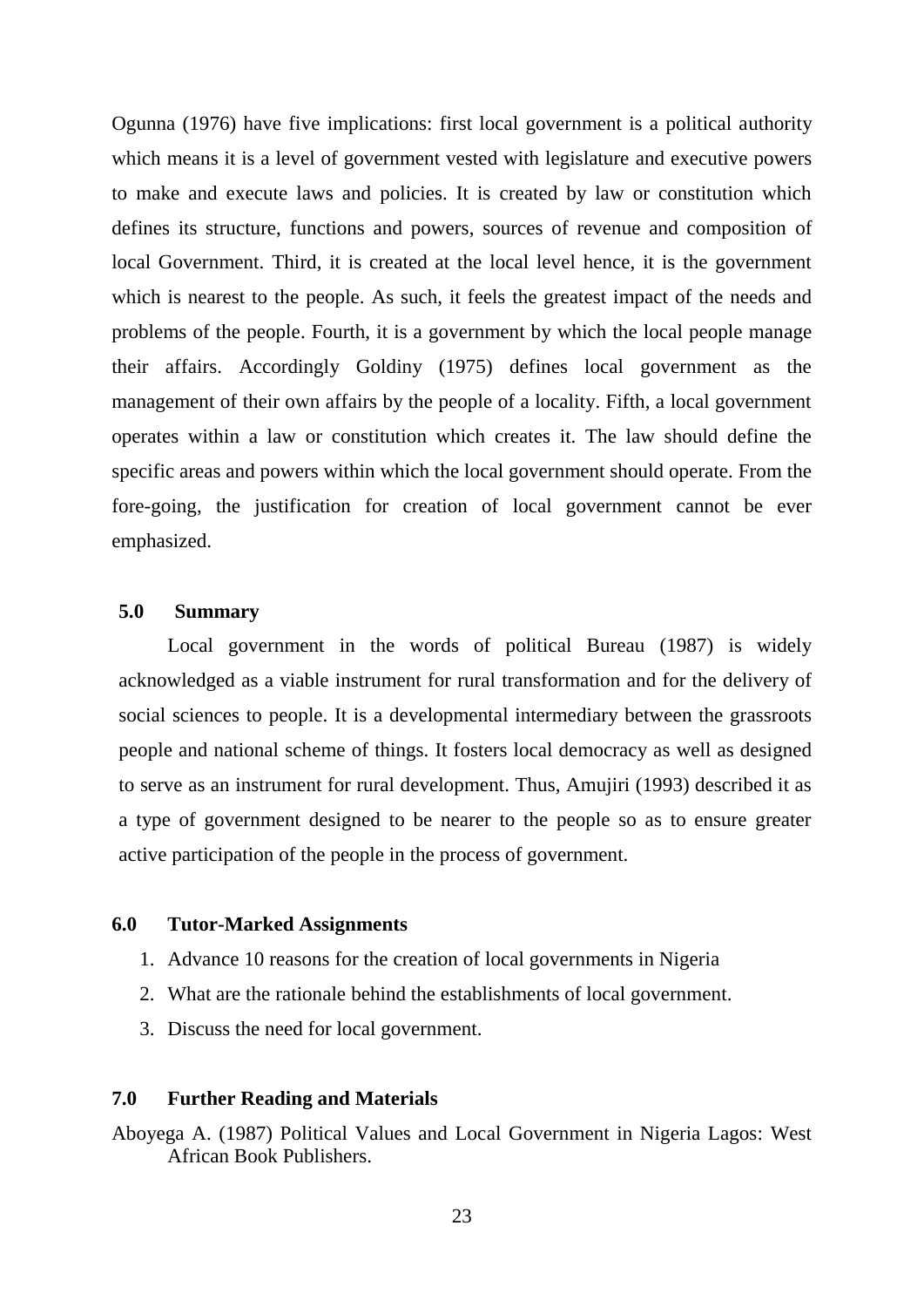Ogunna (1976) have five implications: first local government is a political authority which means it is a level of government vested with legislature and executive powers to make and execute laws and policies. It is created by law or constitution which defines its structure, functions and powers, sources of revenue and composition of local Government. Third, it is created at the local level hence, it is the government which is nearest to the people. As such, it feels the greatest impact of the needs and problems of the people. Fourth, it is a government by which the local people manage their affairs. Accordingly Goldiny (1975) defines local government as the management of their own affairs by the people of a locality. Fifth, a local government operates within a law or constitution which creates it. The law should define the specific areas and powers within which the local government should operate. From the fore-going, the justification for creation of local government cannot be ever emphasized.

#### **5.0 Summary**

Local government in the words of political Bureau (1987) is widely acknowledged as a viable instrument for rural transformation and for the delivery of social sciences to people. It is a developmental intermediary between the grassroots people and national scheme of things. It fosters local democracy as well as designed to serve as an instrument for rural development. Thus, Amujiri (1993) described it as a type of government designed to be nearer to the people so as to ensure greater active participation of the people in the process of government.

#### **6.0 Tutor-Marked Assignments**

- 1. Advance 10 reasons for the creation of local governments in Nigeria
- 2. What are the rationale behind the establishments of local government.
- 3. Discuss the need for local government.

#### **7.0 Further Reading and Materials**

Aboyega A. (1987) Political Values and Local Government in Nigeria Lagos: West African Book Publishers.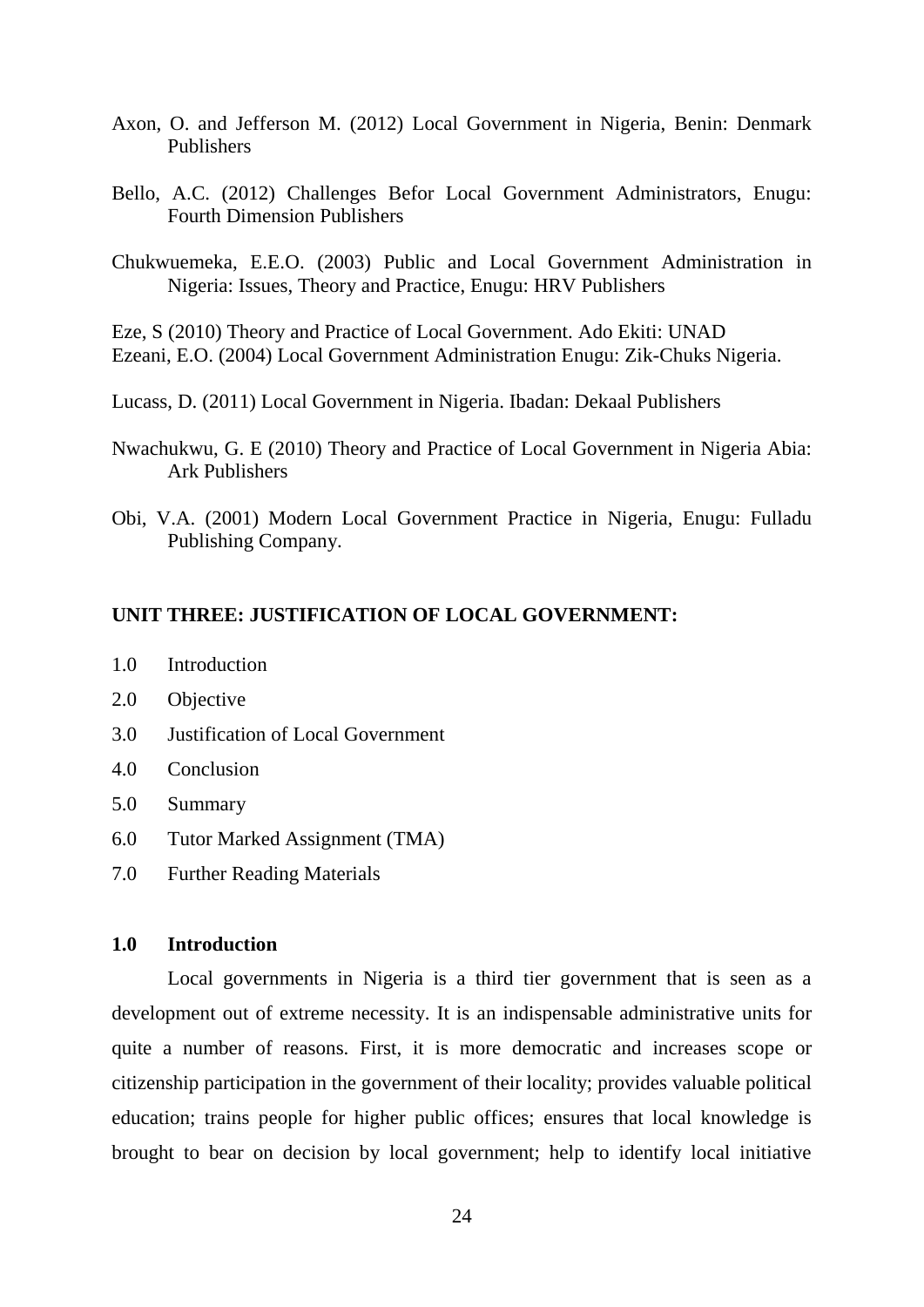- Axon, O. and Jefferson M. (2012) Local Government in Nigeria, Benin: Denmark Publishers
- Bello, A.C. (2012) Challenges Befor Local Government Administrators, Enugu: Fourth Dimension Publishers
- Chukwuemeka, E.E.O. (2003) Public and Local Government Administration in Nigeria: Issues, Theory and Practice, Enugu: HRV Publishers

Eze, S (2010) Theory and Practice of Local Government. Ado Ekiti: UNAD Ezeani, E.O. (2004) Local Government Administration Enugu: Zik-Chuks Nigeria.

- Lucass, D. (2011) Local Government in Nigeria. Ibadan: Dekaal Publishers
- Nwachukwu, G. E (2010) Theory and Practice of Local Government in Nigeria Abia: Ark Publishers
- Obi, V.A. (2001) Modern Local Government Practice in Nigeria, Enugu: Fulladu Publishing Company.

#### **UNIT THREE: JUSTIFICATION OF LOCAL GOVERNMENT:**

- 1.0 Introduction
- 2.0 Objective
- 3.0 Justification of Local Government
- 4.0 Conclusion
- 5.0 Summary
- 6.0 Tutor Marked Assignment (TMA)
- 7.0 Further Reading Materials

### **1.0 Introduction**

Local governments in Nigeria is a third tier government that is seen as a development out of extreme necessity. It is an indispensable administrative units for quite a number of reasons. First, it is more democratic and increases scope or citizenship participation in the government of their locality; provides valuable political education; trains people for higher public offices; ensures that local knowledge is brought to bear on decision by local government; help to identify local initiative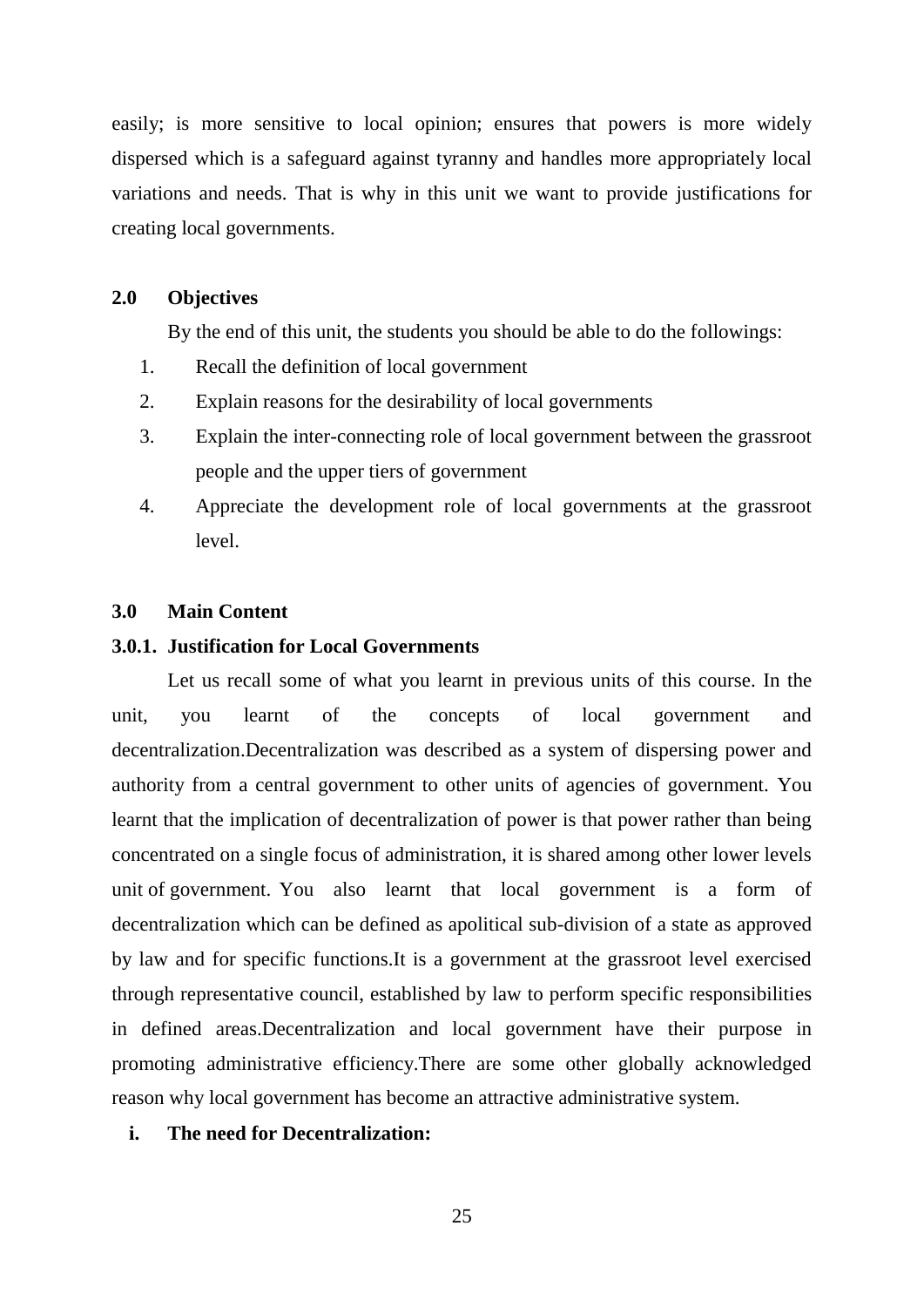easily; is more sensitive to local opinion; ensures that powers is more widely dispersed which is a safeguard against tyranny and handles more appropriately local variations and needs. That is why in this unit we want to provide justifications for creating local governments.

#### **2.0 Objectives**

By the end of this unit, the students you should be able to do the followings:

- 1. Recall the definition of local government
- 2. Explain reasons for the desirability of local governments
- 3. Explain the inter-connecting role of local government between the grassroot people and the upper tiers of government
- 4. Appreciate the development role of local governments at the grassroot level.

#### **3.0 Main Content**

#### **3.0.1. Justification for Local Governments**

Let us recall some of what you learnt in previous units of this course. In the unit, you learnt of the concepts of local government and decentralization.Decentralization was described as a system of dispersing power and authority from a central government to other units of agencies of government. You learnt that the implication of decentralization of power is that power rather than being concentrated on a single focus of administration, it is shared among other lower levels unit of government. You also learnt that local government is a form of decentralization which can be defined as apolitical sub-division of a state as approved by law and for specific functions.It is a government at the grassroot level exercised through representative council, established by law to perform specific responsibilities in defined areas.Decentralization and local government have their purpose in promoting administrative efficiency.There are some other globally acknowledged reason why local government has become an attractive administrative system.

#### **i. The need for Decentralization:**

25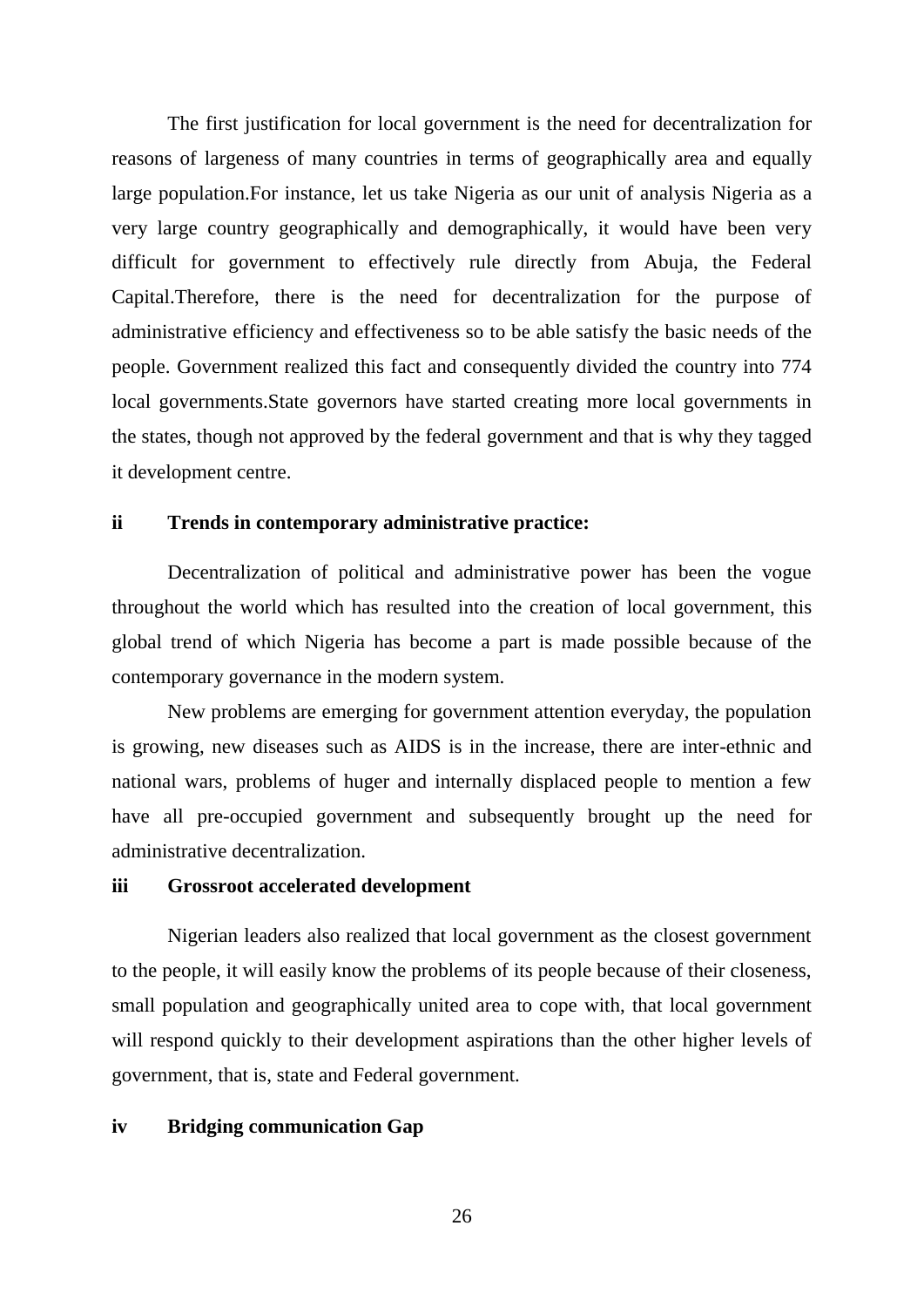The first justification for local government is the need for decentralization for reasons of largeness of many countries in terms of geographically area and equally large population.For instance, let us take Nigeria as our unit of analysis Nigeria as a very large country geographically and demographically, it would have been very difficult for government to effectively rule directly from Abuja, the Federal Capital.Therefore, there is the need for decentralization for the purpose of administrative efficiency and effectiveness so to be able satisfy the basic needs of the people. Government realized this fact and consequently divided the country into 774 local governments.State governors have started creating more local governments in the states, though not approved by the federal government and that is why they tagged it development centre.

#### **ii Trends in contemporary administrative practice:**

Decentralization of political and administrative power has been the vogue throughout the world which has resulted into the creation of local government, this global trend of which Nigeria has become a part is made possible because of the contemporary governance in the modern system.

New problems are emerging for government attention everyday, the population is growing, new diseases such as AIDS is in the increase, there are inter-ethnic and national wars, problems of huger and internally displaced people to mention a few have all pre-occupied government and subsequently brought up the need for administrative decentralization.

#### **iii Grossroot accelerated development**

Nigerian leaders also realized that local government as the closest government to the people, it will easily know the problems of its people because of their closeness, small population and geographically united area to cope with, that local government will respond quickly to their development aspirations than the other higher levels of government, that is, state and Federal government.

#### **iv Bridging communication Gap**

26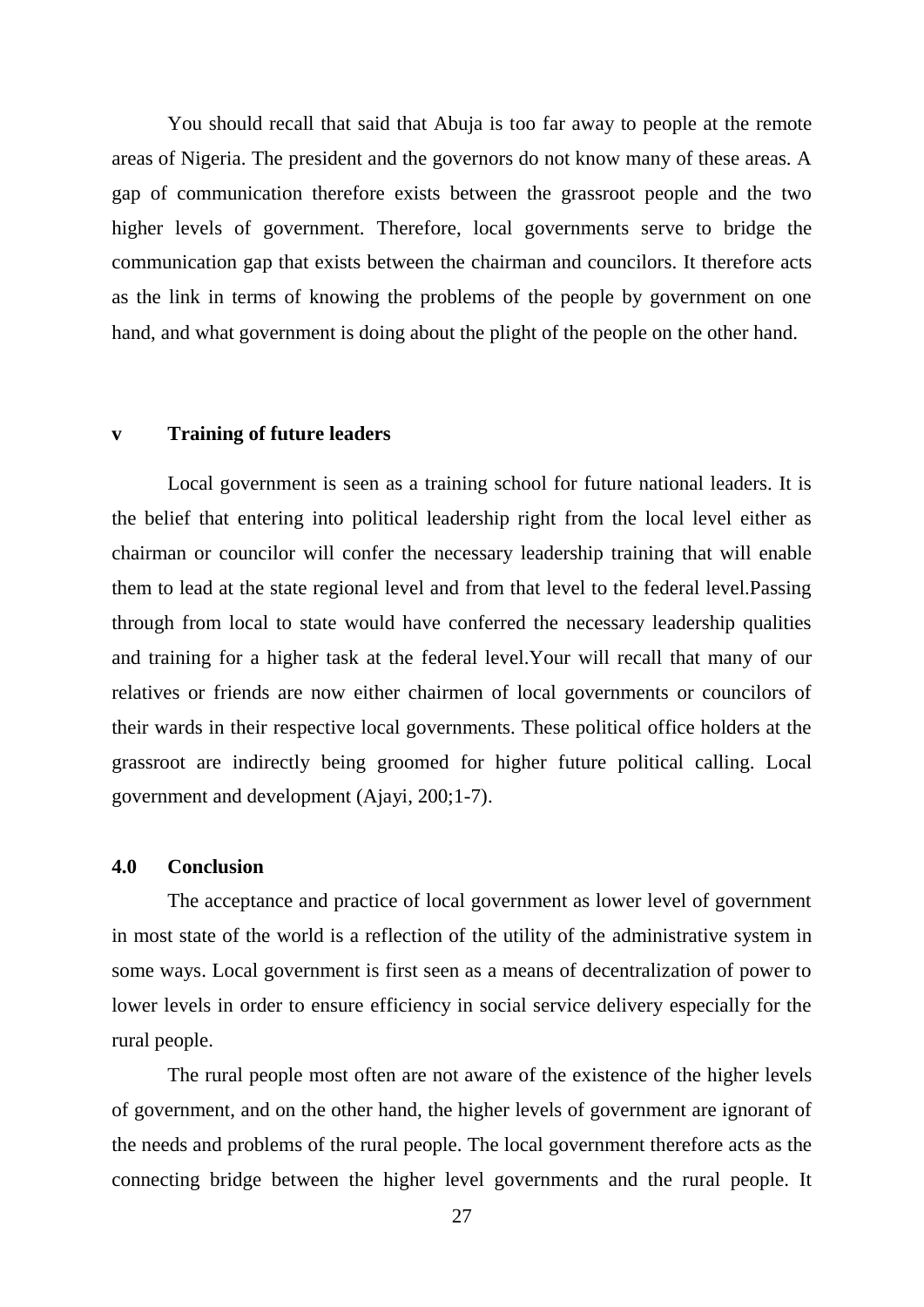You should recall that said that Abuja is too far away to people at the remote areas of Nigeria. The president and the governors do not know many of these areas. A gap of communication therefore exists between the grassroot people and the two higher levels of government. Therefore, local governments serve to bridge the communication gap that exists between the chairman and councilors. It therefore acts as the link in terms of knowing the problems of the people by government on one hand, and what government is doing about the plight of the people on the other hand.

#### **v Training of future leaders**

Local government is seen as a training school for future national leaders. It is the belief that entering into political leadership right from the local level either as chairman or councilor will confer the necessary leadership training that will enable them to lead at the state regional level and from that level to the federal level.Passing through from local to state would have conferred the necessary leadership qualities and training for a higher task at the federal level.Your will recall that many of our relatives or friends are now either chairmen of local governments or councilors of their wards in their respective local governments. These political office holders at the grassroot are indirectly being groomed for higher future political calling. Local government and development (Ajayi, 200;1-7).

#### **4.0 Conclusion**

The acceptance and practice of local government as lower level of government in most state of the world is a reflection of the utility of the administrative system in some ways. Local government is first seen as a means of decentralization of power to lower levels in order to ensure efficiency in social service delivery especially for the rural people.

The rural people most often are not aware of the existence of the higher levels of government, and on the other hand, the higher levels of government are ignorant of the needs and problems of the rural people. The local government therefore acts as the connecting bridge between the higher level governments and the rural people. It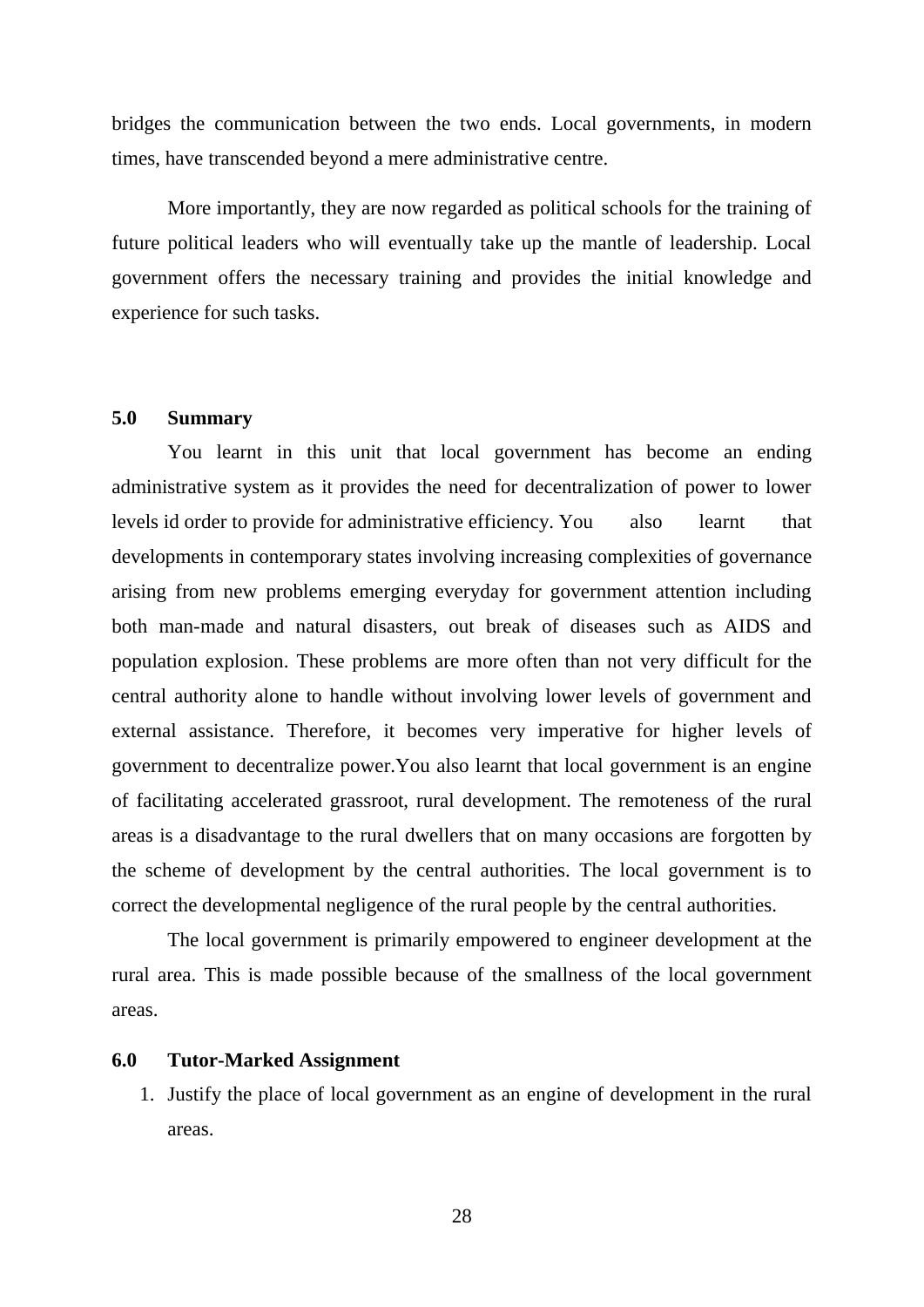bridges the communication between the two ends. Local governments, in modern times, have transcended beyond a mere administrative centre.

More importantly, they are now regarded as political schools for the training of future political leaders who will eventually take up the mantle of leadership. Local government offers the necessary training and provides the initial knowledge and experience for such tasks.

### **5.0 Summary**

You learnt in this unit that local government has become an ending administrative system as it provides the need for decentralization of power to lower levels id order to provide for administrative efficiency. You also learnt that developments in contemporary states involving increasing complexities of governance arising from new problems emerging everyday for government attention including both man-made and natural disasters, out break of diseases such as AIDS and population explosion. These problems are more often than not very difficult for the central authority alone to handle without involving lower levels of government and external assistance. Therefore, it becomes very imperative for higher levels of government to decentralize power.You also learnt that local government is an engine of facilitating accelerated grassroot, rural development. The remoteness of the rural areas is a disadvantage to the rural dwellers that on many occasions are forgotten by the scheme of development by the central authorities. The local government is to correct the developmental negligence of the rural people by the central authorities.

The local government is primarily empowered to engineer development at the rural area. This is made possible because of the smallness of the local government areas.

#### **6.0 Tutor-Marked Assignment**

1. Justify the place of local government as an engine of development in the rural areas.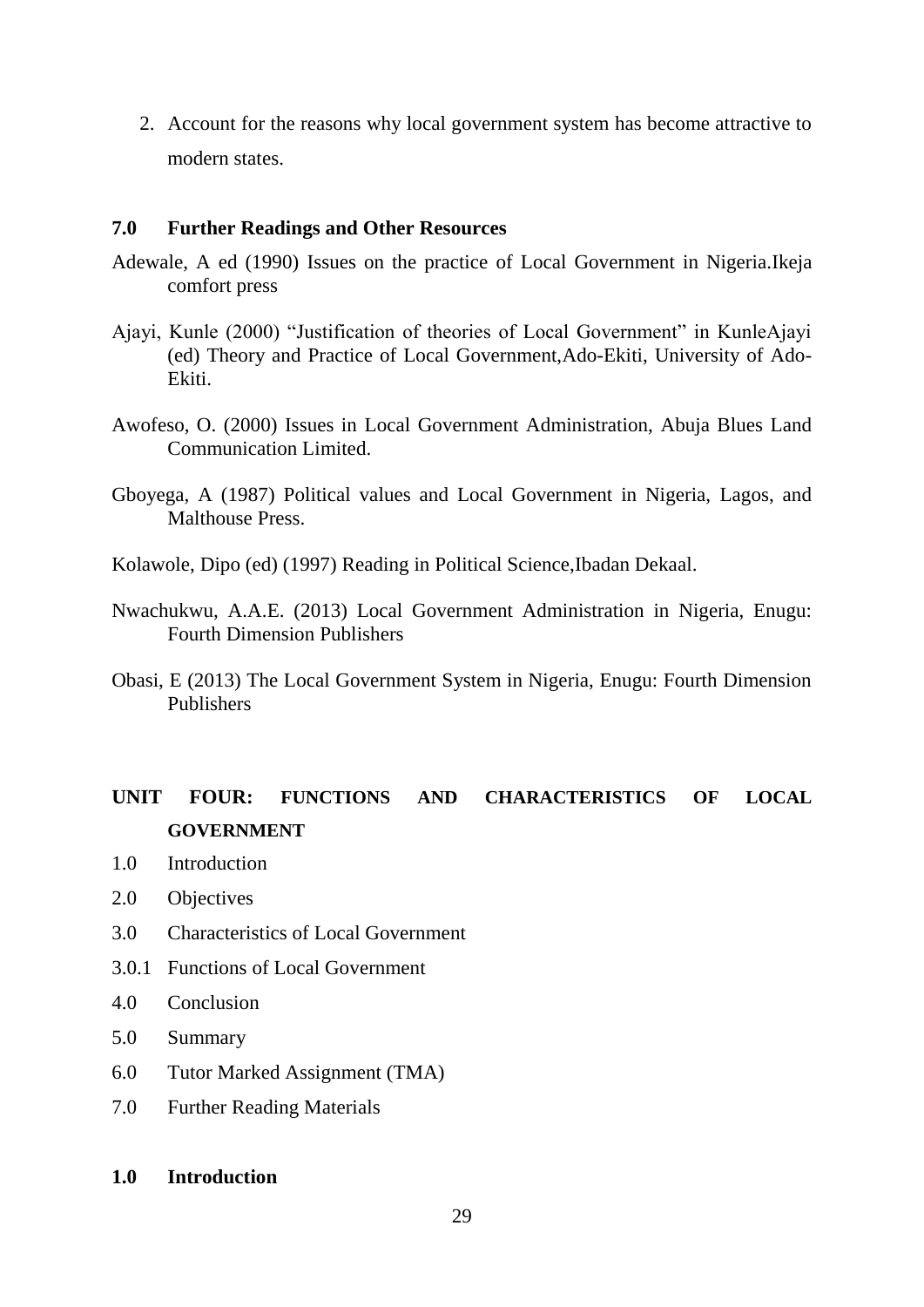2. Account for the reasons why local government system has become attractive to modern states.

#### **7.0 Further Readings and Other Resources**

- Adewale, A ed (1990) Issues on the practice of Local Government in Nigeria.Ikeja comfort press
- Ajayi, Kunle (2000) "Justification of theories of Local Government" in KunleAjayi (ed) Theory and Practice of Local Government,Ado-Ekiti, University of Ado-Ekiti.
- Awofeso, O. (2000) Issues in Local Government Administration, Abuja Blues Land Communication Limited.
- Gboyega, A (1987) Political values and Local Government in Nigeria, Lagos, and Malthouse Press.
- Kolawole, Dipo (ed) (1997) Reading in Political Science,Ibadan Dekaal.
- Nwachukwu, A.A.E. (2013) Local Government Administration in Nigeria, Enugu: Fourth Dimension Publishers
- Obasi, E (2013) The Local Government System in Nigeria, Enugu: Fourth Dimension Publishers

# **UNIT FOUR: FUNCTIONS AND CHARACTERISTICS OF LOCAL GOVERNMENT**

- 1.0 Introduction
- 2.0 Objectives
- 3.0 Characteristics of Local Government
- 3.0.1 Functions of Local Government
- 4.0 Conclusion
- 5.0 Summary
- 6.0 Tutor Marked Assignment (TMA)
- 7.0 Further Reading Materials

#### **1.0 Introduction**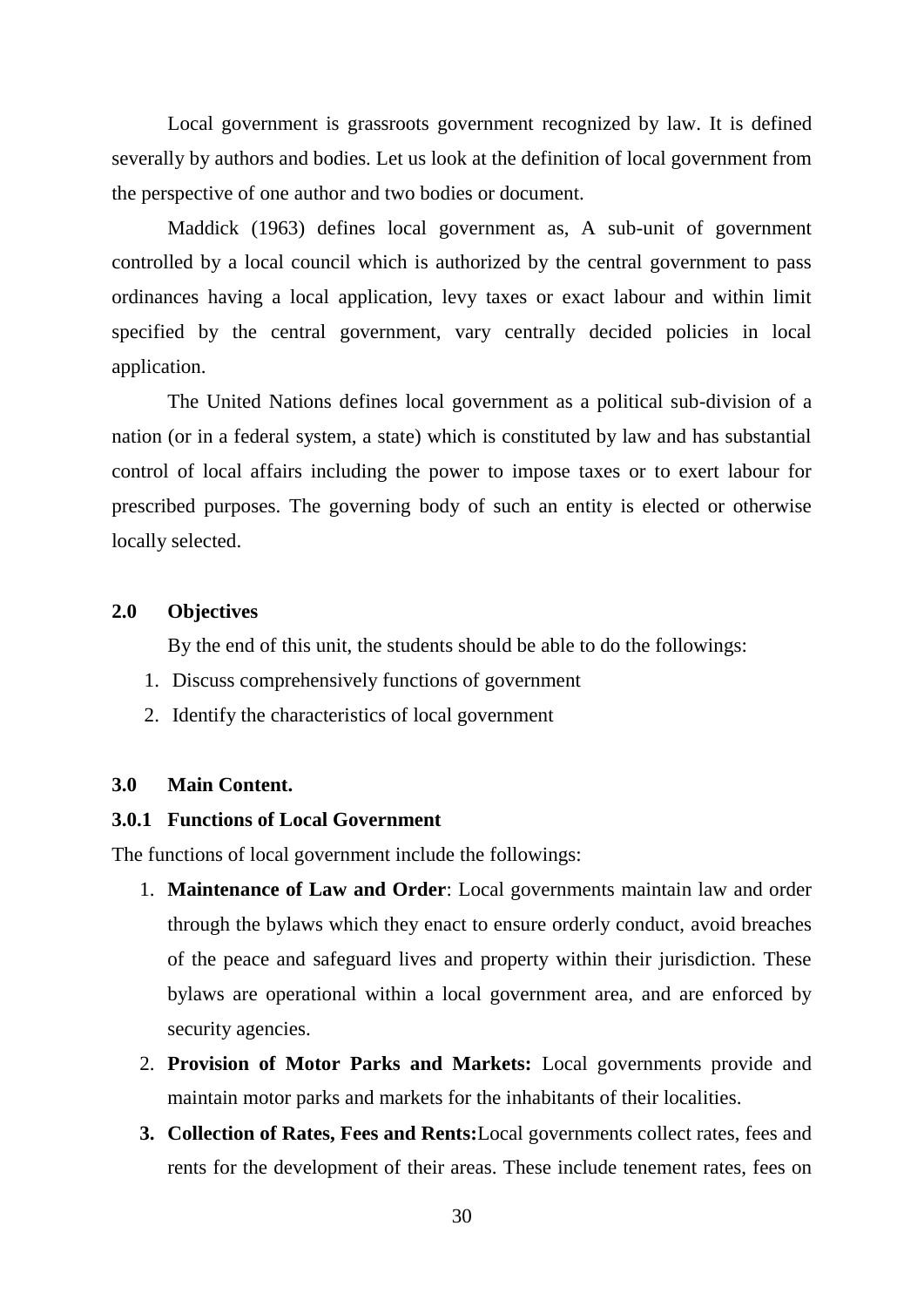Local government is grassroots government recognized by law. It is defined severally by authors and bodies. Let us look at the definition of local government from the perspective of one author and two bodies or document.

Maddick (1963) defines local government as, A sub-unit of government controlled by a local council which is authorized by the central government to pass ordinances having a local application, levy taxes or exact labour and within limit specified by the central government, vary centrally decided policies in local application.

The United Nations defines local government as a political sub-division of a nation (or in a federal system, a state) which is constituted by law and has substantial control of local affairs including the power to impose taxes or to exert labour for prescribed purposes. The governing body of such an entity is elected or otherwise locally selected.

#### **2.0 Objectives**

By the end of this unit, the students should be able to do the followings:

- 1. Discuss comprehensively functions of government
- 2. Identify the characteristics of local government

#### **3.0 Main Content.**

#### **3.0.1 Functions of Local Government**

The functions of local government include the followings:

- 1. **Maintenance of Law and Order**: Local governments maintain law and order through the bylaws which they enact to ensure orderly conduct, avoid breaches of the peace and safeguard lives and property within their jurisdiction. These bylaws are operational within a local government area, and are enforced by security agencies.
- 2. **Provision of Motor Parks and Markets:** Local governments provide and maintain motor parks and markets for the inhabitants of their localities.
- **3. Collection of Rates, Fees and Rents:**Local governments collect rates, fees and rents for the development of their areas. These include tenement rates, fees on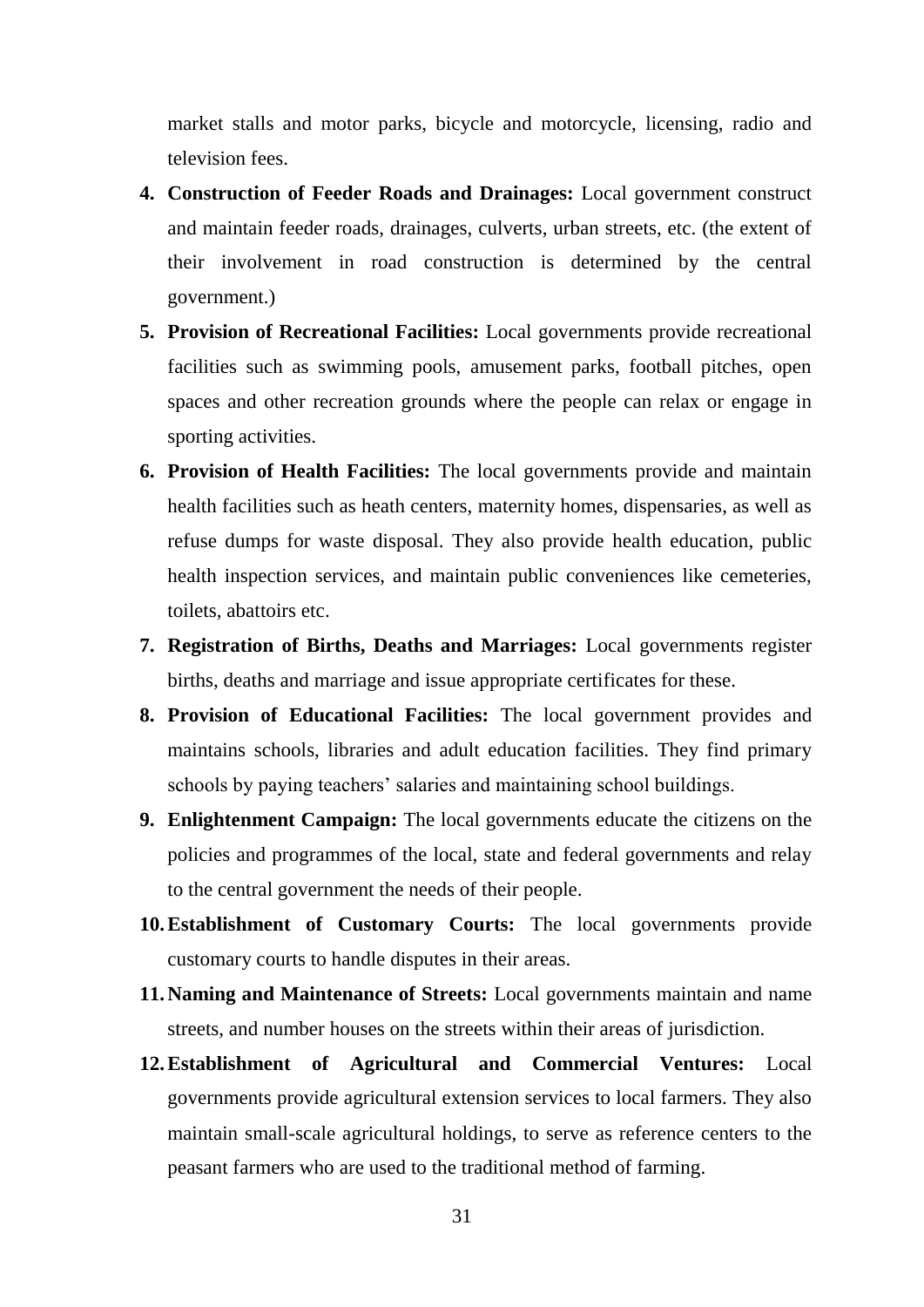market stalls and motor parks, bicycle and motorcycle, licensing, radio and television fees.

- **4. Construction of Feeder Roads and Drainages:** Local government construct and maintain feeder roads, drainages, culverts, urban streets, etc. (the extent of their involvement in road construction is determined by the central government.)
- **5. Provision of Recreational Facilities:** Local governments provide recreational facilities such as swimming pools, amusement parks, football pitches, open spaces and other recreation grounds where the people can relax or engage in sporting activities.
- **6. Provision of Health Facilities:** The local governments provide and maintain health facilities such as heath centers, maternity homes, dispensaries, as well as refuse dumps for waste disposal. They also provide health education, public health inspection services, and maintain public conveniences like cemeteries, toilets, abattoirs etc.
- **7. Registration of Births, Deaths and Marriages:** Local governments register births, deaths and marriage and issue appropriate certificates for these.
- **8. Provision of Educational Facilities:** The local government provides and maintains schools, libraries and adult education facilities. They find primary schools by paying teachers' salaries and maintaining school buildings.
- **9. Enlightenment Campaign:** The local governments educate the citizens on the policies and programmes of the local, state and federal governments and relay to the central government the needs of their people.
- **10.Establishment of Customary Courts:** The local governments provide customary courts to handle disputes in their areas.
- **11.Naming and Maintenance of Streets:** Local governments maintain and name streets, and number houses on the streets within their areas of jurisdiction.
- **12.Establishment of Agricultural and Commercial Ventures:** Local governments provide agricultural extension services to local farmers. They also maintain small-scale agricultural holdings, to serve as reference centers to the peasant farmers who are used to the traditional method of farming.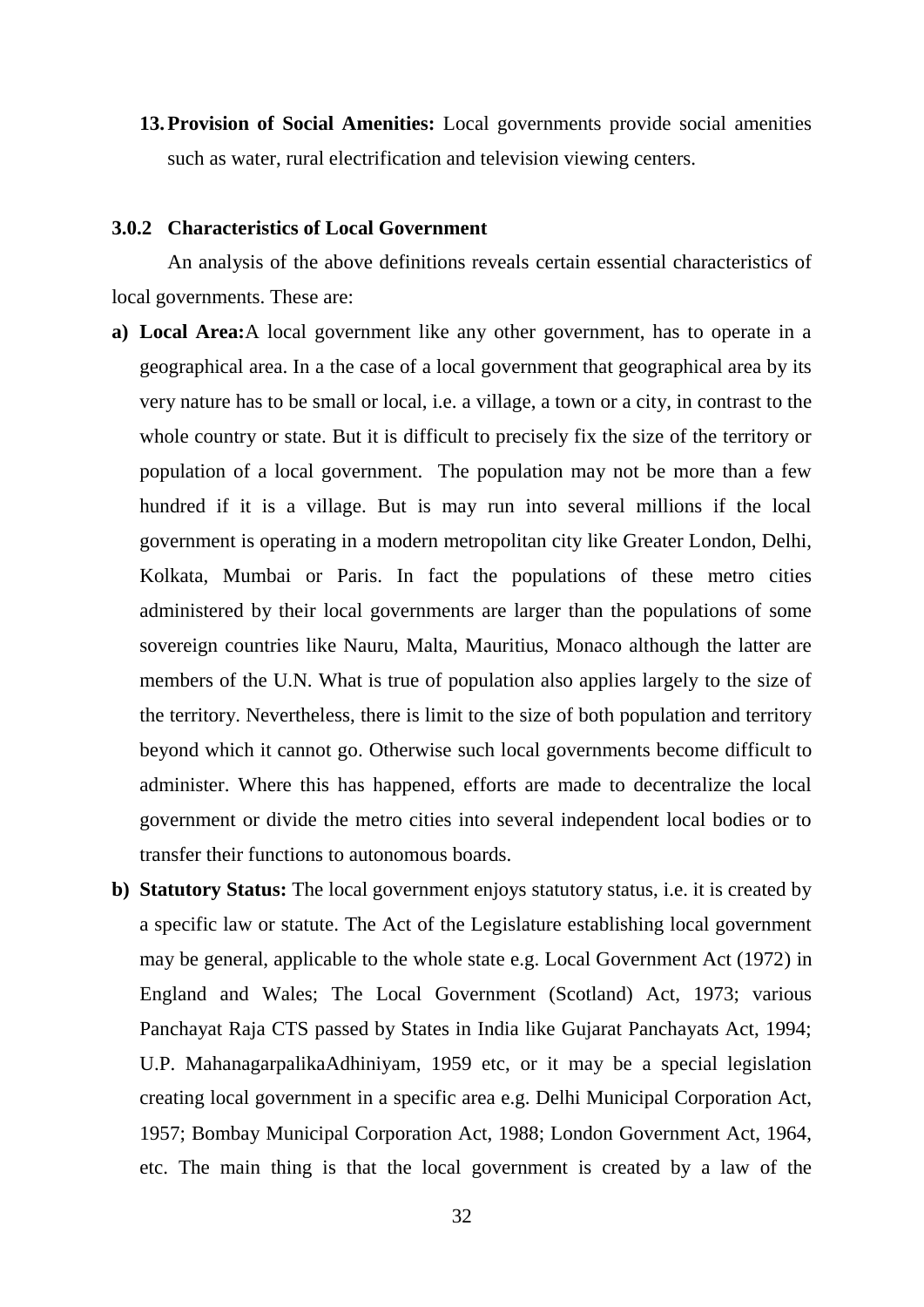**13.Provision of Social Amenities:** Local governments provide social amenities such as water, rural electrification and television viewing centers.

#### **3.0.2 Characteristics of Local Government**

An analysis of the above definitions reveals certain essential characteristics of local governments. These are:

- **a) Local Area:**A local government like any other government, has to operate in a geographical area. In a the case of a local government that geographical area by its very nature has to be small or local, i.e. a village, a town or a city, in contrast to the whole country or state. But it is difficult to precisely fix the size of the territory or population of a local government. The population may not be more than a few hundred if it is a village. But is may run into several millions if the local government is operating in a modern metropolitan city like Greater London, Delhi, Kolkata, Mumbai or Paris. In fact the populations of these metro cities administered by their local governments are larger than the populations of some sovereign countries like Nauru, Malta, Mauritius, Monaco although the latter are members of the U.N. What is true of population also applies largely to the size of the territory. Nevertheless, there is limit to the size of both population and territory beyond which it cannot go. Otherwise such local governments become difficult to administer. Where this has happened, efforts are made to decentralize the local government or divide the metro cities into several independent local bodies or to transfer their functions to autonomous boards.
- **b) Statutory Status:** The local government enjoys statutory status, i.e. it is created by a specific law or statute. The Act of the Legislature establishing local government may be general, applicable to the whole state e.g. Local Government Act (1972) in England and Wales; The Local Government (Scotland) Act, 1973; various Panchayat Raja CTS passed by States in India like Gujarat Panchayats Act, 1994; U.P. MahanagarpalikaAdhiniyam, 1959 etc, or it may be a special legislation creating local government in a specific area e.g. Delhi Municipal Corporation Act, 1957; Bombay Municipal Corporation Act, 1988; London Government Act, 1964, etc. The main thing is that the local government is created by a law of the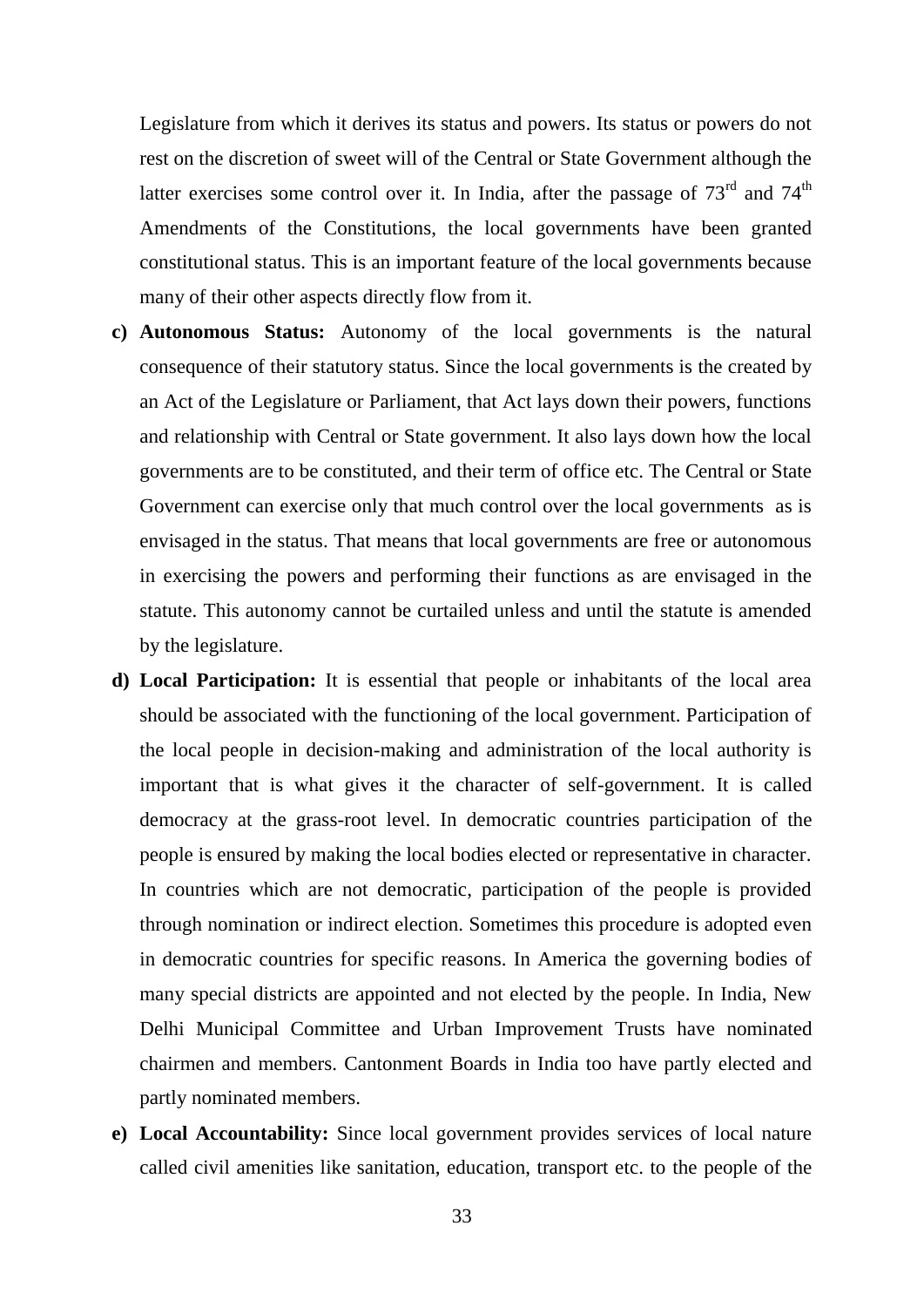Legislature from which it derives its status and powers. Its status or powers do not rest on the discretion of sweet will of the Central or State Government although the latter exercises some control over it. In India, after the passage of  $73<sup>rd</sup>$  and  $74<sup>th</sup>$ Amendments of the Constitutions, the local governments have been granted constitutional status. This is an important feature of the local governments because many of their other aspects directly flow from it.

- **c) Autonomous Status:** Autonomy of the local governments is the natural consequence of their statutory status. Since the local governments is the created by an Act of the Legislature or Parliament, that Act lays down their powers, functions and relationship with Central or State government. It also lays down how the local governments are to be constituted, and their term of office etc. The Central or State Government can exercise only that much control over the local governments as is envisaged in the status. That means that local governments are free or autonomous in exercising the powers and performing their functions as are envisaged in the statute. This autonomy cannot be curtailed unless and until the statute is amended by the legislature.
- **d) Local Participation:** It is essential that people or inhabitants of the local area should be associated with the functioning of the local government. Participation of the local people in decision-making and administration of the local authority is important that is what gives it the character of self-government. It is called democracy at the grass-root level. In democratic countries participation of the people is ensured by making the local bodies elected or representative in character. In countries which are not democratic, participation of the people is provided through nomination or indirect election. Sometimes this procedure is adopted even in democratic countries for specific reasons. In America the governing bodies of many special districts are appointed and not elected by the people. In India, New Delhi Municipal Committee and Urban Improvement Trusts have nominated chairmen and members. Cantonment Boards in India too have partly elected and partly nominated members.
- **e) Local Accountability:** Since local government provides services of local nature called civil amenities like sanitation, education, transport etc. to the people of the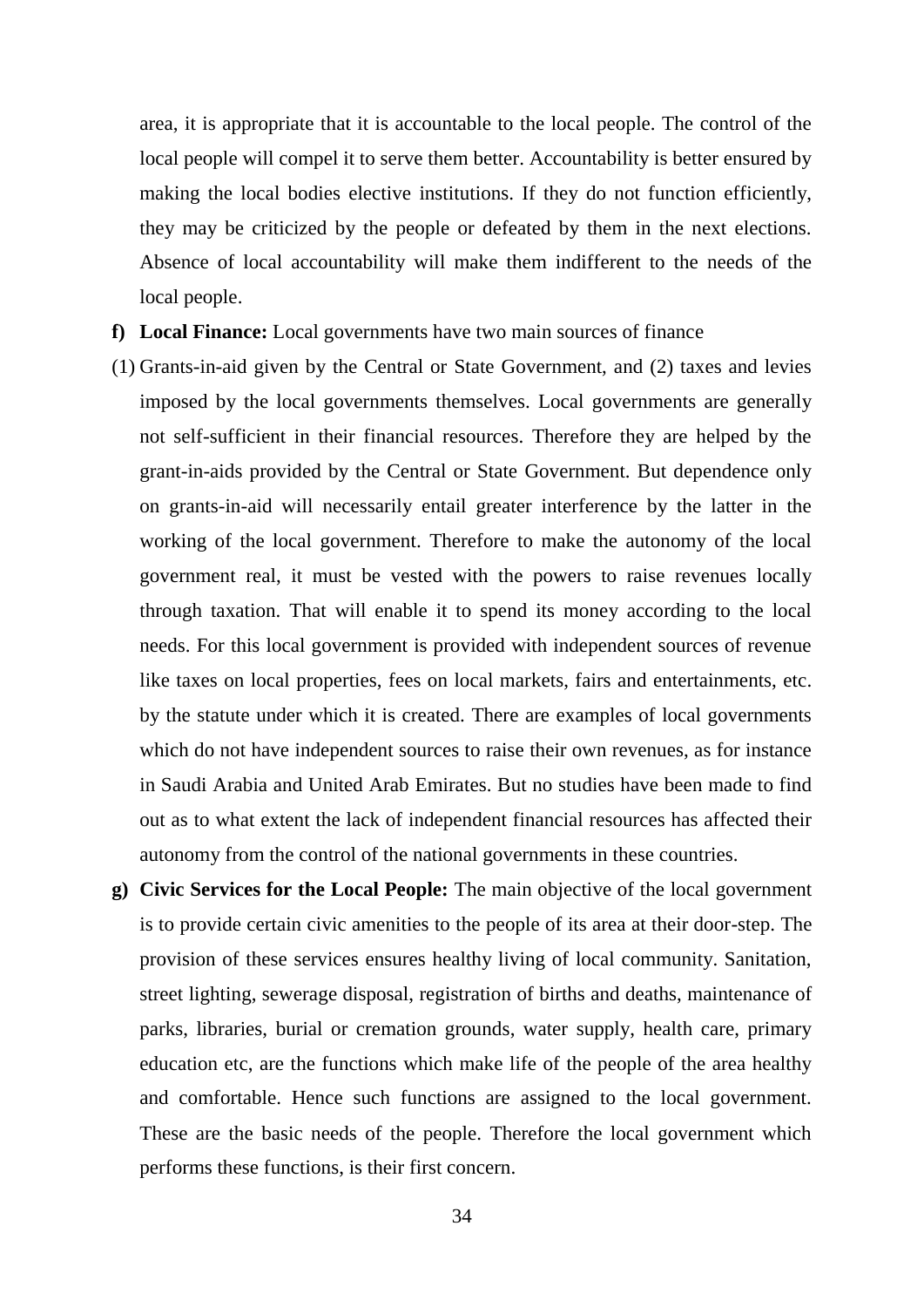area, it is appropriate that it is accountable to the local people. The control of the local people will compel it to serve them better. Accountability is better ensured by making the local bodies elective institutions. If they do not function efficiently, they may be criticized by the people or defeated by them in the next elections. Absence of local accountability will make them indifferent to the needs of the local people.

- **f) Local Finance:** Local governments have two main sources of finance
- (1) Grants-in-aid given by the Central or State Government, and (2) taxes and levies imposed by the local governments themselves. Local governments are generally not self-sufficient in their financial resources. Therefore they are helped by the grant-in-aids provided by the Central or State Government. But dependence only on grants-in-aid will necessarily entail greater interference by the latter in the working of the local government. Therefore to make the autonomy of the local government real, it must be vested with the powers to raise revenues locally through taxation. That will enable it to spend its money according to the local needs. For this local government is provided with independent sources of revenue like taxes on local properties, fees on local markets, fairs and entertainments, etc. by the statute under which it is created. There are examples of local governments which do not have independent sources to raise their own revenues, as for instance in Saudi Arabia and United Arab Emirates. But no studies have been made to find out as to what extent the lack of independent financial resources has affected their autonomy from the control of the national governments in these countries.
- **g) Civic Services for the Local People:** The main objective of the local government is to provide certain civic amenities to the people of its area at their door-step. The provision of these services ensures healthy living of local community. Sanitation, street lighting, sewerage disposal, registration of births and deaths, maintenance of parks, libraries, burial or cremation grounds, water supply, health care, primary education etc, are the functions which make life of the people of the area healthy and comfortable. Hence such functions are assigned to the local government. These are the basic needs of the people. Therefore the local government which performs these functions, is their first concern.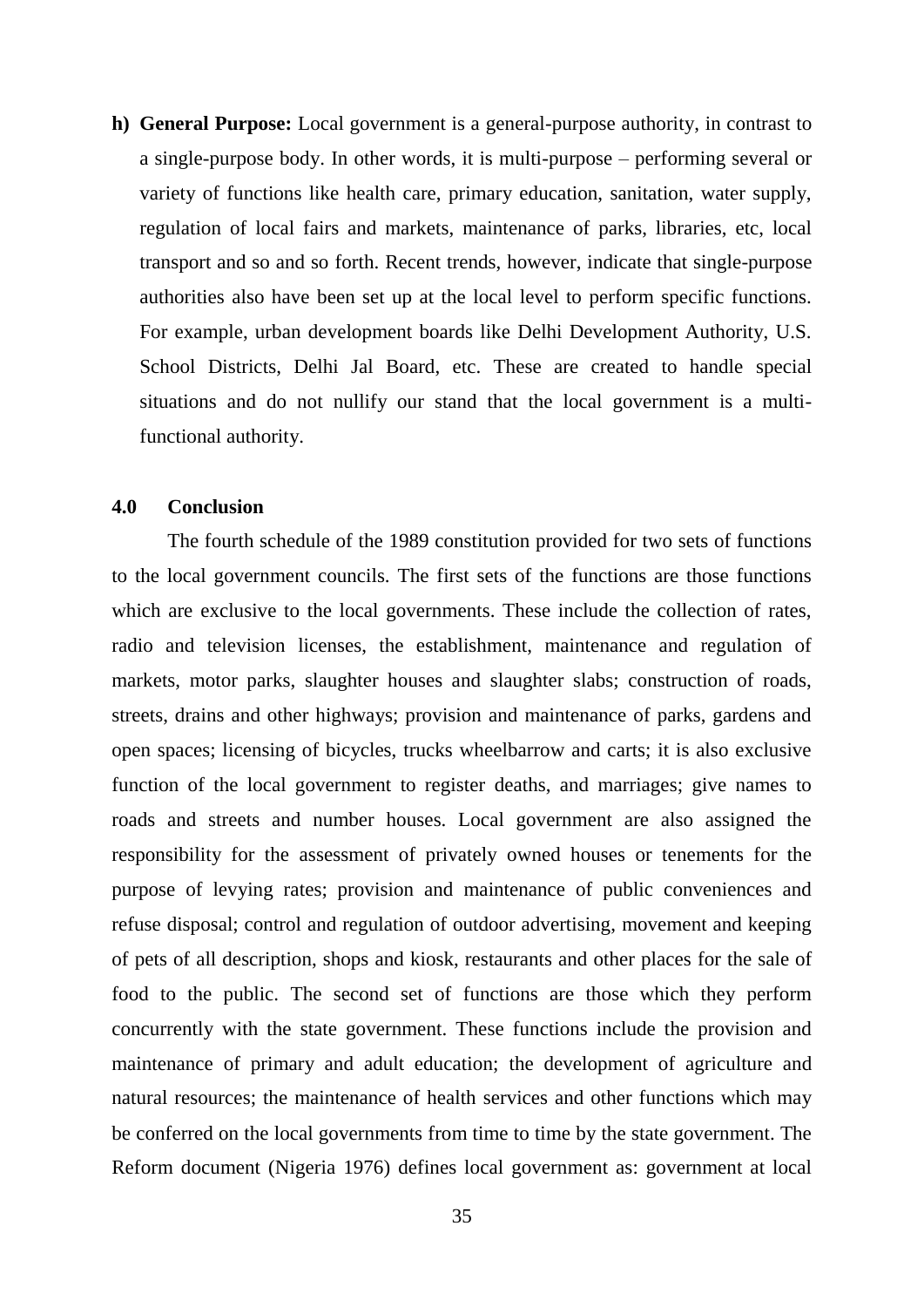**h) General Purpose:** Local government is a general-purpose authority, in contrast to a single-purpose body. In other words, it is multi-purpose – performing several or variety of functions like health care, primary education, sanitation, water supply, regulation of local fairs and markets, maintenance of parks, libraries, etc, local transport and so and so forth. Recent trends, however, indicate that single-purpose authorities also have been set up at the local level to perform specific functions. For example, urban development boards like Delhi Development Authority, U.S. School Districts, Delhi Jal Board, etc. These are created to handle special situations and do not nullify our stand that the local government is a multifunctional authority.

#### **4.0 Conclusion**

The fourth schedule of the 1989 constitution provided for two sets of functions to the local government councils. The first sets of the functions are those functions which are exclusive to the local governments. These include the collection of rates, radio and television licenses, the establishment, maintenance and regulation of markets, motor parks, slaughter houses and slaughter slabs; construction of roads, streets, drains and other highways; provision and maintenance of parks, gardens and open spaces; licensing of bicycles, trucks wheelbarrow and carts; it is also exclusive function of the local government to register deaths, and marriages; give names to roads and streets and number houses. Local government are also assigned the responsibility for the assessment of privately owned houses or tenements for the purpose of levying rates; provision and maintenance of public conveniences and refuse disposal; control and regulation of outdoor advertising, movement and keeping of pets of all description, shops and kiosk, restaurants and other places for the sale of food to the public. The second set of functions are those which they perform concurrently with the state government. These functions include the provision and maintenance of primary and adult education; the development of agriculture and natural resources; the maintenance of health services and other functions which may be conferred on the local governments from time to time by the state government. The Reform document (Nigeria 1976) defines local government as: government at local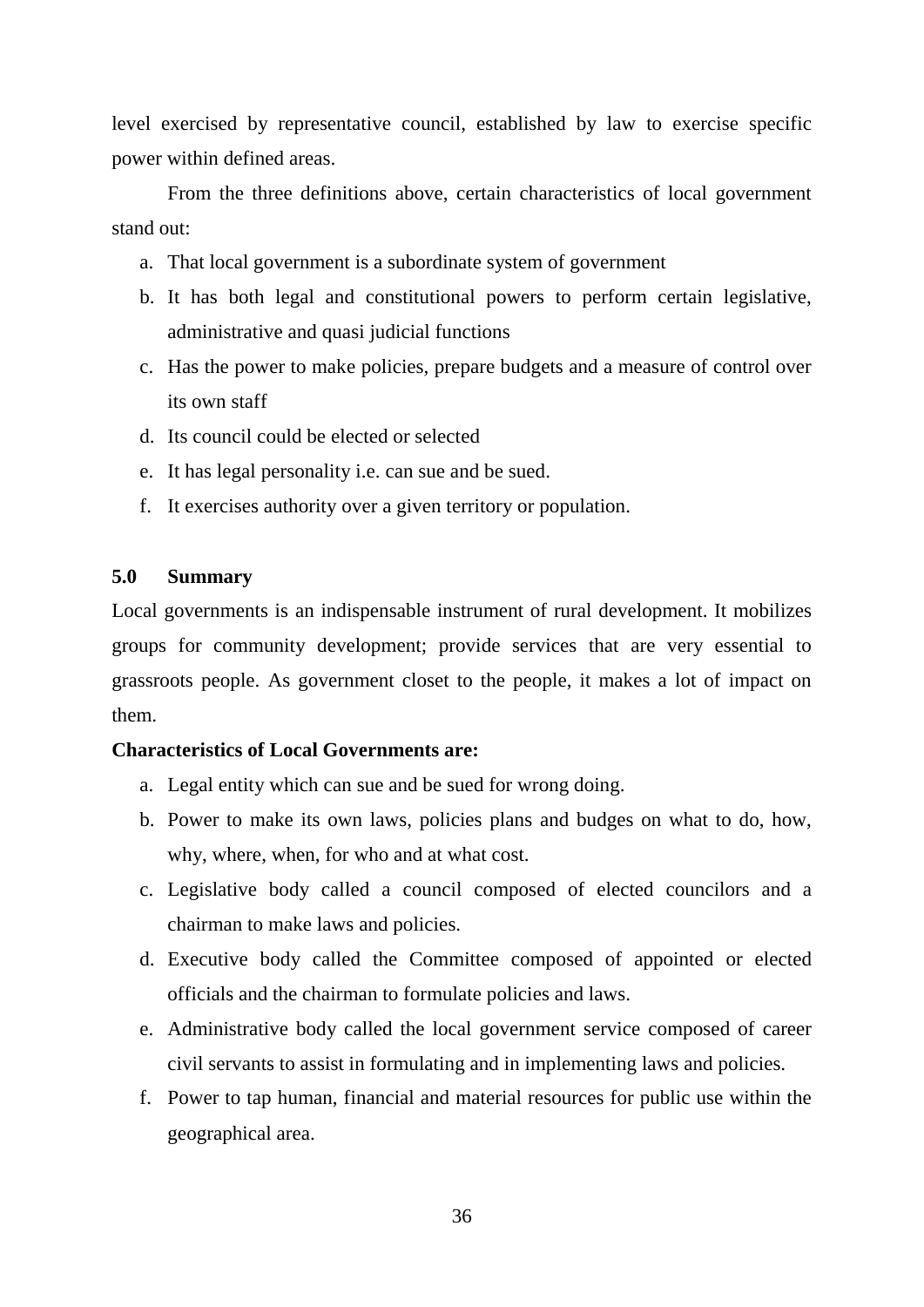level exercised by representative council, established by law to exercise specific power within defined areas.

From the three definitions above, certain characteristics of local government stand out:

- a. That local government is a subordinate system of government
- b. It has both legal and constitutional powers to perform certain legislative, administrative and quasi judicial functions
- c. Has the power to make policies, prepare budgets and a measure of control over its own staff
- d. Its council could be elected or selected
- e. It has legal personality i.e. can sue and be sued.
- f. It exercises authority over a given territory or population.

#### **5.0 Summary**

Local governments is an indispensable instrument of rural development. It mobilizes groups for community development; provide services that are very essential to grassroots people. As government closet to the people, it makes a lot of impact on them.

#### **Characteristics of Local Governments are:**

- a. Legal entity which can sue and be sued for wrong doing.
- b. Power to make its own laws, policies plans and budges on what to do, how, why, where, when, for who and at what cost.
- c. Legislative body called a council composed of elected councilors and a chairman to make laws and policies.
- d. Executive body called the Committee composed of appointed or elected officials and the chairman to formulate policies and laws.
- e. Administrative body called the local government service composed of career civil servants to assist in formulating and in implementing laws and policies.
- f. Power to tap human, financial and material resources for public use within the geographical area.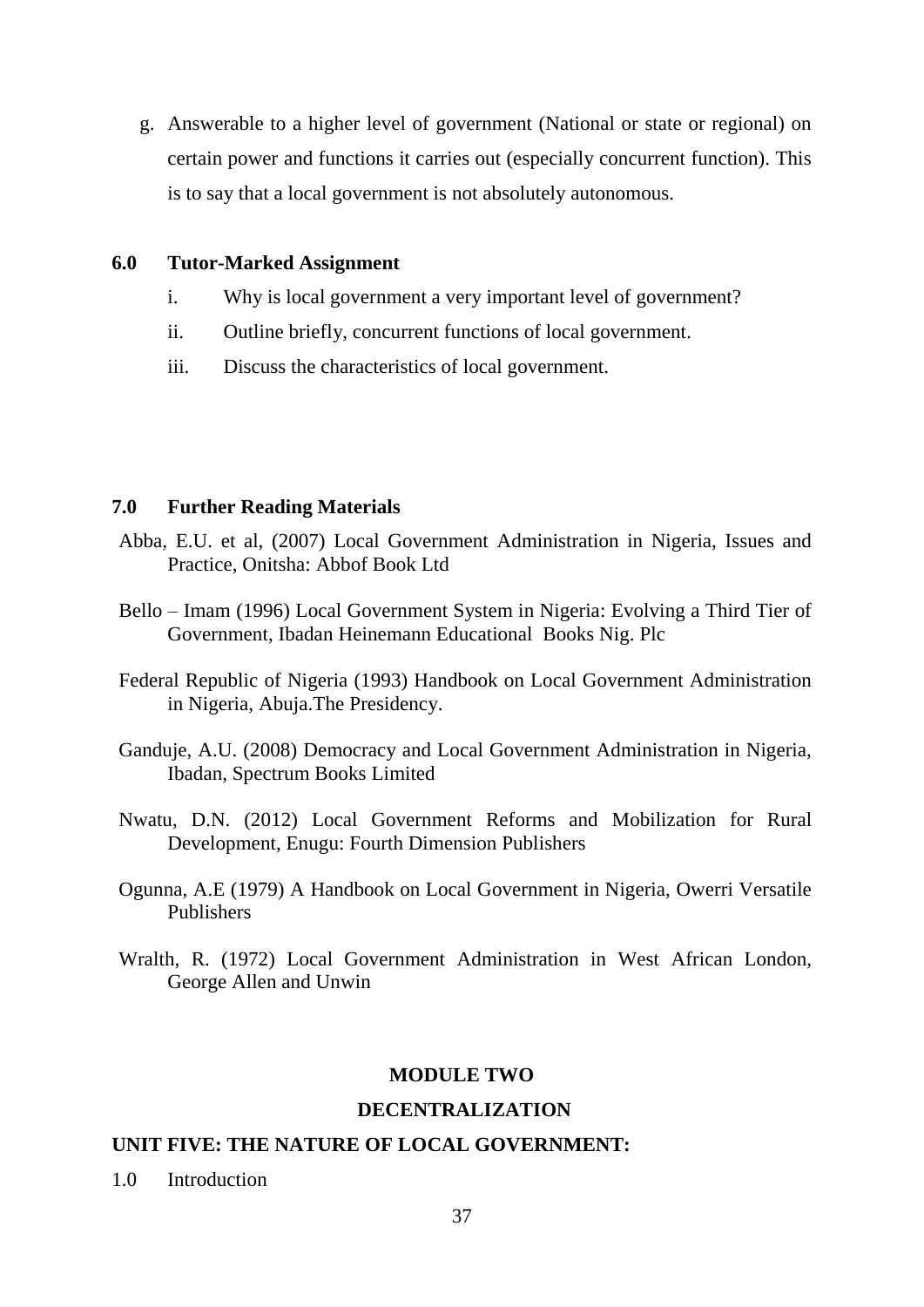g. Answerable to a higher level of government (National or state or regional) on certain power and functions it carries out (especially concurrent function). This is to say that a local government is not absolutely autonomous.

# **6.0 Tutor-Marked Assignment**

- i. Why is local government a very important level of government?
- ii. Outline briefly, concurrent functions of local government.
- iii. Discuss the characteristics of local government.

# **7.0 Further Reading Materials**

- Abba, E.U. et al, (2007) Local Government Administration in Nigeria, Issues and Practice, Onitsha: Abbof Book Ltd
- Bello Imam (1996) Local Government System in Nigeria: Evolving a Third Tier of Government, Ibadan Heinemann Educational Books Nig. Plc
- Federal Republic of Nigeria (1993) Handbook on Local Government Administration in Nigeria, Abuja.The Presidency.
- Ganduje, A.U. (2008) Democracy and Local Government Administration in Nigeria, Ibadan, Spectrum Books Limited
- Nwatu, D.N. (2012) Local Government Reforms and Mobilization for Rural Development, Enugu: Fourth Dimension Publishers
- Ogunna, A.E (1979) A Handbook on Local Government in Nigeria, Owerri Versatile Publishers
- Wralth, R. (1972) Local Government Administration in West African London, George Allen and Unwin

## **MODULE TWO**

## **DECENTRALIZATION**

## **UNIT FIVE: THE NATURE OF LOCAL GOVERNMENT:**

1.0 Introduction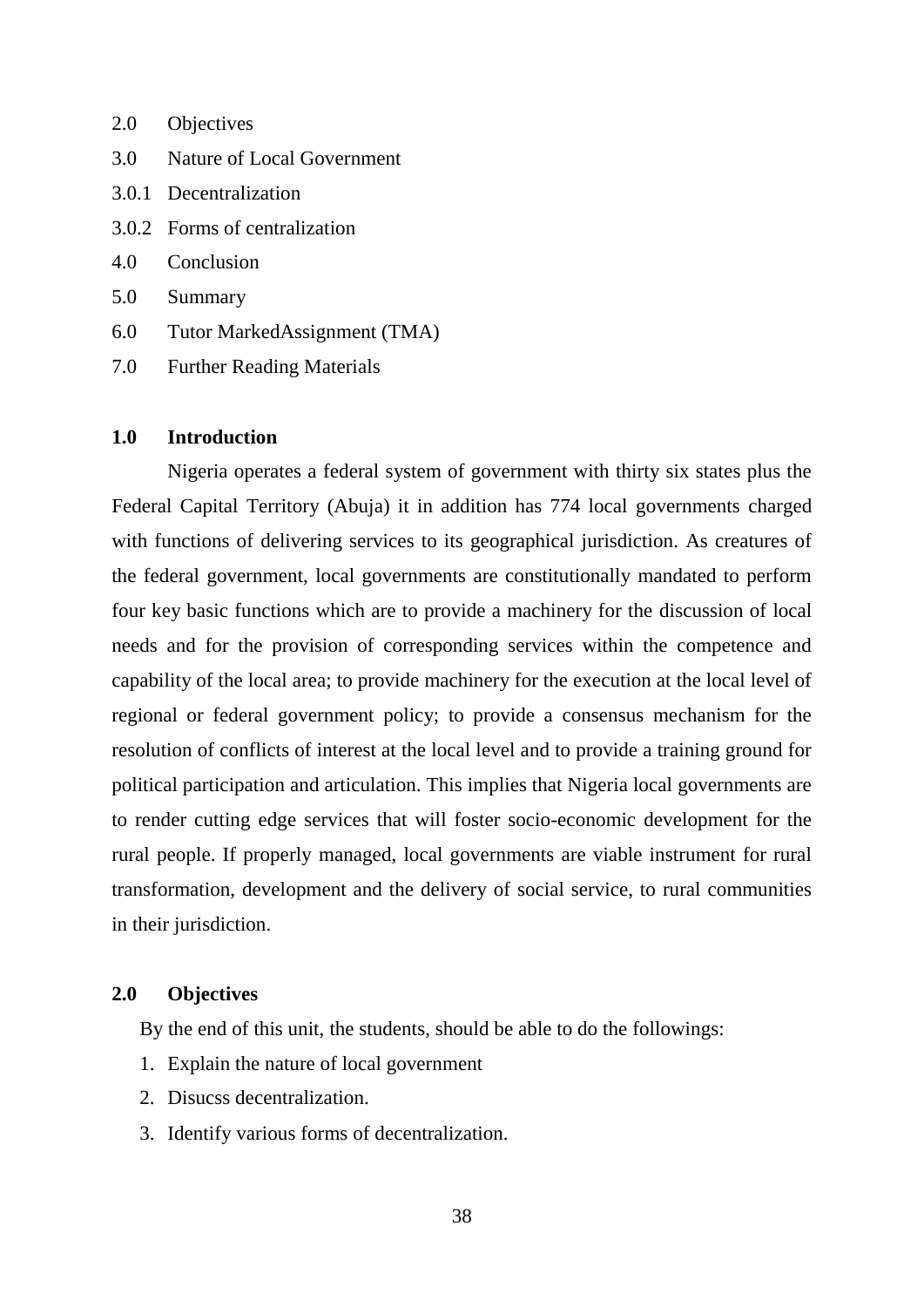- 2.0 Objectives
- 3.0 Nature of Local Government
- 3.0.1 Decentralization
- 3.0.2 Forms of centralization
- 4.0 Conclusion
- 5.0 Summary
- 6.0 Tutor MarkedAssignment (TMA)
- 7.0 Further Reading Materials

# **1.0 Introduction**

Nigeria operates a federal system of government with thirty six states plus the Federal Capital Territory (Abuja) it in addition has 774 local governments charged with functions of delivering services to its geographical jurisdiction. As creatures of the federal government, local governments are constitutionally mandated to perform four key basic functions which are to provide a machinery for the discussion of local needs and for the provision of corresponding services within the competence and capability of the local area; to provide machinery for the execution at the local level of regional or federal government policy; to provide a consensus mechanism for the resolution of conflicts of interest at the local level and to provide a training ground for political participation and articulation. This implies that Nigeria local governments are to render cutting edge services that will foster socio-economic development for the rural people. If properly managed, local governments are viable instrument for rural transformation, development and the delivery of social service, to rural communities in their jurisdiction.

### **2.0 Objectives**

By the end of this unit, the students, should be able to do the followings:

- 1. Explain the nature of local government
- 2. Disucss decentralization.
- 3. Identify various forms of decentralization.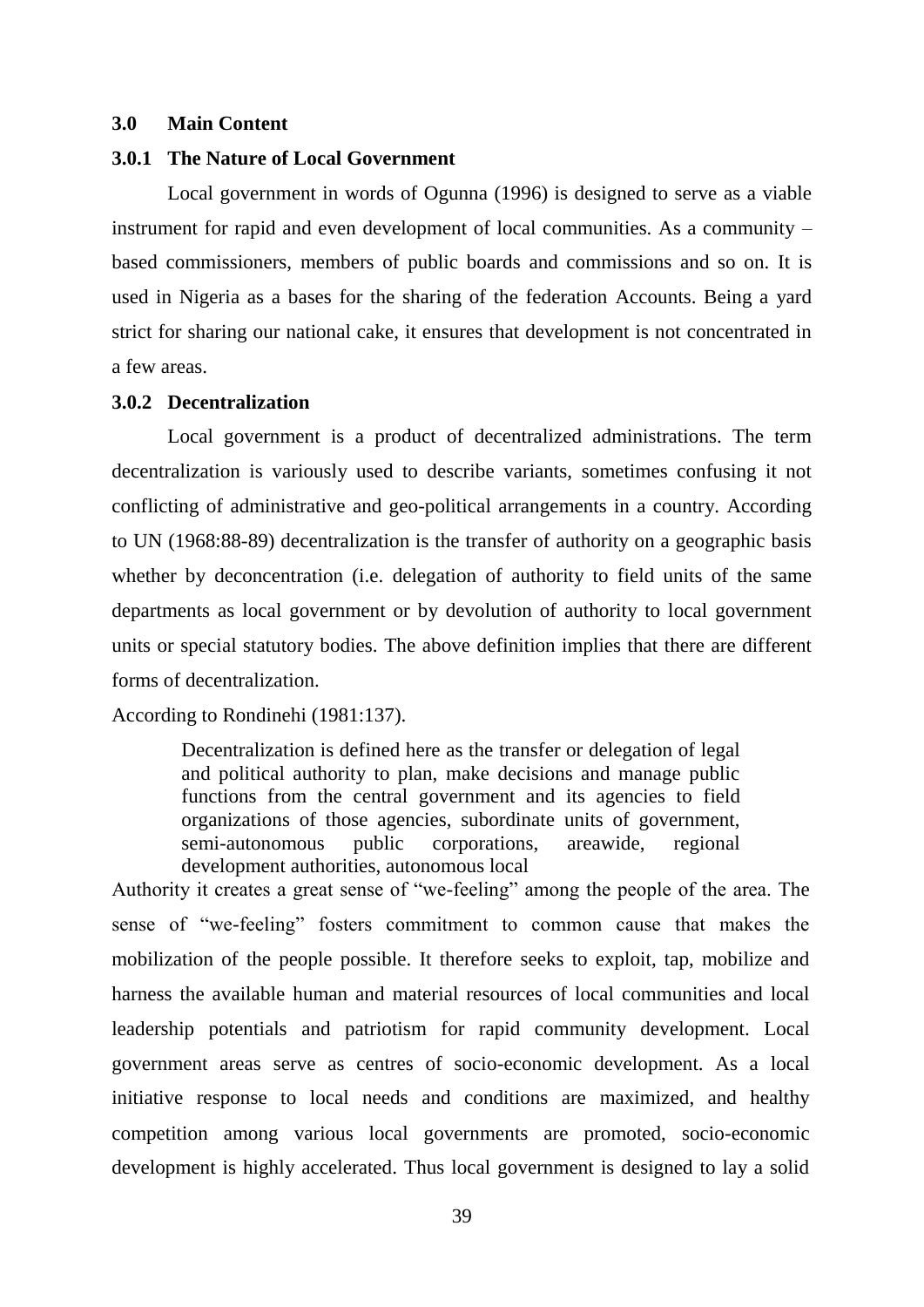### **3.0 Main Content**

#### **3.0.1 The Nature of Local Government**

Local government in words of Ogunna (1996) is designed to serve as a viable instrument for rapid and even development of local communities. As a community – based commissioners, members of public boards and commissions and so on. It is used in Nigeria as a bases for the sharing of the federation Accounts. Being a yard strict for sharing our national cake, it ensures that development is not concentrated in a few areas.

# **3.0.2 Decentralization**

Local government is a product of decentralized administrations. The term decentralization is variously used to describe variants, sometimes confusing it not conflicting of administrative and geo-political arrangements in a country. According to UN (1968:88-89) decentralization is the transfer of authority on a geographic basis whether by deconcentration (i.e. delegation of authority to field units of the same departments as local government or by devolution of authority to local government units or special statutory bodies. The above definition implies that there are different forms of decentralization.

### According to Rondinehi (1981:137).

Decentralization is defined here as the transfer or delegation of legal and political authority to plan, make decisions and manage public functions from the central government and its agencies to field organizations of those agencies, subordinate units of government, semi-autonomous public corporations, areawide, regional development authorities, autonomous local

Authority it creates a great sense of "we-feeling" among the people of the area. The sense of "we-feeling" fosters commitment to common cause that makes the mobilization of the people possible. It therefore seeks to exploit, tap, mobilize and harness the available human and material resources of local communities and local leadership potentials and patriotism for rapid community development. Local government areas serve as centres of socio-economic development. As a local initiative response to local needs and conditions are maximized, and healthy competition among various local governments are promoted, socio-economic development is highly accelerated. Thus local government is designed to lay a solid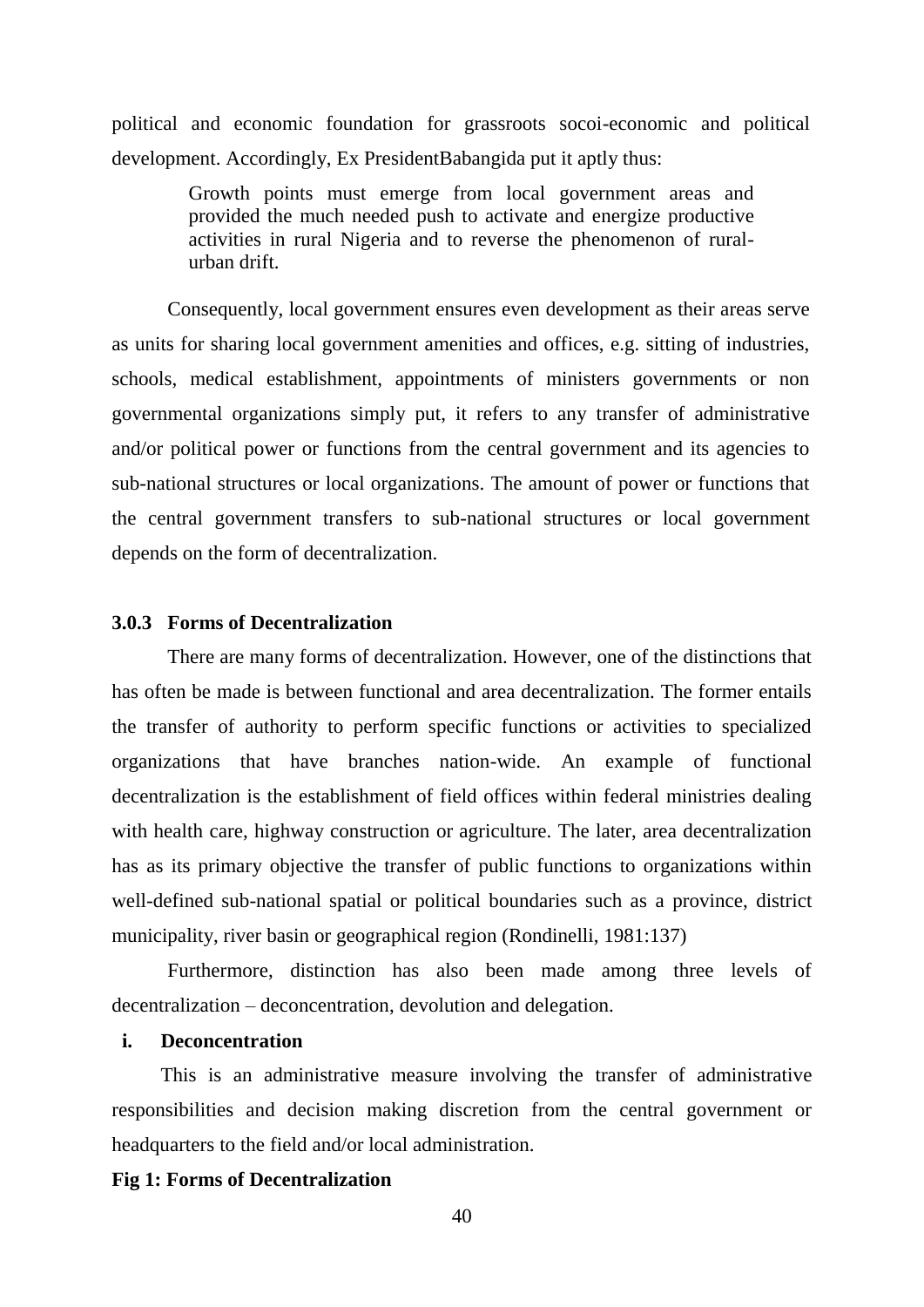political and economic foundation for grassroots socoi-economic and political development. Accordingly, Ex PresidentBabangida put it aptly thus:

> Growth points must emerge from local government areas and provided the much needed push to activate and energize productive activities in rural Nigeria and to reverse the phenomenon of ruralurban drift.

Consequently, local government ensures even development as their areas serve as units for sharing local government amenities and offices, e.g. sitting of industries, schools, medical establishment, appointments of ministers governments or non governmental organizations simply put, it refers to any transfer of administrative and/or political power or functions from the central government and its agencies to sub-national structures or local organizations. The amount of power or functions that the central government transfers to sub-national structures or local government depends on the form of decentralization.

## **3.0.3 Forms of Decentralization**

There are many forms of decentralization. However, one of the distinctions that has often be made is between functional and area decentralization. The former entails the transfer of authority to perform specific functions or activities to specialized organizations that have branches nation-wide. An example of functional decentralization is the establishment of field offices within federal ministries dealing with health care, highway construction or agriculture. The later, area decentralization has as its primary objective the transfer of public functions to organizations within well-defined sub-national spatial or political boundaries such as a province, district municipality, river basin or geographical region (Rondinelli, 1981:137)

Furthermore, distinction has also been made among three levels of decentralization – deconcentration, devolution and delegation.

#### **i. Deconcentration**

This is an administrative measure involving the transfer of administrative responsibilities and decision making discretion from the central government or headquarters to the field and/or local administration.

### **Fig 1: Forms of Decentralization**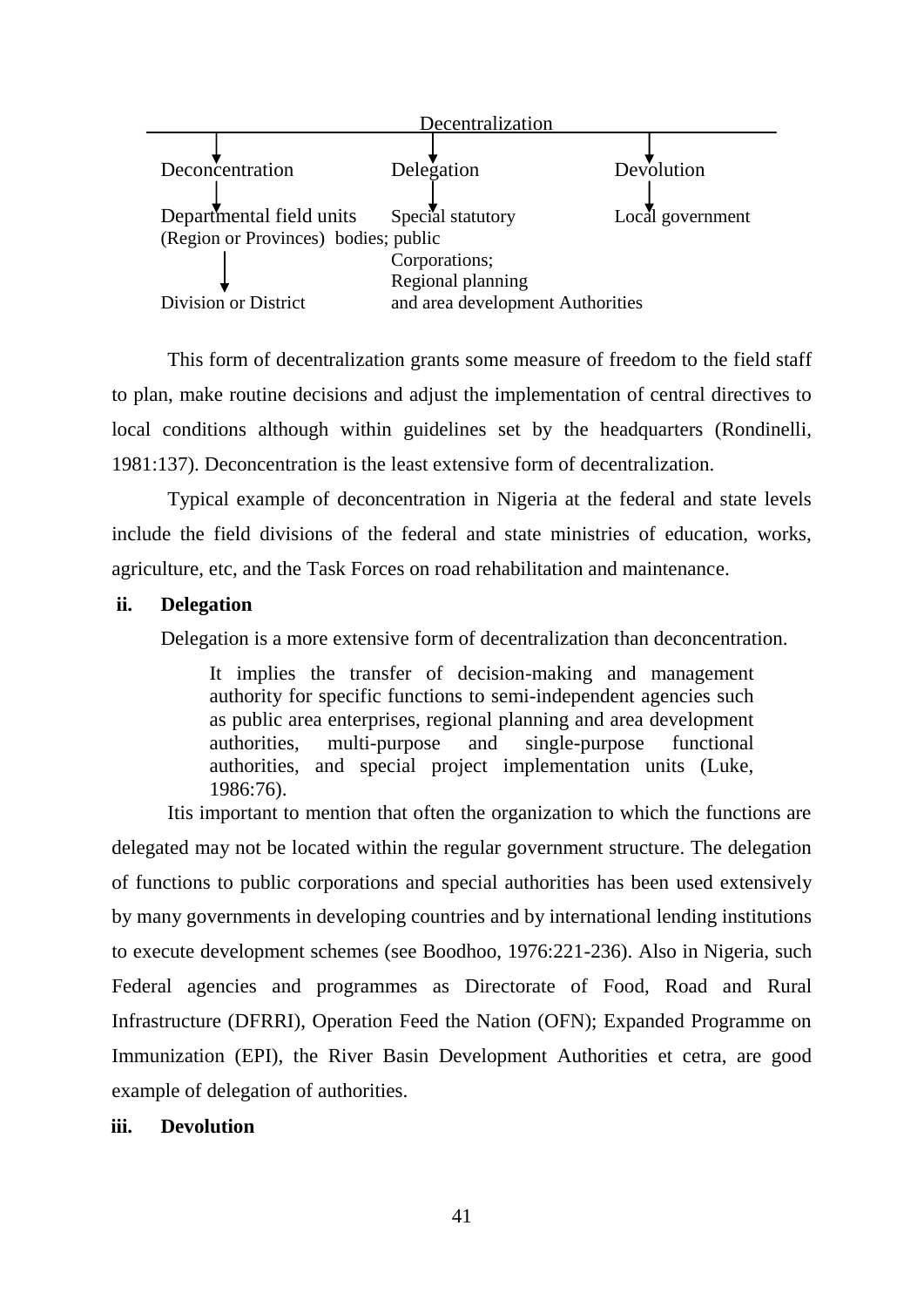

This form of decentralization grants some measure of freedom to the field staff to plan, make routine decisions and adjust the implementation of central directives to local conditions although within guidelines set by the headquarters (Rondinelli, 1981:137). Deconcentration is the least extensive form of decentralization.

Typical example of deconcentration in Nigeria at the federal and state levels include the field divisions of the federal and state ministries of education, works, agriculture, etc, and the Task Forces on road rehabilitation and maintenance.

## **ii. Delegation**

Delegation is a more extensive form of decentralization than deconcentration.

It implies the transfer of decision-making and management authority for specific functions to semi-independent agencies such as public area enterprises, regional planning and area development authorities, multi-purpose and single-purpose functional authorities, and special project implementation units (Luke, 1986:76).

Itis important to mention that often the organization to which the functions are delegated may not be located within the regular government structure. The delegation of functions to public corporations and special authorities has been used extensively by many governments in developing countries and by international lending institutions to execute development schemes (see Boodhoo, 1976:221-236). Also in Nigeria, such Federal agencies and programmes as Directorate of Food, Road and Rural Infrastructure (DFRRI), Operation Feed the Nation (OFN); Expanded Programme on Immunization (EPI), the River Basin Development Authorities et cetra, are good example of delegation of authorities.

## **iii. Devolution**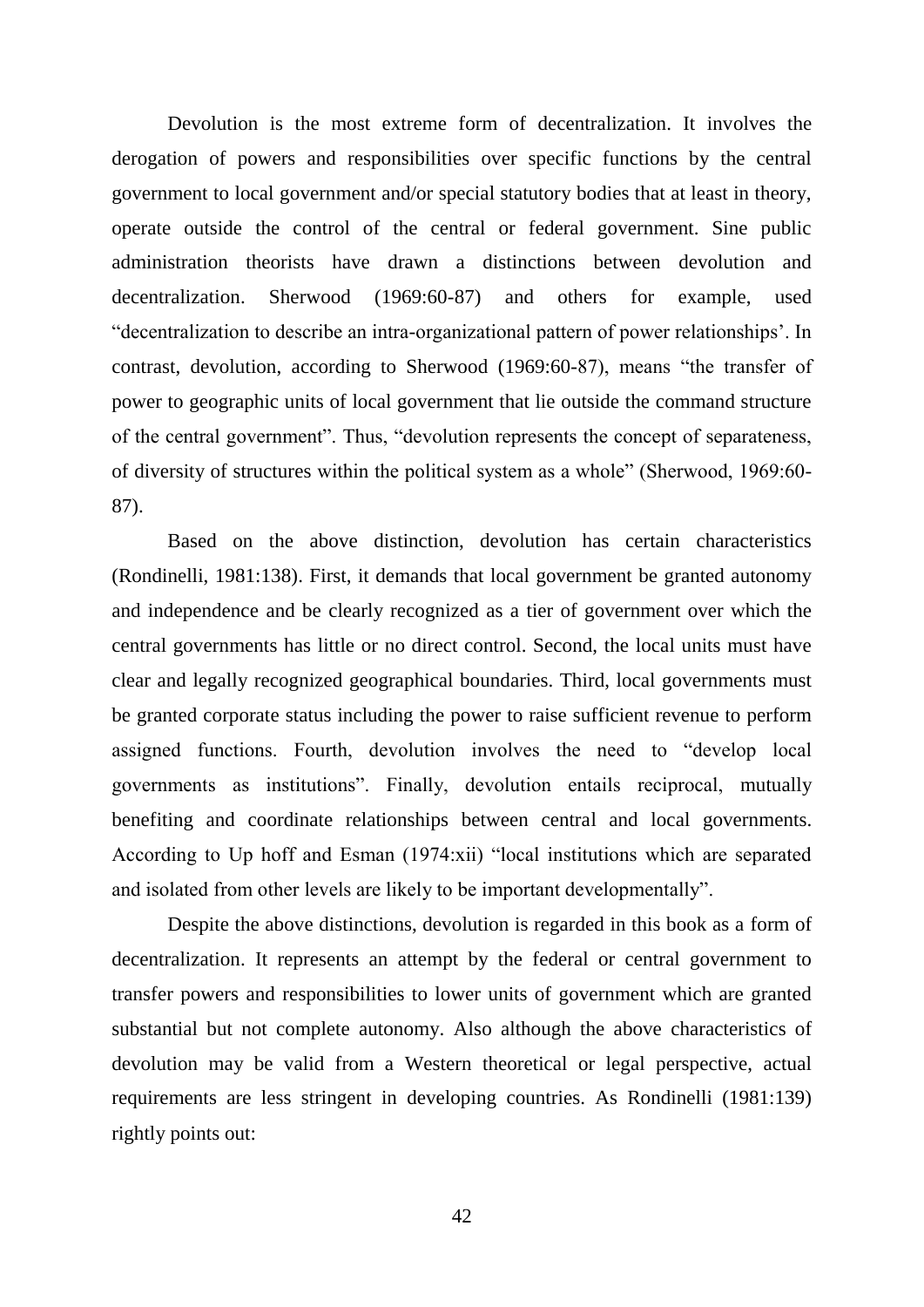Devolution is the most extreme form of decentralization. It involves the derogation of powers and responsibilities over specific functions by the central government to local government and/or special statutory bodies that at least in theory, operate outside the control of the central or federal government. Sine public administration theorists have drawn a distinctions between devolution and decentralization. Sherwood (1969:60-87) and others for example, used "decentralization to describe an intra-organizational pattern of power relationships". In contrast, devolution, according to Sherwood (1969:60-87), means "the transfer of power to geographic units of local government that lie outside the command structure of the central government". Thus, "devolution represents the concept of separateness, of diversity of structures within the political system as a whole" (Sherwood, 1969:60- 87).

Based on the above distinction, devolution has certain characteristics (Rondinelli, 1981:138). First, it demands that local government be granted autonomy and independence and be clearly recognized as a tier of government over which the central governments has little or no direct control. Second, the local units must have clear and legally recognized geographical boundaries. Third, local governments must be granted corporate status including the power to raise sufficient revenue to perform assigned functions. Fourth, devolution involves the need to "develop local governments as institutions". Finally, devolution entails reciprocal, mutually benefiting and coordinate relationships between central and local governments. According to Up hoff and Esman (1974:xii) "local institutions which are separated and isolated from other levels are likely to be important developmentally".

Despite the above distinctions, devolution is regarded in this book as a form of decentralization. It represents an attempt by the federal or central government to transfer powers and responsibilities to lower units of government which are granted substantial but not complete autonomy. Also although the above characteristics of devolution may be valid from a Western theoretical or legal perspective, actual requirements are less stringent in developing countries. As Rondinelli (1981:139) rightly points out: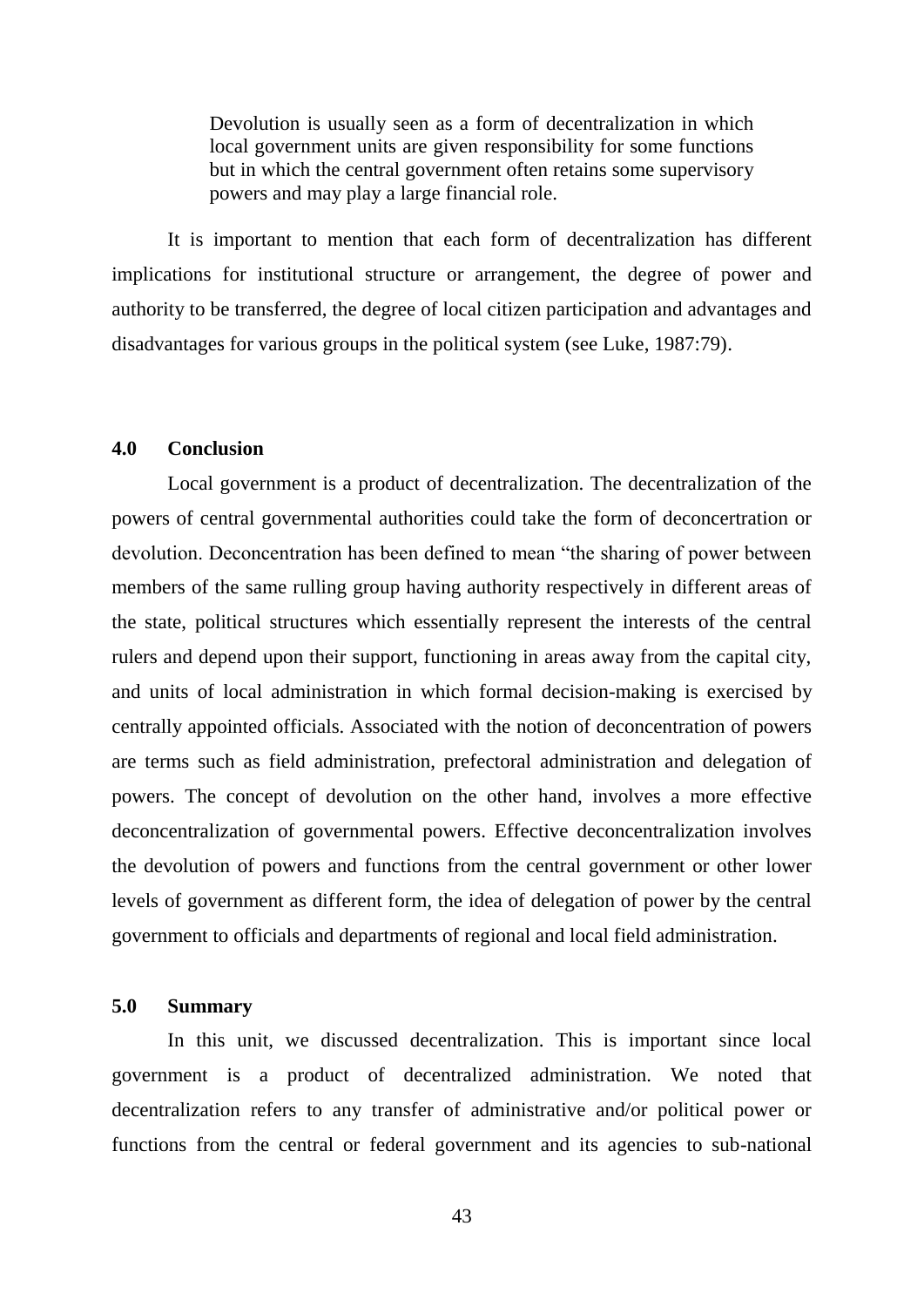Devolution is usually seen as a form of decentralization in which local government units are given responsibility for some functions but in which the central government often retains some supervisory powers and may play a large financial role.

It is important to mention that each form of decentralization has different implications for institutional structure or arrangement, the degree of power and authority to be transferred, the degree of local citizen participation and advantages and disadvantages for various groups in the political system (see Luke, 1987:79).

### **4.0 Conclusion**

Local government is a product of decentralization. The decentralization of the powers of central governmental authorities could take the form of deconcertration or devolution. Deconcentration has been defined to mean "the sharing of power between members of the same rulling group having authority respectively in different areas of the state, political structures which essentially represent the interests of the central rulers and depend upon their support, functioning in areas away from the capital city, and units of local administration in which formal decision-making is exercised by centrally appointed officials. Associated with the notion of deconcentration of powers are terms such as field administration, prefectoral administration and delegation of powers. The concept of devolution on the other hand, involves a more effective deconcentralization of governmental powers. Effective deconcentralization involves the devolution of powers and functions from the central government or other lower levels of government as different form, the idea of delegation of power by the central government to officials and departments of regional and local field administration.

### **5.0 Summary**

In this unit, we discussed decentralization. This is important since local government is a product of decentralized administration. We noted that decentralization refers to any transfer of administrative and/or political power or functions from the central or federal government and its agencies to sub-national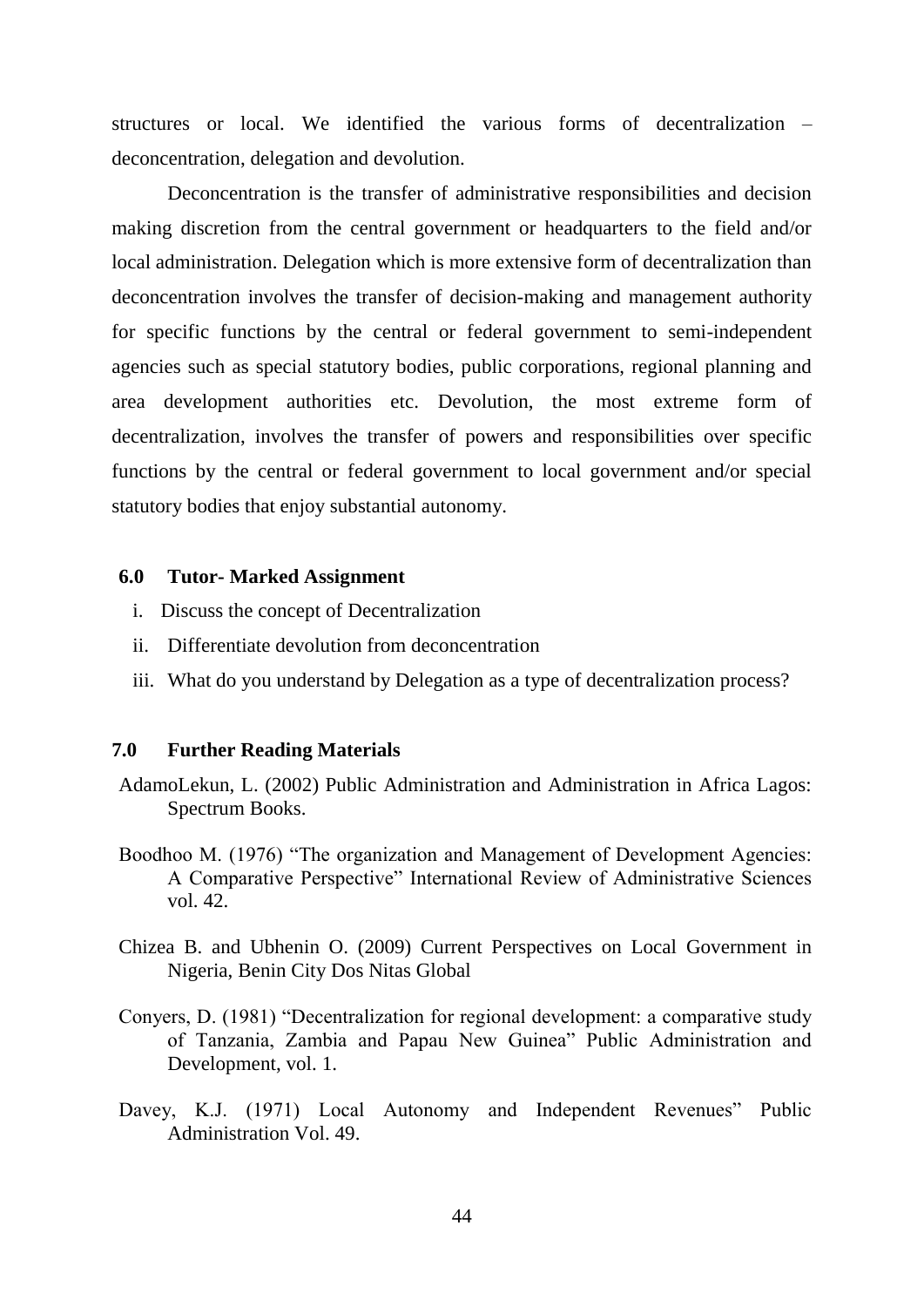structures or local. We identified the various forms of decentralization – deconcentration, delegation and devolution.

Deconcentration is the transfer of administrative responsibilities and decision making discretion from the central government or headquarters to the field and/or local administration. Delegation which is more extensive form of decentralization than deconcentration involves the transfer of decision-making and management authority for specific functions by the central or federal government to semi-independent agencies such as special statutory bodies, public corporations, regional planning and area development authorities etc. Devolution, the most extreme form of decentralization, involves the transfer of powers and responsibilities over specific functions by the central or federal government to local government and/or special statutory bodies that enjoy substantial autonomy.

## **6.0 Tutor- Marked Assignment**

- i. Discuss the concept of Decentralization
- ii. Differentiate devolution from deconcentration
- iii. What do you understand by Delegation as a type of decentralization process?

### **7.0 Further Reading Materials**

- AdamoLekun, L. (2002) Public Administration and Administration in Africa Lagos: Spectrum Books.
- Boodhoo M. (1976) "The organization and Management of Development Agencies: A Comparative Perspective" International Review of Administrative Sciences vol. 42.
- Chizea B. and Ubhenin O. (2009) Current Perspectives on Local Government in Nigeria, Benin City Dos Nitas Global
- Conyers, D. (1981) "Decentralization for regional development: a comparative study of Tanzania, Zambia and Papau New Guinea" Public Administration and Development, vol. 1.
- Davey, K.J. (1971) Local Autonomy and Independent Revenues" Public Administration Vol. 49.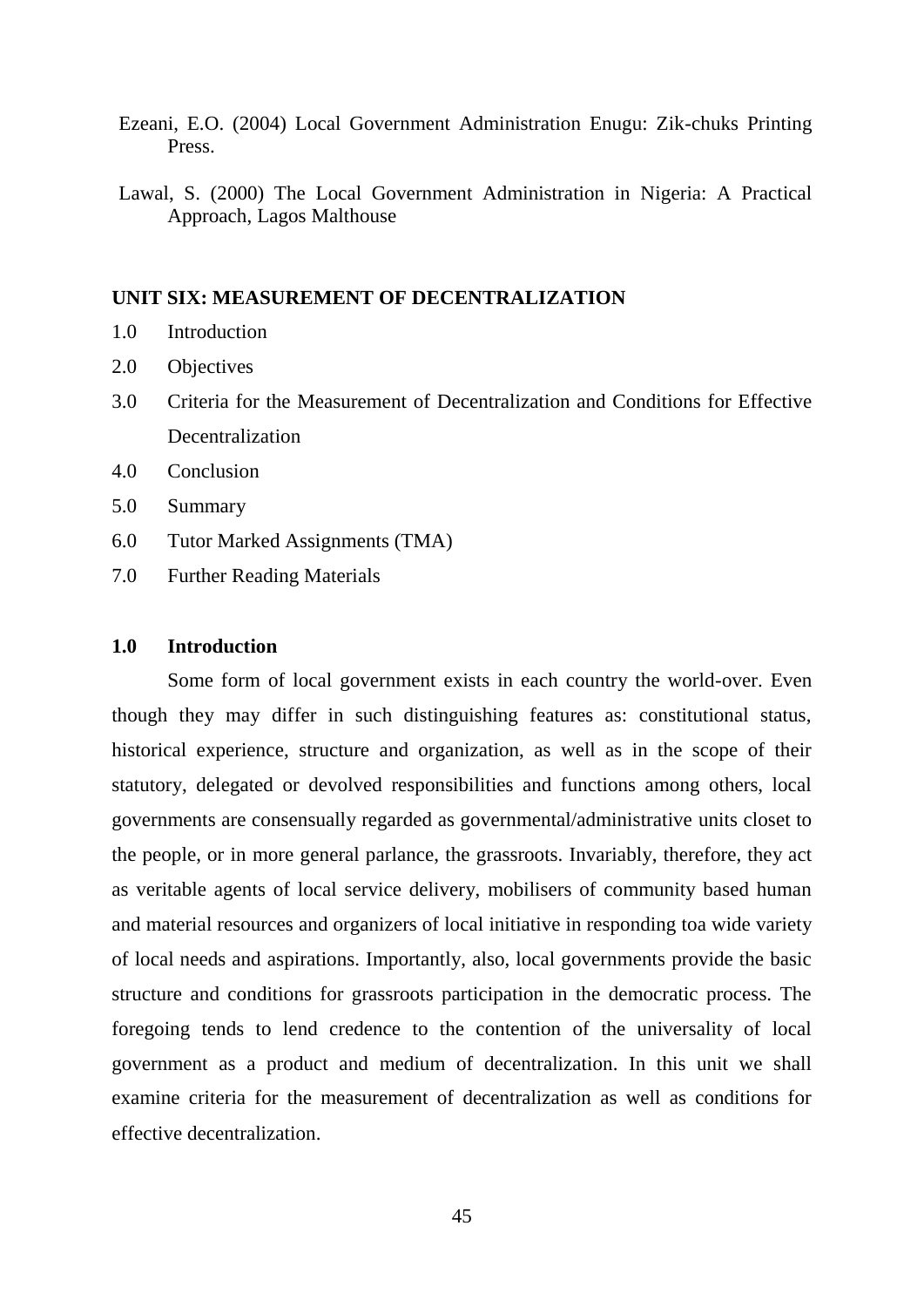- Ezeani, E.O. (2004) Local Government Administration Enugu: Zik-chuks Printing Press.
- Lawal, S. (2000) The Local Government Administration in Nigeria: A Practical Approach, Lagos Malthouse

# **UNIT SIX: MEASUREMENT OF DECENTRALIZATION**

- 1.0 Introduction
- 2.0 Objectives
- 3.0 Criteria for the Measurement of Decentralization and Conditions for Effective Decentralization
- 4.0 Conclusion
- 5.0 Summary
- 6.0 Tutor Marked Assignments (TMA)
- 7.0 Further Reading Materials

### **1.0 Introduction**

Some form of local government exists in each country the world-over. Even though they may differ in such distinguishing features as: constitutional status, historical experience, structure and organization, as well as in the scope of their statutory, delegated or devolved responsibilities and functions among others, local governments are consensually regarded as governmental/administrative units closet to the people, or in more general parlance, the grassroots. Invariably, therefore, they act as veritable agents of local service delivery, mobilisers of community based human and material resources and organizers of local initiative in responding toa wide variety of local needs and aspirations. Importantly, also, local governments provide the basic structure and conditions for grassroots participation in the democratic process. The foregoing tends to lend credence to the contention of the universality of local government as a product and medium of decentralization. In this unit we shall examine criteria for the measurement of decentralization as well as conditions for effective decentralization.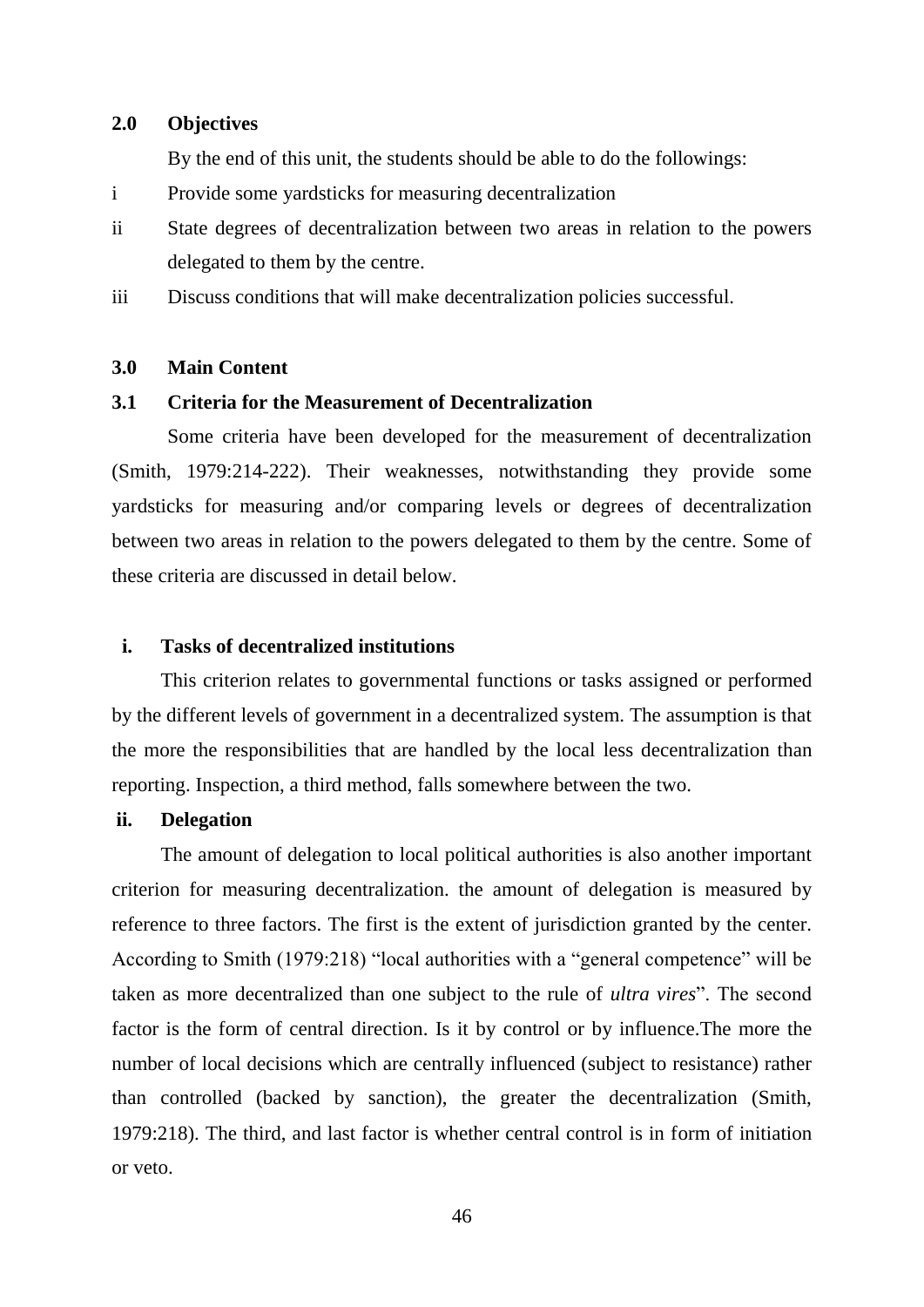### **2.0 Objectives**

By the end of this unit, the students should be able to do the followings:

- i Provide some yardsticks for measuring decentralization
- ii State degrees of decentralization between two areas in relation to the powers delegated to them by the centre.
- iii Discuss conditions that will make decentralization policies successful.

# **3.0 Main Content**

# **3.1 Criteria for the Measurement of Decentralization**

Some criteria have been developed for the measurement of decentralization (Smith, 1979:214-222). Their weaknesses, notwithstanding they provide some yardsticks for measuring and/or comparing levels or degrees of decentralization between two areas in relation to the powers delegated to them by the centre. Some of these criteria are discussed in detail below.

### **i. Tasks of decentralized institutions**

This criterion relates to governmental functions or tasks assigned or performed by the different levels of government in a decentralized system. The assumption is that the more the responsibilities that are handled by the local less decentralization than reporting. Inspection, a third method, falls somewhere between the two.

## **ii. Delegation**

The amount of delegation to local political authorities is also another important criterion for measuring decentralization. the amount of delegation is measured by reference to three factors. The first is the extent of jurisdiction granted by the center. According to Smith (1979:218) "local authorities with a "general competence" will be taken as more decentralized than one subject to the rule of *ultra vires*". The second factor is the form of central direction. Is it by control or by influence.The more the number of local decisions which are centrally influenced (subject to resistance) rather than controlled (backed by sanction), the greater the decentralization (Smith, 1979:218). The third, and last factor is whether central control is in form of initiation or veto.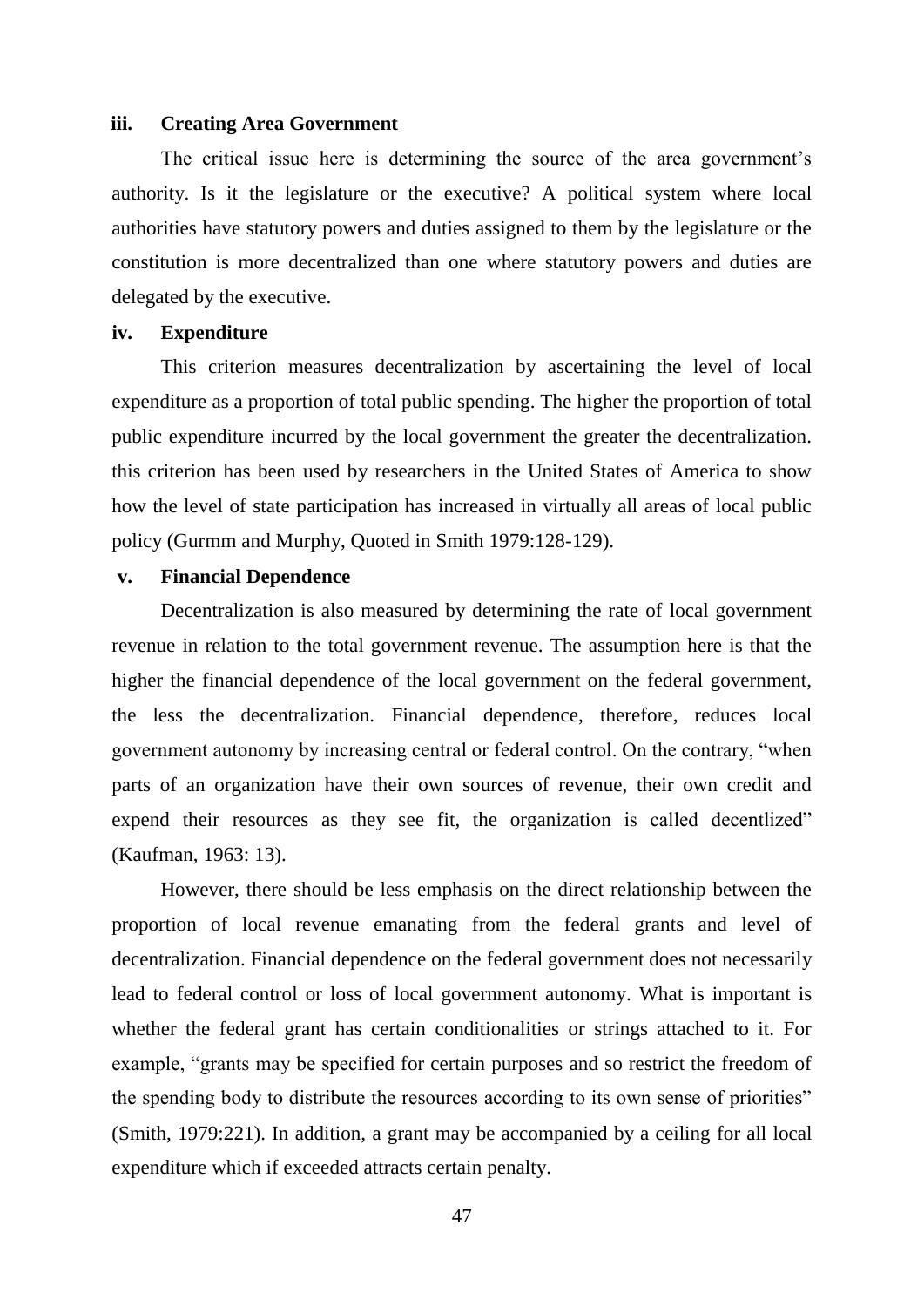### **iii. Creating Area Government**

The critical issue here is determining the source of the area government's authority. Is it the legislature or the executive? A political system where local authorities have statutory powers and duties assigned to them by the legislature or the constitution is more decentralized than one where statutory powers and duties are delegated by the executive.

# **iv. Expenditure**

This criterion measures decentralization by ascertaining the level of local expenditure as a proportion of total public spending. The higher the proportion of total public expenditure incurred by the local government the greater the decentralization. this criterion has been used by researchers in the United States of America to show how the level of state participation has increased in virtually all areas of local public policy (Gurmm and Murphy, Quoted in Smith 1979:128-129).

## **v. Financial Dependence**

Decentralization is also measured by determining the rate of local government revenue in relation to the total government revenue. The assumption here is that the higher the financial dependence of the local government on the federal government, the less the decentralization. Financial dependence, therefore, reduces local government autonomy by increasing central or federal control. On the contrary, "when parts of an organization have their own sources of revenue, their own credit and expend their resources as they see fit, the organization is called decentlized" (Kaufman, 1963: 13).

However, there should be less emphasis on the direct relationship between the proportion of local revenue emanating from the federal grants and level of decentralization. Financial dependence on the federal government does not necessarily lead to federal control or loss of local government autonomy. What is important is whether the federal grant has certain conditionalities or strings attached to it. For example, "grants may be specified for certain purposes and so restrict the freedom of the spending body to distribute the resources according to its own sense of priorities" (Smith, 1979:221). In addition, a grant may be accompanied by a ceiling for all local expenditure which if exceeded attracts certain penalty.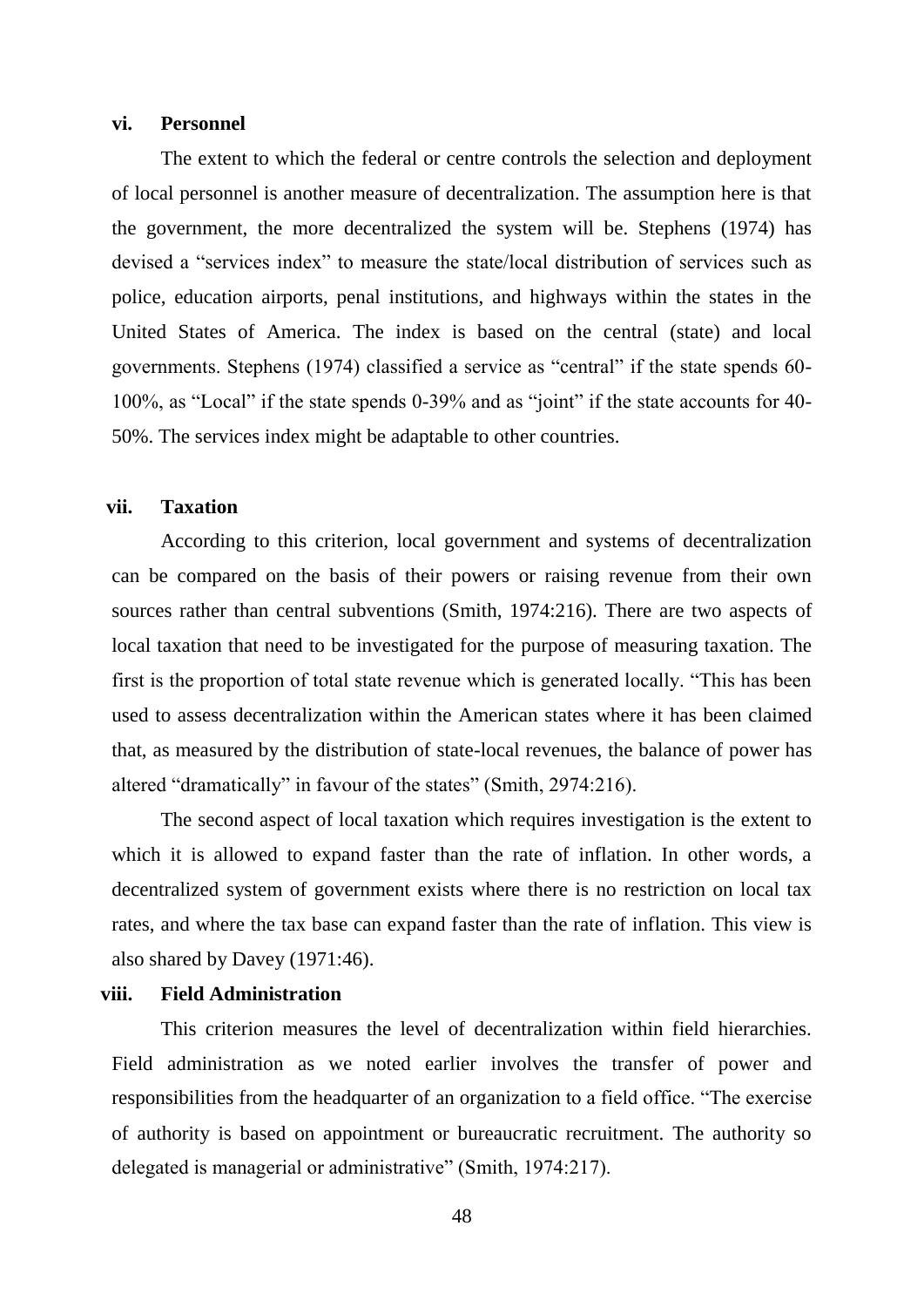#### **vi. Personnel**

The extent to which the federal or centre controls the selection and deployment of local personnel is another measure of decentralization. The assumption here is that the government, the more decentralized the system will be. Stephens (1974) has devised a "services index" to measure the state/local distribution of services such as police, education airports, penal institutions, and highways within the states in the United States of America. The index is based on the central (state) and local governments. Stephens (1974) classified a service as "central" if the state spends 60- 100%, as "Local" if the state spends 0-39% and as "joint" if the state accounts for 40- 50%. The services index might be adaptable to other countries.

# **vii. Taxation**

According to this criterion, local government and systems of decentralization can be compared on the basis of their powers or raising revenue from their own sources rather than central subventions (Smith, 1974:216). There are two aspects of local taxation that need to be investigated for the purpose of measuring taxation. The first is the proportion of total state revenue which is generated locally. "This has been used to assess decentralization within the American states where it has been claimed that, as measured by the distribution of state-local revenues, the balance of power has altered "dramatically" in favour of the states" (Smith, 2974:216).

The second aspect of local taxation which requires investigation is the extent to which it is allowed to expand faster than the rate of inflation. In other words, a decentralized system of government exists where there is no restriction on local tax rates, and where the tax base can expand faster than the rate of inflation. This view is also shared by Davey (1971:46).

# **viii. Field Administration**

This criterion measures the level of decentralization within field hierarchies. Field administration as we noted earlier involves the transfer of power and responsibilities from the headquarter of an organization to a field office. "The exercise of authority is based on appointment or bureaucratic recruitment. The authority so delegated is managerial or administrative" (Smith, 1974:217).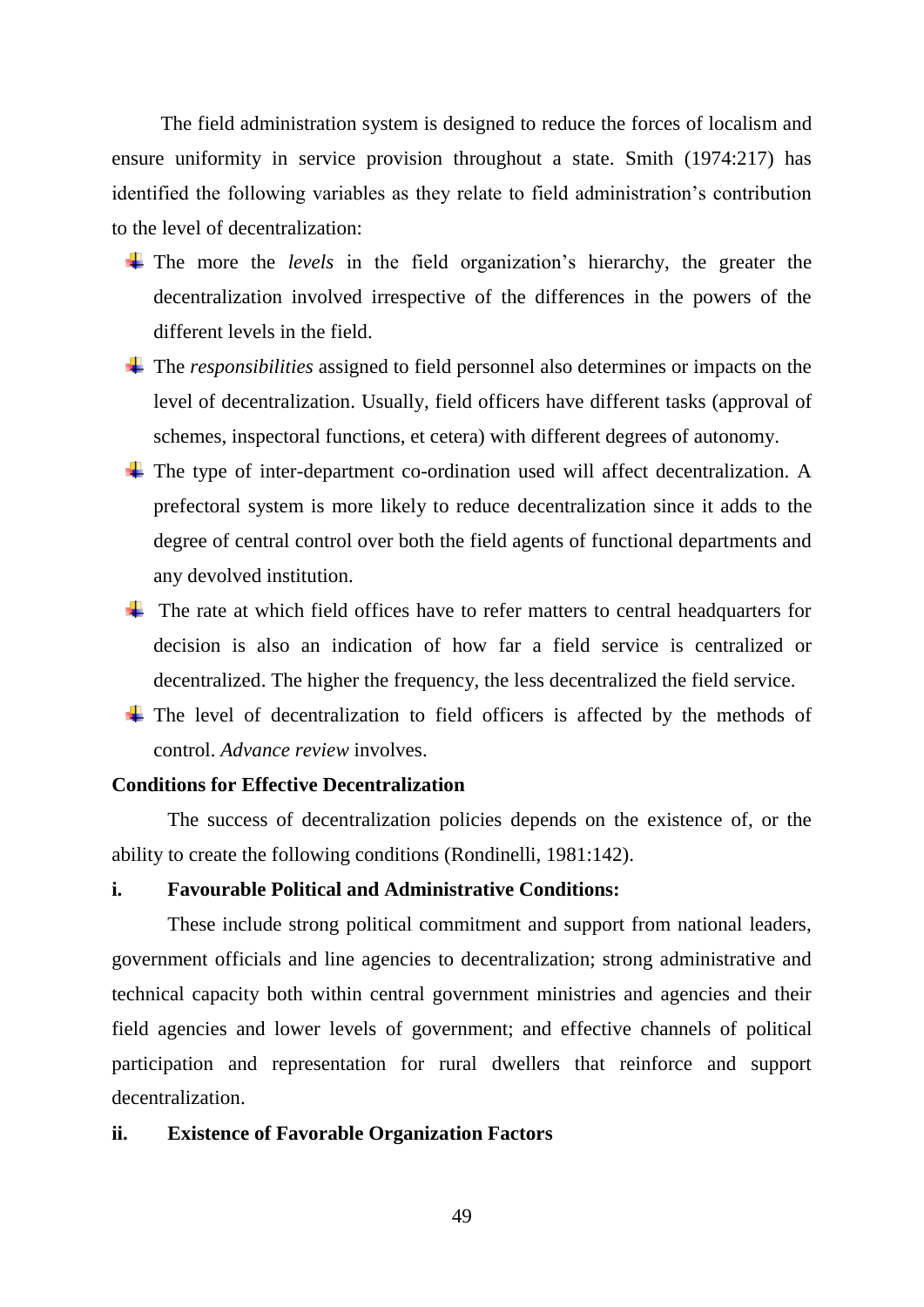The field administration system is designed to reduce the forces of localism and ensure uniformity in service provision throughout a state. Smith (1974:217) has identified the following variables as they relate to field administration"s contribution to the level of decentralization:

- The more the *levels* in the field organization's hierarchy, the greater the decentralization involved irrespective of the differences in the powers of the different levels in the field.
- The *responsibilities* assigned to field personnel also determines or impacts on the level of decentralization. Usually, field officers have different tasks (approval of schemes, inspectoral functions, et cetera) with different degrees of autonomy.
- The type of inter-department co-ordination used will affect decentralization. A prefectoral system is more likely to reduce decentralization since it adds to the degree of central control over both the field agents of functional departments and any devolved institution.
- $\ddot{\phantom{1}}$  The rate at which field offices have to refer matters to central headquarters for decision is also an indication of how far a field service is centralized or decentralized. The higher the frequency, the less decentralized the field service.
- $\overline{\text{I}}$  The level of decentralization to field officers is affected by the methods of control. *Advance review* involves.

## **Conditions for Effective Decentralization**

The success of decentralization policies depends on the existence of, or the ability to create the following conditions (Rondinelli, 1981:142).

## **i. Favourable Political and Administrative Conditions:**

These include strong political commitment and support from national leaders, government officials and line agencies to decentralization; strong administrative and technical capacity both within central government ministries and agencies and their field agencies and lower levels of government; and effective channels of political participation and representation for rural dwellers that reinforce and support decentralization.

# **ii. Existence of Favorable Organization Factors**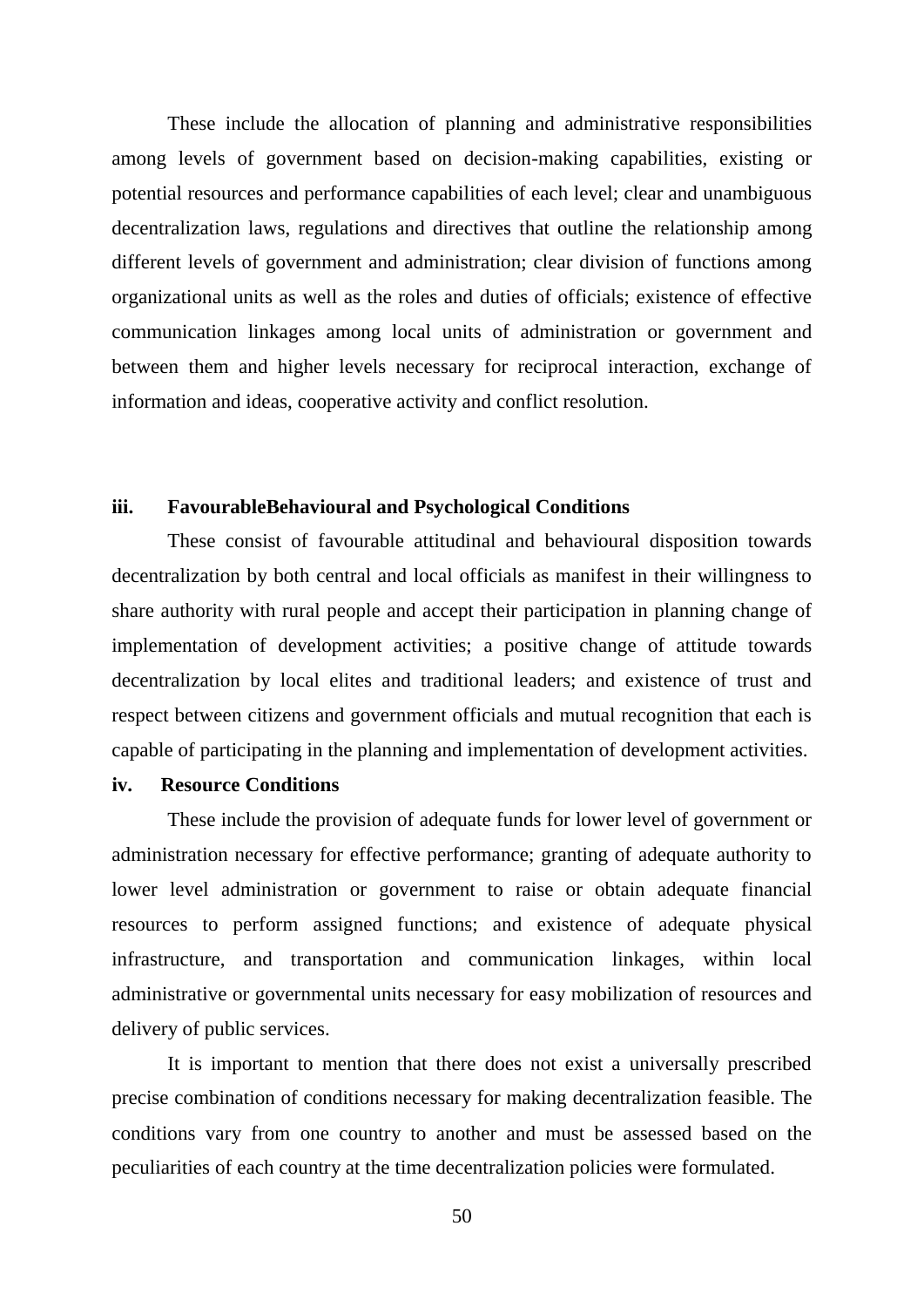These include the allocation of planning and administrative responsibilities among levels of government based on decision-making capabilities, existing or potential resources and performance capabilities of each level; clear and unambiguous decentralization laws, regulations and directives that outline the relationship among different levels of government and administration; clear division of functions among organizational units as well as the roles and duties of officials; existence of effective communication linkages among local units of administration or government and between them and higher levels necessary for reciprocal interaction, exchange of information and ideas, cooperative activity and conflict resolution.

### **iii. FavourableBehavioural and Psychological Conditions**

These consist of favourable attitudinal and behavioural disposition towards decentralization by both central and local officials as manifest in their willingness to share authority with rural people and accept their participation in planning change of implementation of development activities; a positive change of attitude towards decentralization by local elites and traditional leaders; and existence of trust and respect between citizens and government officials and mutual recognition that each is capable of participating in the planning and implementation of development activities.

### **iv. Resource Conditions**

These include the provision of adequate funds for lower level of government or administration necessary for effective performance; granting of adequate authority to lower level administration or government to raise or obtain adequate financial resources to perform assigned functions; and existence of adequate physical infrastructure, and transportation and communication linkages, within local administrative or governmental units necessary for easy mobilization of resources and delivery of public services.

It is important to mention that there does not exist a universally prescribed precise combination of conditions necessary for making decentralization feasible. The conditions vary from one country to another and must be assessed based on the peculiarities of each country at the time decentralization policies were formulated.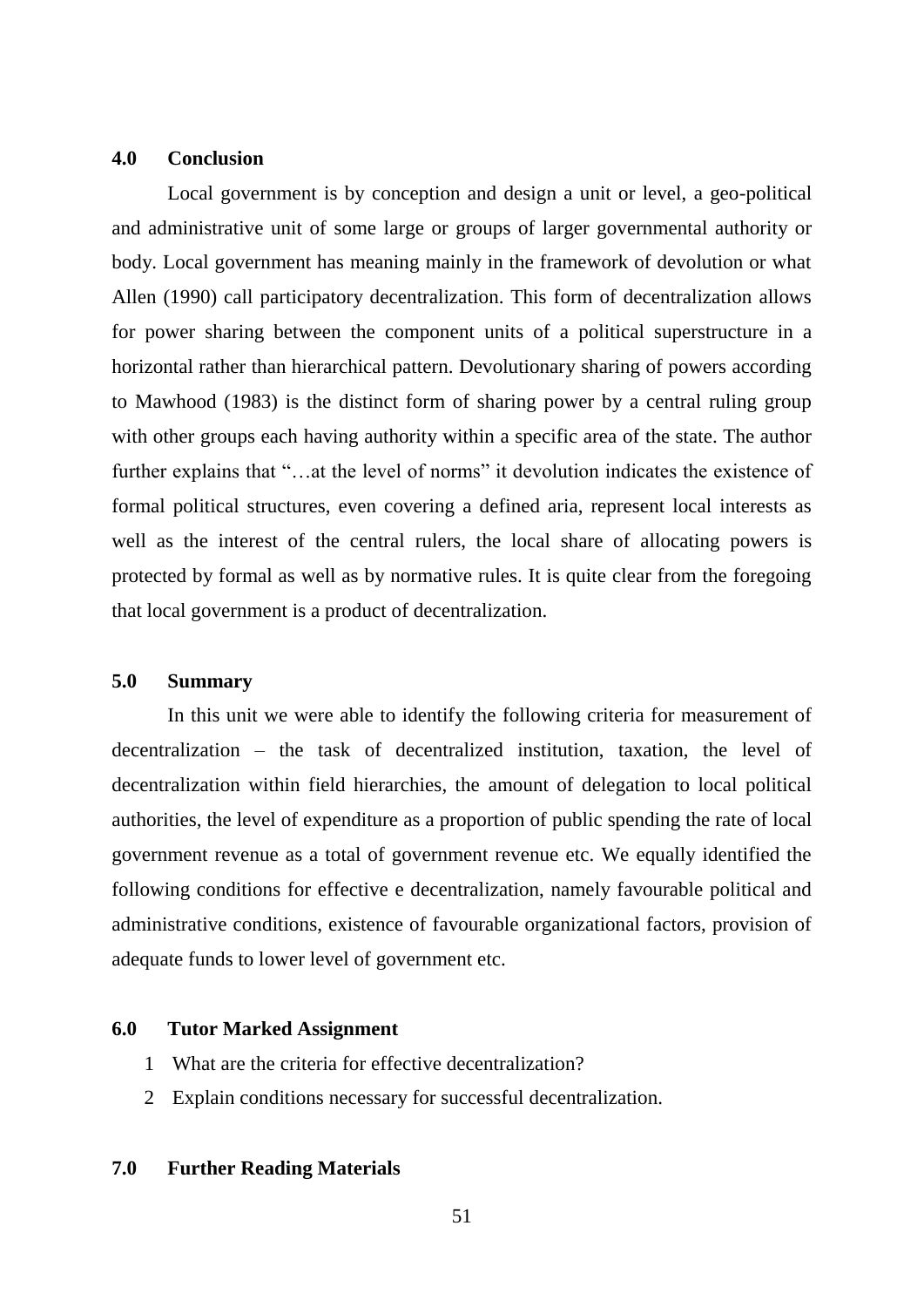#### **4.0 Conclusion**

Local government is by conception and design a unit or level, a geo-political and administrative unit of some large or groups of larger governmental authority or body. Local government has meaning mainly in the framework of devolution or what Allen (1990) call participatory decentralization. This form of decentralization allows for power sharing between the component units of a political superstructure in a horizontal rather than hierarchical pattern. Devolutionary sharing of powers according to Mawhood (1983) is the distinct form of sharing power by a central ruling group with other groups each having authority within a specific area of the state. The author further explains that "...at the level of norms" it devolution indicates the existence of formal political structures, even covering a defined aria, represent local interests as well as the interest of the central rulers, the local share of allocating powers is protected by formal as well as by normative rules. It is quite clear from the foregoing that local government is a product of decentralization.

### **5.0 Summary**

In this unit we were able to identify the following criteria for measurement of decentralization – the task of decentralized institution, taxation, the level of decentralization within field hierarchies, the amount of delegation to local political authorities, the level of expenditure as a proportion of public spending the rate of local government revenue as a total of government revenue etc. We equally identified the following conditions for effective e decentralization, namely favourable political and administrative conditions, existence of favourable organizational factors, provision of adequate funds to lower level of government etc.

### **6.0 Tutor Marked Assignment**

- 1 What are the criteria for effective decentralization?
- 2 Explain conditions necessary for successful decentralization.

#### **7.0 Further Reading Materials**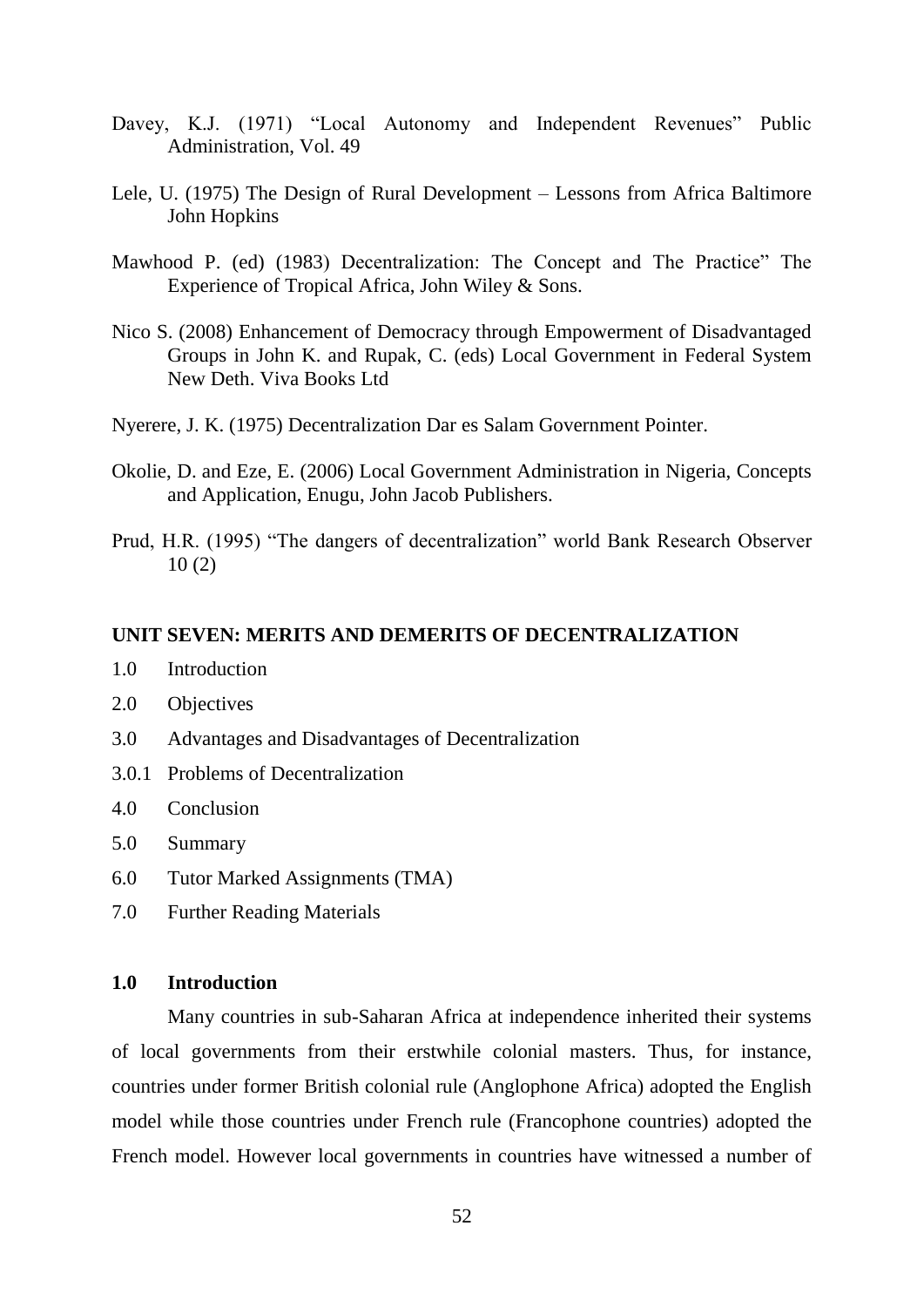- Davey, K.J. (1971) "Local Autonomy and Independent Revenues" Public Administration, Vol. 49
- Lele, U. (1975) The Design of Rural Development Lessons from Africa Baltimore John Hopkins
- Mawhood P. (ed) (1983) Decentralization: The Concept and The Practice" The Experience of Tropical Africa, John Wiley & Sons.
- Nico S. (2008) Enhancement of Democracy through Empowerment of Disadvantaged Groups in John K. and Rupak, C. (eds) Local Government in Federal System New Deth. Viva Books Ltd
- Nyerere, J. K. (1975) Decentralization Dar es Salam Government Pointer.
- Okolie, D. and Eze, E. (2006) Local Government Administration in Nigeria, Concepts and Application, Enugu, John Jacob Publishers.
- Prud, H.R. (1995) "The dangers of decentralization" world Bank Research Observer 10 (2)

## **UNIT SEVEN: MERITS AND DEMERITS OF DECENTRALIZATION**

- 1.0 Introduction
- 2.0 Objectives
- 3.0 Advantages and Disadvantages of Decentralization
- 3.0.1 Problems of Decentralization
- 4.0 Conclusion
- 5.0 Summary
- 6.0 Tutor Marked Assignments (TMA)
- 7.0 Further Reading Materials

# **1.0 Introduction**

Many countries in sub-Saharan Africa at independence inherited their systems of local governments from their erstwhile colonial masters. Thus, for instance, countries under former British colonial rule (Anglophone Africa) adopted the English model while those countries under French rule (Francophone countries) adopted the French model. However local governments in countries have witnessed a number of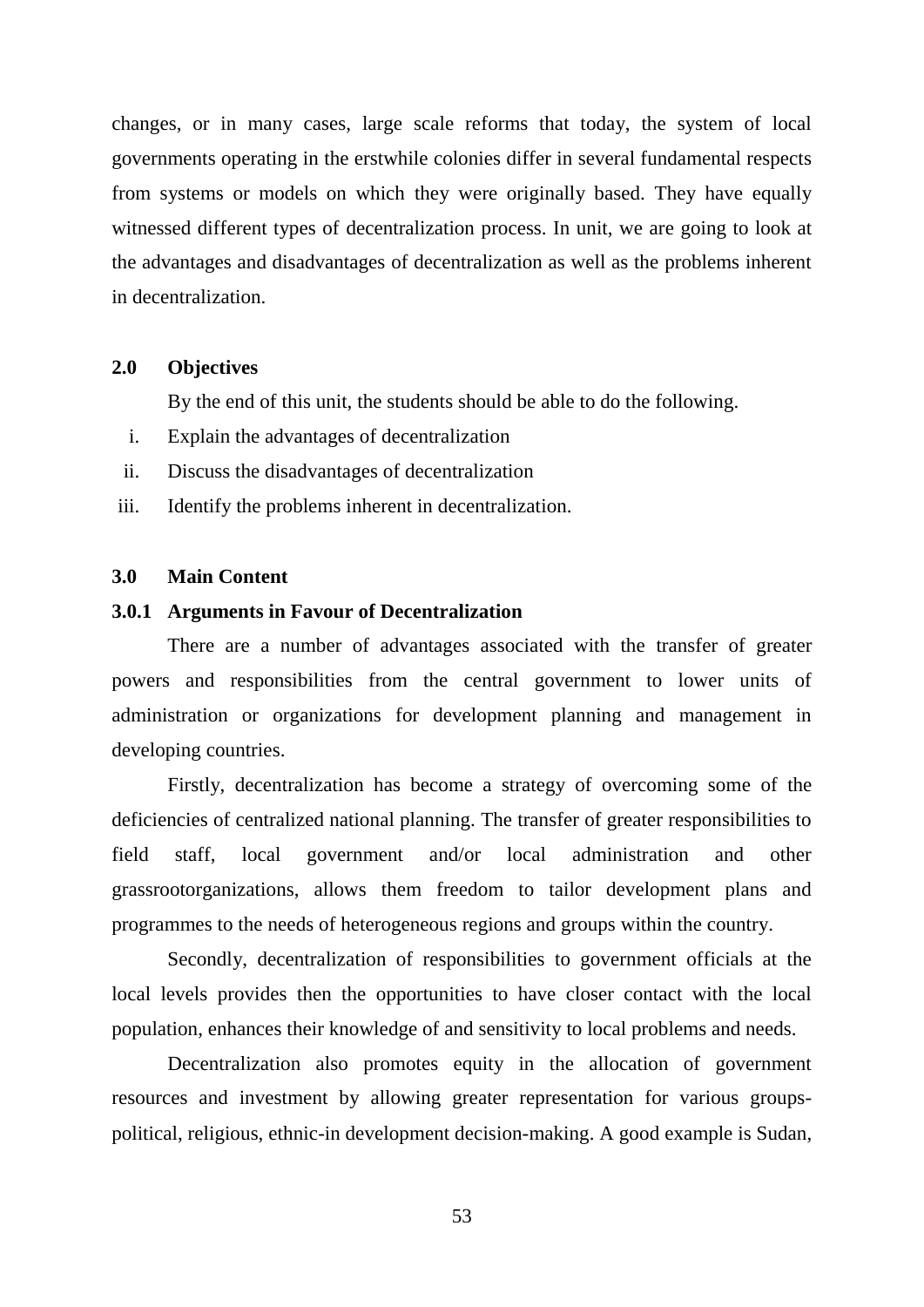changes, or in many cases, large scale reforms that today, the system of local governments operating in the erstwhile colonies differ in several fundamental respects from systems or models on which they were originally based. They have equally witnessed different types of decentralization process. In unit, we are going to look at the advantages and disadvantages of decentralization as well as the problems inherent in decentralization.

# **2.0 Objectives**

By the end of this unit, the students should be able to do the following.

- i. Explain the advantages of decentralization
- ii. Discuss the disadvantages of decentralization
- iii. Identify the problems inherent in decentralization.

### **3.0 Main Content**

## **3.0.1 Arguments in Favour of Decentralization**

There are a number of advantages associated with the transfer of greater powers and responsibilities from the central government to lower units of administration or organizations for development planning and management in developing countries.

Firstly, decentralization has become a strategy of overcoming some of the deficiencies of centralized national planning. The transfer of greater responsibilities to field staff, local government and/or local administration and other grassrootorganizations, allows them freedom to tailor development plans and programmes to the needs of heterogeneous regions and groups within the country.

Secondly, decentralization of responsibilities to government officials at the local levels provides then the opportunities to have closer contact with the local population, enhances their knowledge of and sensitivity to local problems and needs.

Decentralization also promotes equity in the allocation of government resources and investment by allowing greater representation for various groupspolitical, religious, ethnic-in development decision-making. A good example is Sudan,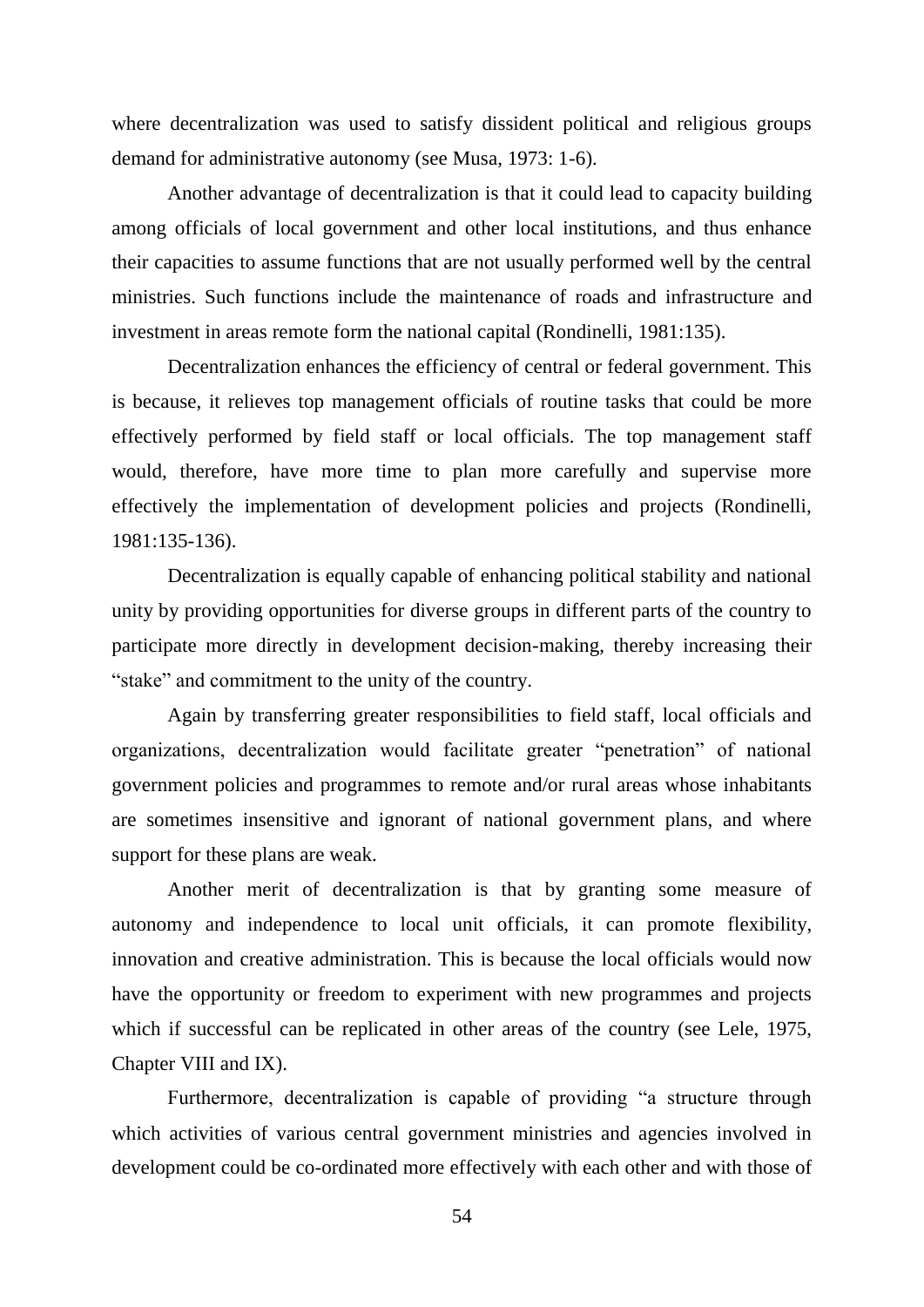where decentralization was used to satisfy dissident political and religious groups demand for administrative autonomy (see Musa, 1973: 1-6).

Another advantage of decentralization is that it could lead to capacity building among officials of local government and other local institutions, and thus enhance their capacities to assume functions that are not usually performed well by the central ministries. Such functions include the maintenance of roads and infrastructure and investment in areas remote form the national capital (Rondinelli, 1981:135).

Decentralization enhances the efficiency of central or federal government. This is because, it relieves top management officials of routine tasks that could be more effectively performed by field staff or local officials. The top management staff would, therefore, have more time to plan more carefully and supervise more effectively the implementation of development policies and projects (Rondinelli, 1981:135-136).

Decentralization is equally capable of enhancing political stability and national unity by providing opportunities for diverse groups in different parts of the country to participate more directly in development decision-making, thereby increasing their "stake" and commitment to the unity of the country.

Again by transferring greater responsibilities to field staff, local officials and organizations, decentralization would facilitate greater "penetration" of national government policies and programmes to remote and/or rural areas whose inhabitants are sometimes insensitive and ignorant of national government plans, and where support for these plans are weak.

Another merit of decentralization is that by granting some measure of autonomy and independence to local unit officials, it can promote flexibility, innovation and creative administration. This is because the local officials would now have the opportunity or freedom to experiment with new programmes and projects which if successful can be replicated in other areas of the country (see Lele, 1975, Chapter VIII and IX).

Furthermore, decentralization is capable of providing "a structure through which activities of various central government ministries and agencies involved in development could be co-ordinated more effectively with each other and with those of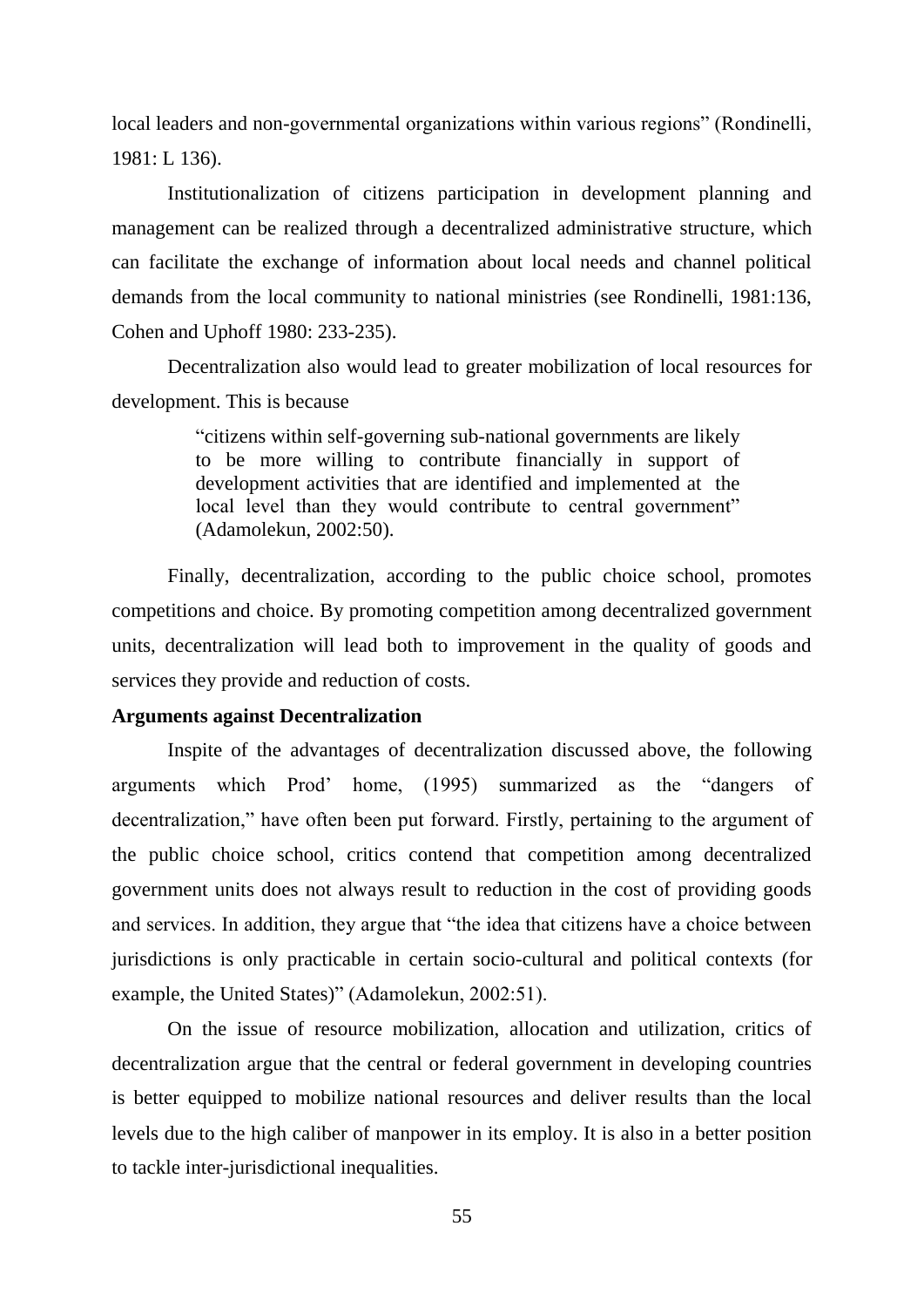local leaders and non-governmental organizations within various regions" (Rondinelli, 1981: L 136).

Institutionalization of citizens participation in development planning and management can be realized through a decentralized administrative structure, which can facilitate the exchange of information about local needs and channel political demands from the local community to national ministries (see Rondinelli, 1981:136, Cohen and Uphoff 1980: 233-235).

Decentralization also would lead to greater mobilization of local resources for development. This is because

> "citizens within self-governing sub-national governments are likely to be more willing to contribute financially in support of development activities that are identified and implemented at the local level than they would contribute to central government" (Adamolekun, 2002:50).

Finally, decentralization, according to the public choice school, promotes competitions and choice. By promoting competition among decentralized government units, decentralization will lead both to improvement in the quality of goods and services they provide and reduction of costs.

# **Arguments against Decentralization**

Inspite of the advantages of decentralization discussed above, the following arguments which Prod" home, (1995) summarized as the "dangers of decentralization," have often been put forward. Firstly, pertaining to the argument of the public choice school, critics contend that competition among decentralized government units does not always result to reduction in the cost of providing goods and services. In addition, they argue that "the idea that citizens have a choice between jurisdictions is only practicable in certain socio-cultural and political contexts (for example, the United States)" (Adamolekun, 2002:51).

On the issue of resource mobilization, allocation and utilization, critics of decentralization argue that the central or federal government in developing countries is better equipped to mobilize national resources and deliver results than the local levels due to the high caliber of manpower in its employ. It is also in a better position to tackle inter-jurisdictional inequalities.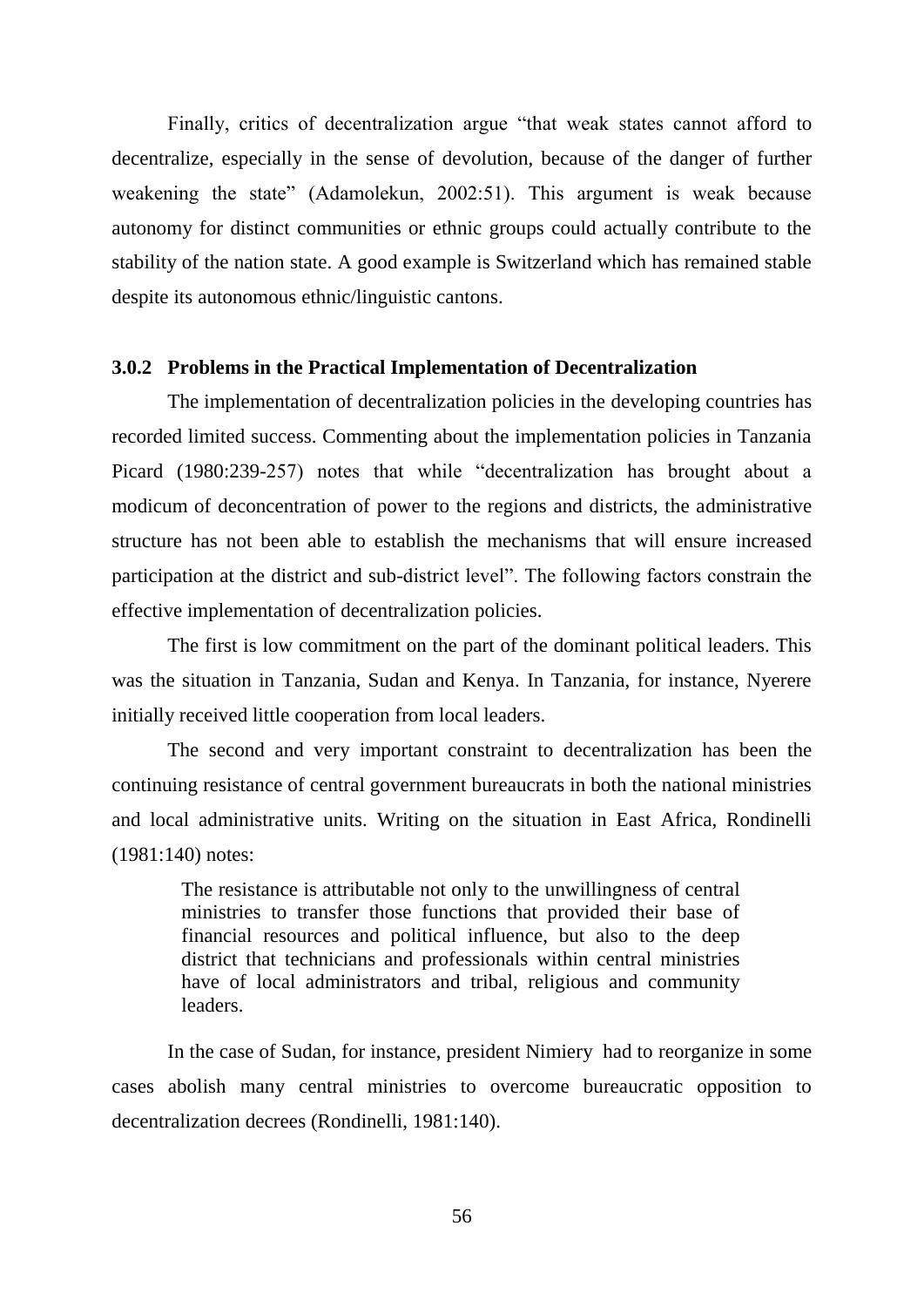Finally, critics of decentralization argue "that weak states cannot afford to decentralize, especially in the sense of devolution, because of the danger of further weakening the state" (Adamolekun, 2002:51). This argument is weak because autonomy for distinct communities or ethnic groups could actually contribute to the stability of the nation state. A good example is Switzerland which has remained stable despite its autonomous ethnic/linguistic cantons.

# **3.0.2 Problems in the Practical Implementation of Decentralization**

The implementation of decentralization policies in the developing countries has recorded limited success. Commenting about the implementation policies in Tanzania Picard (1980:239-257) notes that while "decentralization has brought about a modicum of deconcentration of power to the regions and districts, the administrative structure has not been able to establish the mechanisms that will ensure increased participation at the district and sub-district level". The following factors constrain the effective implementation of decentralization policies.

The first is low commitment on the part of the dominant political leaders. This was the situation in Tanzania, Sudan and Kenya. In Tanzania, for instance, Nyerere initially received little cooperation from local leaders.

The second and very important constraint to decentralization has been the continuing resistance of central government bureaucrats in both the national ministries and local administrative units. Writing on the situation in East Africa, Rondinelli (1981:140) notes:

The resistance is attributable not only to the unwillingness of central ministries to transfer those functions that provided their base of financial resources and political influence, but also to the deep district that technicians and professionals within central ministries have of local administrators and tribal, religious and community leaders.

In the case of Sudan, for instance, president Nimiery had to reorganize in some cases abolish many central ministries to overcome bureaucratic opposition to decentralization decrees (Rondinelli, 1981:140).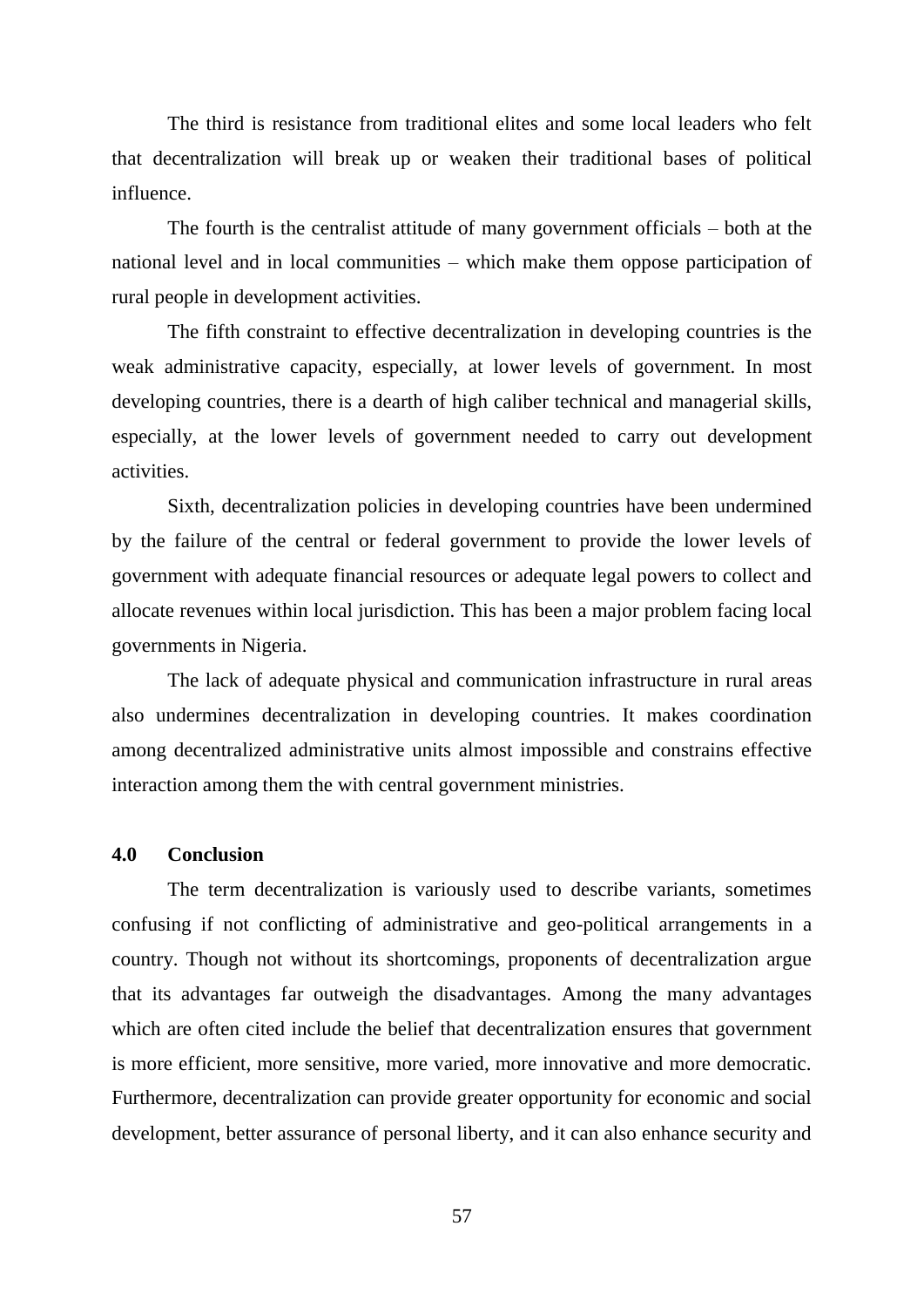The third is resistance from traditional elites and some local leaders who felt that decentralization will break up or weaken their traditional bases of political influence.

The fourth is the centralist attitude of many government officials – both at the national level and in local communities – which make them oppose participation of rural people in development activities.

The fifth constraint to effective decentralization in developing countries is the weak administrative capacity, especially, at lower levels of government. In most developing countries, there is a dearth of high caliber technical and managerial skills, especially, at the lower levels of government needed to carry out development activities.

Sixth, decentralization policies in developing countries have been undermined by the failure of the central or federal government to provide the lower levels of government with adequate financial resources or adequate legal powers to collect and allocate revenues within local jurisdiction. This has been a major problem facing local governments in Nigeria.

The lack of adequate physical and communication infrastructure in rural areas also undermines decentralization in developing countries. It makes coordination among decentralized administrative units almost impossible and constrains effective interaction among them the with central government ministries.

#### **4.0 Conclusion**

The term decentralization is variously used to describe variants, sometimes confusing if not conflicting of administrative and geo-political arrangements in a country. Though not without its shortcomings, proponents of decentralization argue that its advantages far outweigh the disadvantages. Among the many advantages which are often cited include the belief that decentralization ensures that government is more efficient, more sensitive, more varied, more innovative and more democratic. Furthermore, decentralization can provide greater opportunity for economic and social development, better assurance of personal liberty, and it can also enhance security and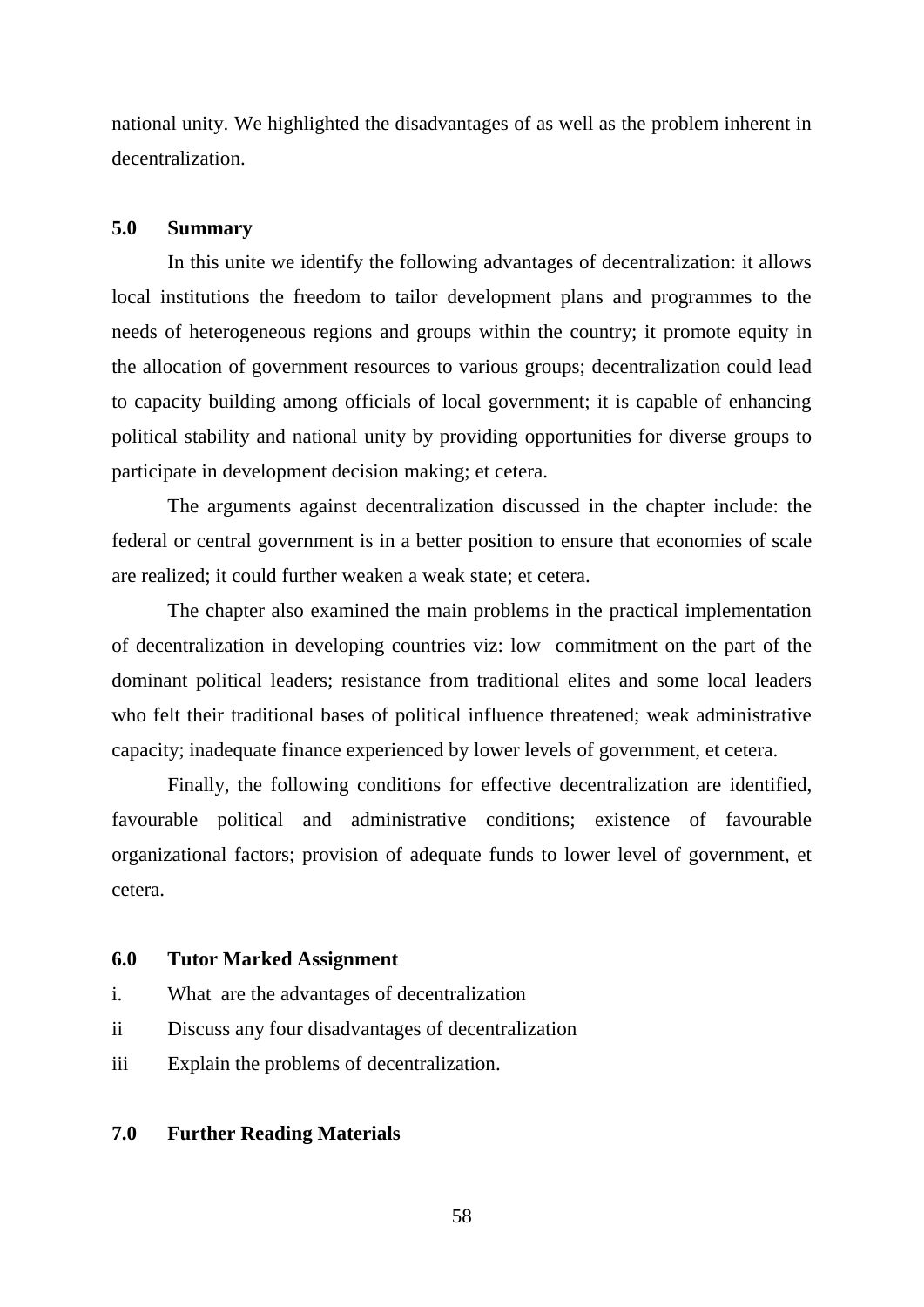national unity. We highlighted the disadvantages of as well as the problem inherent in decentralization.

### **5.0 Summary**

In this unite we identify the following advantages of decentralization: it allows local institutions the freedom to tailor development plans and programmes to the needs of heterogeneous regions and groups within the country; it promote equity in the allocation of government resources to various groups; decentralization could lead to capacity building among officials of local government; it is capable of enhancing political stability and national unity by providing opportunities for diverse groups to participate in development decision making; et cetera.

The arguments against decentralization discussed in the chapter include: the federal or central government is in a better position to ensure that economies of scale are realized; it could further weaken a weak state; et cetera.

The chapter also examined the main problems in the practical implementation of decentralization in developing countries viz: low commitment on the part of the dominant political leaders; resistance from traditional elites and some local leaders who felt their traditional bases of political influence threatened; weak administrative capacity; inadequate finance experienced by lower levels of government, et cetera.

Finally, the following conditions for effective decentralization are identified, favourable political and administrative conditions; existence of favourable organizational factors; provision of adequate funds to lower level of government, et cetera.

## **6.0 Tutor Marked Assignment**

- i. What are the advantages of decentralization
- ii Discuss any four disadvantages of decentralization
- iii Explain the problems of decentralization.

### **7.0 Further Reading Materials**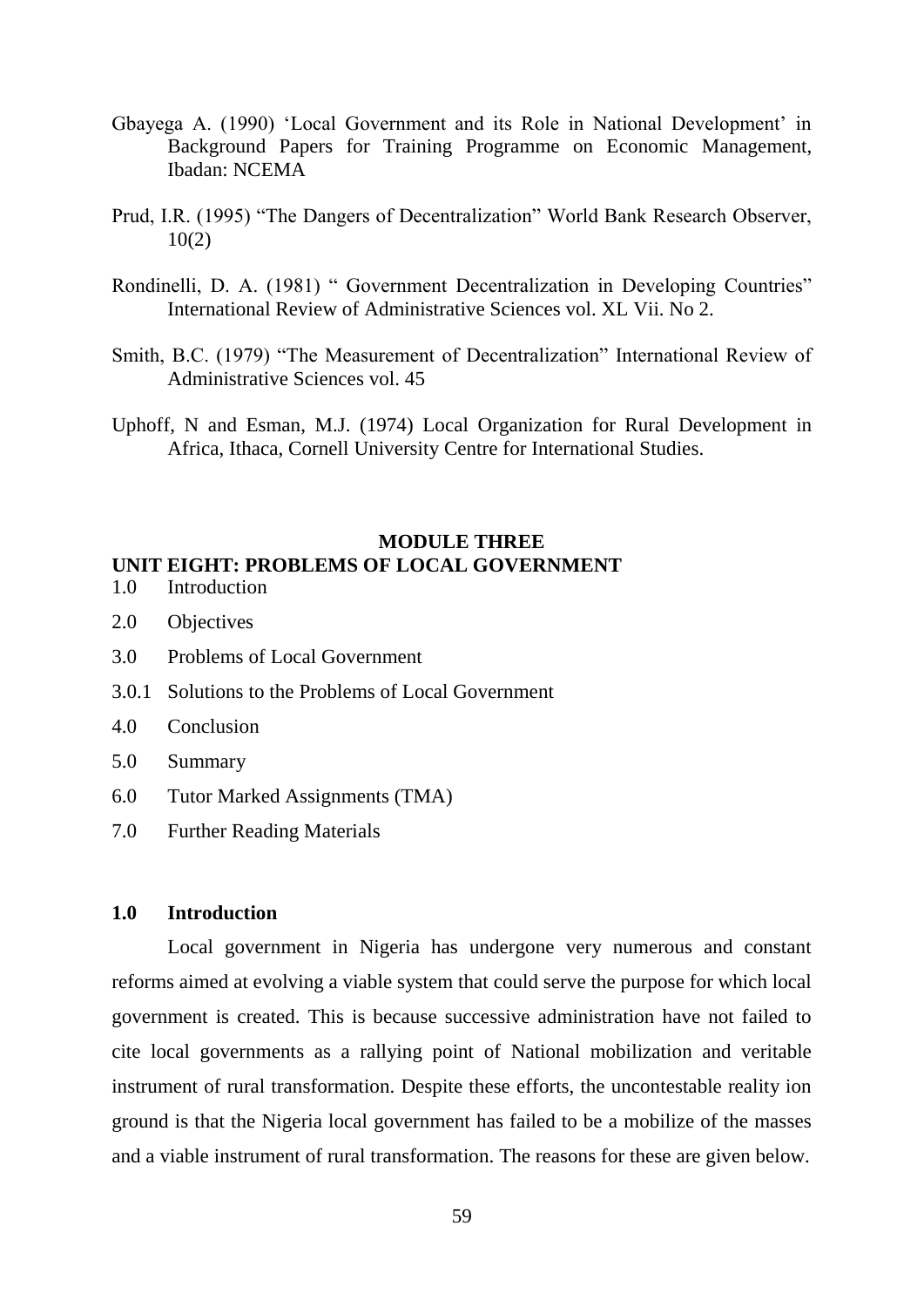- Gbayega A. (1990) "Local Government and its Role in National Development" in Background Papers for Training Programme on Economic Management, Ibadan: NCEMA
- Prud, I.R. (1995) "The Dangers of Decentralization" World Bank Research Observer, 10(2)
- Rondinelli, D. A. (1981) " Government Decentralization in Developing Countries" International Review of Administrative Sciences vol. XL Vii. No 2.
- Smith, B.C. (1979) "The Measurement of Decentralization" International Review of Administrative Sciences vol. 45
- Uphoff, N and Esman, M.J. (1974) Local Organization for Rural Development in Africa, Ithaca, Cornell University Centre for International Studies.

## **MODULE THREE UNIT EIGHT: PROBLEMS OF LOCAL GOVERNMENT**

- 1.0 Introduction
- 2.0 Objectives
- 3.0 Problems of Local Government
- 3.0.1 Solutions to the Problems of Local Government
- 4.0 Conclusion
- 5.0 Summary
- 6.0 Tutor Marked Assignments (TMA)
- 7.0 Further Reading Materials

# **1.0 Introduction**

Local government in Nigeria has undergone very numerous and constant reforms aimed at evolving a viable system that could serve the purpose for which local government is created. This is because successive administration have not failed to cite local governments as a rallying point of National mobilization and veritable instrument of rural transformation. Despite these efforts, the uncontestable reality ion ground is that the Nigeria local government has failed to be a mobilize of the masses and a viable instrument of rural transformation. The reasons for these are given below.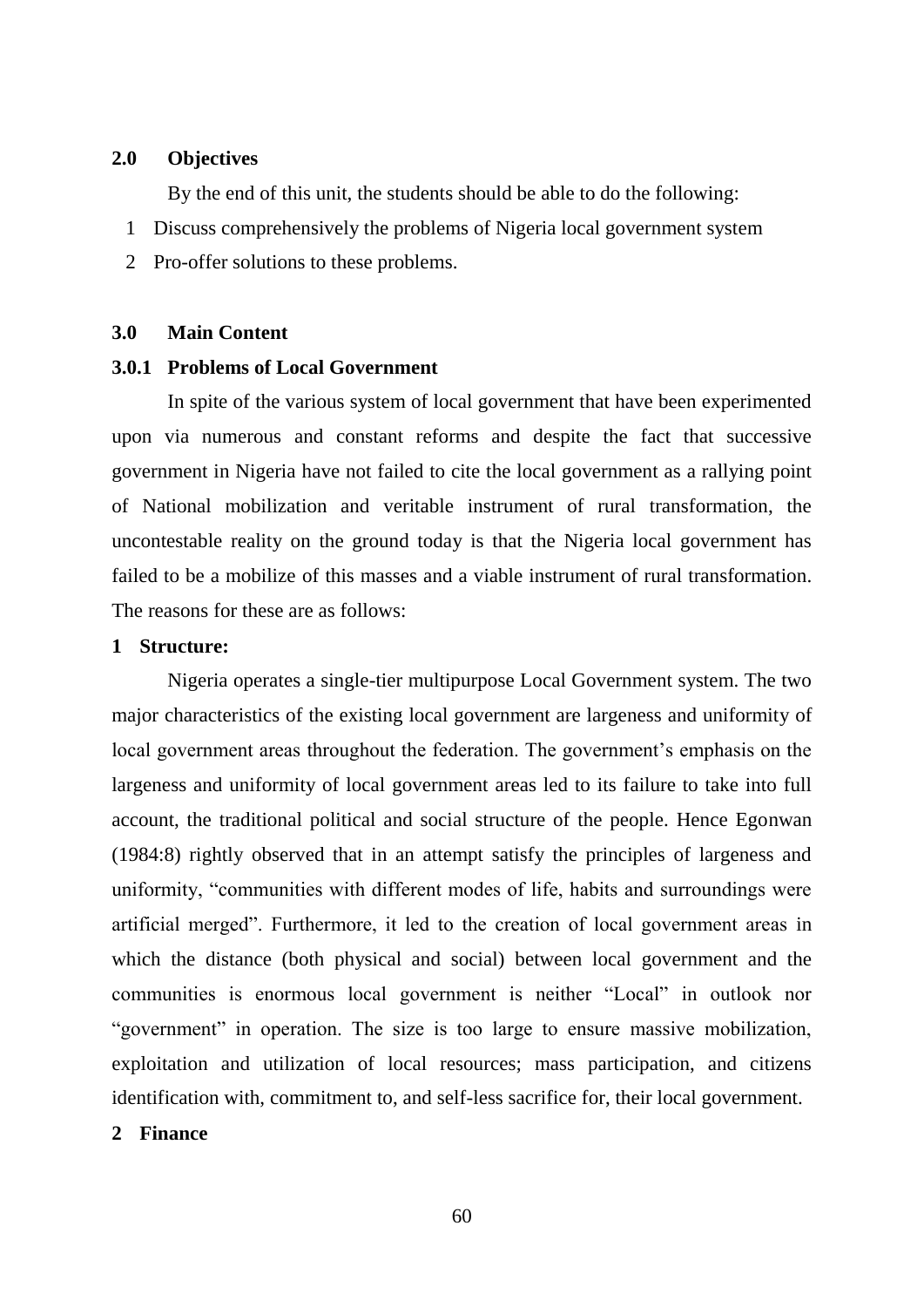### **2.0 Objectives**

By the end of this unit, the students should be able to do the following:

- 1 Discuss comprehensively the problems of Nigeria local government system
- 2 Pro-offer solutions to these problems.

# **3.0 Main Content**

# **3.0.1 Problems of Local Government**

In spite of the various system of local government that have been experimented upon via numerous and constant reforms and despite the fact that successive government in Nigeria have not failed to cite the local government as a rallying point of National mobilization and veritable instrument of rural transformation, the uncontestable reality on the ground today is that the Nigeria local government has failed to be a mobilize of this masses and a viable instrument of rural transformation. The reasons for these are as follows:

### **1 Structure:**

Nigeria operates a single-tier multipurpose Local Government system. The two major characteristics of the existing local government are largeness and uniformity of local government areas throughout the federation. The government's emphasis on the largeness and uniformity of local government areas led to its failure to take into full account, the traditional political and social structure of the people. Hence Egonwan (1984:8) rightly observed that in an attempt satisfy the principles of largeness and uniformity, "communities with different modes of life, habits and surroundings were artificial merged". Furthermore, it led to the creation of local government areas in which the distance (both physical and social) between local government and the communities is enormous local government is neither "Local" in outlook nor "government" in operation. The size is too large to ensure massive mobilization, exploitation and utilization of local resources; mass participation, and citizens identification with, commitment to, and self-less sacrifice for, their local government.

### **2 Finance**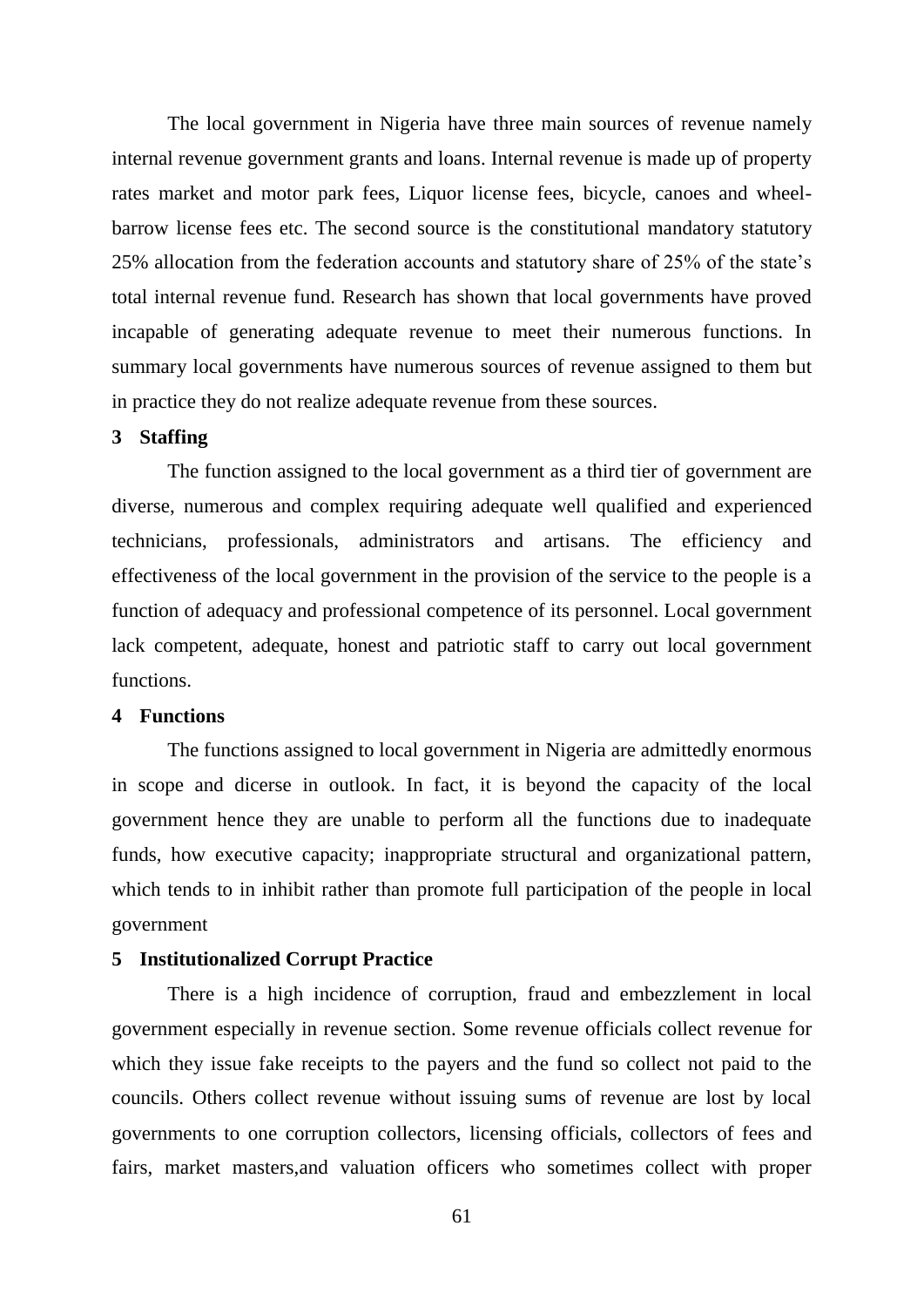The local government in Nigeria have three main sources of revenue namely internal revenue government grants and loans. Internal revenue is made up of property rates market and motor park fees, Liquor license fees, bicycle, canoes and wheelbarrow license fees etc. The second source is the constitutional mandatory statutory 25% allocation from the federation accounts and statutory share of 25% of the state"s total internal revenue fund. Research has shown that local governments have proved incapable of generating adequate revenue to meet their numerous functions. In summary local governments have numerous sources of revenue assigned to them but in practice they do not realize adequate revenue from these sources.

# **3 Staffing**

The function assigned to the local government as a third tier of government are diverse, numerous and complex requiring adequate well qualified and experienced technicians, professionals, administrators and artisans. The efficiency and effectiveness of the local government in the provision of the service to the people is a function of adequacy and professional competence of its personnel. Local government lack competent, adequate, honest and patriotic staff to carry out local government functions.

# **4 Functions**

The functions assigned to local government in Nigeria are admittedly enormous in scope and dicerse in outlook. In fact, it is beyond the capacity of the local government hence they are unable to perform all the functions due to inadequate funds, how executive capacity; inappropriate structural and organizational pattern, which tends to in inhibit rather than promote full participation of the people in local government

# **5 Institutionalized Corrupt Practice**

There is a high incidence of corruption, fraud and embezzlement in local government especially in revenue section. Some revenue officials collect revenue for which they issue fake receipts to the payers and the fund so collect not paid to the councils. Others collect revenue without issuing sums of revenue are lost by local governments to one corruption collectors, licensing officials, collectors of fees and fairs, market masters,and valuation officers who sometimes collect with proper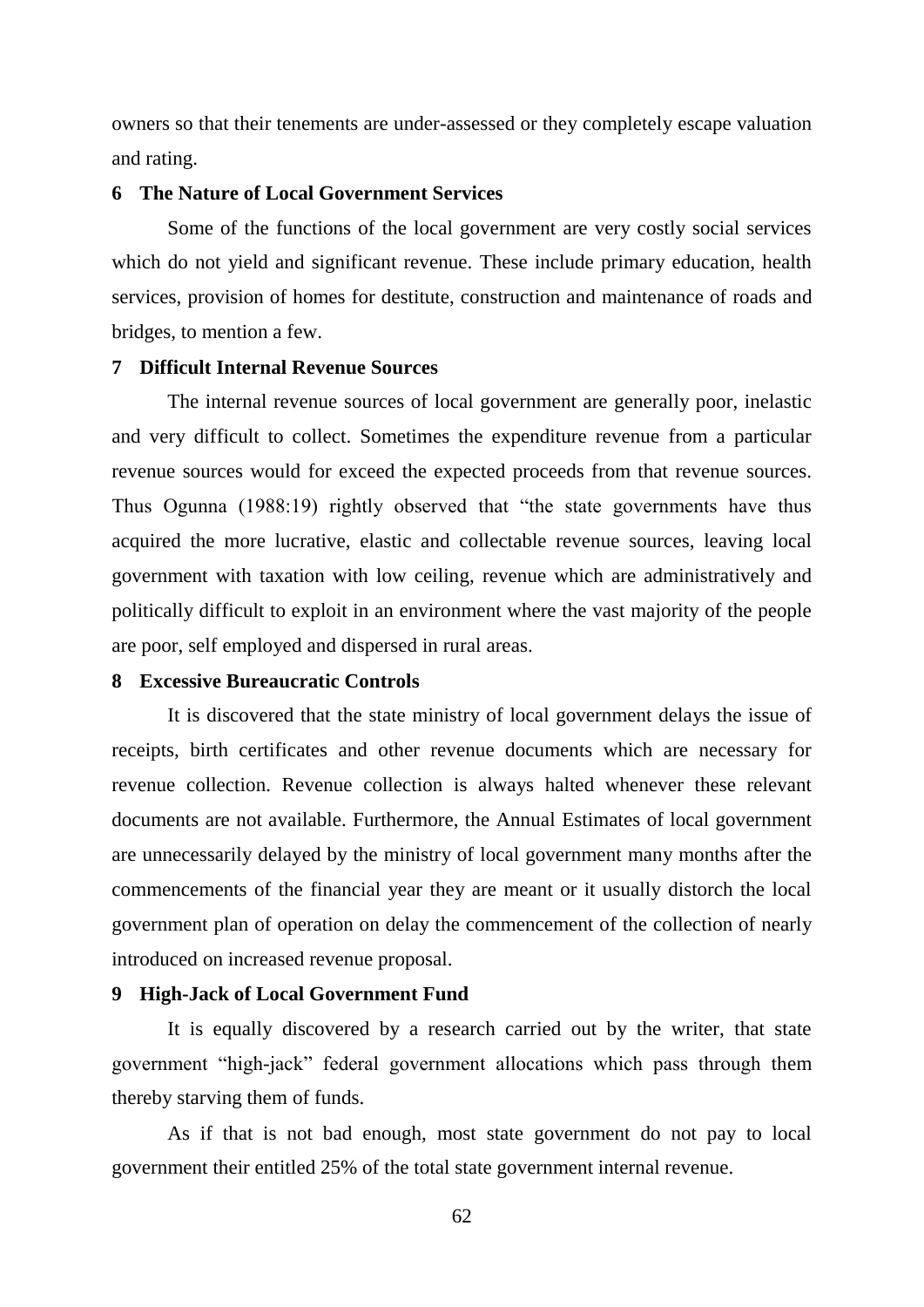owners so that their tenements are under-assessed or they completely escape valuation and rating.

### **6 The Nature of Local Government Services**

Some of the functions of the local government are very costly social services which do not yield and significant revenue. These include primary education, health services, provision of homes for destitute, construction and maintenance of roads and bridges, to mention a few.

# **7 Difficult Internal Revenue Sources**

The internal revenue sources of local government are generally poor, inelastic and very difficult to collect. Sometimes the expenditure revenue from a particular revenue sources would for exceed the expected proceeds from that revenue sources. Thus Ogunna (1988:19) rightly observed that "the state governments have thus acquired the more lucrative, elastic and collectable revenue sources, leaving local government with taxation with low ceiling, revenue which are administratively and politically difficult to exploit in an environment where the vast majority of the people are poor, self employed and dispersed in rural areas.

### **8 Excessive Bureaucratic Controls**

It is discovered that the state ministry of local government delays the issue of receipts, birth certificates and other revenue documents which are necessary for revenue collection. Revenue collection is always halted whenever these relevant documents are not available. Furthermore, the Annual Estimates of local government are unnecessarily delayed by the ministry of local government many months after the commencements of the financial year they are meant or it usually distorch the local government plan of operation on delay the commencement of the collection of nearly introduced on increased revenue proposal.

### **9 High-Jack of Local Government Fund**

It is equally discovered by a research carried out by the writer, that state government "high-jack" federal government allocations which pass through them thereby starving them of funds.

As if that is not bad enough, most state government do not pay to local government their entitled 25% of the total state government internal revenue.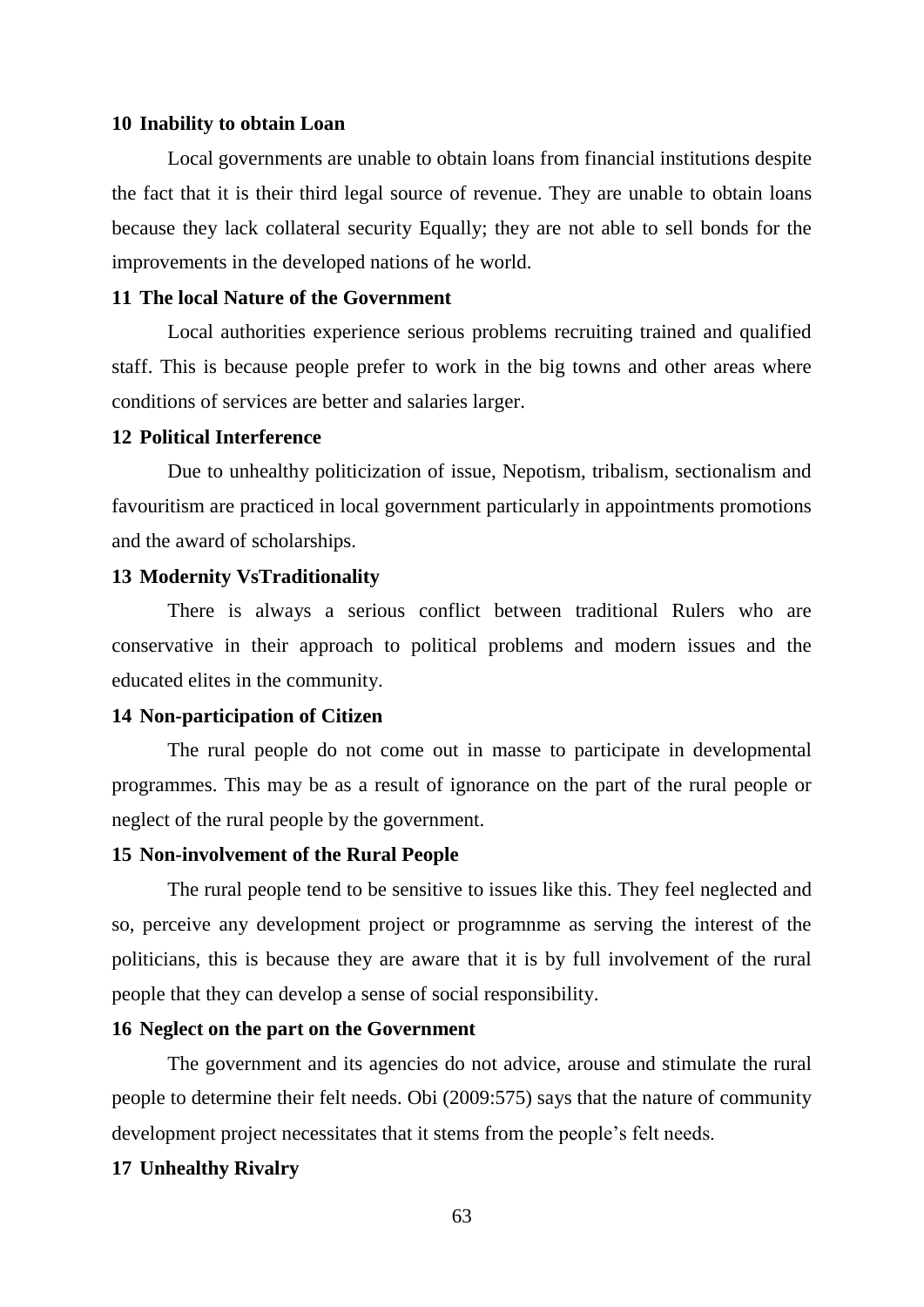### **10 Inability to obtain Loan**

Local governments are unable to obtain loans from financial institutions despite the fact that it is their third legal source of revenue. They are unable to obtain loans because they lack collateral security Equally; they are not able to sell bonds for the improvements in the developed nations of he world.

# **11 The local Nature of the Government**

Local authorities experience serious problems recruiting trained and qualified staff. This is because people prefer to work in the big towns and other areas where conditions of services are better and salaries larger.

### **12 Political Interference**

Due to unhealthy politicization of issue, Nepotism, tribalism, sectionalism and favouritism are practiced in local government particularly in appointments promotions and the award of scholarships.

## **13 Modernity VsTraditionality**

There is always a serious conflict between traditional Rulers who are conservative in their approach to political problems and modern issues and the educated elites in the community.

## **14 Non-participation of Citizen**

The rural people do not come out in masse to participate in developmental programmes. This may be as a result of ignorance on the part of the rural people or neglect of the rural people by the government.

### **15 Non-involvement of the Rural People**

The rural people tend to be sensitive to issues like this. They feel neglected and so, perceive any development project or programnme as serving the interest of the politicians, this is because they are aware that it is by full involvement of the rural people that they can develop a sense of social responsibility.

## **16 Neglect on the part on the Government**

The government and its agencies do not advice, arouse and stimulate the rural people to determine their felt needs. Obi (2009:575) says that the nature of community development project necessitates that it stems from the people"s felt needs.

## **17 Unhealthy Rivalry**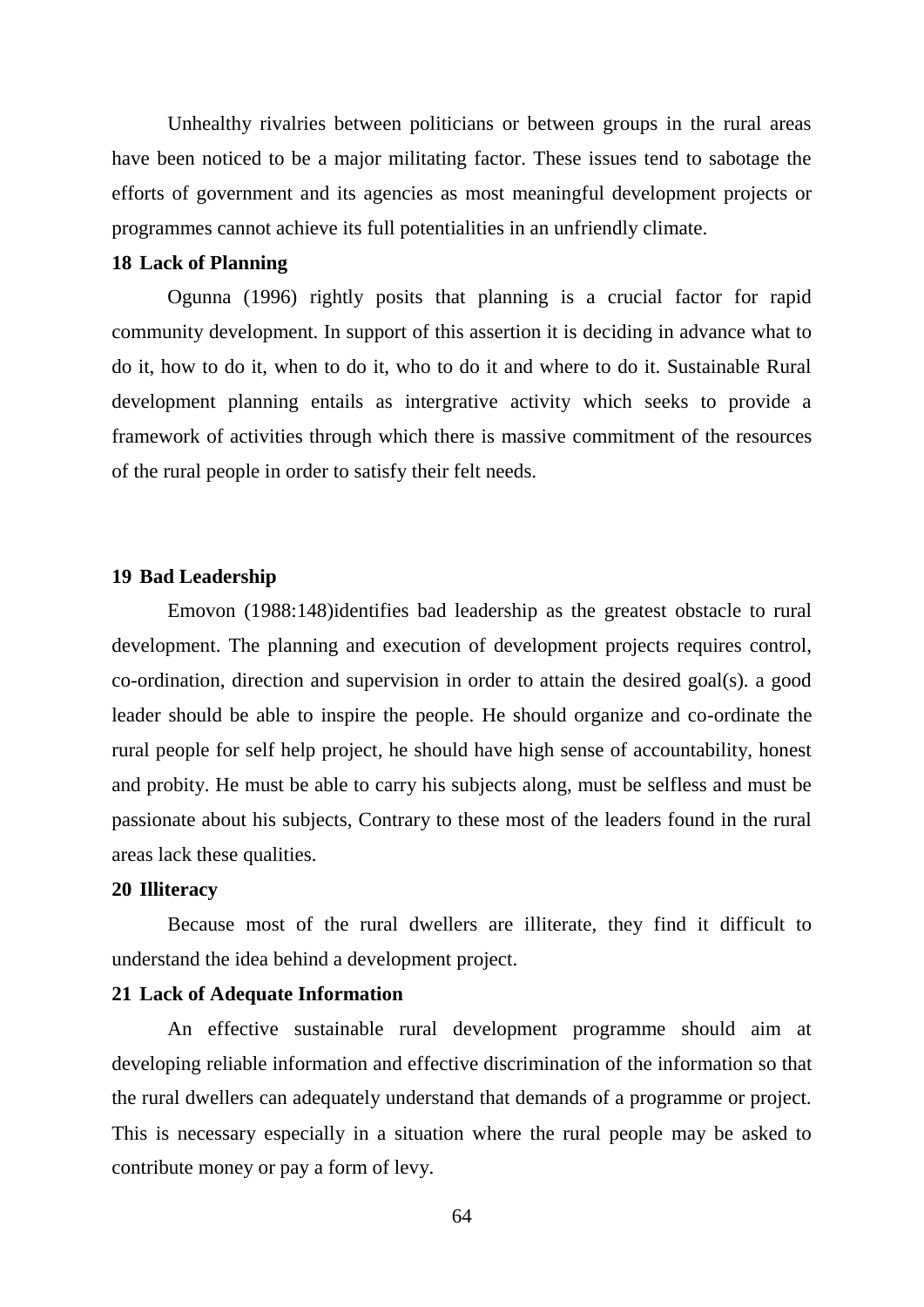Unhealthy rivalries between politicians or between groups in the rural areas have been noticed to be a major militating factor. These issues tend to sabotage the efforts of government and its agencies as most meaningful development projects or programmes cannot achieve its full potentialities in an unfriendly climate.

# **18 Lack of Planning**

Ogunna (1996) rightly posits that planning is a crucial factor for rapid community development. In support of this assertion it is deciding in advance what to do it, how to do it, when to do it, who to do it and where to do it. Sustainable Rural development planning entails as intergrative activity which seeks to provide a framework of activities through which there is massive commitment of the resources of the rural people in order to satisfy their felt needs.

# **19 Bad Leadership**

Emovon (1988:148)identifies bad leadership as the greatest obstacle to rural development. The planning and execution of development projects requires control, co-ordination, direction and supervision in order to attain the desired goal(s). a good leader should be able to inspire the people. He should organize and co-ordinate the rural people for self help project, he should have high sense of accountability, honest and probity. He must be able to carry his subjects along, must be selfless and must be passionate about his subjects, Contrary to these most of the leaders found in the rural areas lack these qualities.

## **20 Illiteracy**

Because most of the rural dwellers are illiterate, they find it difficult to understand the idea behind a development project.

# **21 Lack of Adequate Information**

An effective sustainable rural development programme should aim at developing reliable information and effective discrimination of the information so that the rural dwellers can adequately understand that demands of a programme or project. This is necessary especially in a situation where the rural people may be asked to contribute money or pay a form of levy.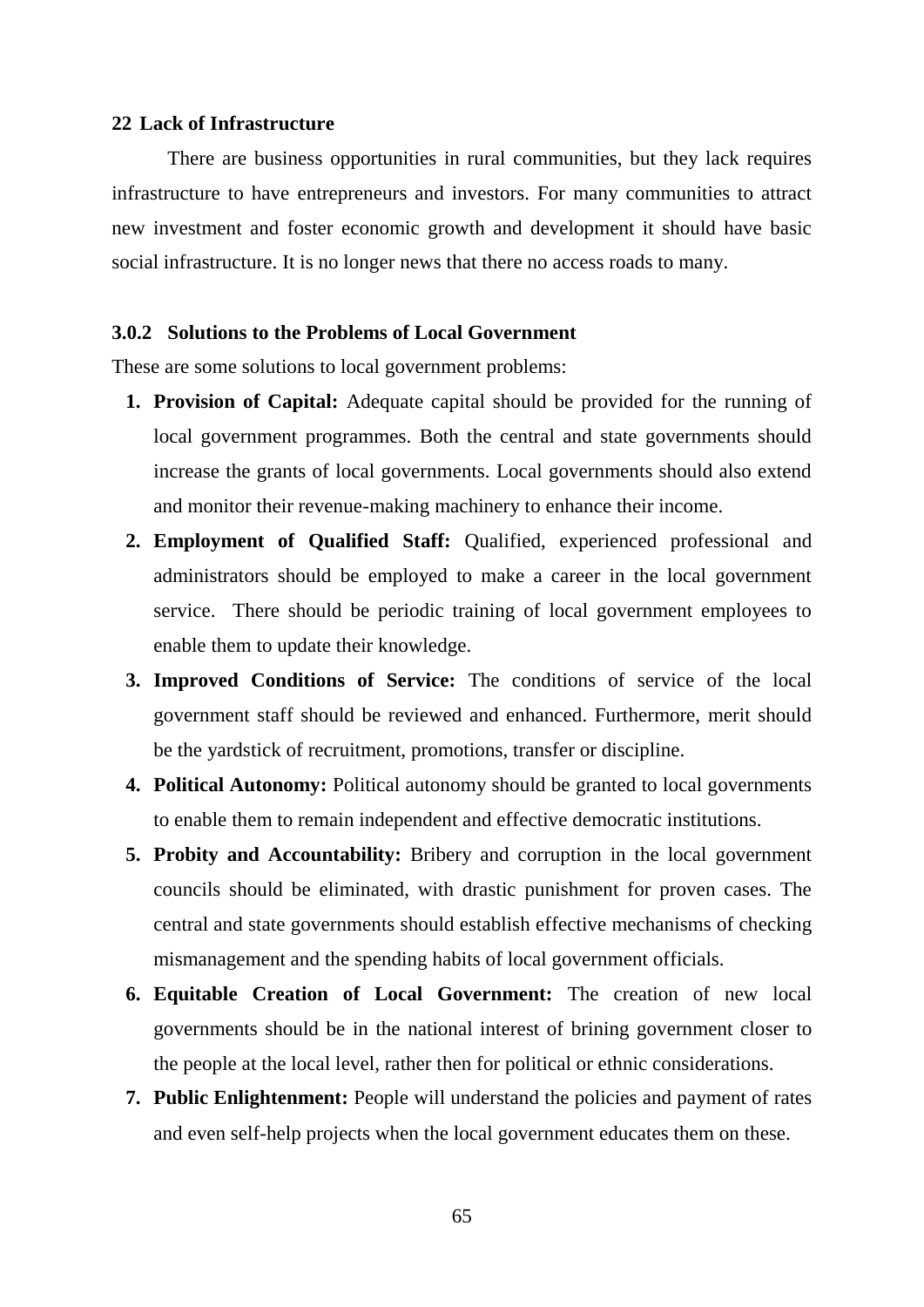### **22 Lack of Infrastructure**

There are business opportunities in rural communities, but they lack requires infrastructure to have entrepreneurs and investors. For many communities to attract new investment and foster economic growth and development it should have basic social infrastructure. It is no longer news that there no access roads to many.

# **3.0.2 Solutions to the Problems of Local Government**

These are some solutions to local government problems:

- **1. Provision of Capital:** Adequate capital should be provided for the running of local government programmes. Both the central and state governments should increase the grants of local governments. Local governments should also extend and monitor their revenue-making machinery to enhance their income.
- **2. Employment of Qualified Staff:** Qualified, experienced professional and administrators should be employed to make a career in the local government service. There should be periodic training of local government employees to enable them to update their knowledge.
- **3. Improved Conditions of Service:** The conditions of service of the local government staff should be reviewed and enhanced. Furthermore, merit should be the yardstick of recruitment, promotions, transfer or discipline.
- **4. Political Autonomy:** Political autonomy should be granted to local governments to enable them to remain independent and effective democratic institutions.
- **5. Probity and Accountability:** Bribery and corruption in the local government councils should be eliminated, with drastic punishment for proven cases. The central and state governments should establish effective mechanisms of checking mismanagement and the spending habits of local government officials.
- **6. Equitable Creation of Local Government:** The creation of new local governments should be in the national interest of brining government closer to the people at the local level, rather then for political or ethnic considerations.
- **7. Public Enlightenment:** People will understand the policies and payment of rates and even self-help projects when the local government educates them on these.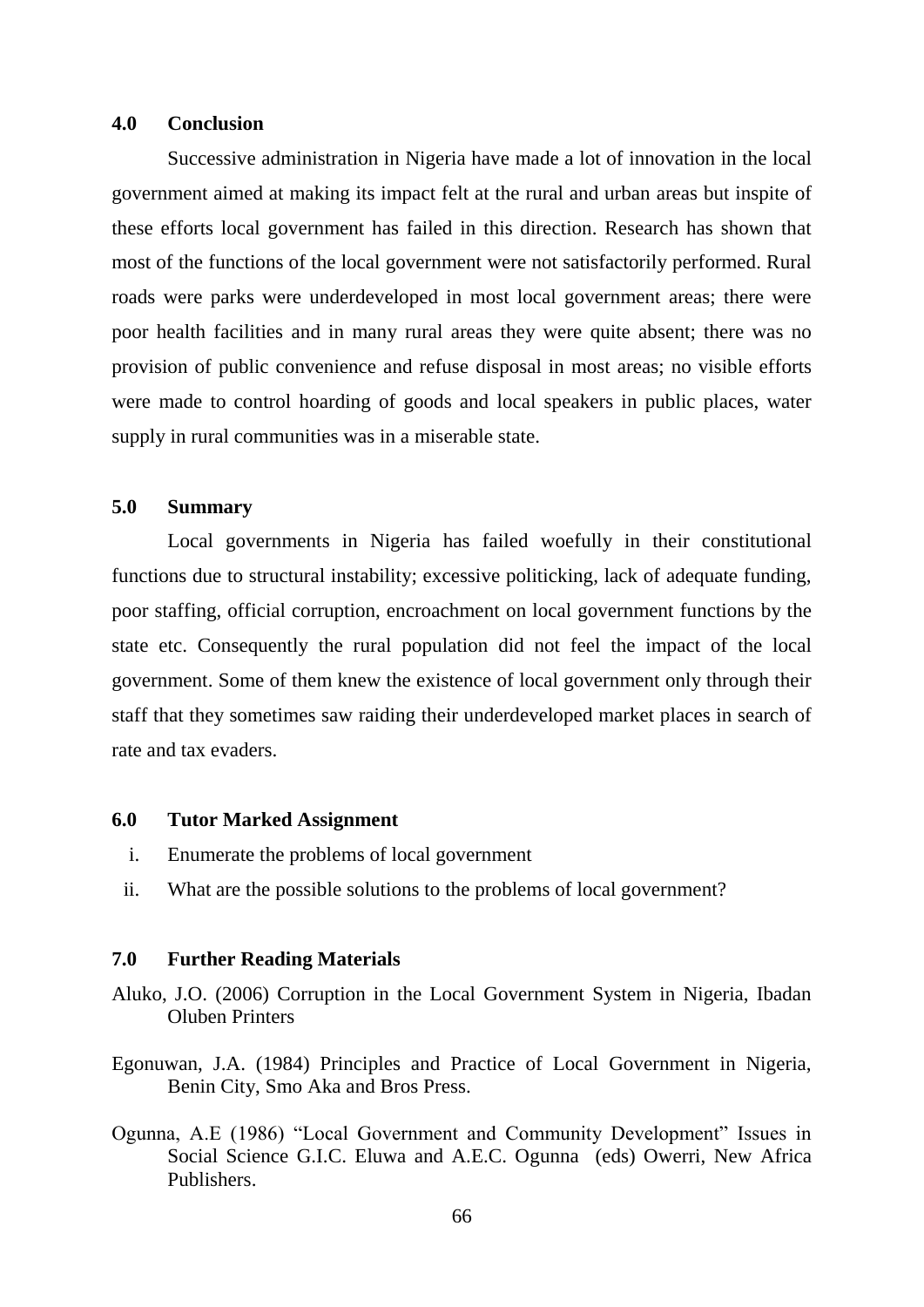### **4.0 Conclusion**

Successive administration in Nigeria have made a lot of innovation in the local government aimed at making its impact felt at the rural and urban areas but inspite of these efforts local government has failed in this direction. Research has shown that most of the functions of the local government were not satisfactorily performed. Rural roads were parks were underdeveloped in most local government areas; there were poor health facilities and in many rural areas they were quite absent; there was no provision of public convenience and refuse disposal in most areas; no visible efforts were made to control hoarding of goods and local speakers in public places, water supply in rural communities was in a miserable state.

# **5.0 Summary**

Local governments in Nigeria has failed woefully in their constitutional functions due to structural instability; excessive politicking, lack of adequate funding, poor staffing, official corruption, encroachment on local government functions by the state etc. Consequently the rural population did not feel the impact of the local government. Some of them knew the existence of local government only through their staff that they sometimes saw raiding their underdeveloped market places in search of rate and tax evaders.

#### **6.0 Tutor Marked Assignment**

- i. Enumerate the problems of local government
- ii. What are the possible solutions to the problems of local government?

### **7.0 Further Reading Materials**

- Aluko, J.O. (2006) Corruption in the Local Government System in Nigeria, Ibadan Oluben Printers
- Egonuwan, J.A. (1984) Principles and Practice of Local Government in Nigeria, Benin City, Smo Aka and Bros Press.
- Ogunna, A.E (1986) "Local Government and Community Development" Issues in Social Science G.I.C. Eluwa and A.E.C. Ogunna (eds) Owerri, New Africa Publishers.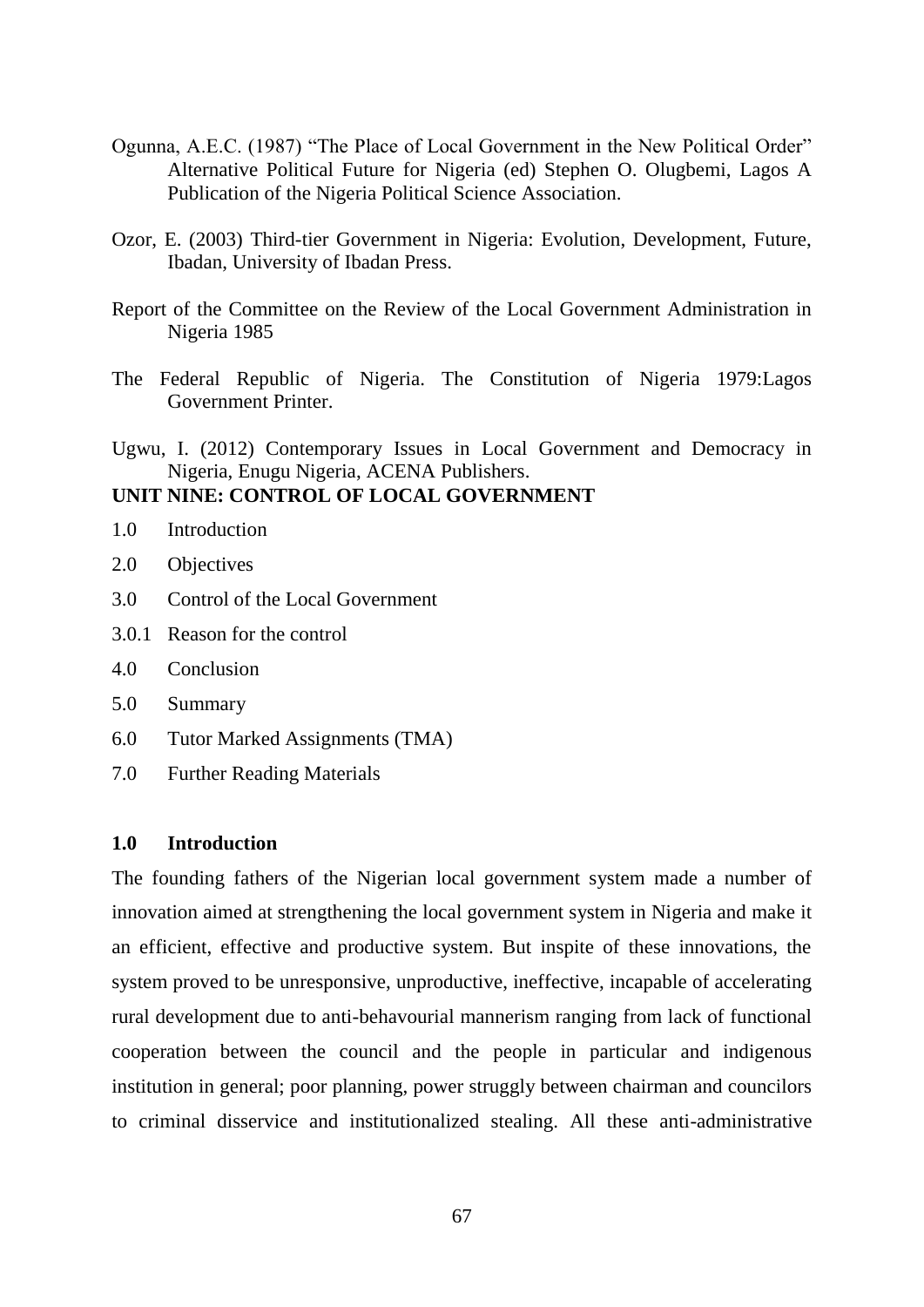- Ogunna, A.E.C. (1987) "The Place of Local Government in the New Political Order" Alternative Political Future for Nigeria (ed) Stephen O. Olugbemi, Lagos A Publication of the Nigeria Political Science Association.
- Ozor, E. (2003) Third-tier Government in Nigeria: Evolution, Development, Future, Ibadan, University of Ibadan Press.
- Report of the Committee on the Review of the Local Government Administration in Nigeria 1985
- The Federal Republic of Nigeria. The Constitution of Nigeria 1979:Lagos Government Printer.
- Ugwu, I. (2012) Contemporary Issues in Local Government and Democracy in Nigeria, Enugu Nigeria, ACENA Publishers.

# **UNIT NINE: CONTROL OF LOCAL GOVERNMENT**

- 1.0 Introduction
- 2.0 Objectives
- 3.0 Control of the Local Government
- 3.0.1 Reason for the control
- 4.0 Conclusion
- 5.0 Summary
- 6.0 Tutor Marked Assignments (TMA)
- 7.0 Further Reading Materials

# **1.0 Introduction**

The founding fathers of the Nigerian local government system made a number of innovation aimed at strengthening the local government system in Nigeria and make it an efficient, effective and productive system. But inspite of these innovations, the system proved to be unresponsive, unproductive, ineffective, incapable of accelerating rural development due to anti-behavourial mannerism ranging from lack of functional cooperation between the council and the people in particular and indigenous institution in general; poor planning, power struggly between chairman and councilors to criminal disservice and institutionalized stealing. All these anti-administrative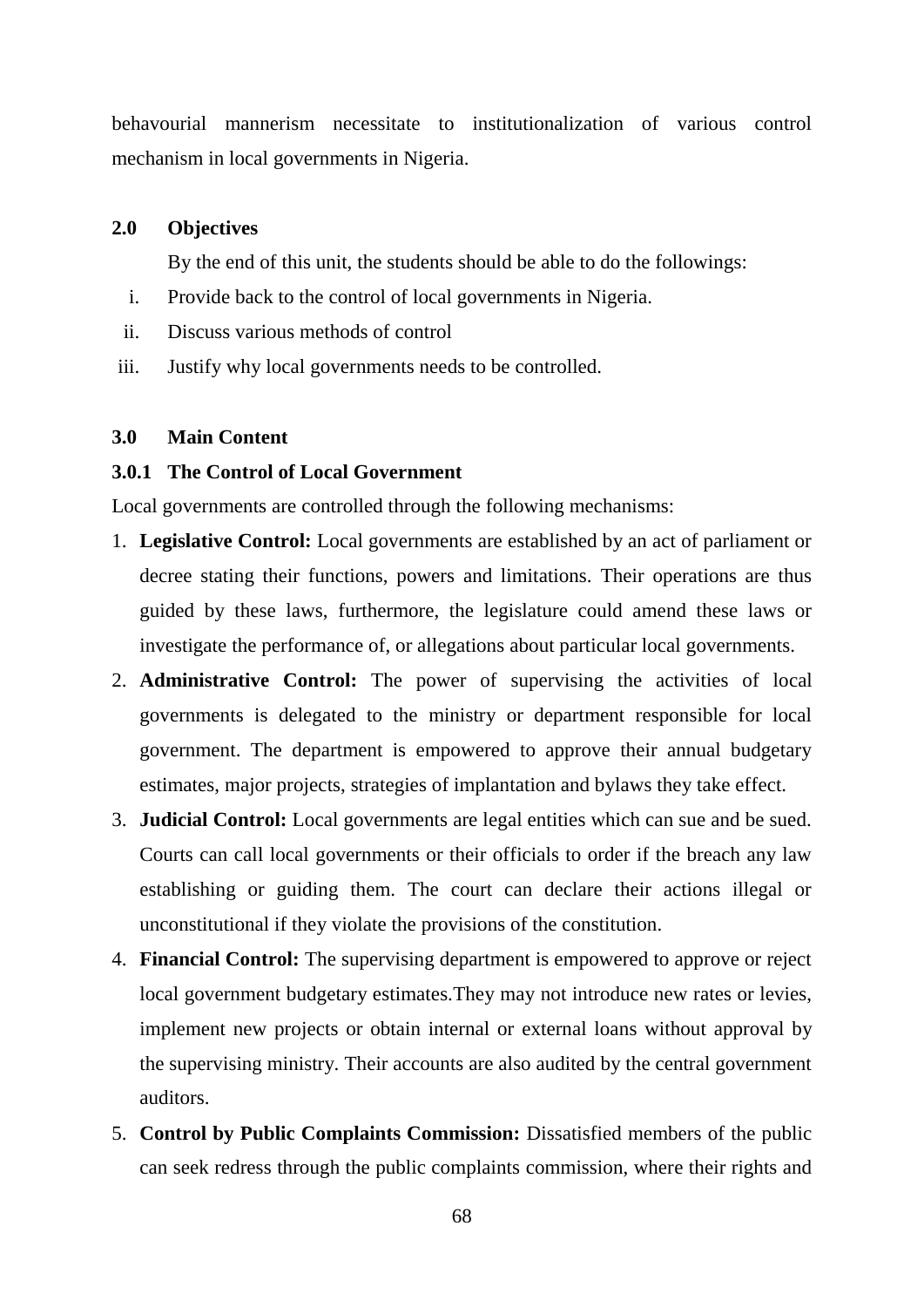behavourial mannerism necessitate to institutionalization of various control mechanism in local governments in Nigeria.

## **2.0 Objectives**

By the end of this unit, the students should be able to do the followings:

- i. Provide back to the control of local governments in Nigeria.
- ii. Discuss various methods of control
- iii. Justify why local governments needs to be controlled.

# **3.0 Main Content**

## **3.0.1 The Control of Local Government**

Local governments are controlled through the following mechanisms:

- 1. **Legislative Control:** Local governments are established by an act of parliament or decree stating their functions, powers and limitations. Their operations are thus guided by these laws, furthermore, the legislature could amend these laws or investigate the performance of, or allegations about particular local governments.
- 2. **Administrative Control:** The power of supervising the activities of local governments is delegated to the ministry or department responsible for local government. The department is empowered to approve their annual budgetary estimates, major projects, strategies of implantation and bylaws they take effect.
- 3. **Judicial Control:** Local governments are legal entities which can sue and be sued. Courts can call local governments or their officials to order if the breach any law establishing or guiding them. The court can declare their actions illegal or unconstitutional if they violate the provisions of the constitution.
- 4. **Financial Control:** The supervising department is empowered to approve or reject local government budgetary estimates.They may not introduce new rates or levies, implement new projects or obtain internal or external loans without approval by the supervising ministry. Their accounts are also audited by the central government auditors.
- 5. **Control by Public Complaints Commission:** Dissatisfied members of the public can seek redress through the public complaints commission, where their rights and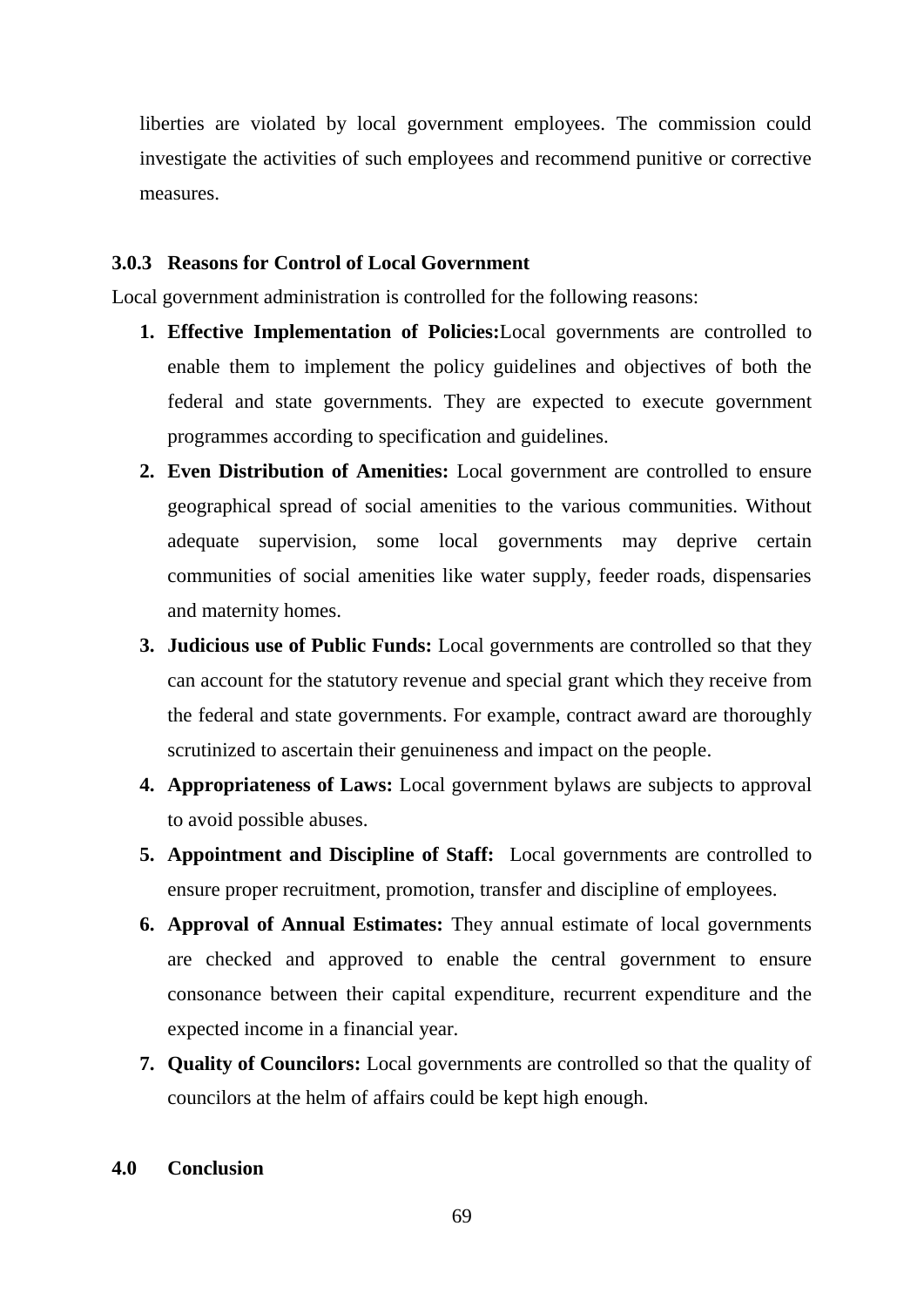liberties are violated by local government employees. The commission could investigate the activities of such employees and recommend punitive or corrective measures.

# **3.0.3 Reasons for Control of Local Government**

Local government administration is controlled for the following reasons:

- **1. Effective Implementation of Policies:**Local governments are controlled to enable them to implement the policy guidelines and objectives of both the federal and state governments. They are expected to execute government programmes according to specification and guidelines.
- **2. Even Distribution of Amenities:** Local government are controlled to ensure geographical spread of social amenities to the various communities. Without adequate supervision, some local governments may deprive certain communities of social amenities like water supply, feeder roads, dispensaries and maternity homes.
- **3. Judicious use of Public Funds:** Local governments are controlled so that they can account for the statutory revenue and special grant which they receive from the federal and state governments. For example, contract award are thoroughly scrutinized to ascertain their genuineness and impact on the people.
- **4. Appropriateness of Laws:** Local government bylaws are subjects to approval to avoid possible abuses.
- **5. Appointment and Discipline of Staff:** Local governments are controlled to ensure proper recruitment, promotion, transfer and discipline of employees.
- **6. Approval of Annual Estimates:** They annual estimate of local governments are checked and approved to enable the central government to ensure consonance between their capital expenditure, recurrent expenditure and the expected income in a financial year.
- **7. Quality of Councilors:** Local governments are controlled so that the quality of councilors at the helm of affairs could be kept high enough.

# **4.0 Conclusion**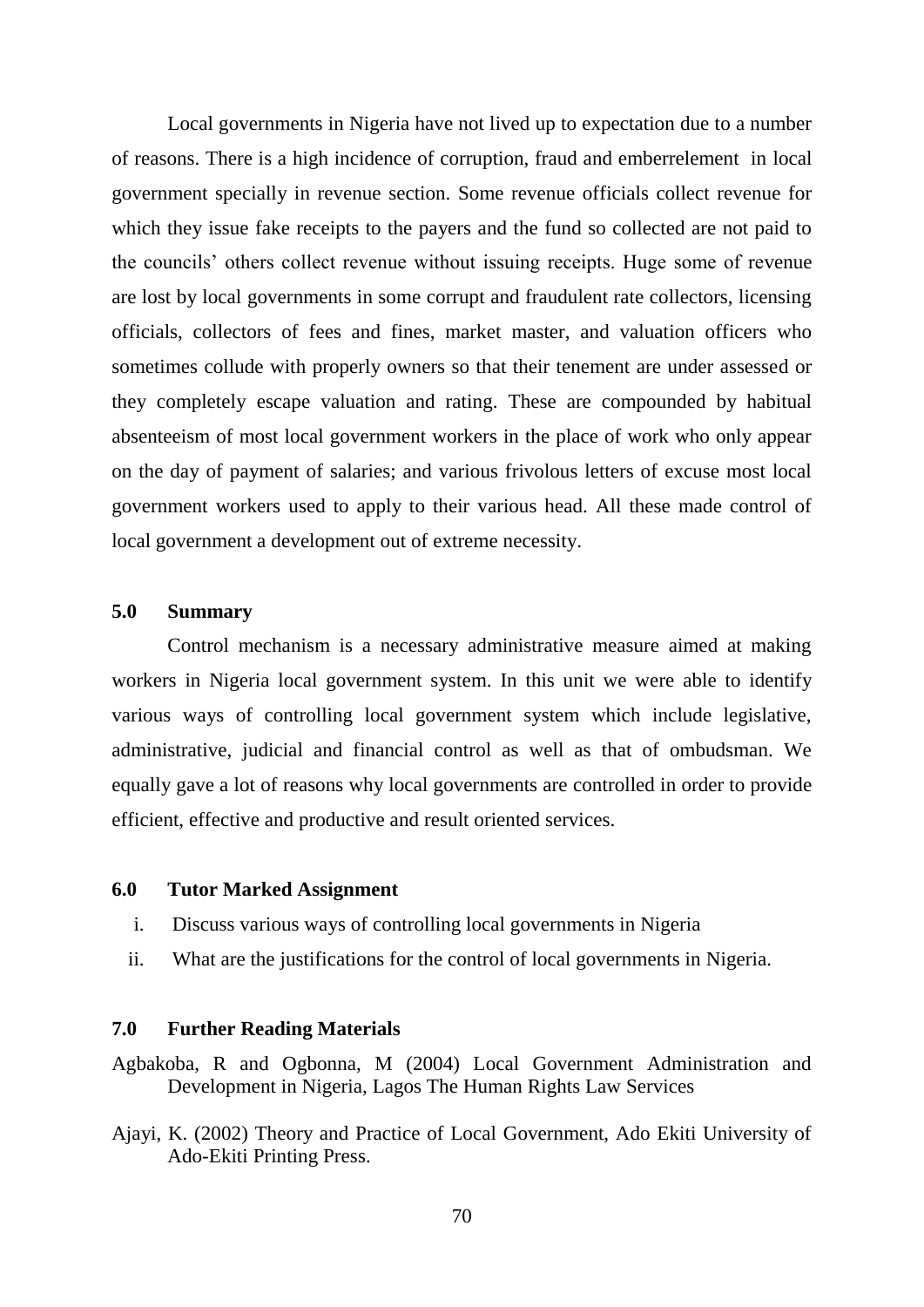Local governments in Nigeria have not lived up to expectation due to a number of reasons. There is a high incidence of corruption, fraud and emberrelement in local government specially in revenue section. Some revenue officials collect revenue for which they issue fake receipts to the payers and the fund so collected are not paid to the councils" others collect revenue without issuing receipts. Huge some of revenue are lost by local governments in some corrupt and fraudulent rate collectors, licensing officials, collectors of fees and fines, market master, and valuation officers who sometimes collude with properly owners so that their tenement are under assessed or they completely escape valuation and rating. These are compounded by habitual absenteeism of most local government workers in the place of work who only appear on the day of payment of salaries; and various frivolous letters of excuse most local government workers used to apply to their various head. All these made control of local government a development out of extreme necessity.

## **5.0 Summary**

Control mechanism is a necessary administrative measure aimed at making workers in Nigeria local government system. In this unit we were able to identify various ways of controlling local government system which include legislative, administrative, judicial and financial control as well as that of ombudsman. We equally gave a lot of reasons why local governments are controlled in order to provide efficient, effective and productive and result oriented services.

### **6.0 Tutor Marked Assignment**

- i. Discuss various ways of controlling local governments in Nigeria
- ii. What are the justifications for the control of local governments in Nigeria.

### **7.0 Further Reading Materials**

- Agbakoba, R and Ogbonna, M (2004) Local Government Administration and Development in Nigeria, Lagos The Human Rights Law Services
- Ajayi, K. (2002) Theory and Practice of Local Government, Ado Ekiti University of Ado-Ekiti Printing Press.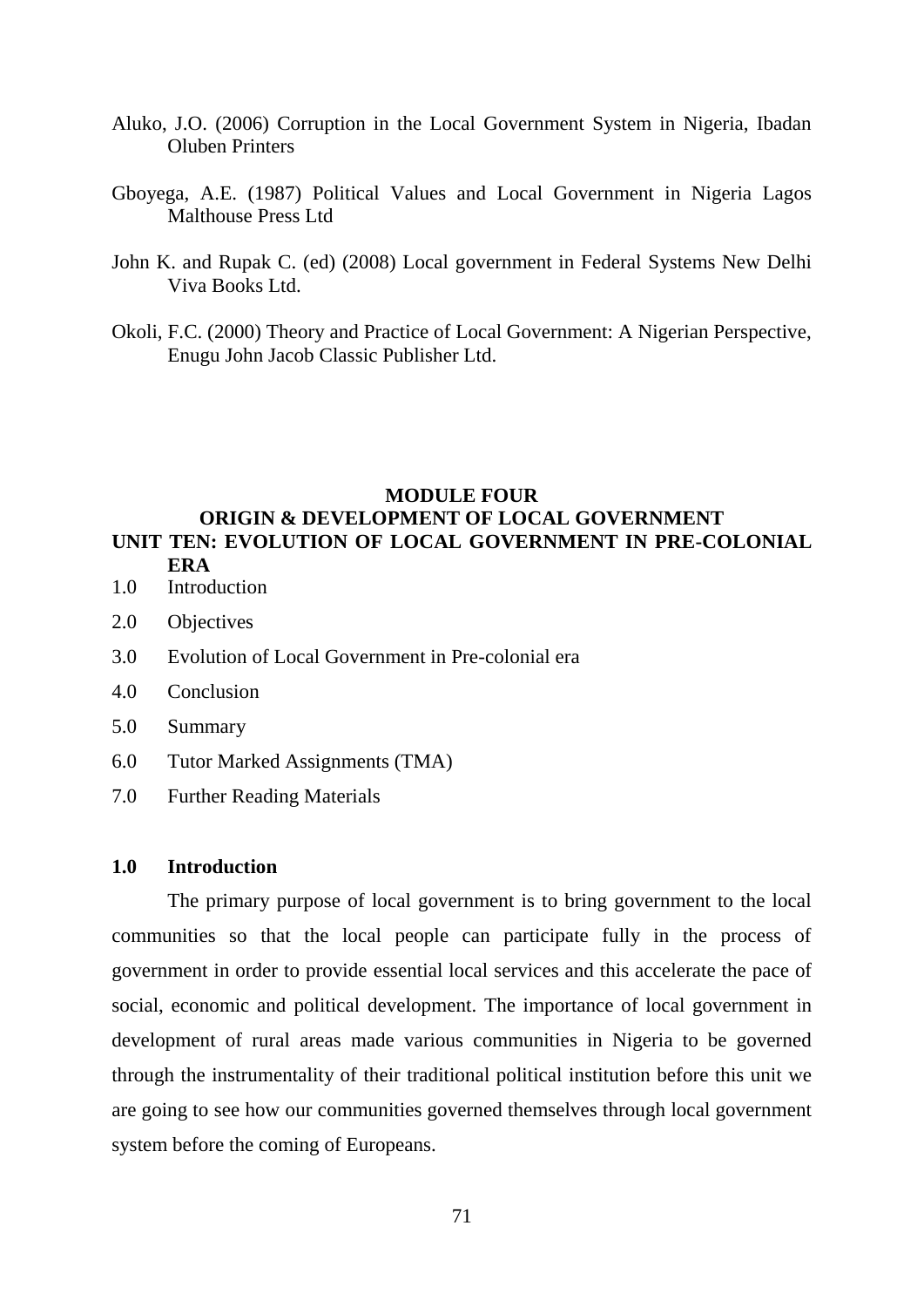- Aluko, J.O. (2006) Corruption in the Local Government System in Nigeria, Ibadan Oluben Printers
- Gboyega, A.E. (1987) Political Values and Local Government in Nigeria Lagos Malthouse Press Ltd
- John K. and Rupak C. (ed) (2008) Local government in Federal Systems New Delhi Viva Books Ltd.
- Okoli, F.C. (2000) Theory and Practice of Local Government: A Nigerian Perspective, Enugu John Jacob Classic Publisher Ltd.

# **MODULE FOUR ORIGIN & DEVELOPMENT OF LOCAL GOVERNMENT UNIT TEN: EVOLUTION OF LOCAL GOVERNMENT IN PRE-COLONIAL ERA**

- 1.0 Introduction
- 2.0 Objectives
- 3.0 Evolution of Local Government in Pre-colonial era
- 4.0 Conclusion
- 5.0 Summary
- 6.0 Tutor Marked Assignments (TMA)
- 7.0 Further Reading Materials

## **1.0 Introduction**

The primary purpose of local government is to bring government to the local communities so that the local people can participate fully in the process of government in order to provide essential local services and this accelerate the pace of social, economic and political development. The importance of local government in development of rural areas made various communities in Nigeria to be governed through the instrumentality of their traditional political institution before this unit we are going to see how our communities governed themselves through local government system before the coming of Europeans.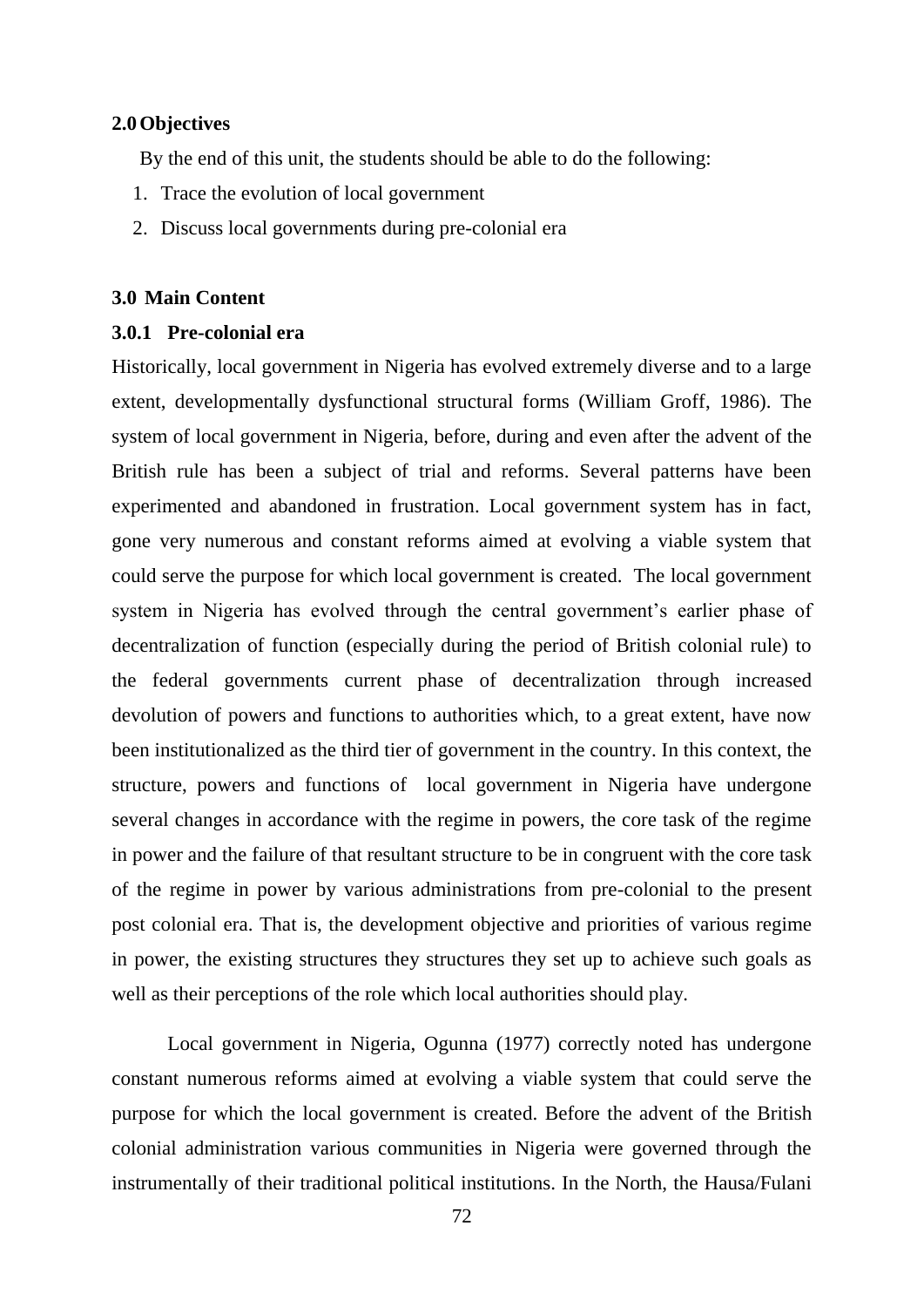## **2.0Objectives**

By the end of this unit, the students should be able to do the following:

- 1. Trace the evolution of local government
- 2. Discuss local governments during pre-colonial era

# **3.0 Main Content**

# **3.0.1 Pre-colonial era**

Historically, local government in Nigeria has evolved extremely diverse and to a large extent, developmentally dysfunctional structural forms (William Groff, 1986). The system of local government in Nigeria, before, during and even after the advent of the British rule has been a subject of trial and reforms. Several patterns have been experimented and abandoned in frustration. Local government system has in fact, gone very numerous and constant reforms aimed at evolving a viable system that could serve the purpose for which local government is created. The local government system in Nigeria has evolved through the central government's earlier phase of decentralization of function (especially during the period of British colonial rule) to the federal governments current phase of decentralization through increased devolution of powers and functions to authorities which, to a great extent, have now been institutionalized as the third tier of government in the country. In this context, the structure, powers and functions of local government in Nigeria have undergone several changes in accordance with the regime in powers, the core task of the regime in power and the failure of that resultant structure to be in congruent with the core task of the regime in power by various administrations from pre-colonial to the present post colonial era. That is, the development objective and priorities of various regime in power, the existing structures they structures they set up to achieve such goals as well as their perceptions of the role which local authorities should play.

Local government in Nigeria, Ogunna (1977) correctly noted has undergone constant numerous reforms aimed at evolving a viable system that could serve the purpose for which the local government is created. Before the advent of the British colonial administration various communities in Nigeria were governed through the instrumentally of their traditional political institutions. In the North, the Hausa/Fulani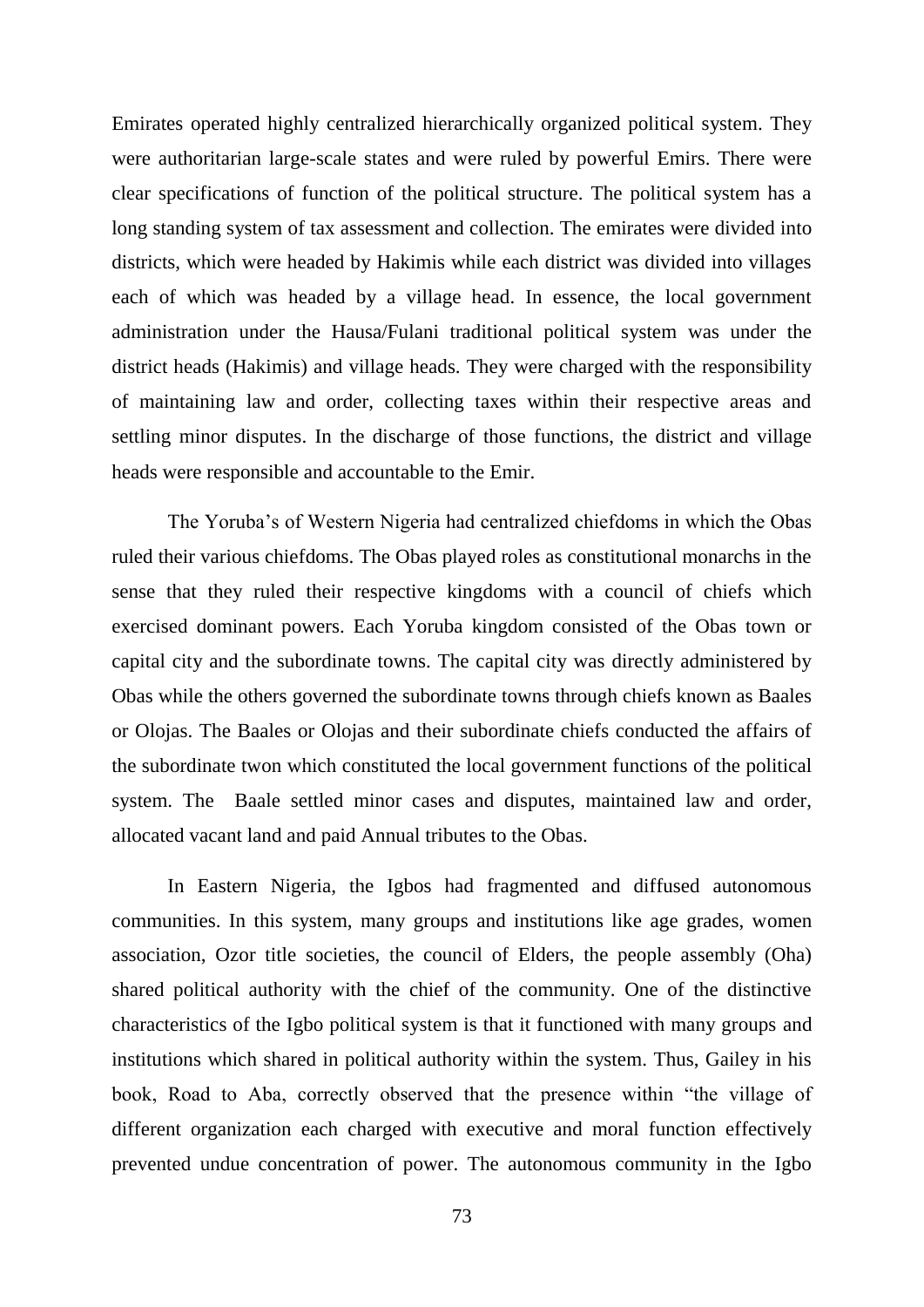Emirates operated highly centralized hierarchically organized political system. They were authoritarian large-scale states and were ruled by powerful Emirs. There were clear specifications of function of the political structure. The political system has a long standing system of tax assessment and collection. The emirates were divided into districts, which were headed by Hakimis while each district was divided into villages each of which was headed by a village head. In essence, the local government administration under the Hausa/Fulani traditional political system was under the district heads (Hakimis) and village heads. They were charged with the responsibility of maintaining law and order, collecting taxes within their respective areas and settling minor disputes. In the discharge of those functions, the district and village heads were responsible and accountable to the Emir.

The Yoruba"s of Western Nigeria had centralized chiefdoms in which the Obas ruled their various chiefdoms. The Obas played roles as constitutional monarchs in the sense that they ruled their respective kingdoms with a council of chiefs which exercised dominant powers. Each Yoruba kingdom consisted of the Obas town or capital city and the subordinate towns. The capital city was directly administered by Obas while the others governed the subordinate towns through chiefs known as Baales or Olojas. The Baales or Olojas and their subordinate chiefs conducted the affairs of the subordinate twon which constituted the local government functions of the political system. The Baale settled minor cases and disputes, maintained law and order, allocated vacant land and paid Annual tributes to the Obas.

In Eastern Nigeria, the Igbos had fragmented and diffused autonomous communities. In this system, many groups and institutions like age grades, women association, Ozor title societies, the council of Elders, the people assembly (Oha) shared political authority with the chief of the community. One of the distinctive characteristics of the Igbo political system is that it functioned with many groups and institutions which shared in political authority within the system. Thus, Gailey in his book, Road to Aba, correctly observed that the presence within "the village of different organization each charged with executive and moral function effectively prevented undue concentration of power. The autonomous community in the Igbo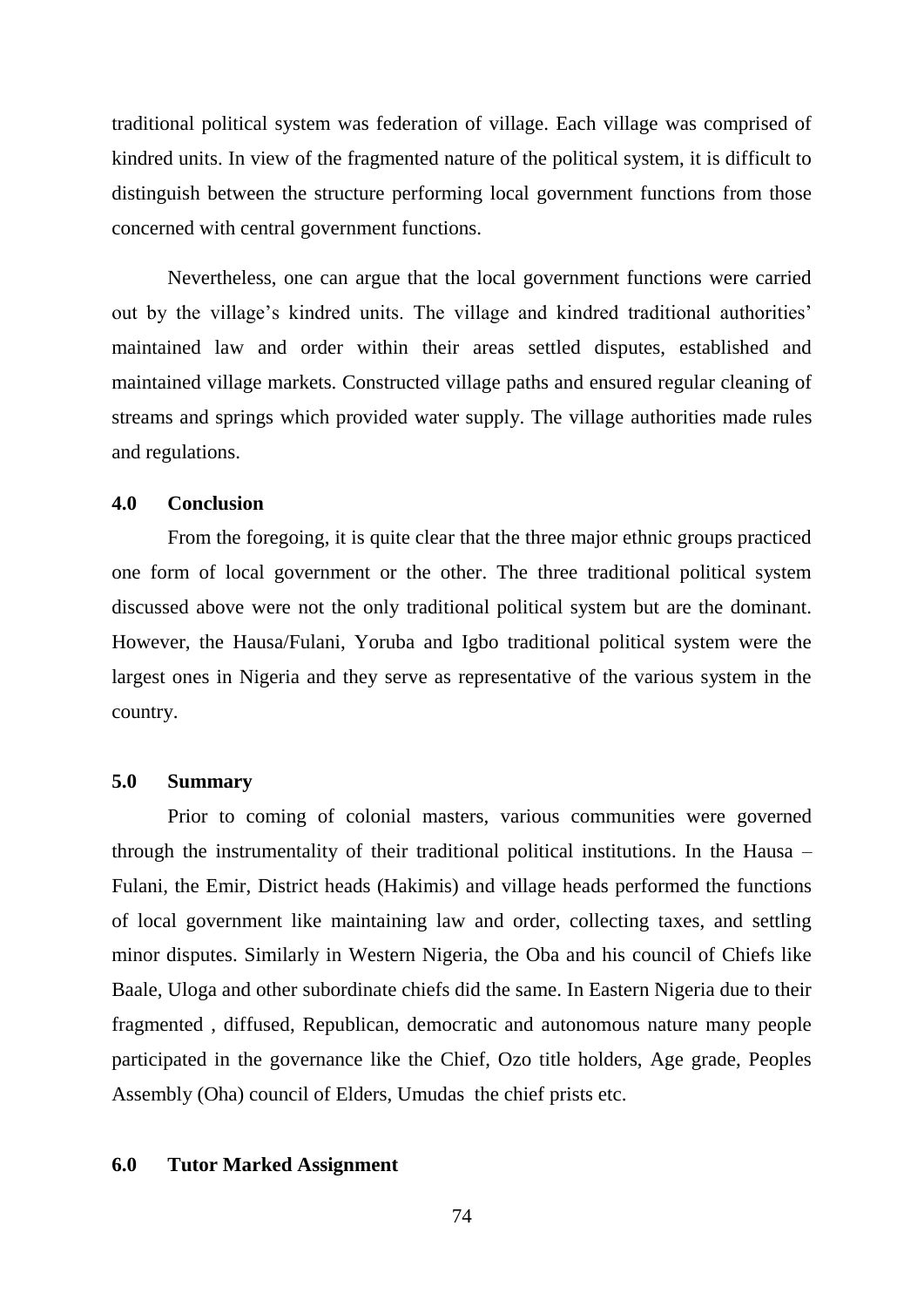traditional political system was federation of village. Each village was comprised of kindred units. In view of the fragmented nature of the political system, it is difficult to distinguish between the structure performing local government functions from those concerned with central government functions.

Nevertheless, one can argue that the local government functions were carried out by the village's kindred units. The village and kindred traditional authorities' maintained law and order within their areas settled disputes, established and maintained village markets. Constructed village paths and ensured regular cleaning of streams and springs which provided water supply. The village authorities made rules and regulations.

### **4.0 Conclusion**

From the foregoing, it is quite clear that the three major ethnic groups practiced one form of local government or the other. The three traditional political system discussed above were not the only traditional political system but are the dominant. However, the Hausa/Fulani, Yoruba and Igbo traditional political system were the largest ones in Nigeria and they serve as representative of the various system in the country.

#### **5.0 Summary**

Prior to coming of colonial masters, various communities were governed through the instrumentality of their traditional political institutions. In the Hausa – Fulani, the Emir, District heads (Hakimis) and village heads performed the functions of local government like maintaining law and order, collecting taxes, and settling minor disputes. Similarly in Western Nigeria, the Oba and his council of Chiefs like Baale, Uloga and other subordinate chiefs did the same. In Eastern Nigeria due to their fragmented , diffused, Republican, democratic and autonomous nature many people participated in the governance like the Chief, Ozo title holders, Age grade, Peoples Assembly (Oha) council of Elders, Umudas the chief prists etc.

#### **6.0 Tutor Marked Assignment**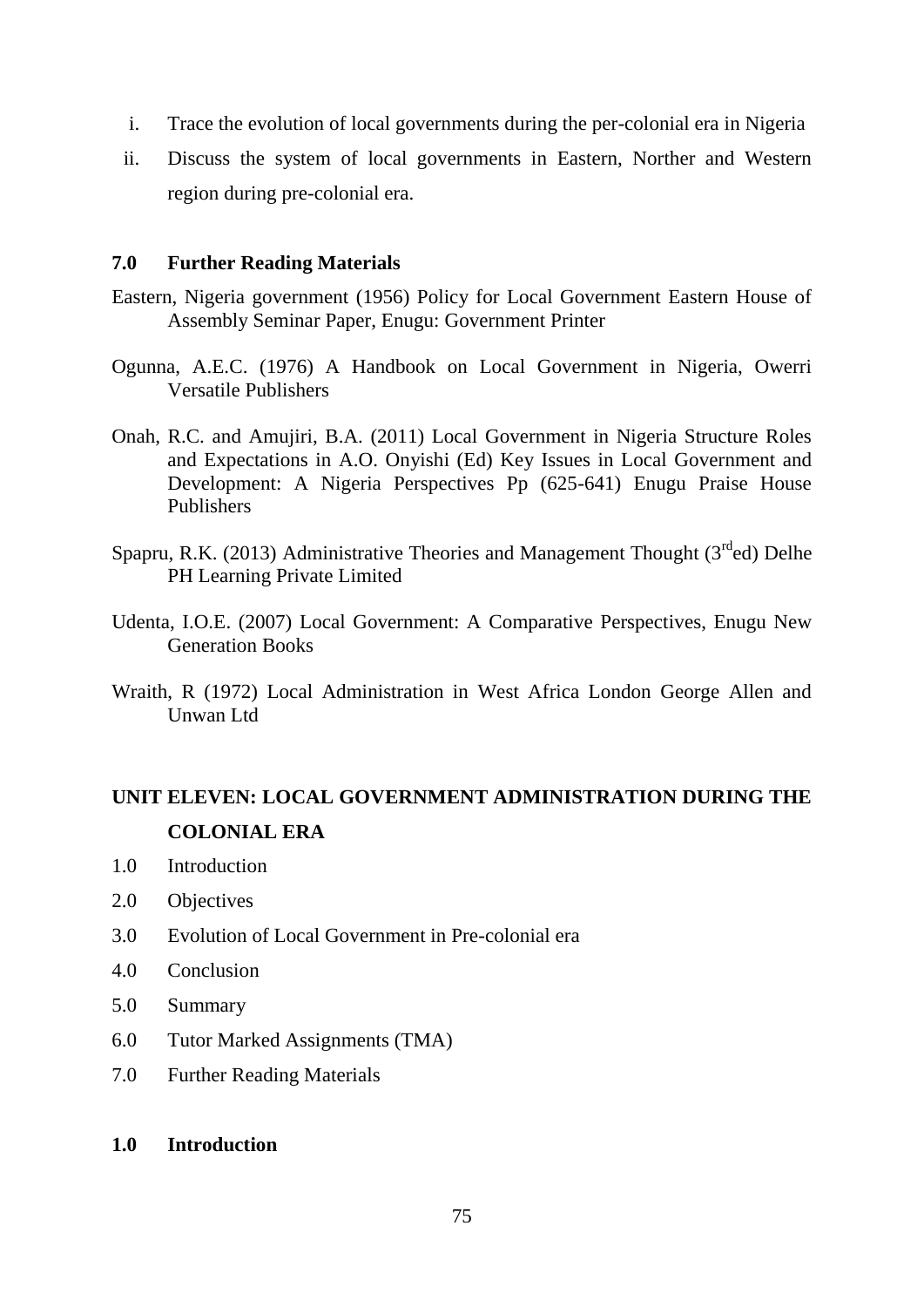- i. Trace the evolution of local governments during the per-colonial era in Nigeria
- ii. Discuss the system of local governments in Eastern, Norther and Western region during pre-colonial era.

# **7.0 Further Reading Materials**

- Eastern, Nigeria government (1956) Policy for Local Government Eastern House of Assembly Seminar Paper, Enugu: Government Printer
- Ogunna, A.E.C. (1976) A Handbook on Local Government in Nigeria, Owerri Versatile Publishers
- Onah, R.C. and Amujiri, B.A. (2011) Local Government in Nigeria Structure Roles and Expectations in A.O. Onyishi (Ed) Key Issues in Local Government and Development: A Nigeria Perspectives Pp (625-641) Enugu Praise House Publishers
- Spapru, R.K. (2013) Administrative Theories and Management Thought ( $3<sup>rd</sup>$ ed) Delhe PH Learning Private Limited
- Udenta, I.O.E. (2007) Local Government: A Comparative Perspectives, Enugu New Generation Books
- Wraith, R (1972) Local Administration in West Africa London George Allen and Unwan Ltd

# **UNIT ELEVEN: LOCAL GOVERNMENT ADMINISTRATION DURING THE COLONIAL ERA**

- 1.0 Introduction
- 2.0 Objectives
- 3.0 Evolution of Local Government in Pre-colonial era
- 4.0 Conclusion
- 5.0 Summary
- 6.0 Tutor Marked Assignments (TMA)
- 7.0 Further Reading Materials
- **1.0 Introduction**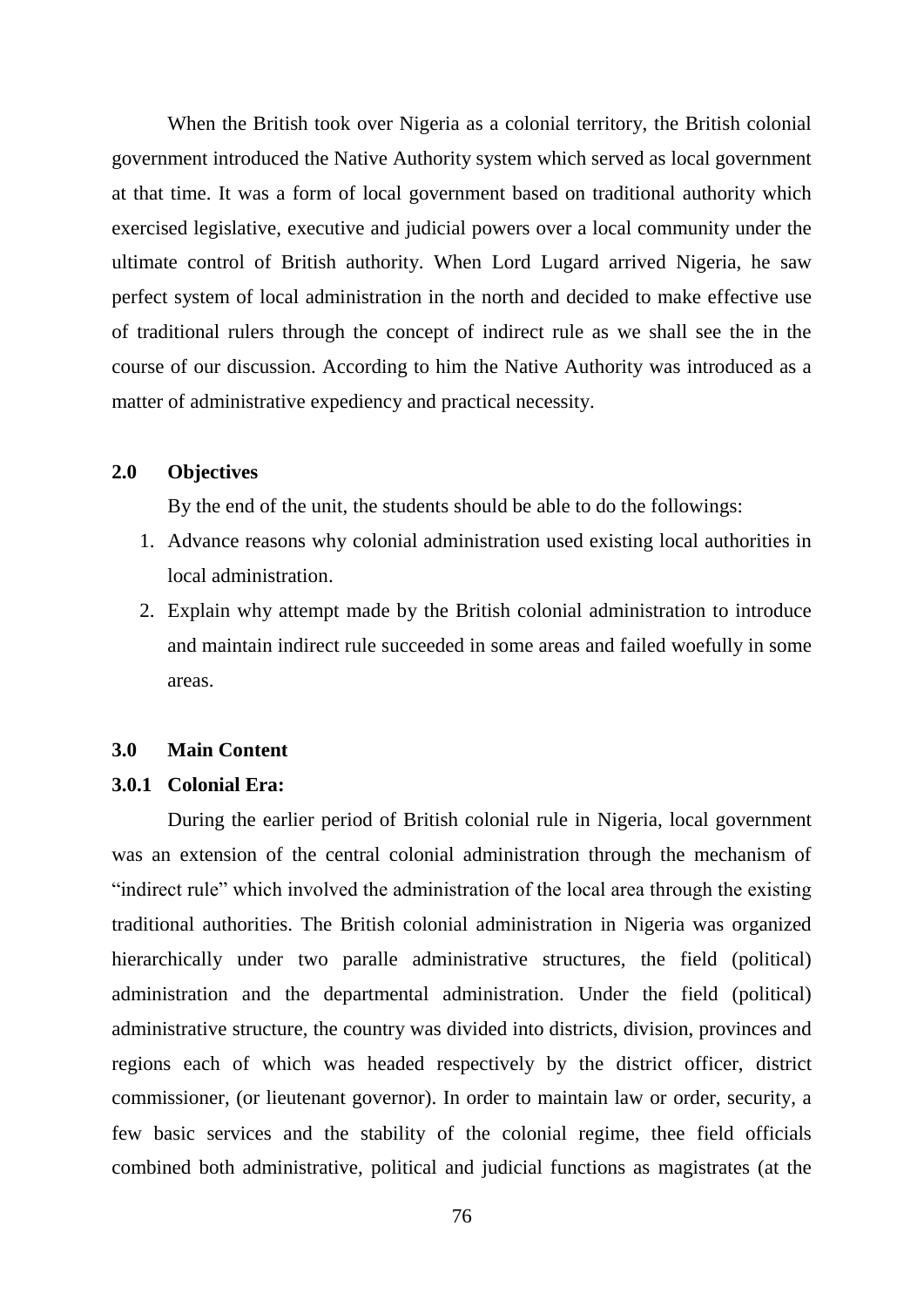When the British took over Nigeria as a colonial territory, the British colonial government introduced the Native Authority system which served as local government at that time. It was a form of local government based on traditional authority which exercised legislative, executive and judicial powers over a local community under the ultimate control of British authority. When Lord Lugard arrived Nigeria, he saw perfect system of local administration in the north and decided to make effective use of traditional rulers through the concept of indirect rule as we shall see the in the course of our discussion. According to him the Native Authority was introduced as a matter of administrative expediency and practical necessity.

### **2.0 Objectives**

By the end of the unit, the students should be able to do the followings:

- 1. Advance reasons why colonial administration used existing local authorities in local administration.
- 2. Explain why attempt made by the British colonial administration to introduce and maintain indirect rule succeeded in some areas and failed woefully in some areas.

#### **3.0 Main Content**

## **3.0.1 Colonial Era:**

During the earlier period of British colonial rule in Nigeria, local government was an extension of the central colonial administration through the mechanism of "indirect rule" which involved the administration of the local area through the existing traditional authorities. The British colonial administration in Nigeria was organized hierarchically under two paralle administrative structures, the field (political) administration and the departmental administration. Under the field (political) administrative structure, the country was divided into districts, division, provinces and regions each of which was headed respectively by the district officer, district commissioner, (or lieutenant governor). In order to maintain law or order, security, a few basic services and the stability of the colonial regime, thee field officials combined both administrative, political and judicial functions as magistrates (at the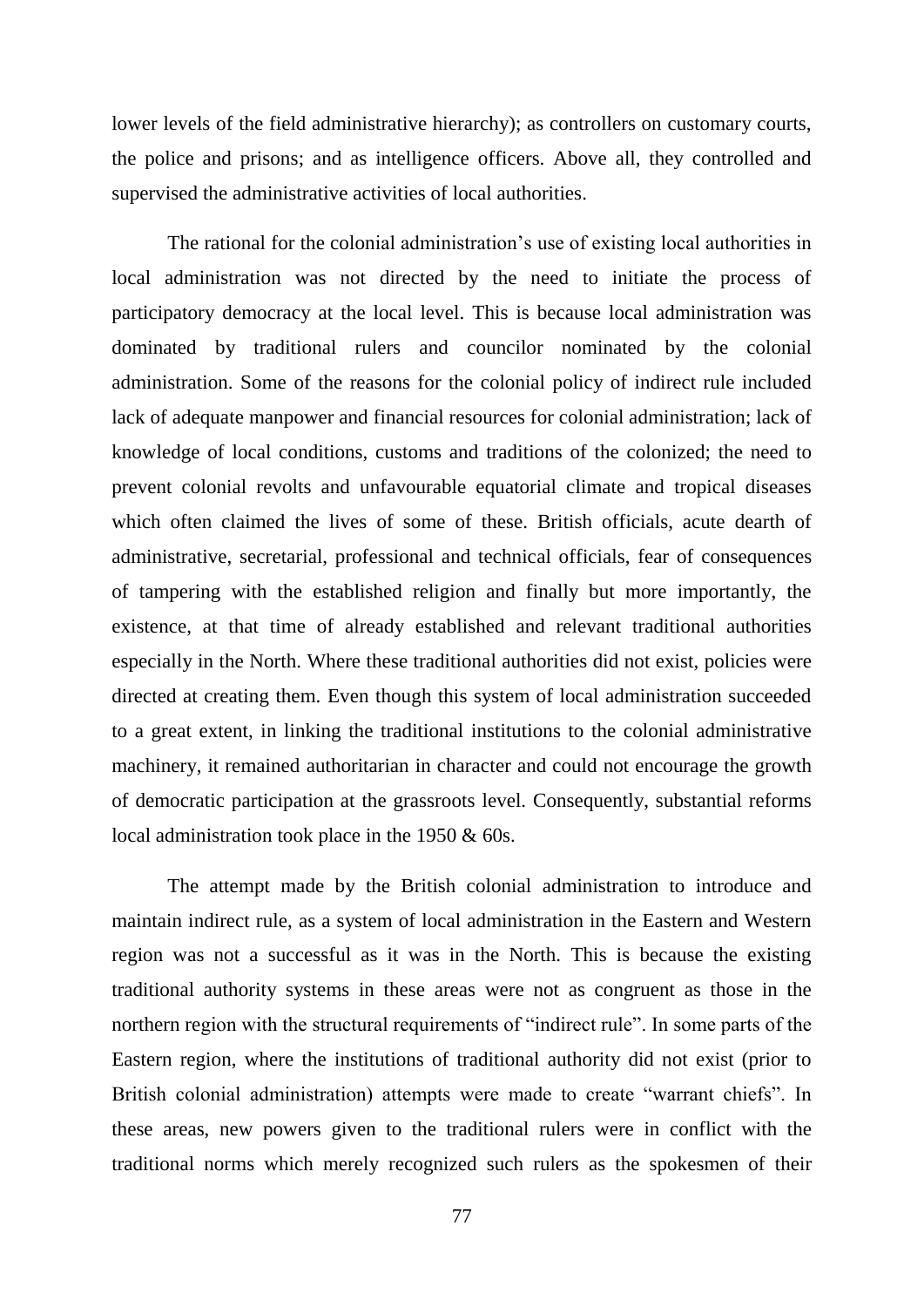lower levels of the field administrative hierarchy); as controllers on customary courts, the police and prisons; and as intelligence officers. Above all, they controlled and supervised the administrative activities of local authorities.

The rational for the colonial administration"s use of existing local authorities in local administration was not directed by the need to initiate the process of participatory democracy at the local level. This is because local administration was dominated by traditional rulers and councilor nominated by the colonial administration. Some of the reasons for the colonial policy of indirect rule included lack of adequate manpower and financial resources for colonial administration; lack of knowledge of local conditions, customs and traditions of the colonized; the need to prevent colonial revolts and unfavourable equatorial climate and tropical diseases which often claimed the lives of some of these. British officials, acute dearth of administrative, secretarial, professional and technical officials, fear of consequences of tampering with the established religion and finally but more importantly, the existence, at that time of already established and relevant traditional authorities especially in the North. Where these traditional authorities did not exist, policies were directed at creating them. Even though this system of local administration succeeded to a great extent, in linking the traditional institutions to the colonial administrative machinery, it remained authoritarian in character and could not encourage the growth of democratic participation at the grassroots level. Consequently, substantial reforms local administration took place in the 1950 & 60s.

The attempt made by the British colonial administration to introduce and maintain indirect rule, as a system of local administration in the Eastern and Western region was not a successful as it was in the North. This is because the existing traditional authority systems in these areas were not as congruent as those in the northern region with the structural requirements of "indirect rule". In some parts of the Eastern region, where the institutions of traditional authority did not exist (prior to British colonial administration) attempts were made to create "warrant chiefs". In these areas, new powers given to the traditional rulers were in conflict with the traditional norms which merely recognized such rulers as the spokesmen of their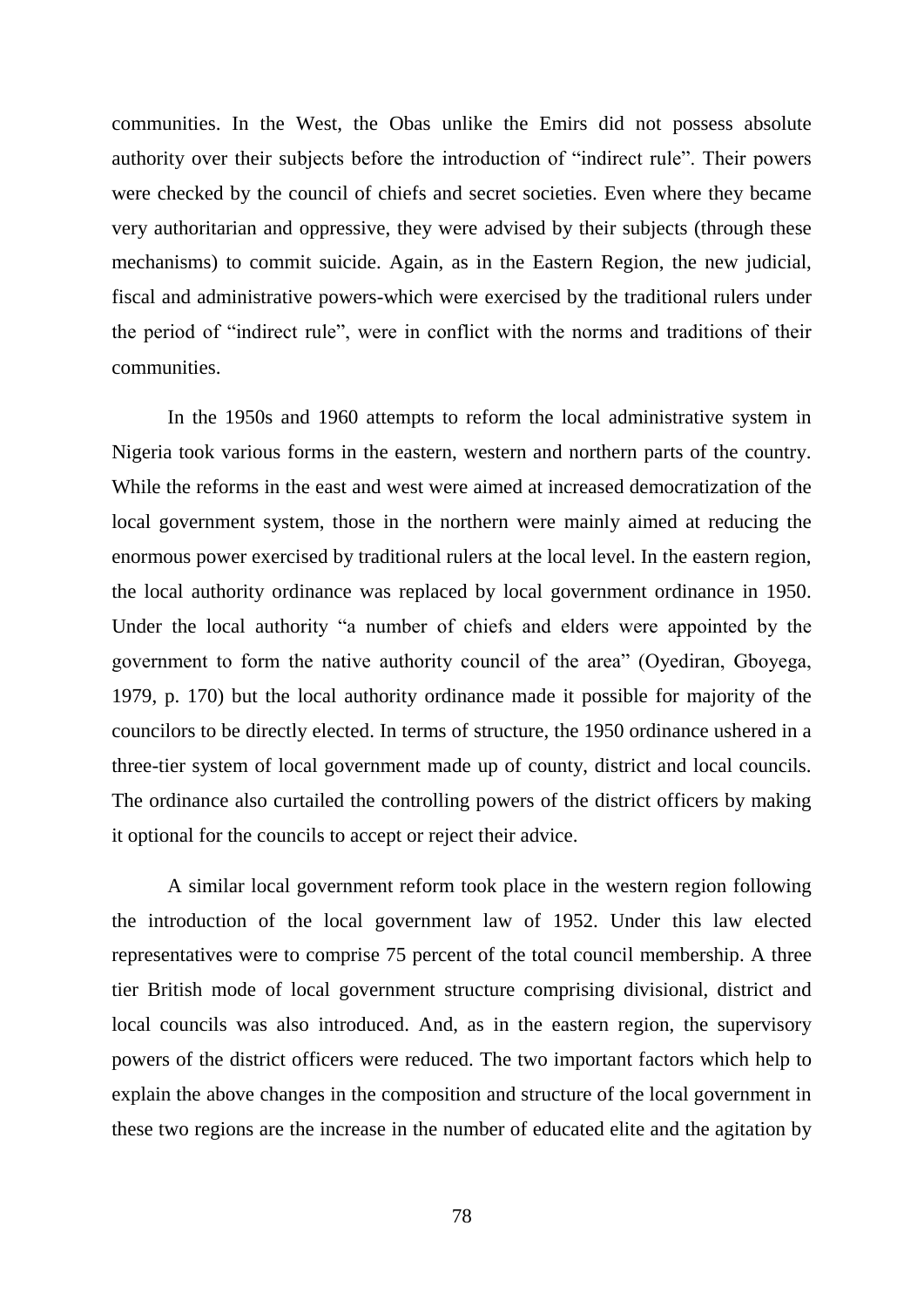communities. In the West, the Obas unlike the Emirs did not possess absolute authority over their subjects before the introduction of "indirect rule". Their powers were checked by the council of chiefs and secret societies. Even where they became very authoritarian and oppressive, they were advised by their subjects (through these mechanisms) to commit suicide. Again, as in the Eastern Region, the new judicial, fiscal and administrative powers-which were exercised by the traditional rulers under the period of "indirect rule", were in conflict with the norms and traditions of their communities.

In the 1950s and 1960 attempts to reform the local administrative system in Nigeria took various forms in the eastern, western and northern parts of the country. While the reforms in the east and west were aimed at increased democratization of the local government system, those in the northern were mainly aimed at reducing the enormous power exercised by traditional rulers at the local level. In the eastern region, the local authority ordinance was replaced by local government ordinance in 1950. Under the local authority "a number of chiefs and elders were appointed by the government to form the native authority council of the area" (Oyediran, Gboyega, 1979, p. 170) but the local authority ordinance made it possible for majority of the councilors to be directly elected. In terms of structure, the 1950 ordinance ushered in a three-tier system of local government made up of county, district and local councils. The ordinance also curtailed the controlling powers of the district officers by making it optional for the councils to accept or reject their advice.

A similar local government reform took place in the western region following the introduction of the local government law of 1952. Under this law elected representatives were to comprise 75 percent of the total council membership. A three tier British mode of local government structure comprising divisional, district and local councils was also introduced. And, as in the eastern region, the supervisory powers of the district officers were reduced. The two important factors which help to explain the above changes in the composition and structure of the local government in these two regions are the increase in the number of educated elite and the agitation by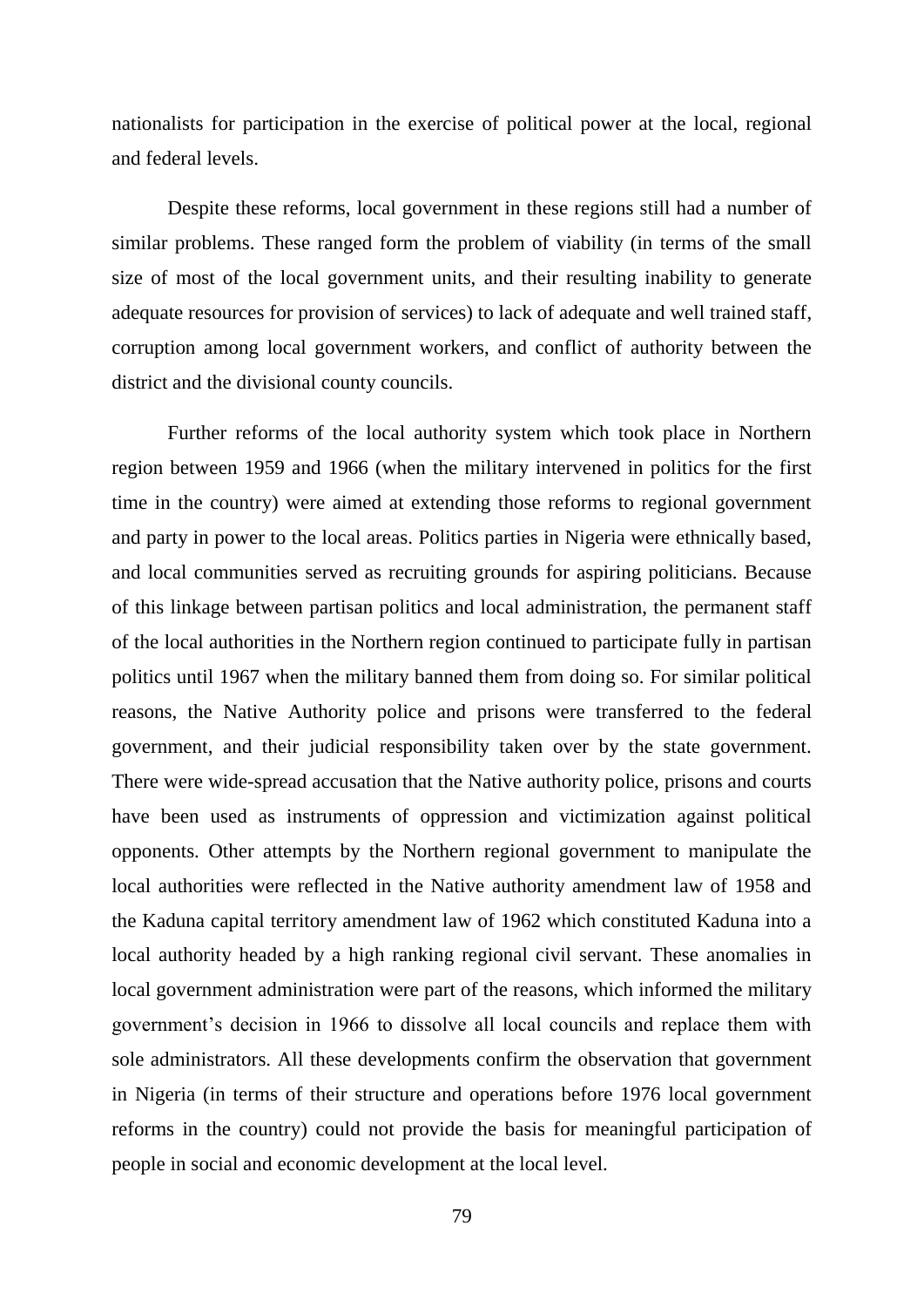nationalists for participation in the exercise of political power at the local, regional and federal levels.

Despite these reforms, local government in these regions still had a number of similar problems. These ranged form the problem of viability (in terms of the small size of most of the local government units, and their resulting inability to generate adequate resources for provision of services) to lack of adequate and well trained staff, corruption among local government workers, and conflict of authority between the district and the divisional county councils.

Further reforms of the local authority system which took place in Northern region between 1959 and 1966 (when the military intervened in politics for the first time in the country) were aimed at extending those reforms to regional government and party in power to the local areas. Politics parties in Nigeria were ethnically based, and local communities served as recruiting grounds for aspiring politicians. Because of this linkage between partisan politics and local administration, the permanent staff of the local authorities in the Northern region continued to participate fully in partisan politics until 1967 when the military banned them from doing so. For similar political reasons, the Native Authority police and prisons were transferred to the federal government, and their judicial responsibility taken over by the state government. There were wide-spread accusation that the Native authority police, prisons and courts have been used as instruments of oppression and victimization against political opponents. Other attempts by the Northern regional government to manipulate the local authorities were reflected in the Native authority amendment law of 1958 and the Kaduna capital territory amendment law of 1962 which constituted Kaduna into a local authority headed by a high ranking regional civil servant. These anomalies in local government administration were part of the reasons, which informed the military government's decision in 1966 to dissolve all local councils and replace them with sole administrators. All these developments confirm the observation that government in Nigeria (in terms of their structure and operations before 1976 local government reforms in the country) could not provide the basis for meaningful participation of people in social and economic development at the local level.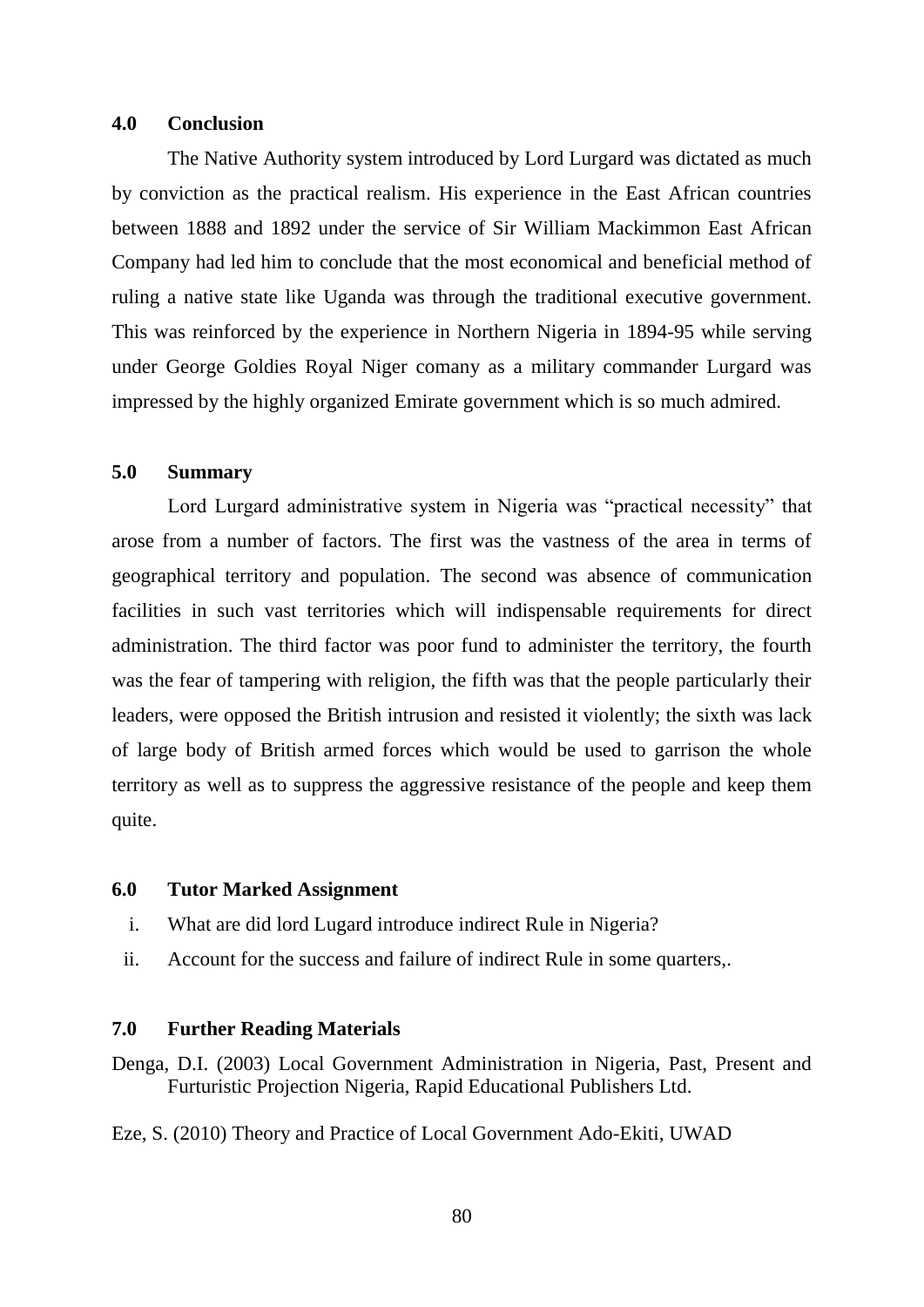#### **4.0 Conclusion**

The Native Authority system introduced by Lord Lurgard was dictated as much by conviction as the practical realism. His experience in the East African countries between 1888 and 1892 under the service of Sir William Mackimmon East African Company had led him to conclude that the most economical and beneficial method of ruling a native state like Uganda was through the traditional executive government. This was reinforced by the experience in Northern Nigeria in 1894-95 while serving under George Goldies Royal Niger comany as a military commander Lurgard was impressed by the highly organized Emirate government which is so much admired.

# **5.0 Summary**

Lord Lurgard administrative system in Nigeria was "practical necessity" that arose from a number of factors. The first was the vastness of the area in terms of geographical territory and population. The second was absence of communication facilities in such vast territories which will indispensable requirements for direct administration. The third factor was poor fund to administer the territory, the fourth was the fear of tampering with religion, the fifth was that the people particularly their leaders, were opposed the British intrusion and resisted it violently; the sixth was lack of large body of British armed forces which would be used to garrison the whole territory as well as to suppress the aggressive resistance of the people and keep them quite.

#### **6.0 Tutor Marked Assignment**

- i. What are did lord Lugard introduce indirect Rule in Nigeria?
- ii. Account for the success and failure of indirect Rule in some quarters,.

### **7.0 Further Reading Materials**

Denga, D.I. (2003) Local Government Administration in Nigeria, Past, Present and Furturistic Projection Nigeria, Rapid Educational Publishers Ltd.

Eze, S. (2010) Theory and Practice of Local Government Ado-Ekiti, UWAD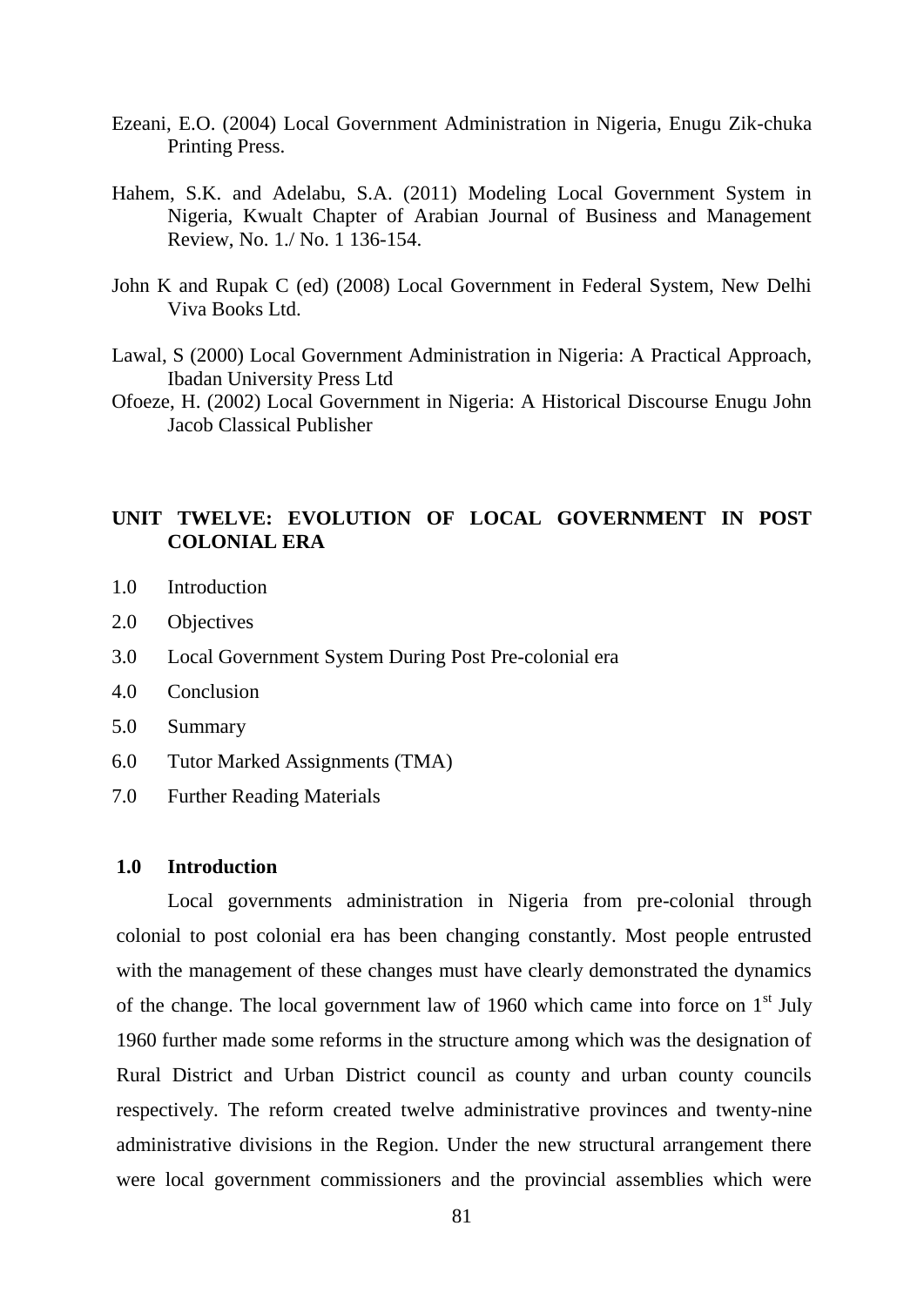- Ezeani, E.O. (2004) Local Government Administration in Nigeria, Enugu Zik-chuka Printing Press.
- Hahem, S.K. and Adelabu, S.A. (2011) Modeling Local Government System in Nigeria, Kwualt Chapter of Arabian Journal of Business and Management Review, No. 1./ No. 1 136-154.
- John K and Rupak C (ed) (2008) Local Government in Federal System, New Delhi Viva Books Ltd.
- Lawal, S (2000) Local Government Administration in Nigeria: A Practical Approach, Ibadan University Press Ltd
- Ofoeze, H. (2002) Local Government in Nigeria: A Historical Discourse Enugu John Jacob Classical Publisher

# **UNIT TWELVE: EVOLUTION OF LOCAL GOVERNMENT IN POST COLONIAL ERA**

- 1.0 Introduction
- 2.0 Objectives
- 3.0 Local Government System During Post Pre-colonial era
- 4.0 Conclusion
- 5.0 Summary
- 6.0 Tutor Marked Assignments (TMA)
- 7.0 Further Reading Materials

### **1.0 Introduction**

Local governments administration in Nigeria from pre-colonial through colonial to post colonial era has been changing constantly. Most people entrusted with the management of these changes must have clearly demonstrated the dynamics of the change. The local government law of 1960 which came into force on  $1<sup>st</sup>$  July 1960 further made some reforms in the structure among which was the designation of Rural District and Urban District council as county and urban county councils respectively. The reform created twelve administrative provinces and twenty-nine administrative divisions in the Region. Under the new structural arrangement there were local government commissioners and the provincial assemblies which were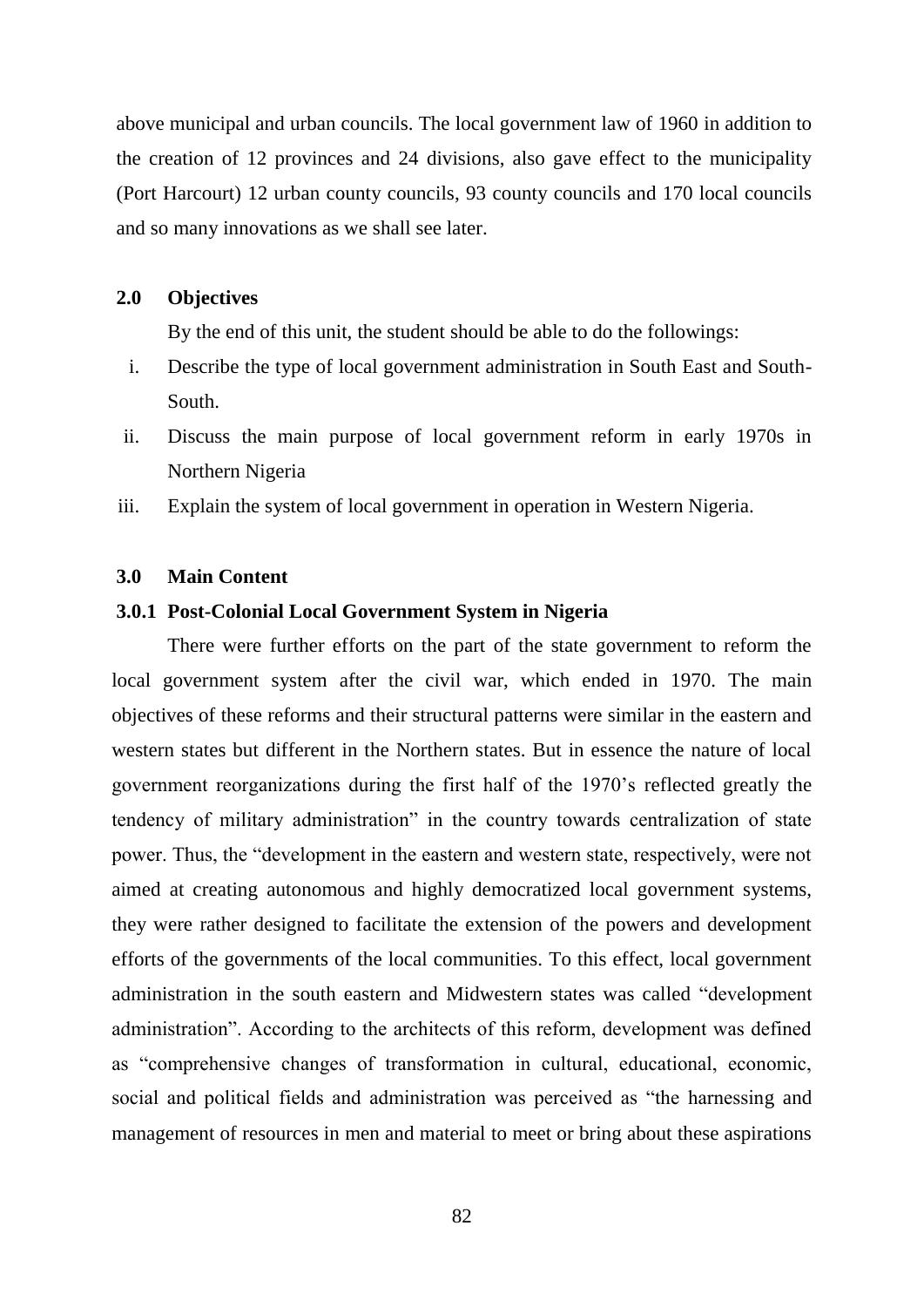above municipal and urban councils. The local government law of 1960 in addition to the creation of 12 provinces and 24 divisions, also gave effect to the municipality (Port Harcourt) 12 urban county councils, 93 county councils and 170 local councils and so many innovations as we shall see later.

### **2.0 Objectives**

By the end of this unit, the student should be able to do the followings:

- i. Describe the type of local government administration in South East and South-South.
- ii. Discuss the main purpose of local government reform in early 1970s in Northern Nigeria
- iii. Explain the system of local government in operation in Western Nigeria.

#### **3.0 Main Content**

### **3.0.1 Post-Colonial Local Government System in Nigeria**

There were further efforts on the part of the state government to reform the local government system after the civil war, which ended in 1970. The main objectives of these reforms and their structural patterns were similar in the eastern and western states but different in the Northern states. But in essence the nature of local government reorganizations during the first half of the 1970"s reflected greatly the tendency of military administration" in the country towards centralization of state power. Thus, the "development in the eastern and western state, respectively, were not aimed at creating autonomous and highly democratized local government systems, they were rather designed to facilitate the extension of the powers and development efforts of the governments of the local communities. To this effect, local government administration in the south eastern and Midwestern states was called "development administration". According to the architects of this reform, development was defined as "comprehensive changes of transformation in cultural, educational, economic, social and political fields and administration was perceived as "the harnessing and management of resources in men and material to meet or bring about these aspirations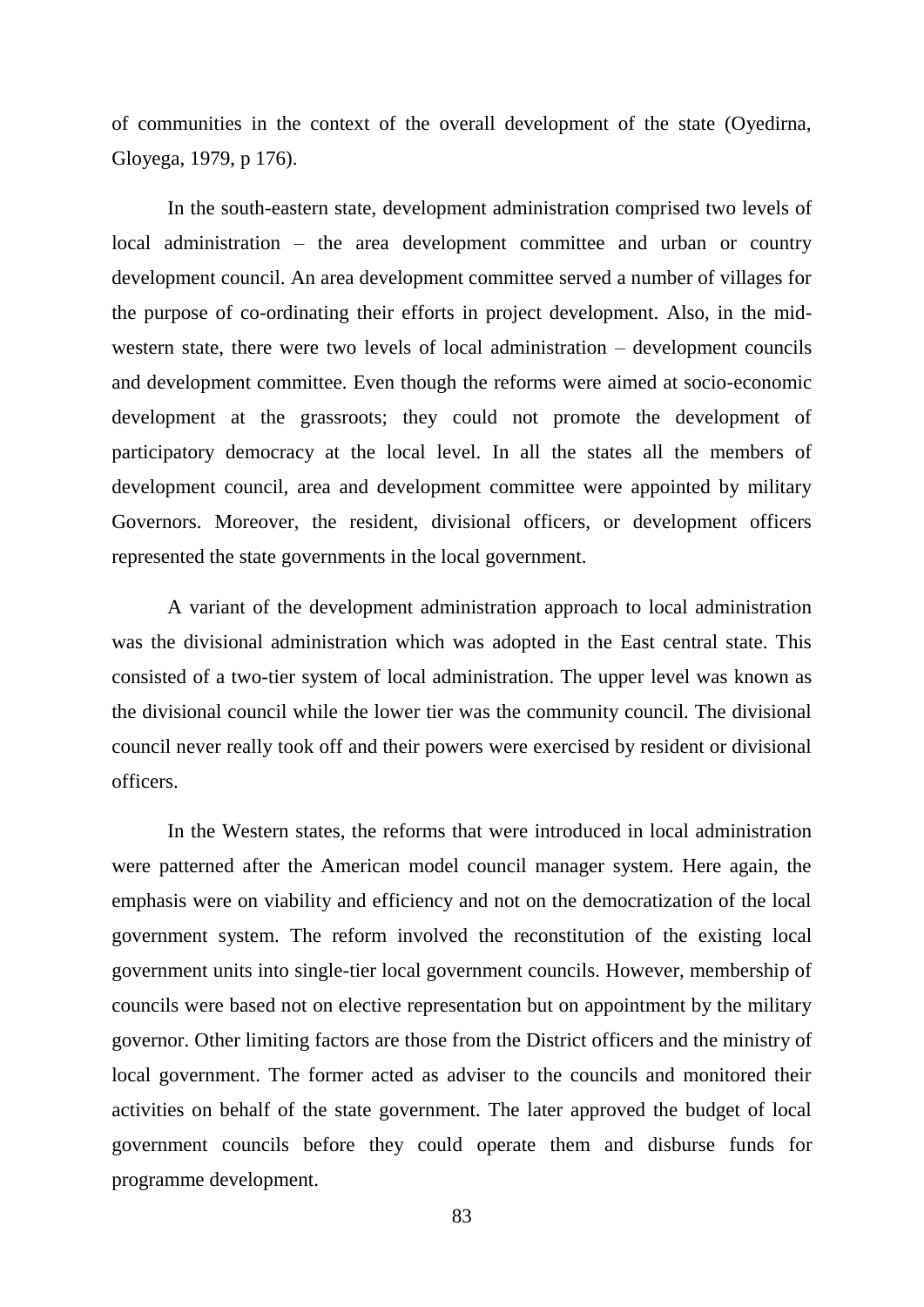of communities in the context of the overall development of the state (Oyedirna, Gloyega, 1979, p 176).

In the south-eastern state, development administration comprised two levels of local administration – the area development committee and urban or country development council. An area development committee served a number of villages for the purpose of co-ordinating their efforts in project development. Also, in the midwestern state, there were two levels of local administration – development councils and development committee. Even though the reforms were aimed at socio-economic development at the grassroots; they could not promote the development of participatory democracy at the local level. In all the states all the members of development council, area and development committee were appointed by military Governors. Moreover, the resident, divisional officers, or development officers represented the state governments in the local government.

A variant of the development administration approach to local administration was the divisional administration which was adopted in the East central state. This consisted of a two-tier system of local administration. The upper level was known as the divisional council while the lower tier was the community council. The divisional council never really took off and their powers were exercised by resident or divisional officers.

In the Western states, the reforms that were introduced in local administration were patterned after the American model council manager system. Here again, the emphasis were on viability and efficiency and not on the democratization of the local government system. The reform involved the reconstitution of the existing local government units into single-tier local government councils. However, membership of councils were based not on elective representation but on appointment by the military governor. Other limiting factors are those from the District officers and the ministry of local government. The former acted as adviser to the councils and monitored their activities on behalf of the state government. The later approved the budget of local government councils before they could operate them and disburse funds for programme development.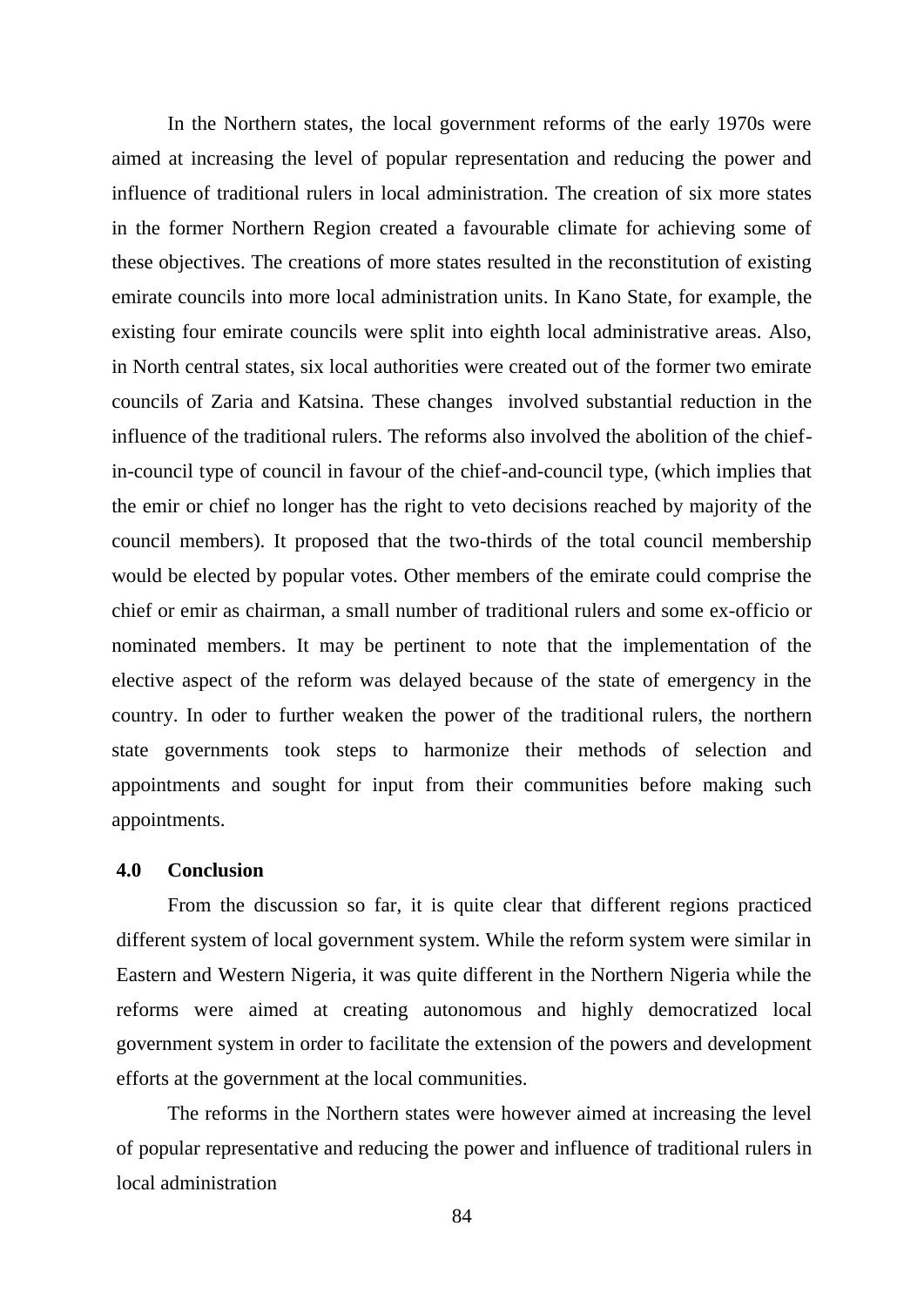In the Northern states, the local government reforms of the early 1970s were aimed at increasing the level of popular representation and reducing the power and influence of traditional rulers in local administration. The creation of six more states in the former Northern Region created a favourable climate for achieving some of these objectives. The creations of more states resulted in the reconstitution of existing emirate councils into more local administration units. In Kano State, for example, the existing four emirate councils were split into eighth local administrative areas. Also, in North central states, six local authorities were created out of the former two emirate councils of Zaria and Katsina. These changes involved substantial reduction in the influence of the traditional rulers. The reforms also involved the abolition of the chiefin-council type of council in favour of the chief-and-council type, (which implies that the emir or chief no longer has the right to veto decisions reached by majority of the council members). It proposed that the two-thirds of the total council membership would be elected by popular votes. Other members of the emirate could comprise the chief or emir as chairman, a small number of traditional rulers and some ex-officio or nominated members. It may be pertinent to note that the implementation of the elective aspect of the reform was delayed because of the state of emergency in the country. In oder to further weaken the power of the traditional rulers, the northern state governments took steps to harmonize their methods of selection and appointments and sought for input from their communities before making such appointments.

# **4.0 Conclusion**

From the discussion so far, it is quite clear that different regions practiced different system of local government system. While the reform system were similar in Eastern and Western Nigeria, it was quite different in the Northern Nigeria while the reforms were aimed at creating autonomous and highly democratized local government system in order to facilitate the extension of the powers and development efforts at the government at the local communities.

The reforms in the Northern states were however aimed at increasing the level of popular representative and reducing the power and influence of traditional rulers in local administration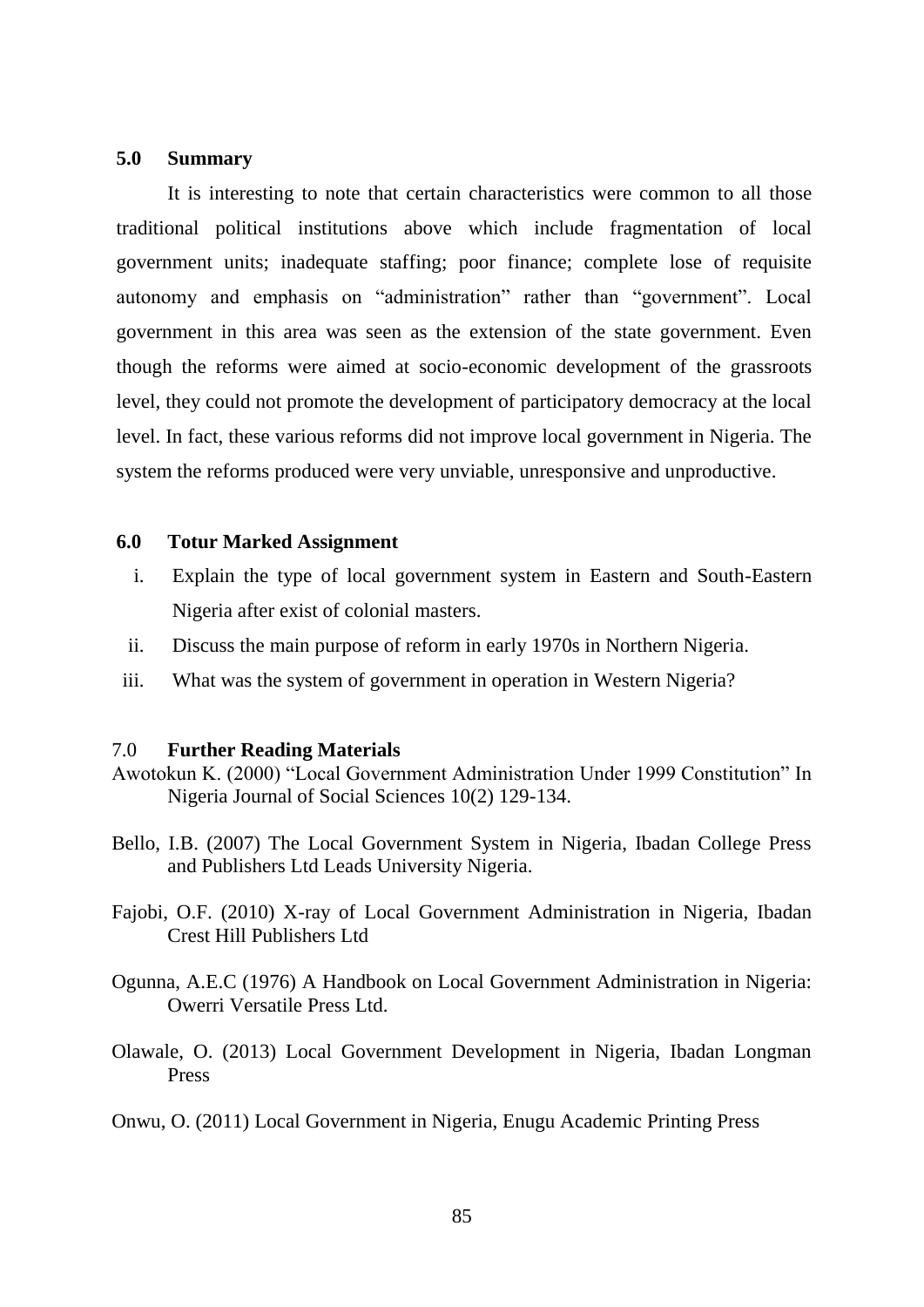#### **5.0 Summary**

It is interesting to note that certain characteristics were common to all those traditional political institutions above which include fragmentation of local government units; inadequate staffing; poor finance; complete lose of requisite autonomy and emphasis on "administration" rather than "government". Local government in this area was seen as the extension of the state government. Even though the reforms were aimed at socio-economic development of the grassroots level, they could not promote the development of participatory democracy at the local level. In fact, these various reforms did not improve local government in Nigeria. The system the reforms produced were very unviable, unresponsive and unproductive.

#### **6.0 Totur Marked Assignment**

- i. Explain the type of local government system in Eastern and South-Eastern Nigeria after exist of colonial masters.
- ii. Discuss the main purpose of reform in early 1970s in Northern Nigeria.
- iii. What was the system of government in operation in Western Nigeria?

#### 7.0 **Further Reading Materials**

- Awotokun K. (2000) "Local Government Administration Under 1999 Constitution" In Nigeria Journal of Social Sciences 10(2) 129-134.
- Bello, I.B. (2007) The Local Government System in Nigeria, Ibadan College Press and Publishers Ltd Leads University Nigeria.
- Fajobi, O.F. (2010) X-ray of Local Government Administration in Nigeria, Ibadan Crest Hill Publishers Ltd
- Ogunna, A.E.C (1976) A Handbook on Local Government Administration in Nigeria: Owerri Versatile Press Ltd.
- Olawale, O. (2013) Local Government Development in Nigeria, Ibadan Longman Press
- Onwu, O. (2011) Local Government in Nigeria, Enugu Academic Printing Press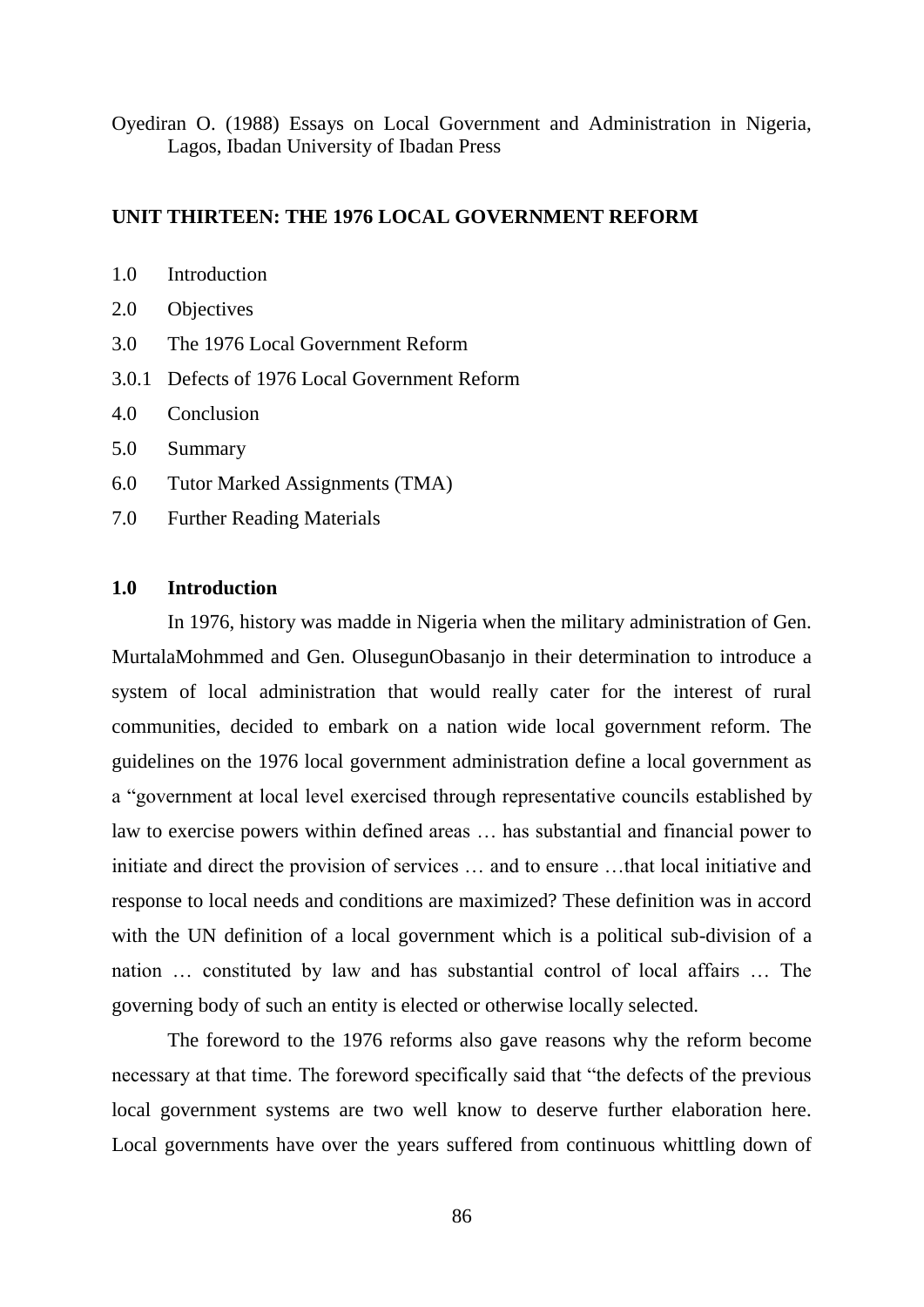Oyediran O. (1988) Essays on Local Government and Administration in Nigeria, Lagos, Ibadan University of Ibadan Press

### **UNIT THIRTEEN: THE 1976 LOCAL GOVERNMENT REFORM**

- 2.0 Objectives
- 3.0 The 1976 Local Government Reform
- 3.0.1 Defects of 1976 Local Government Reform
- 4.0 Conclusion
- 5.0 Summary
- 6.0 Tutor Marked Assignments (TMA)
- 7.0 Further Reading Materials

# **1.0 Introduction**

In 1976, history was madde in Nigeria when the military administration of Gen. MurtalaMohmmed and Gen. OlusegunObasanjo in their determination to introduce a system of local administration that would really cater for the interest of rural communities, decided to embark on a nation wide local government reform. The guidelines on the 1976 local government administration define a local government as a "government at local level exercised through representative councils established by law to exercise powers within defined areas … has substantial and financial power to initiate and direct the provision of services … and to ensure …that local initiative and response to local needs and conditions are maximized? These definition was in accord with the UN definition of a local government which is a political sub-division of a nation … constituted by law and has substantial control of local affairs … The governing body of such an entity is elected or otherwise locally selected.

The foreword to the 1976 reforms also gave reasons why the reform become necessary at that time. The foreword specifically said that "the defects of the previous local government systems are two well know to deserve further elaboration here. Local governments have over the years suffered from continuous whittling down of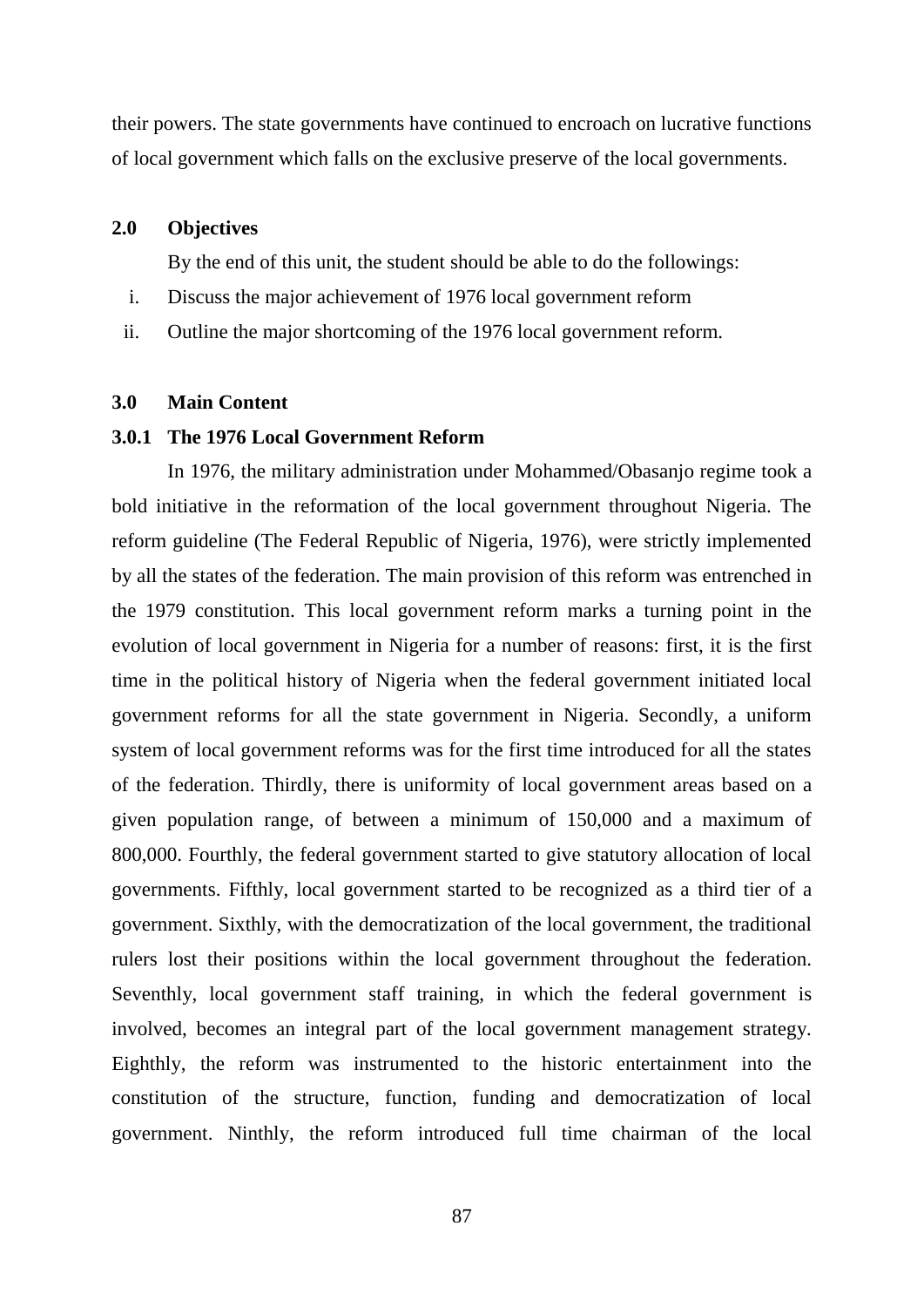their powers. The state governments have continued to encroach on lucrative functions of local government which falls on the exclusive preserve of the local governments.

#### **2.0 Objectives**

By the end of this unit, the student should be able to do the followings:

- i. Discuss the major achievement of 1976 local government reform
- ii. Outline the major shortcoming of the 1976 local government reform.

### **3.0 Main Content**

#### **3.0.1 The 1976 Local Government Reform**

In 1976, the military administration under Mohammed/Obasanjo regime took a bold initiative in the reformation of the local government throughout Nigeria. The reform guideline (The Federal Republic of Nigeria, 1976), were strictly implemented by all the states of the federation. The main provision of this reform was entrenched in the 1979 constitution. This local government reform marks a turning point in the evolution of local government in Nigeria for a number of reasons: first, it is the first time in the political history of Nigeria when the federal government initiated local government reforms for all the state government in Nigeria. Secondly, a uniform system of local government reforms was for the first time introduced for all the states of the federation. Thirdly, there is uniformity of local government areas based on a given population range, of between a minimum of 150,000 and a maximum of 800,000. Fourthly, the federal government started to give statutory allocation of local governments. Fifthly, local government started to be recognized as a third tier of a government. Sixthly, with the democratization of the local government, the traditional rulers lost their positions within the local government throughout the federation. Seventhly, local government staff training, in which the federal government is involved, becomes an integral part of the local government management strategy. Eighthly, the reform was instrumented to the historic entertainment into the constitution of the structure, function, funding and democratization of local government. Ninthly, the reform introduced full time chairman of the local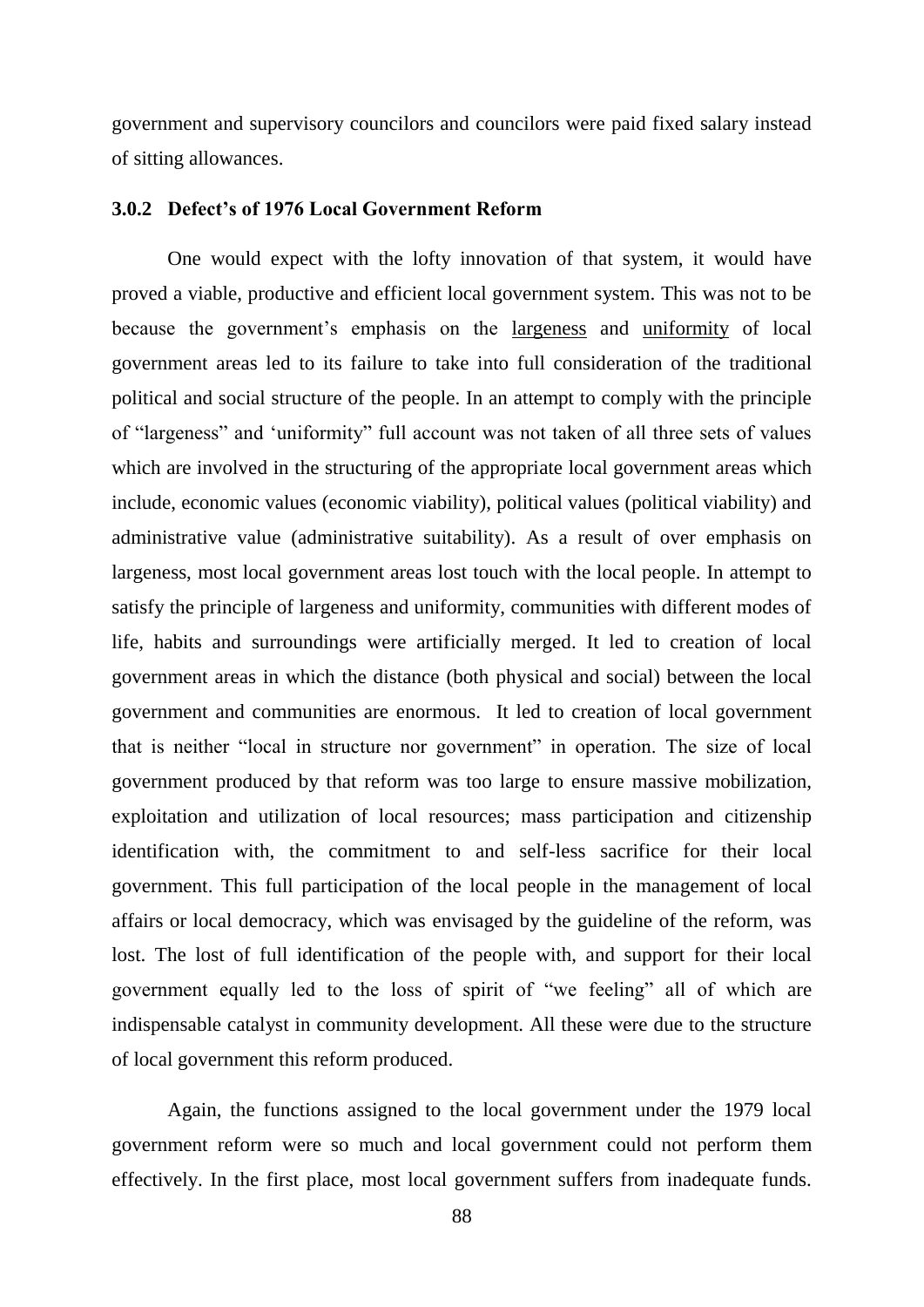government and supervisory councilors and councilors were paid fixed salary instead of sitting allowances.

#### **3.0.2 Defect's of 1976 Local Government Reform**

One would expect with the lofty innovation of that system, it would have proved a viable, productive and efficient local government system. This was not to be because the government's emphasis on the largeness and uniformity of local government areas led to its failure to take into full consideration of the traditional political and social structure of the people. In an attempt to comply with the principle of "largeness" and "uniformity" full account was not taken of all three sets of values which are involved in the structuring of the appropriate local government areas which include, economic values (economic viability), political values (political viability) and administrative value (administrative suitability). As a result of over emphasis on largeness, most local government areas lost touch with the local people. In attempt to satisfy the principle of largeness and uniformity, communities with different modes of life, habits and surroundings were artificially merged. It led to creation of local government areas in which the distance (both physical and social) between the local government and communities are enormous. It led to creation of local government that is neither "local in structure nor government" in operation. The size of local government produced by that reform was too large to ensure massive mobilization, exploitation and utilization of local resources; mass participation and citizenship identification with, the commitment to and self-less sacrifice for their local government. This full participation of the local people in the management of local affairs or local democracy, which was envisaged by the guideline of the reform, was lost. The lost of full identification of the people with, and support for their local government equally led to the loss of spirit of "we feeling" all of which are indispensable catalyst in community development. All these were due to the structure of local government this reform produced.

Again, the functions assigned to the local government under the 1979 local government reform were so much and local government could not perform them effectively. In the first place, most local government suffers from inadequate funds.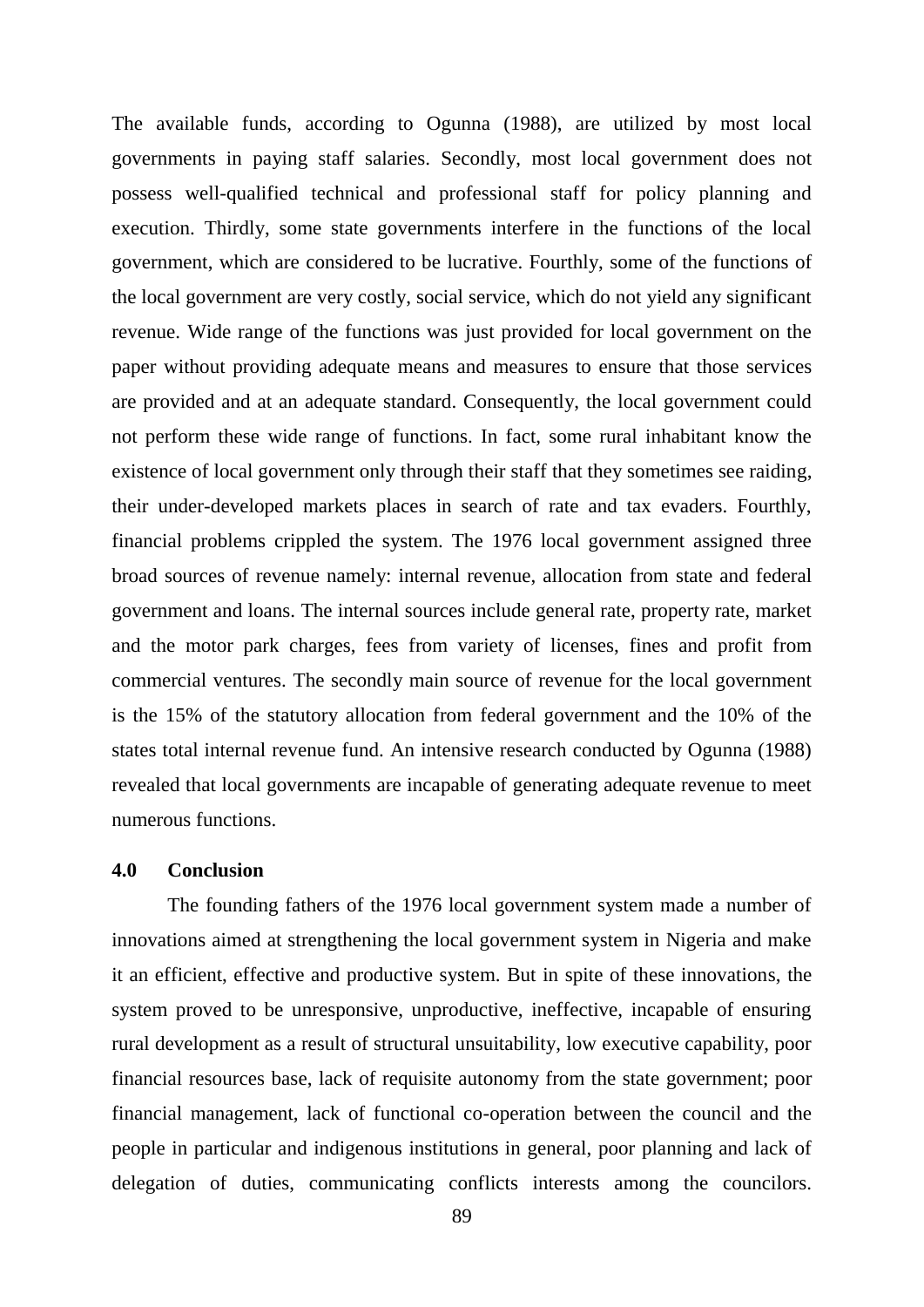The available funds, according to Ogunna (1988), are utilized by most local governments in paying staff salaries. Secondly, most local government does not possess well-qualified technical and professional staff for policy planning and execution. Thirdly, some state governments interfere in the functions of the local government, which are considered to be lucrative. Fourthly, some of the functions of the local government are very costly, social service, which do not yield any significant revenue. Wide range of the functions was just provided for local government on the paper without providing adequate means and measures to ensure that those services are provided and at an adequate standard. Consequently, the local government could not perform these wide range of functions. In fact, some rural inhabitant know the existence of local government only through their staff that they sometimes see raiding, their under-developed markets places in search of rate and tax evaders. Fourthly, financial problems crippled the system. The 1976 local government assigned three broad sources of revenue namely: internal revenue, allocation from state and federal government and loans. The internal sources include general rate, property rate, market and the motor park charges, fees from variety of licenses, fines and profit from commercial ventures. The secondly main source of revenue for the local government is the 15% of the statutory allocation from federal government and the 10% of the states total internal revenue fund. An intensive research conducted by Ogunna (1988) revealed that local governments are incapable of generating adequate revenue to meet numerous functions.

# **4.0 Conclusion**

The founding fathers of the 1976 local government system made a number of innovations aimed at strengthening the local government system in Nigeria and make it an efficient, effective and productive system. But in spite of these innovations, the system proved to be unresponsive, unproductive, ineffective, incapable of ensuring rural development as a result of structural unsuitability, low executive capability, poor financial resources base, lack of requisite autonomy from the state government; poor financial management, lack of functional co-operation between the council and the people in particular and indigenous institutions in general, poor planning and lack of delegation of duties, communicating conflicts interests among the councilors.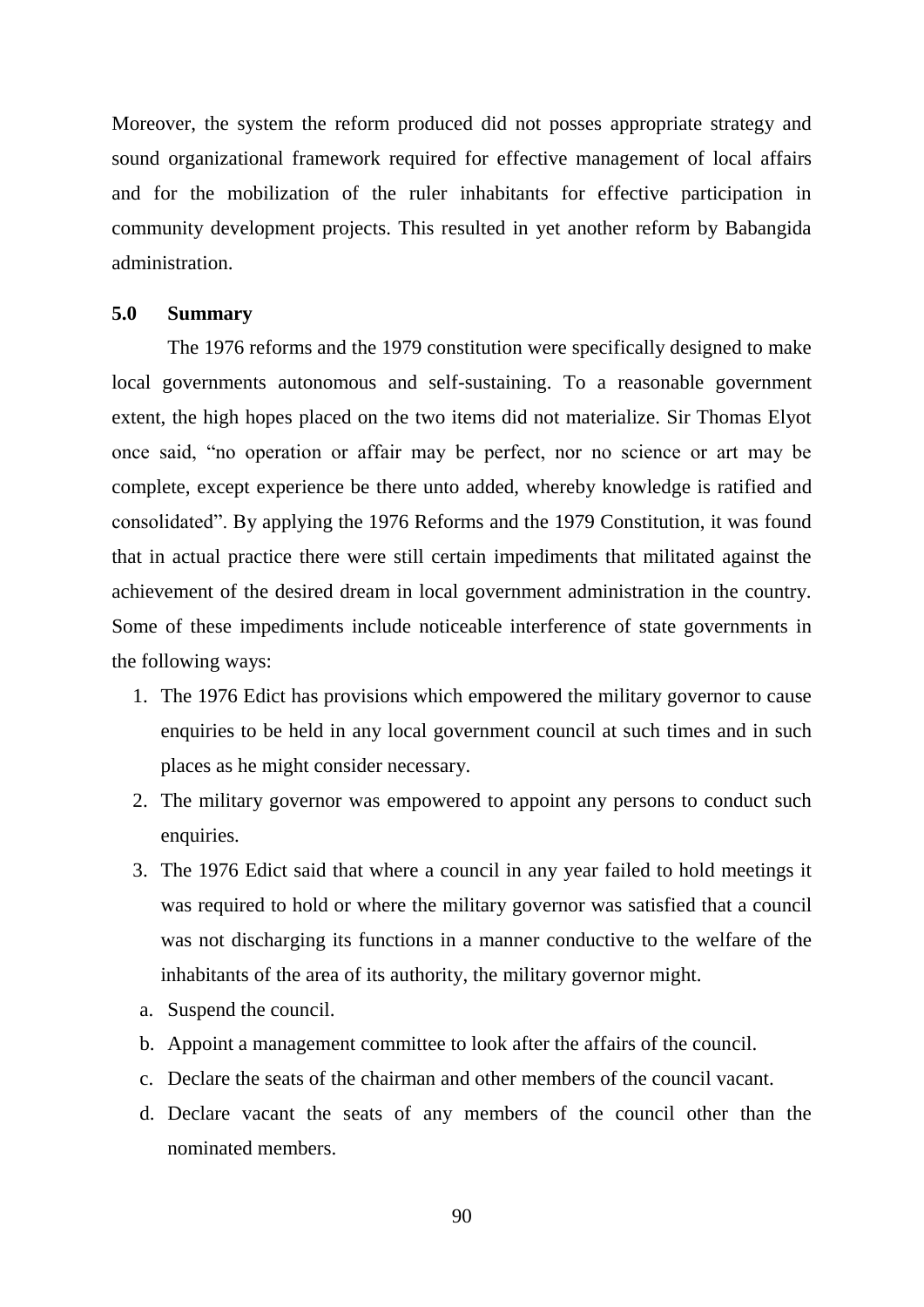Moreover, the system the reform produced did not posses appropriate strategy and sound organizational framework required for effective management of local affairs and for the mobilization of the ruler inhabitants for effective participation in community development projects. This resulted in yet another reform by Babangida administration.

#### **5.0 Summary**

The 1976 reforms and the 1979 constitution were specifically designed to make local governments autonomous and self-sustaining. To a reasonable government extent, the high hopes placed on the two items did not materialize. Sir Thomas Elyot once said, "no operation or affair may be perfect, nor no science or art may be complete, except experience be there unto added, whereby knowledge is ratified and consolidated". By applying the 1976 Reforms and the 1979 Constitution, it was found that in actual practice there were still certain impediments that militated against the achievement of the desired dream in local government administration in the country. Some of these impediments include noticeable interference of state governments in the following ways:

- 1. The 1976 Edict has provisions which empowered the military governor to cause enquiries to be held in any local government council at such times and in such places as he might consider necessary.
- 2. The military governor was empowered to appoint any persons to conduct such enquiries.
- 3. The 1976 Edict said that where a council in any year failed to hold meetings it was required to hold or where the military governor was satisfied that a council was not discharging its functions in a manner conductive to the welfare of the inhabitants of the area of its authority, the military governor might.
- a. Suspend the council.
- b. Appoint a management committee to look after the affairs of the council.
- c. Declare the seats of the chairman and other members of the council vacant.
- d. Declare vacant the seats of any members of the council other than the nominated members.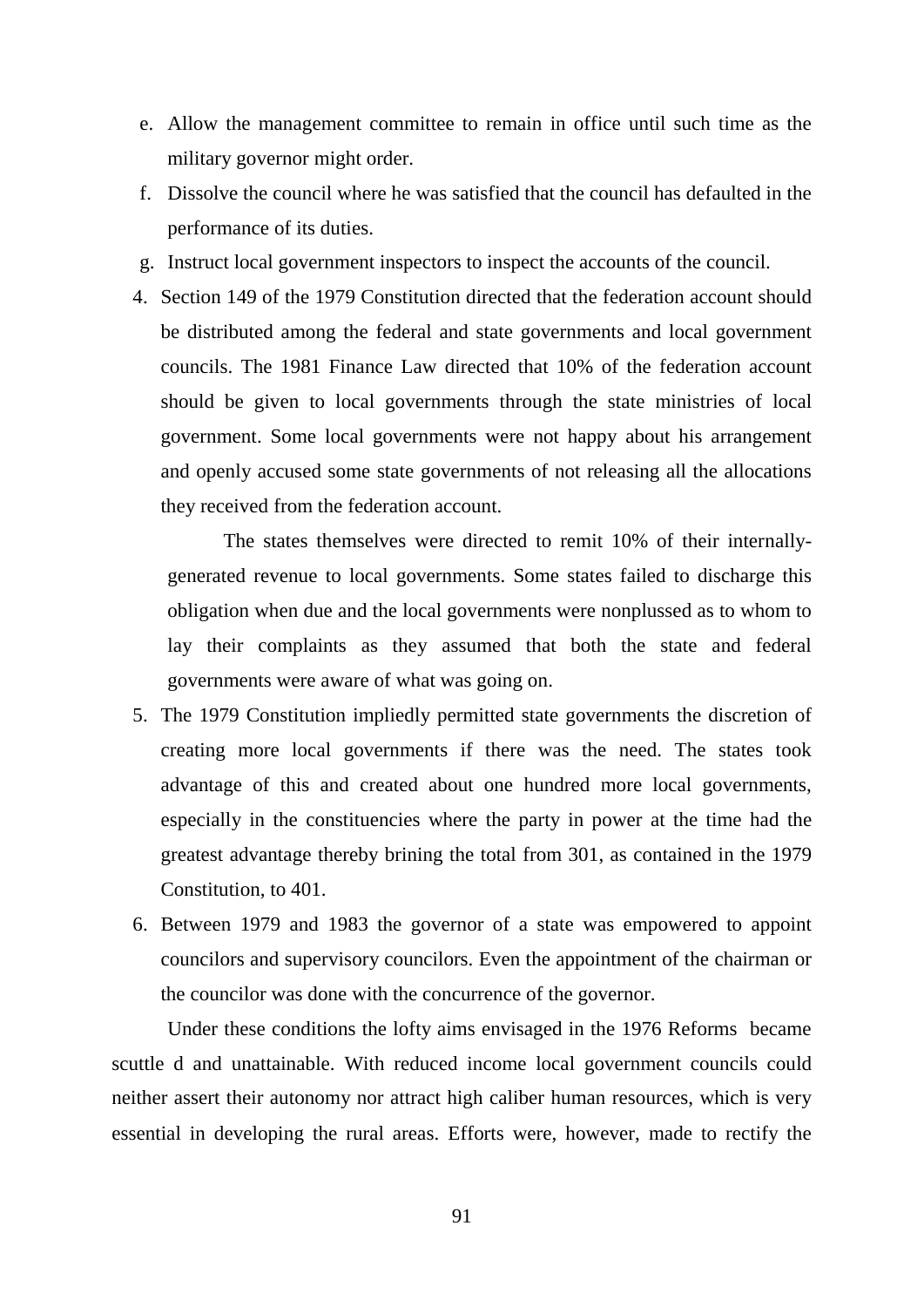- e. Allow the management committee to remain in office until such time as the military governor might order.
- f. Dissolve the council where he was satisfied that the council has defaulted in the performance of its duties.
- g. Instruct local government inspectors to inspect the accounts of the council.
- 4. Section 149 of the 1979 Constitution directed that the federation account should be distributed among the federal and state governments and local government councils. The 1981 Finance Law directed that 10% of the federation account should be given to local governments through the state ministries of local government. Some local governments were not happy about his arrangement and openly accused some state governments of not releasing all the allocations they received from the federation account.

The states themselves were directed to remit 10% of their internallygenerated revenue to local governments. Some states failed to discharge this obligation when due and the local governments were nonplussed as to whom to lay their complaints as they assumed that both the state and federal governments were aware of what was going on.

- 5. The 1979 Constitution impliedly permitted state governments the discretion of creating more local governments if there was the need. The states took advantage of this and created about one hundred more local governments, especially in the constituencies where the party in power at the time had the greatest advantage thereby brining the total from 301, as contained in the 1979 Constitution, to 401.
- 6. Between 1979 and 1983 the governor of a state was empowered to appoint councilors and supervisory councilors. Even the appointment of the chairman or the councilor was done with the concurrence of the governor.

Under these conditions the lofty aims envisaged in the 1976 Reforms became scuttle d and unattainable. With reduced income local government councils could neither assert their autonomy nor attract high caliber human resources, which is very essential in developing the rural areas. Efforts were, however, made to rectify the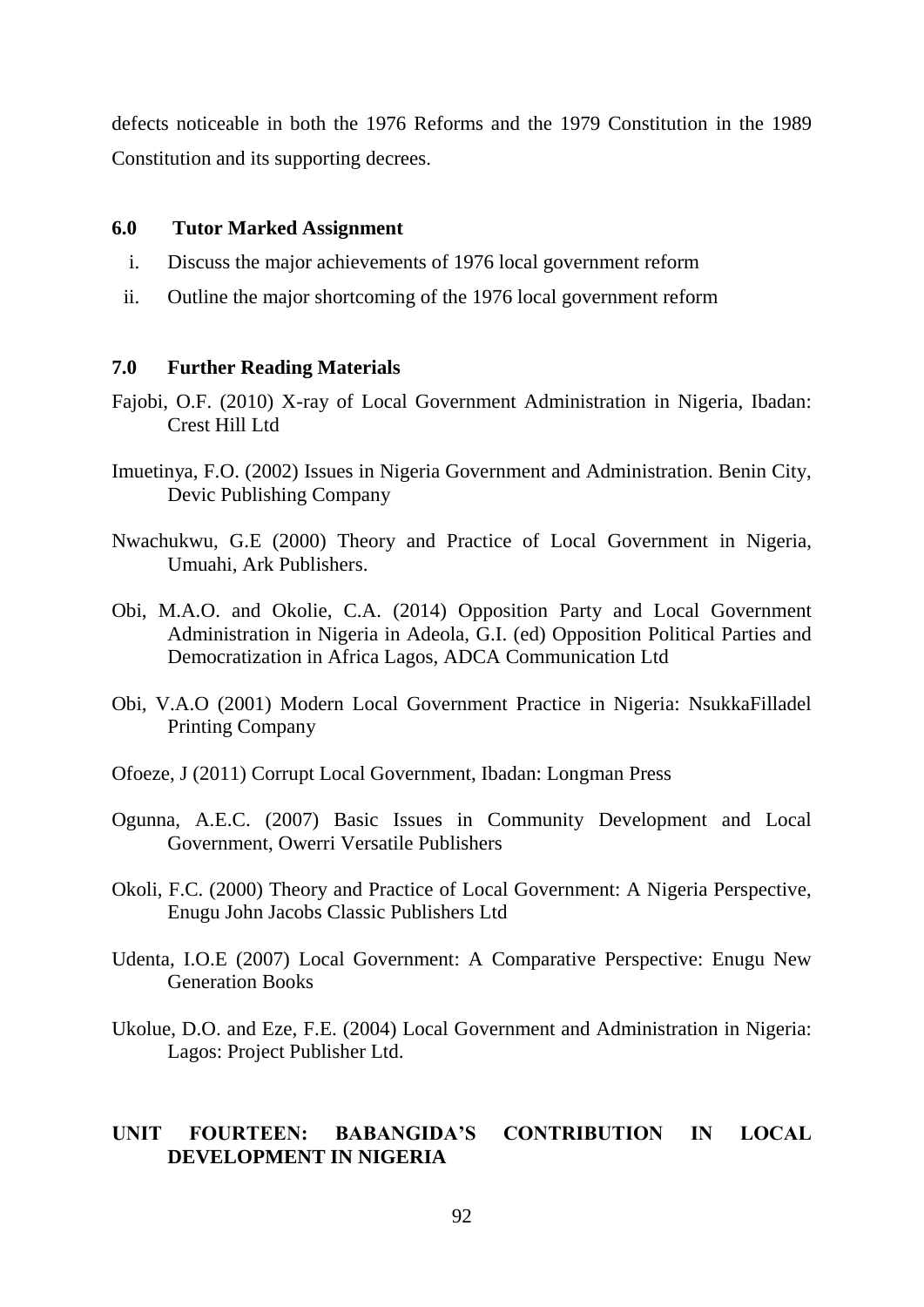defects noticeable in both the 1976 Reforms and the 1979 Constitution in the 1989 Constitution and its supporting decrees.

#### **6.0 Tutor Marked Assignment**

- i. Discuss the major achievements of 1976 local government reform
- ii. Outline the major shortcoming of the 1976 local government reform

### **7.0 Further Reading Materials**

- Fajobi, O.F. (2010) X-ray of Local Government Administration in Nigeria, Ibadan: Crest Hill Ltd
- Imuetinya, F.O. (2002) Issues in Nigeria Government and Administration. Benin City, Devic Publishing Company
- Nwachukwu, G.E (2000) Theory and Practice of Local Government in Nigeria, Umuahi, Ark Publishers.
- Obi, M.A.O. and Okolie, C.A. (2014) Opposition Party and Local Government Administration in Nigeria in Adeola, G.I. (ed) Opposition Political Parties and Democratization in Africa Lagos, ADCA Communication Ltd
- Obi, V.A.O (2001) Modern Local Government Practice in Nigeria: NsukkaFilladel Printing Company
- Ofoeze, J (2011) Corrupt Local Government, Ibadan: Longman Press
- Ogunna, A.E.C. (2007) Basic Issues in Community Development and Local Government, Owerri Versatile Publishers
- Okoli, F.C. (2000) Theory and Practice of Local Government: A Nigeria Perspective, Enugu John Jacobs Classic Publishers Ltd
- Udenta, I.O.E (2007) Local Government: A Comparative Perspective: Enugu New Generation Books
- Ukolue, D.O. and Eze, F.E. (2004) Local Government and Administration in Nigeria: Lagos: Project Publisher Ltd.

# **UNIT FOURTEEN: BABANGIDA'S CONTRIBUTION IN LOCAL DEVELOPMENT IN NIGERIA**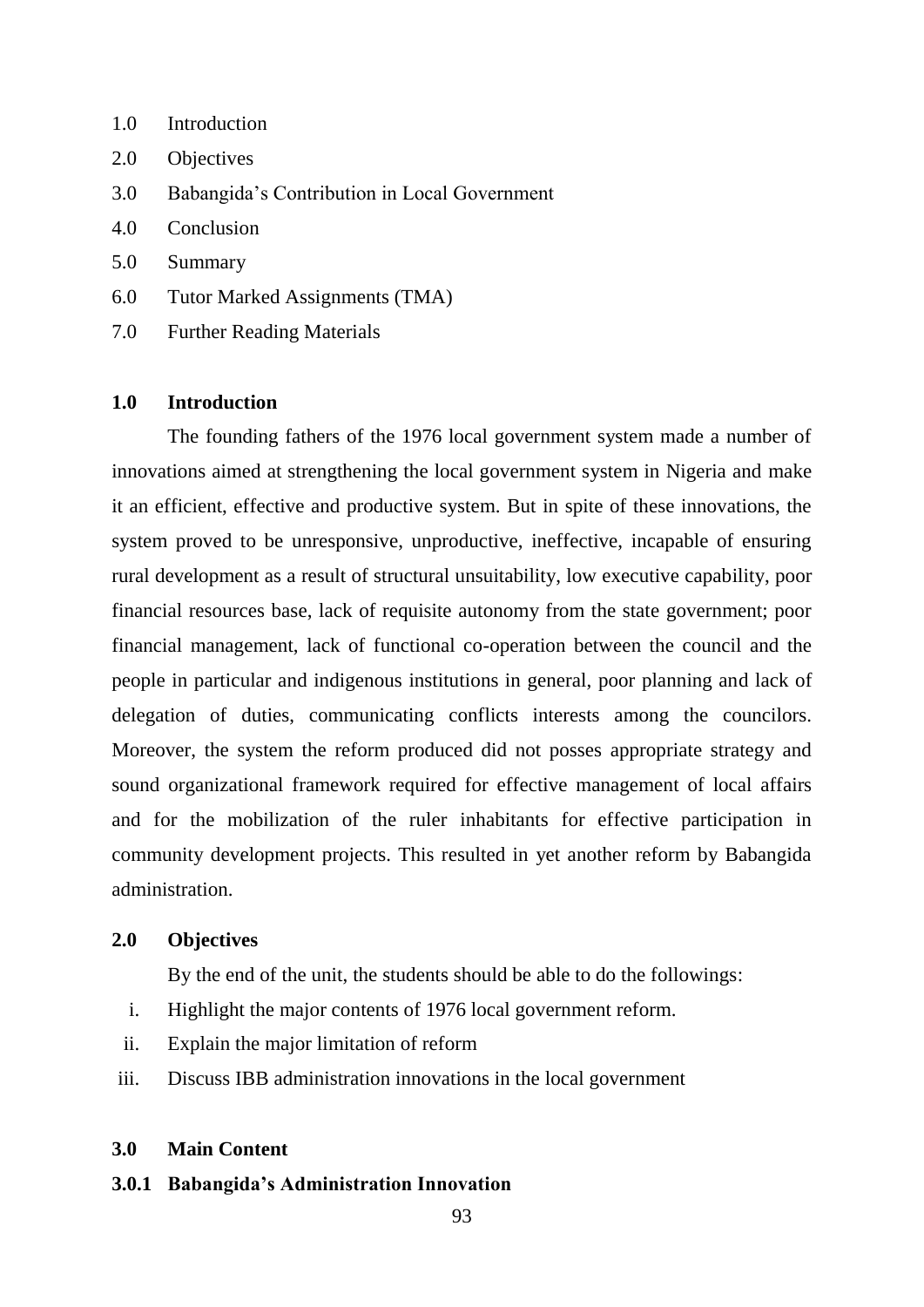- 1.0 Introduction
- 2.0 Objectives
- 3.0 Babangida"s Contribution in Local Government
- 4.0 Conclusion
- 5.0 Summary
- 6.0 Tutor Marked Assignments (TMA)
- 7.0 Further Reading Materials

# **1.0 Introduction**

The founding fathers of the 1976 local government system made a number of innovations aimed at strengthening the local government system in Nigeria and make it an efficient, effective and productive system. But in spite of these innovations, the system proved to be unresponsive, unproductive, ineffective, incapable of ensuring rural development as a result of structural unsuitability, low executive capability, poor financial resources base, lack of requisite autonomy from the state government; poor financial management, lack of functional co-operation between the council and the people in particular and indigenous institutions in general, poor planning and lack of delegation of duties, communicating conflicts interests among the councilors. Moreover, the system the reform produced did not posses appropriate strategy and sound organizational framework required for effective management of local affairs and for the mobilization of the ruler inhabitants for effective participation in community development projects. This resulted in yet another reform by Babangida administration.

### **2.0 Objectives**

By the end of the unit, the students should be able to do the followings:

- i. Highlight the major contents of 1976 local government reform.
- ii. Explain the major limitation of reform
- iii. Discuss IBB administration innovations in the local government

#### **3.0 Main Content**

#### **3.0.1 Babangida's Administration Innovation**

93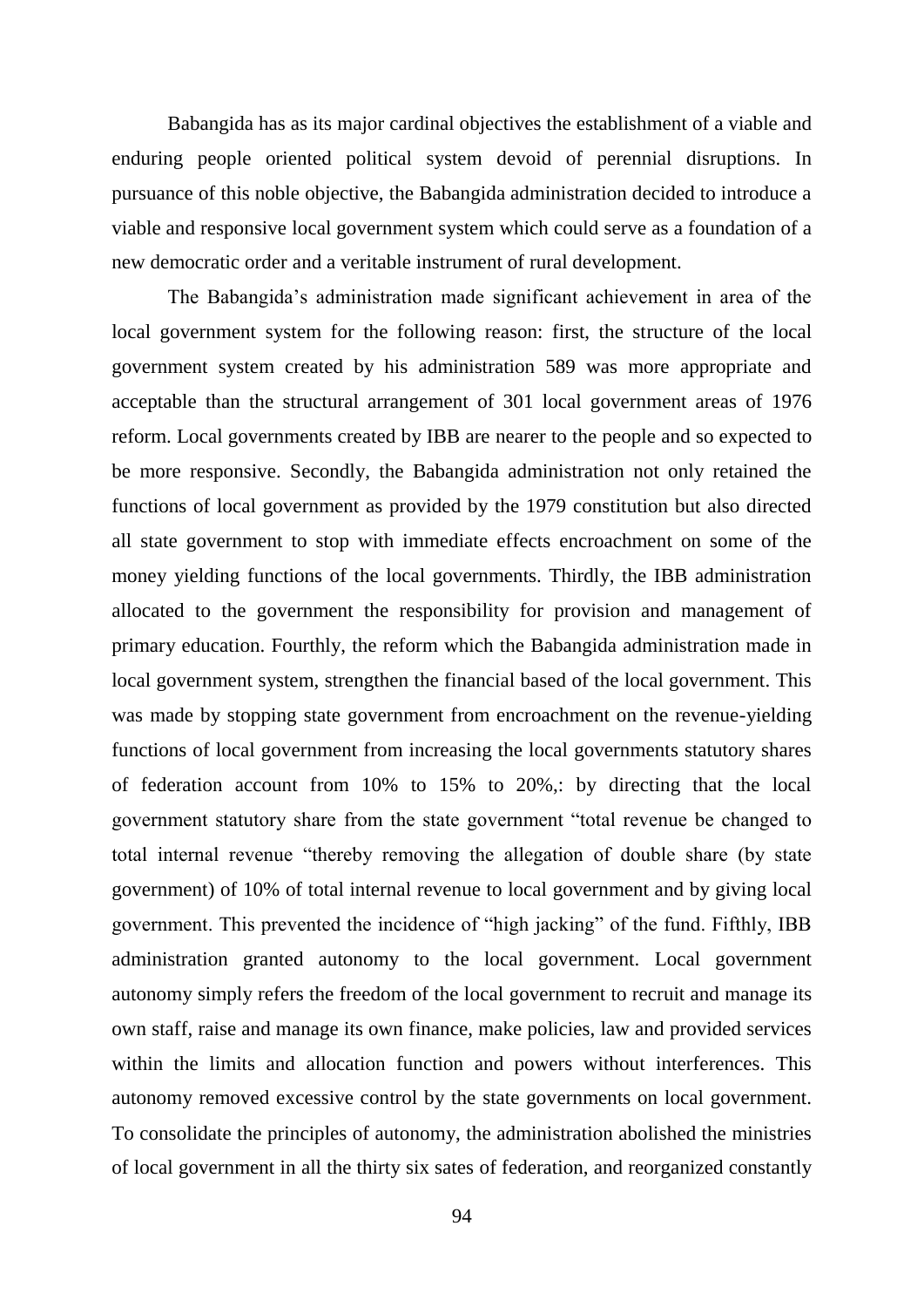Babangida has as its major cardinal objectives the establishment of a viable and enduring people oriented political system devoid of perennial disruptions. In pursuance of this noble objective, the Babangida administration decided to introduce a viable and responsive local government system which could serve as a foundation of a new democratic order and a veritable instrument of rural development.

The Babangida"s administration made significant achievement in area of the local government system for the following reason: first, the structure of the local government system created by his administration 589 was more appropriate and acceptable than the structural arrangement of 301 local government areas of 1976 reform. Local governments created by IBB are nearer to the people and so expected to be more responsive. Secondly, the Babangida administration not only retained the functions of local government as provided by the 1979 constitution but also directed all state government to stop with immediate effects encroachment on some of the money yielding functions of the local governments. Thirdly, the IBB administration allocated to the government the responsibility for provision and management of primary education. Fourthly, the reform which the Babangida administration made in local government system, strengthen the financial based of the local government. This was made by stopping state government from encroachment on the revenue-yielding functions of local government from increasing the local governments statutory shares of federation account from 10% to 15% to 20%,: by directing that the local government statutory share from the state government "total revenue be changed to total internal revenue "thereby removing the allegation of double share (by state government) of 10% of total internal revenue to local government and by giving local government. This prevented the incidence of "high jacking" of the fund. Fifthly, IBB administration granted autonomy to the local government. Local government autonomy simply refers the freedom of the local government to recruit and manage its own staff, raise and manage its own finance, make policies, law and provided services within the limits and allocation function and powers without interferences. This autonomy removed excessive control by the state governments on local government. To consolidate the principles of autonomy, the administration abolished the ministries of local government in all the thirty six sates of federation, and reorganized constantly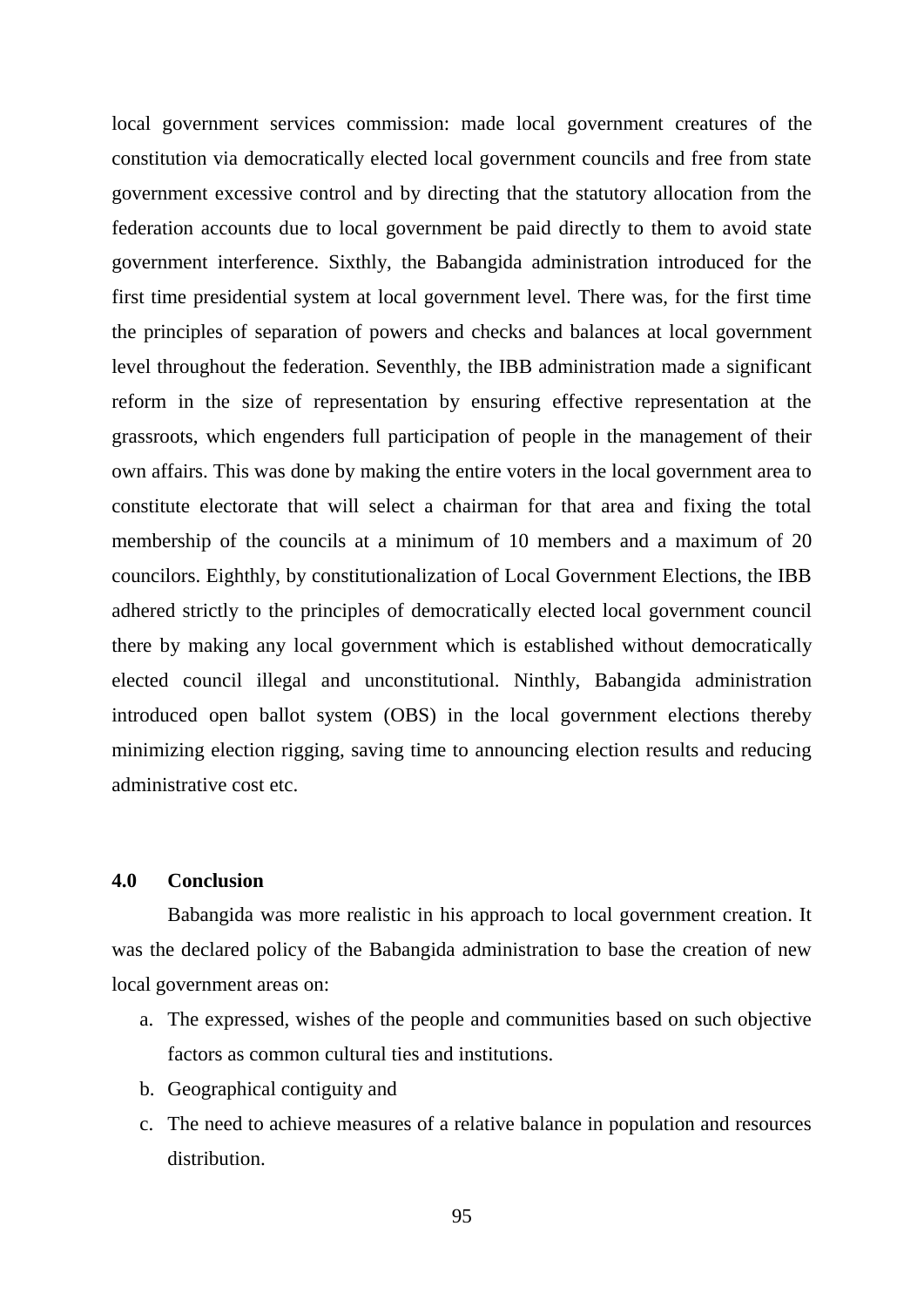local government services commission: made local government creatures of the constitution via democratically elected local government councils and free from state government excessive control and by directing that the statutory allocation from the federation accounts due to local government be paid directly to them to avoid state government interference. Sixthly, the Babangida administration introduced for the first time presidential system at local government level. There was, for the first time the principles of separation of powers and checks and balances at local government level throughout the federation. Seventhly, the IBB administration made a significant reform in the size of representation by ensuring effective representation at the grassroots, which engenders full participation of people in the management of their own affairs. This was done by making the entire voters in the local government area to constitute electorate that will select a chairman for that area and fixing the total membership of the councils at a minimum of 10 members and a maximum of 20 councilors. Eighthly, by constitutionalization of Local Government Elections, the IBB adhered strictly to the principles of democratically elected local government council there by making any local government which is established without democratically elected council illegal and unconstitutional. Ninthly, Babangida administration introduced open ballot system (OBS) in the local government elections thereby minimizing election rigging, saving time to announcing election results and reducing administrative cost etc.

# **4.0 Conclusion**

Babangida was more realistic in his approach to local government creation. It was the declared policy of the Babangida administration to base the creation of new local government areas on:

- a. The expressed, wishes of the people and communities based on such objective factors as common cultural ties and institutions.
- b. Geographical contiguity and
- c. The need to achieve measures of a relative balance in population and resources distribution.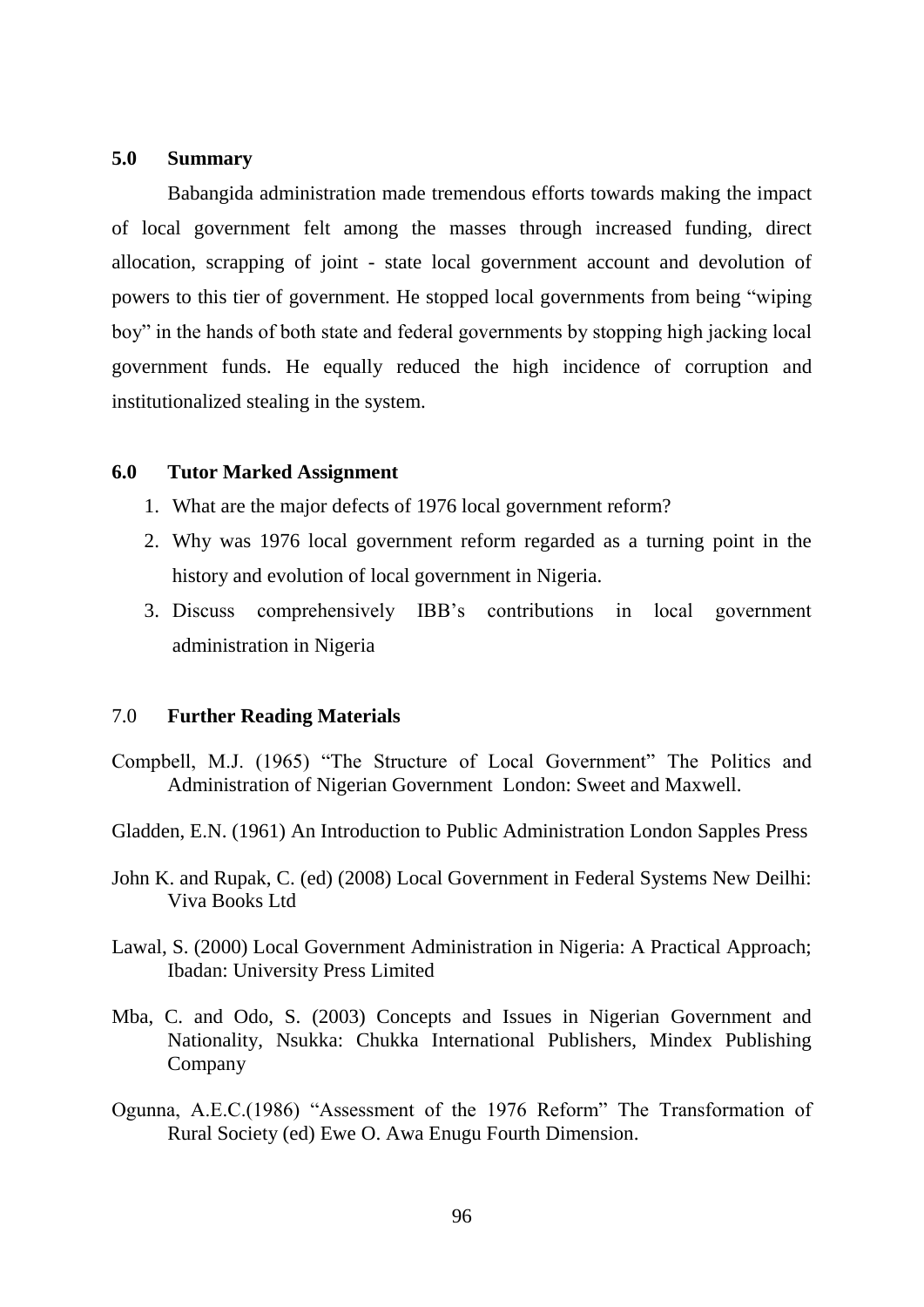#### **5.0 Summary**

Babangida administration made tremendous efforts towards making the impact of local government felt among the masses through increased funding, direct allocation, scrapping of joint - state local government account and devolution of powers to this tier of government. He stopped local governments from being "wiping boy" in the hands of both state and federal governments by stopping high jacking local government funds. He equally reduced the high incidence of corruption and institutionalized stealing in the system.

#### **6.0 Tutor Marked Assignment**

- 1. What are the major defects of 1976 local government reform?
- 2. Why was 1976 local government reform regarded as a turning point in the history and evolution of local government in Nigeria.
- 3. Discuss comprehensively IBB"s contributions in local government administration in Nigeria

### 7.0 **Further Reading Materials**

- Compbell, M.J. (1965) "The Structure of Local Government" The Politics and Administration of Nigerian Government London: Sweet and Maxwell.
- Gladden, E.N. (1961) An Introduction to Public Administration London Sapples Press
- John K. and Rupak, C. (ed) (2008) Local Government in Federal Systems New Deilhi: Viva Books Ltd
- Lawal, S. (2000) Local Government Administration in Nigeria: A Practical Approach; Ibadan: University Press Limited
- Mba, C. and Odo, S. (2003) Concepts and Issues in Nigerian Government and Nationality, Nsukka: Chukka International Publishers, Mindex Publishing Company
- Ogunna, A.E.C.(1986) "Assessment of the 1976 Reform" The Transformation of Rural Society (ed) Ewe O. Awa Enugu Fourth Dimension.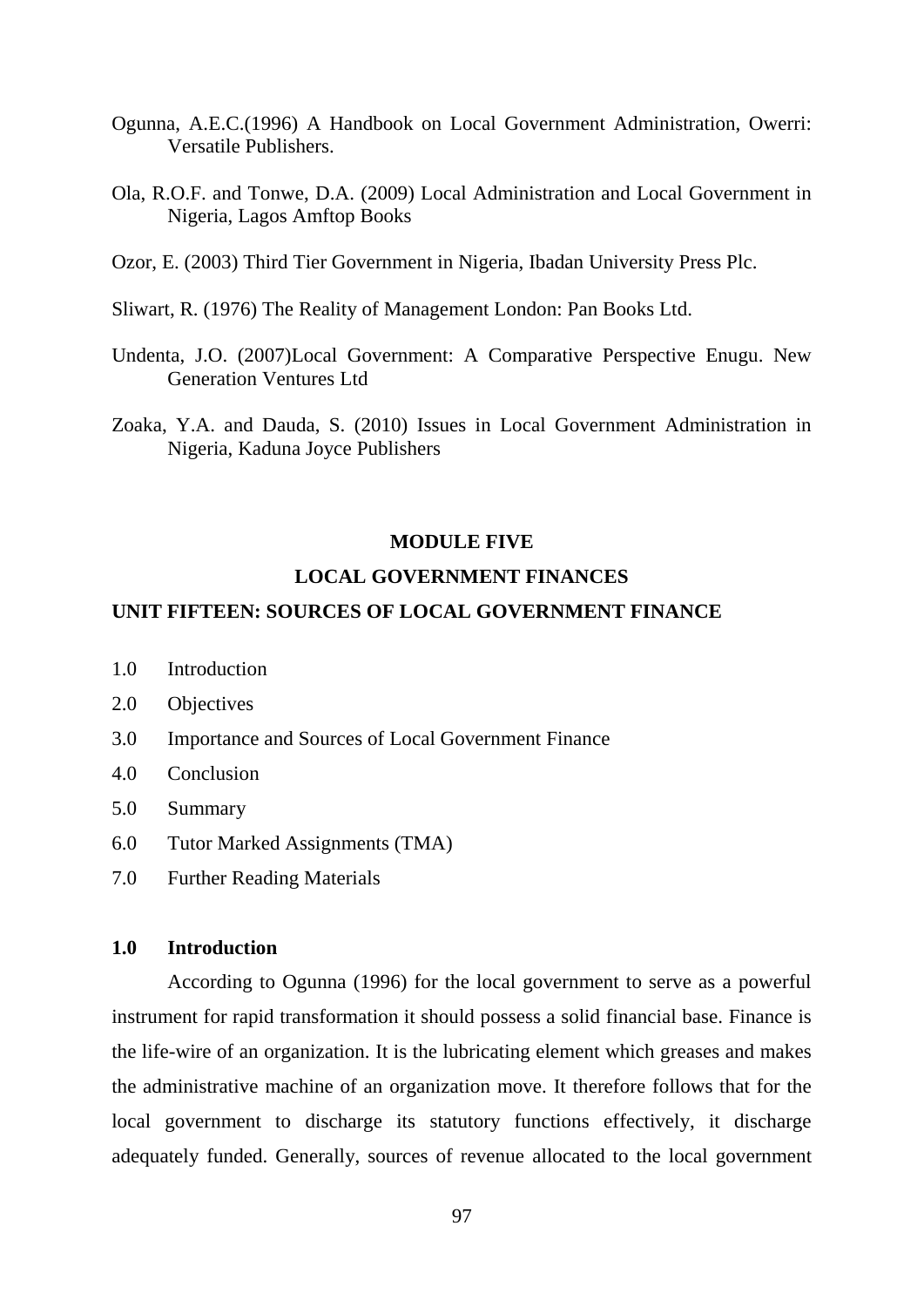- Ogunna, A.E.C.(1996) A Handbook on Local Government Administration, Owerri: Versatile Publishers.
- Ola, R.O.F. and Tonwe, D.A. (2009) Local Administration and Local Government in Nigeria, Lagos Amftop Books
- Ozor, E. (2003) Third Tier Government in Nigeria, Ibadan University Press Plc.
- Sliwart, R. (1976) The Reality of Management London: Pan Books Ltd.
- Undenta, J.O. (2007)Local Government: A Comparative Perspective Enugu. New Generation Ventures Ltd
- Zoaka, Y.A. and Dauda, S. (2010) Issues in Local Government Administration in Nigeria, Kaduna Joyce Publishers

#### **MODULE FIVE**

### **LOCAL GOVERNMENT FINANCES**

### **UNIT FIFTEEN: SOURCES OF LOCAL GOVERNMENT FINANCE**

- 1.0 Introduction
- 2.0 Objectives
- 3.0 Importance and Sources of Local Government Finance
- 4.0 Conclusion
- 5.0 Summary
- 6.0 Tutor Marked Assignments (TMA)
- 7.0 Further Reading Materials

# **1.0 Introduction**

According to Ogunna (1996) for the local government to serve as a powerful instrument for rapid transformation it should possess a solid financial base. Finance is the life-wire of an organization. It is the lubricating element which greases and makes the administrative machine of an organization move. It therefore follows that for the local government to discharge its statutory functions effectively, it discharge adequately funded. Generally, sources of revenue allocated to the local government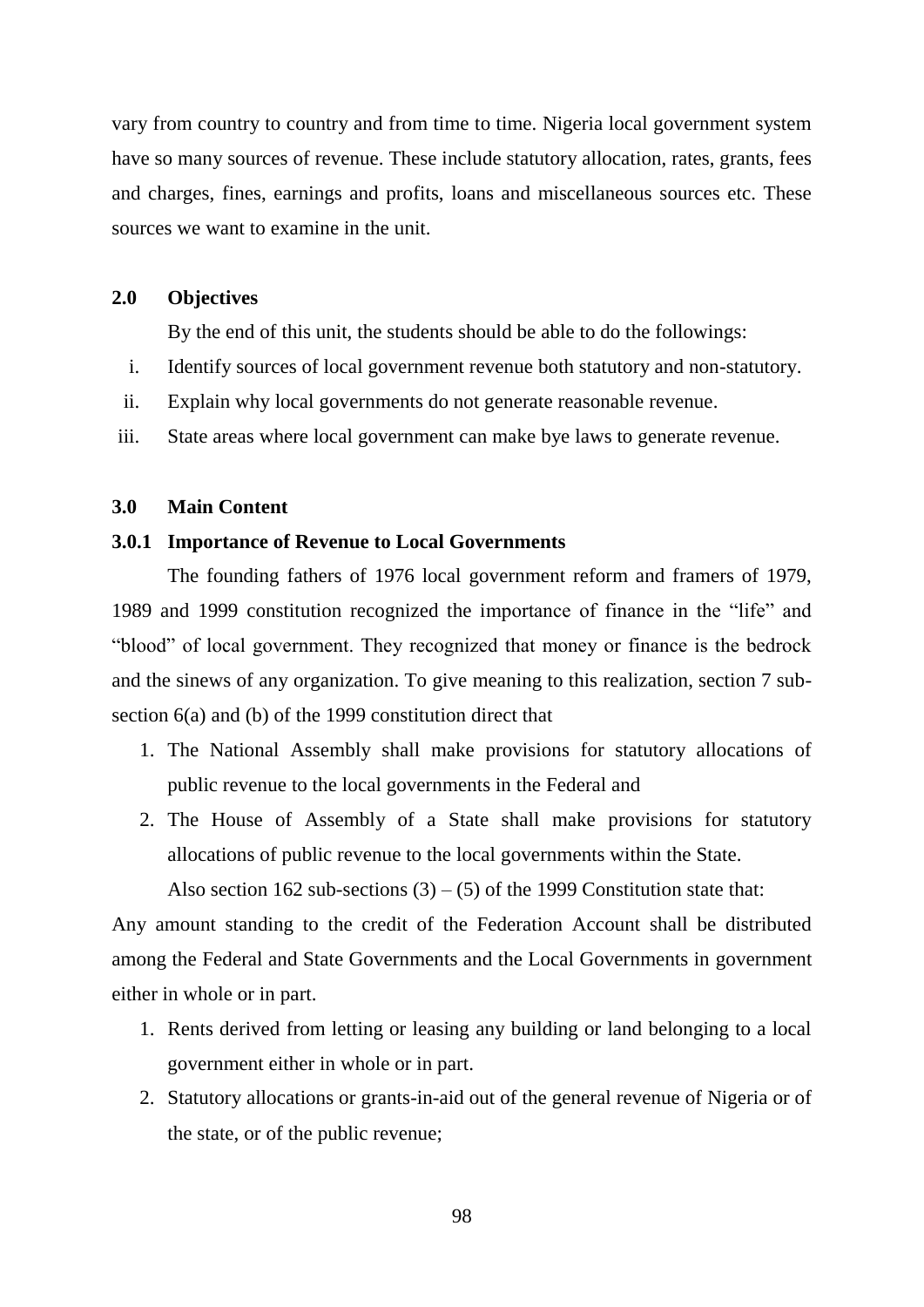vary from country to country and from time to time. Nigeria local government system have so many sources of revenue. These include statutory allocation, rates, grants, fees and charges, fines, earnings and profits, loans and miscellaneous sources etc. These sources we want to examine in the unit.

### **2.0 Objectives**

By the end of this unit, the students should be able to do the followings:

- i. Identify sources of local government revenue both statutory and non-statutory.
- ii. Explain why local governments do not generate reasonable revenue.
- iii. State areas where local government can make bye laws to generate revenue.

# **3.0 Main Content**

### **3.0.1 Importance of Revenue to Local Governments**

The founding fathers of 1976 local government reform and framers of 1979, 1989 and 1999 constitution recognized the importance of finance in the "life" and "blood" of local government. They recognized that money or finance is the bedrock and the sinews of any organization. To give meaning to this realization, section 7 subsection 6(a) and (b) of the 1999 constitution direct that

- 1. The National Assembly shall make provisions for statutory allocations of public revenue to the local governments in the Federal and
- 2. The House of Assembly of a State shall make provisions for statutory allocations of public revenue to the local governments within the State.

Also section 162 sub-sections  $(3) - (5)$  of the 1999 Constitution state that:

Any amount standing to the credit of the Federation Account shall be distributed among the Federal and State Governments and the Local Governments in government either in whole or in part.

- 1. Rents derived from letting or leasing any building or land belonging to a local government either in whole or in part.
- 2. Statutory allocations or grants-in-aid out of the general revenue of Nigeria or of the state, or of the public revenue;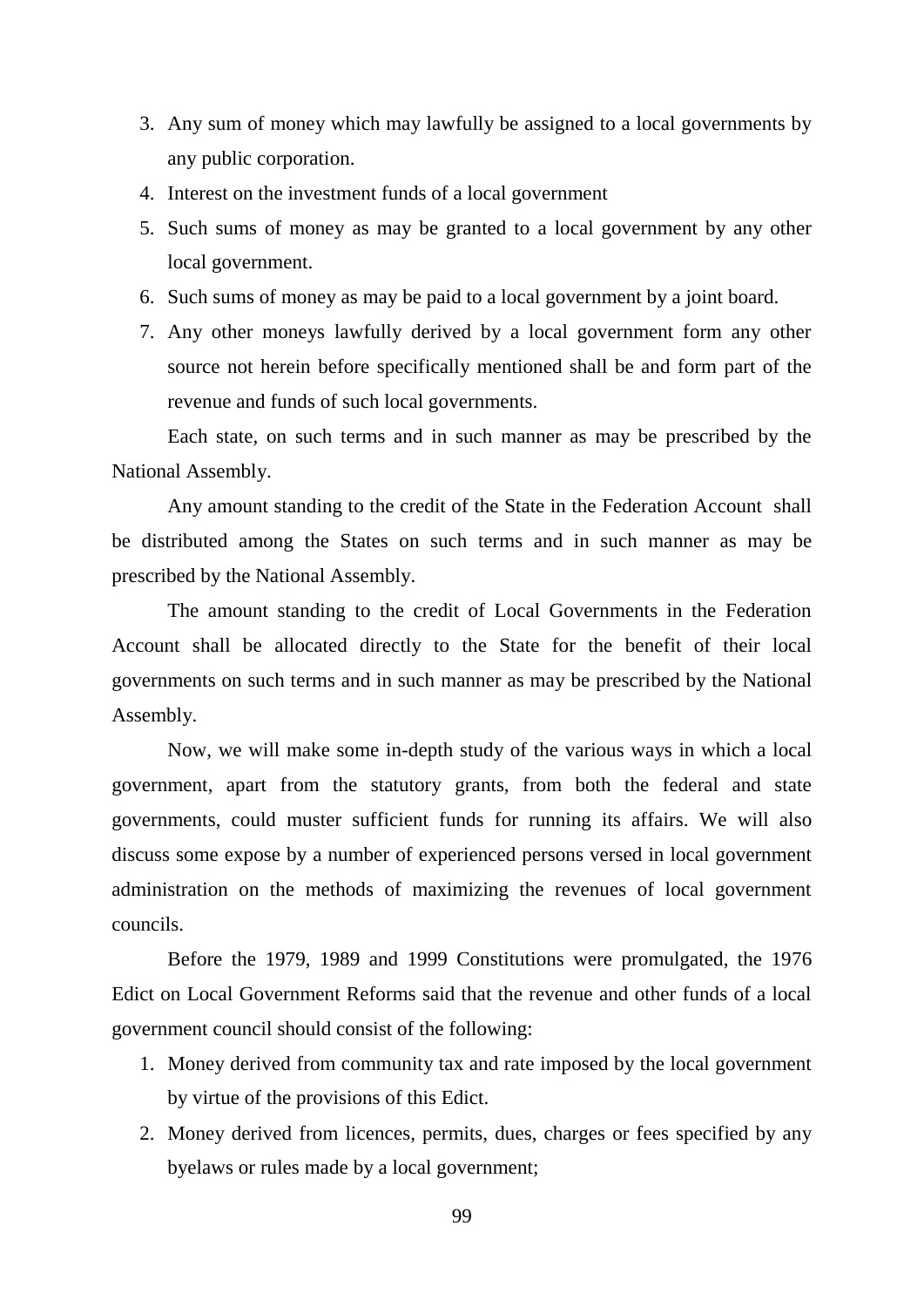- 3. Any sum of money which may lawfully be assigned to a local governments by any public corporation.
- 4. Interest on the investment funds of a local government
- 5. Such sums of money as may be granted to a local government by any other local government.
- 6. Such sums of money as may be paid to a local government by a joint board.
- 7. Any other moneys lawfully derived by a local government form any other source not herein before specifically mentioned shall be and form part of the revenue and funds of such local governments.

Each state, on such terms and in such manner as may be prescribed by the National Assembly.

Any amount standing to the credit of the State in the Federation Account shall be distributed among the States on such terms and in such manner as may be prescribed by the National Assembly.

The amount standing to the credit of Local Governments in the Federation Account shall be allocated directly to the State for the benefit of their local governments on such terms and in such manner as may be prescribed by the National Assembly.

Now, we will make some in-depth study of the various ways in which a local government, apart from the statutory grants, from both the federal and state governments, could muster sufficient funds for running its affairs. We will also discuss some expose by a number of experienced persons versed in local government administration on the methods of maximizing the revenues of local government councils.

Before the 1979, 1989 and 1999 Constitutions were promulgated, the 1976 Edict on Local Government Reforms said that the revenue and other funds of a local government council should consist of the following:

- 1. Money derived from community tax and rate imposed by the local government by virtue of the provisions of this Edict.
- 2. Money derived from licences, permits, dues, charges or fees specified by any byelaws or rules made by a local government;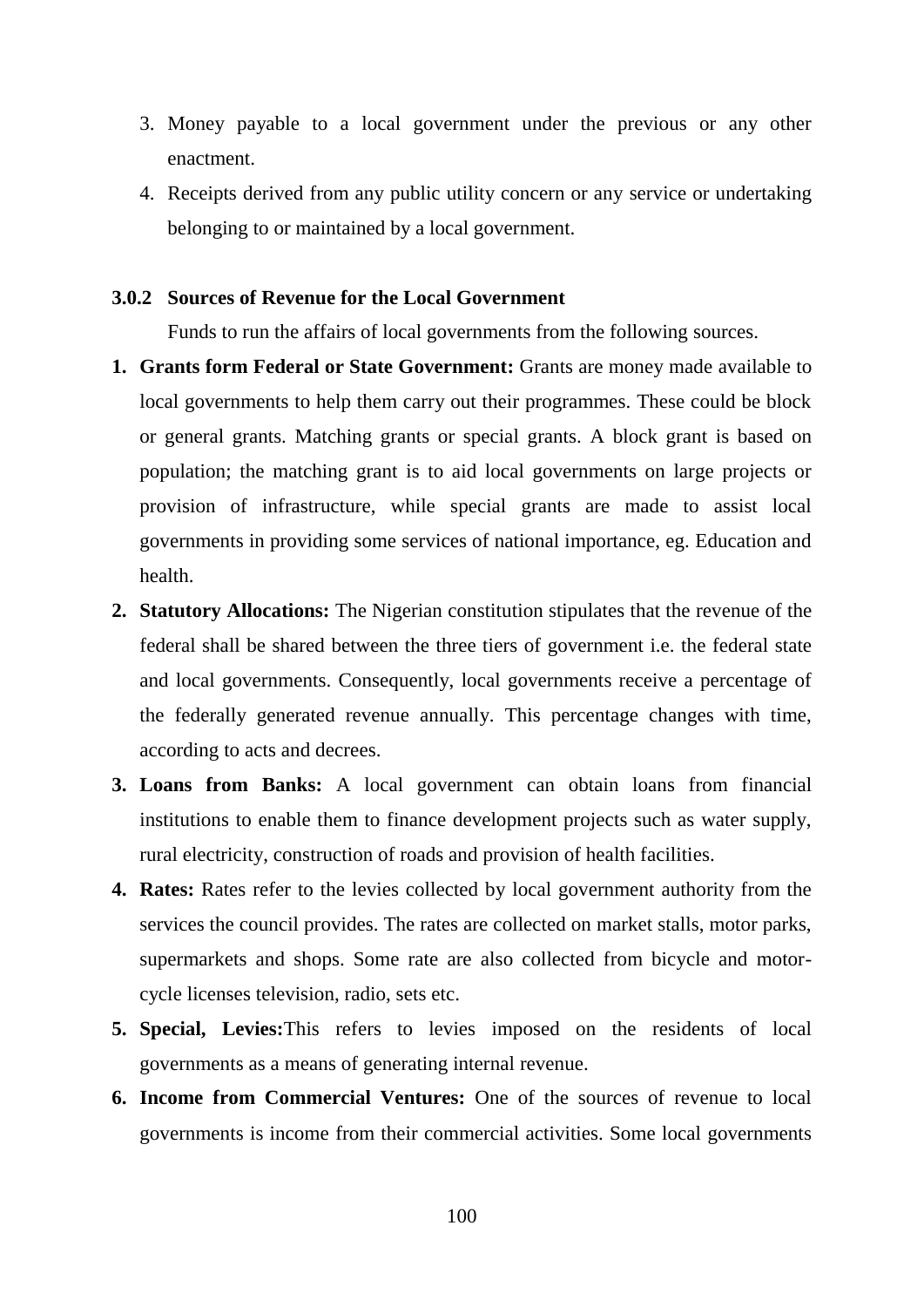- 3. Money payable to a local government under the previous or any other enactment.
- 4. Receipts derived from any public utility concern or any service or undertaking belonging to or maintained by a local government.

### **3.0.2 Sources of Revenue for the Local Government**

Funds to run the affairs of local governments from the following sources.

- **1. Grants form Federal or State Government:** Grants are money made available to local governments to help them carry out their programmes. These could be block or general grants. Matching grants or special grants. A block grant is based on population; the matching grant is to aid local governments on large projects or provision of infrastructure, while special grants are made to assist local governments in providing some services of national importance, eg. Education and health.
- **2. Statutory Allocations:** The Nigerian constitution stipulates that the revenue of the federal shall be shared between the three tiers of government i.e. the federal state and local governments. Consequently, local governments receive a percentage of the federally generated revenue annually. This percentage changes with time, according to acts and decrees.
- **3. Loans from Banks:** A local government can obtain loans from financial institutions to enable them to finance development projects such as water supply, rural electricity, construction of roads and provision of health facilities.
- **4. Rates:** Rates refer to the levies collected by local government authority from the services the council provides. The rates are collected on market stalls, motor parks, supermarkets and shops. Some rate are also collected from bicycle and motorcycle licenses television, radio, sets etc.
- **5. Special, Levies:**This refers to levies imposed on the residents of local governments as a means of generating internal revenue.
- **6. Income from Commercial Ventures:** One of the sources of revenue to local governments is income from their commercial activities. Some local governments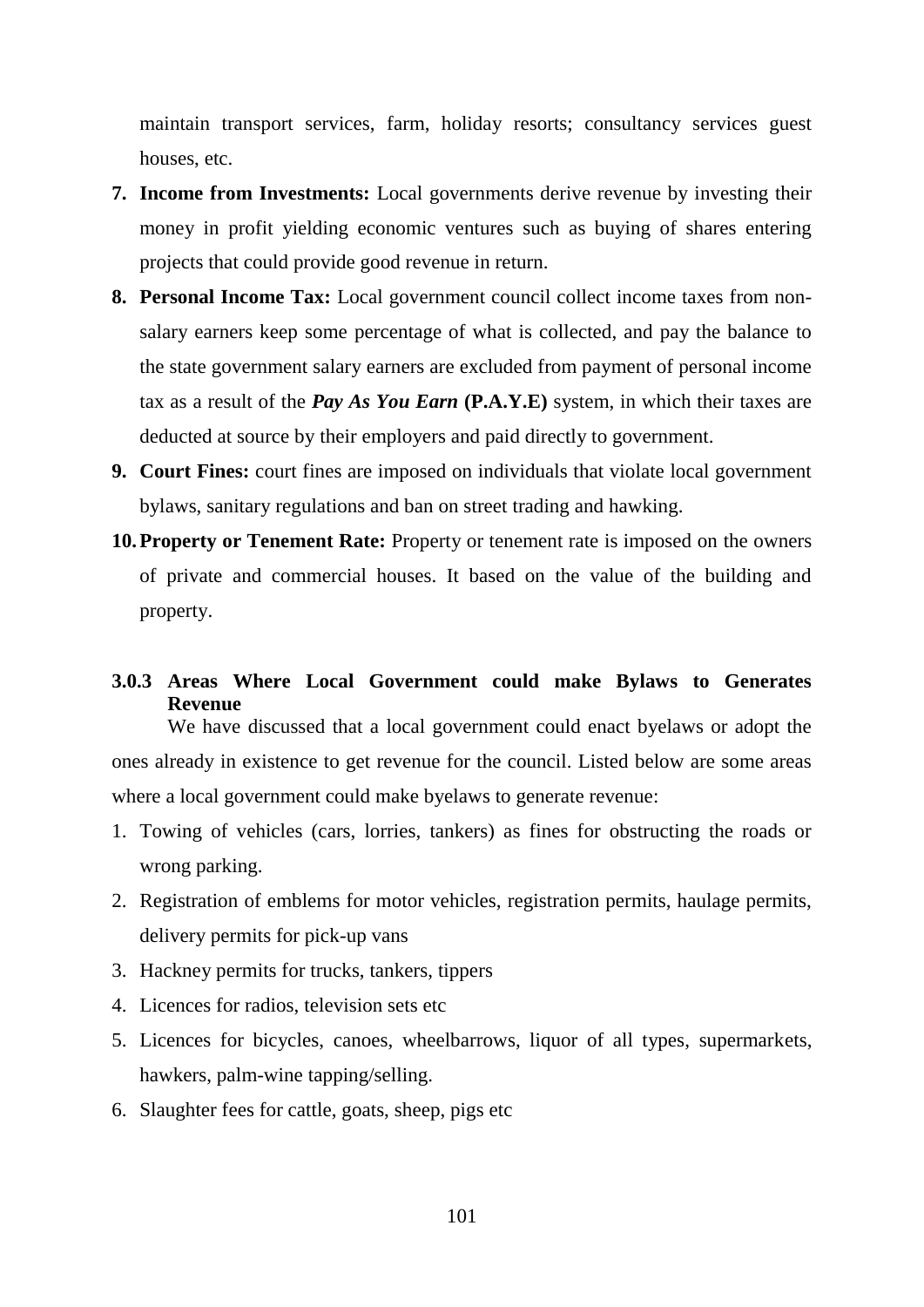maintain transport services, farm, holiday resorts; consultancy services guest houses, etc.

- **7. Income from Investments:** Local governments derive revenue by investing their money in profit yielding economic ventures such as buying of shares entering projects that could provide good revenue in return.
- **8. Personal Income Tax:** Local government council collect income taxes from nonsalary earners keep some percentage of what is collected, and pay the balance to the state government salary earners are excluded from payment of personal income tax as a result of the *Pay As You Earn* **(P.A.Y.E)** system, in which their taxes are deducted at source by their employers and paid directly to government.
- **9. Court Fines:** court fines are imposed on individuals that violate local government bylaws, sanitary regulations and ban on street trading and hawking.
- **10.Property or Tenement Rate:** Property or tenement rate is imposed on the owners of private and commercial houses. It based on the value of the building and property.
- **3.0.3 Areas Where Local Government could make Bylaws to Generates Revenue**

We have discussed that a local government could enact byelaws or adopt the ones already in existence to get revenue for the council. Listed below are some areas where a local government could make byelaws to generate revenue:

- 1. Towing of vehicles (cars, lorries, tankers) as fines for obstructing the roads or wrong parking.
- 2. Registration of emblems for motor vehicles, registration permits, haulage permits, delivery permits for pick-up vans
- 3. Hackney permits for trucks, tankers, tippers
- 4. Licences for radios, television sets etc
- 5. Licences for bicycles, canoes, wheelbarrows, liquor of all types, supermarkets, hawkers, palm-wine tapping/selling.
- 6. Slaughter fees for cattle, goats, sheep, pigs etc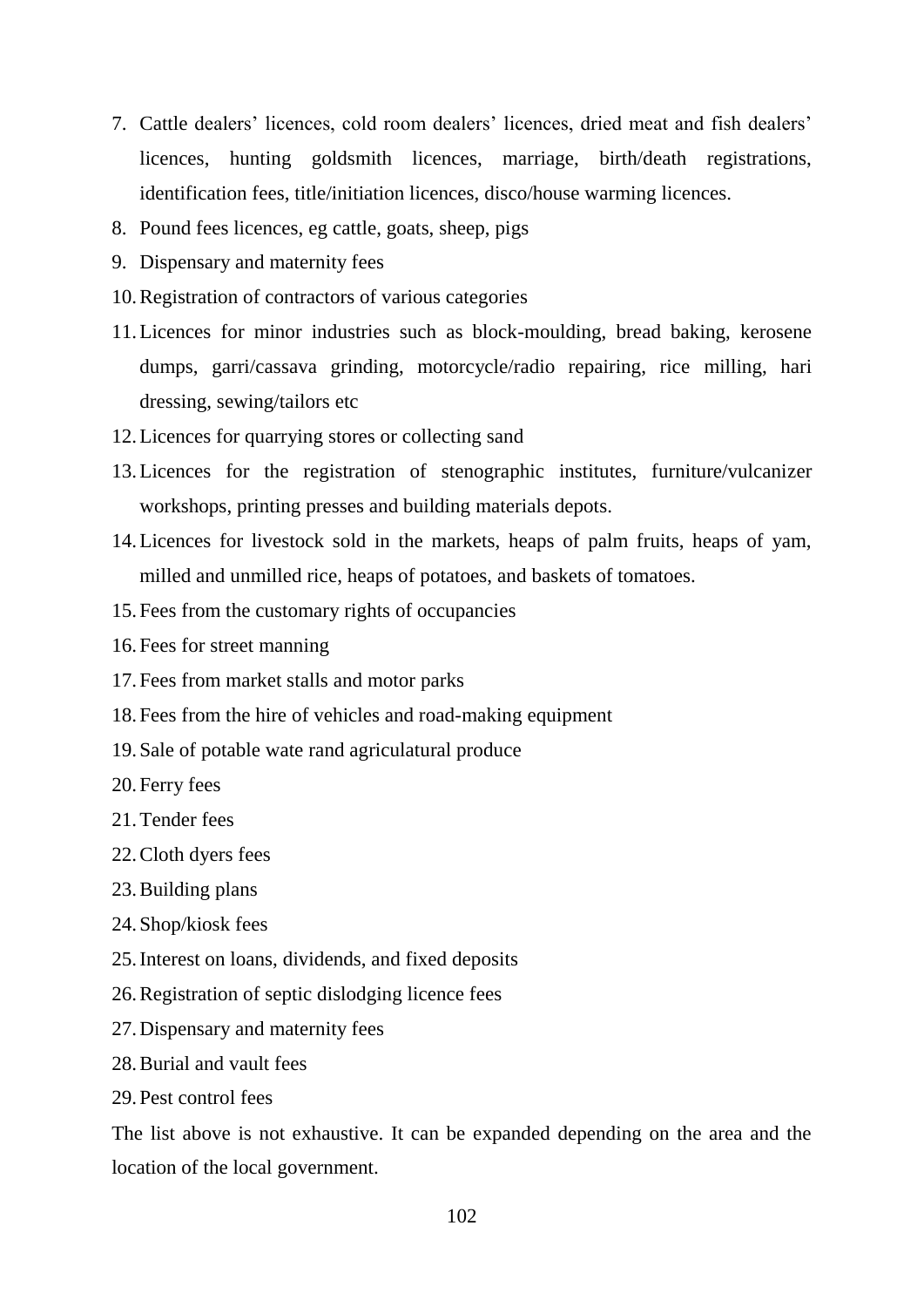- 7. Cattle dealers' licences, cold room dealers' licences, dried meat and fish dealers' licences, hunting goldsmith licences, marriage, birth/death registrations, identification fees, title/initiation licences, disco/house warming licences.
- 8. Pound fees licences, eg cattle, goats, sheep, pigs
- 9. Dispensary and maternity fees
- 10.Registration of contractors of various categories
- 11.Licences for minor industries such as block-moulding, bread baking, kerosene dumps, garri/cassava grinding, motorcycle/radio repairing, rice milling, hari dressing, sewing/tailors etc
- 12.Licences for quarrying stores or collecting sand
- 13.Licences for the registration of stenographic institutes, furniture/vulcanizer workshops, printing presses and building materials depots.
- 14.Licences for livestock sold in the markets, heaps of palm fruits, heaps of yam, milled and unmilled rice, heaps of potatoes, and baskets of tomatoes.
- 15.Fees from the customary rights of occupancies
- 16.Fees for street manning
- 17.Fees from market stalls and motor parks
- 18.Fees from the hire of vehicles and road-making equipment
- 19.Sale of potable wate rand agriculatural produce
- 20.Ferry fees
- 21.Tender fees
- 22.Cloth dyers fees
- 23.Building plans
- 24.Shop/kiosk fees
- 25.Interest on loans, dividends, and fixed deposits
- 26.Registration of septic dislodging licence fees
- 27.Dispensary and maternity fees
- 28.Burial and vault fees
- 29.Pest control fees

The list above is not exhaustive. It can be expanded depending on the area and the location of the local government.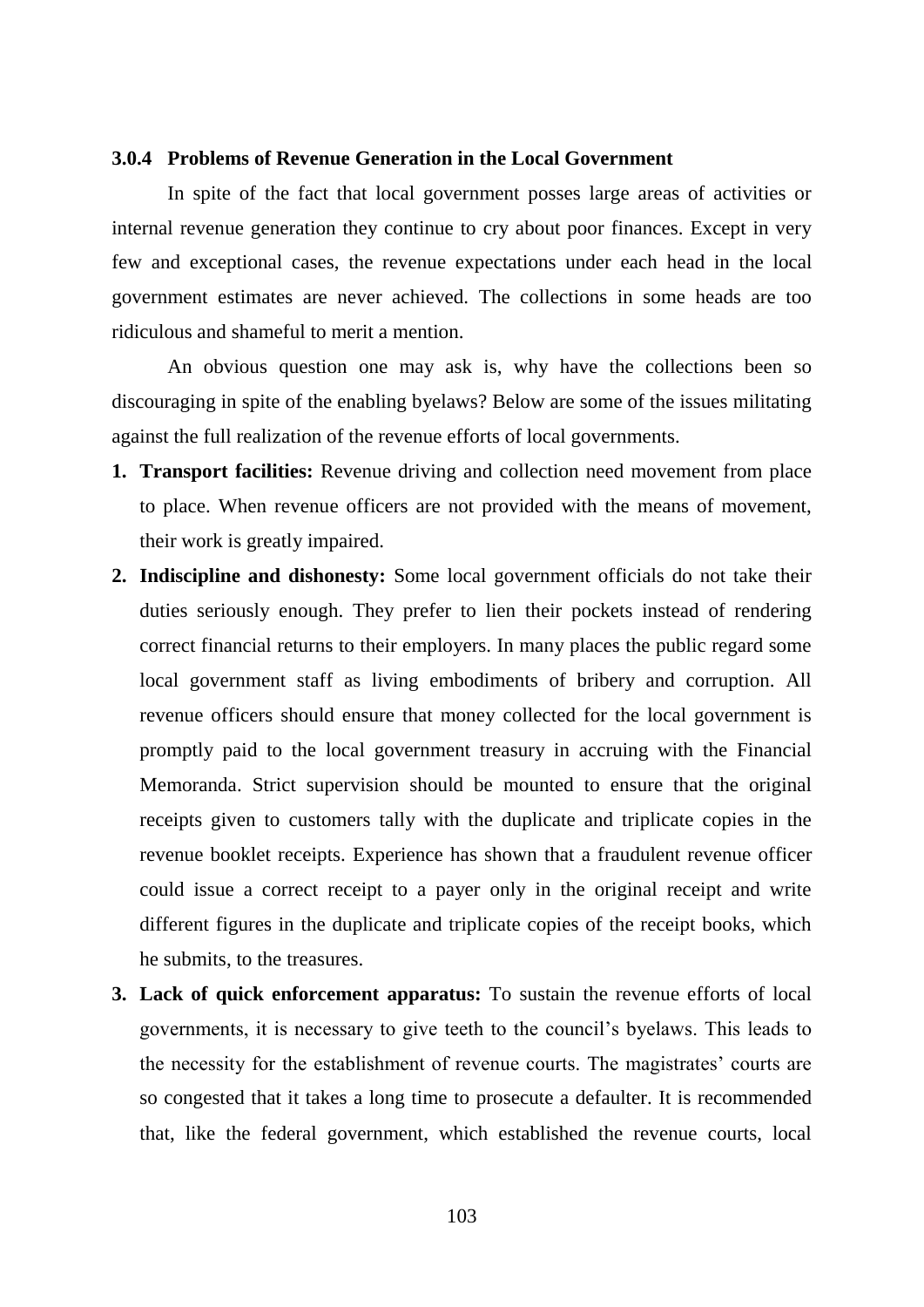#### **3.0.4 Problems of Revenue Generation in the Local Government**

In spite of the fact that local government posses large areas of activities or internal revenue generation they continue to cry about poor finances. Except in very few and exceptional cases, the revenue expectations under each head in the local government estimates are never achieved. The collections in some heads are too ridiculous and shameful to merit a mention.

An obvious question one may ask is, why have the collections been so discouraging in spite of the enabling byelaws? Below are some of the issues militating against the full realization of the revenue efforts of local governments.

- **1. Transport facilities:** Revenue driving and collection need movement from place to place. When revenue officers are not provided with the means of movement, their work is greatly impaired.
- **2. Indiscipline and dishonesty:** Some local government officials do not take their duties seriously enough. They prefer to lien their pockets instead of rendering correct financial returns to their employers. In many places the public regard some local government staff as living embodiments of bribery and corruption. All revenue officers should ensure that money collected for the local government is promptly paid to the local government treasury in accruing with the Financial Memoranda. Strict supervision should be mounted to ensure that the original receipts given to customers tally with the duplicate and triplicate copies in the revenue booklet receipts. Experience has shown that a fraudulent revenue officer could issue a correct receipt to a payer only in the original receipt and write different figures in the duplicate and triplicate copies of the receipt books, which he submits, to the treasures.
- **3. Lack of quick enforcement apparatus:** To sustain the revenue efforts of local governments, it is necessary to give teeth to the council"s byelaws. This leads to the necessity for the establishment of revenue courts. The magistrates" courts are so congested that it takes a long time to prosecute a defaulter. It is recommended that, like the federal government, which established the revenue courts, local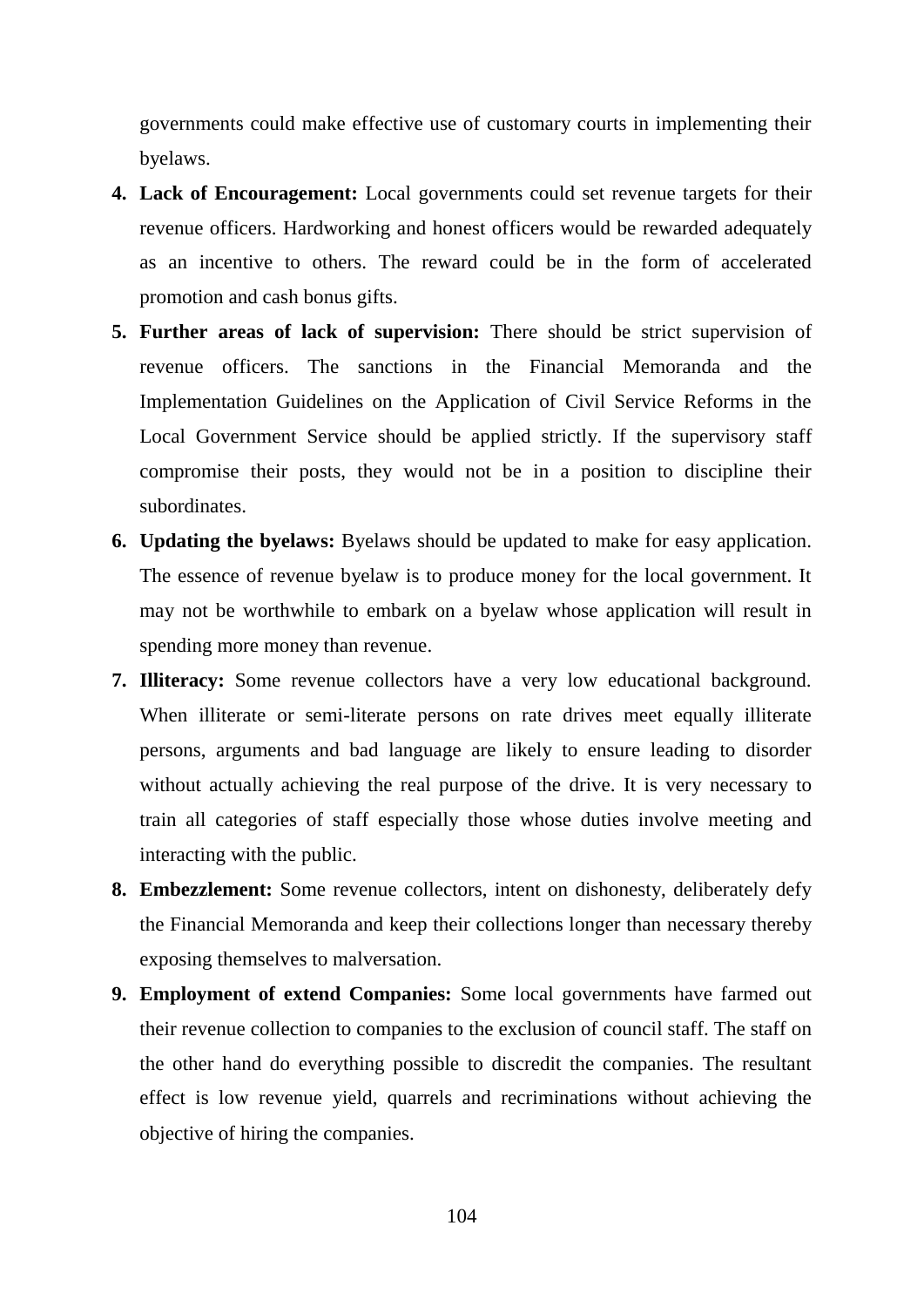governments could make effective use of customary courts in implementing their byelaws.

- **4. Lack of Encouragement:** Local governments could set revenue targets for their revenue officers. Hardworking and honest officers would be rewarded adequately as an incentive to others. The reward could be in the form of accelerated promotion and cash bonus gifts.
- **5. Further areas of lack of supervision:** There should be strict supervision of revenue officers. The sanctions in the Financial Memoranda and the Implementation Guidelines on the Application of Civil Service Reforms in the Local Government Service should be applied strictly. If the supervisory staff compromise their posts, they would not be in a position to discipline their subordinates.
- **6. Updating the byelaws:** Byelaws should be updated to make for easy application. The essence of revenue byelaw is to produce money for the local government. It may not be worthwhile to embark on a byelaw whose application will result in spending more money than revenue.
- **7. Illiteracy:** Some revenue collectors have a very low educational background. When illiterate or semi-literate persons on rate drives meet equally illiterate persons, arguments and bad language are likely to ensure leading to disorder without actually achieving the real purpose of the drive. It is very necessary to train all categories of staff especially those whose duties involve meeting and interacting with the public.
- **8. Embezzlement:** Some revenue collectors, intent on dishonesty, deliberately defy the Financial Memoranda and keep their collections longer than necessary thereby exposing themselves to malversation.
- **9. Employment of extend Companies:** Some local governments have farmed out their revenue collection to companies to the exclusion of council staff. The staff on the other hand do everything possible to discredit the companies. The resultant effect is low revenue yield, quarrels and recriminations without achieving the objective of hiring the companies.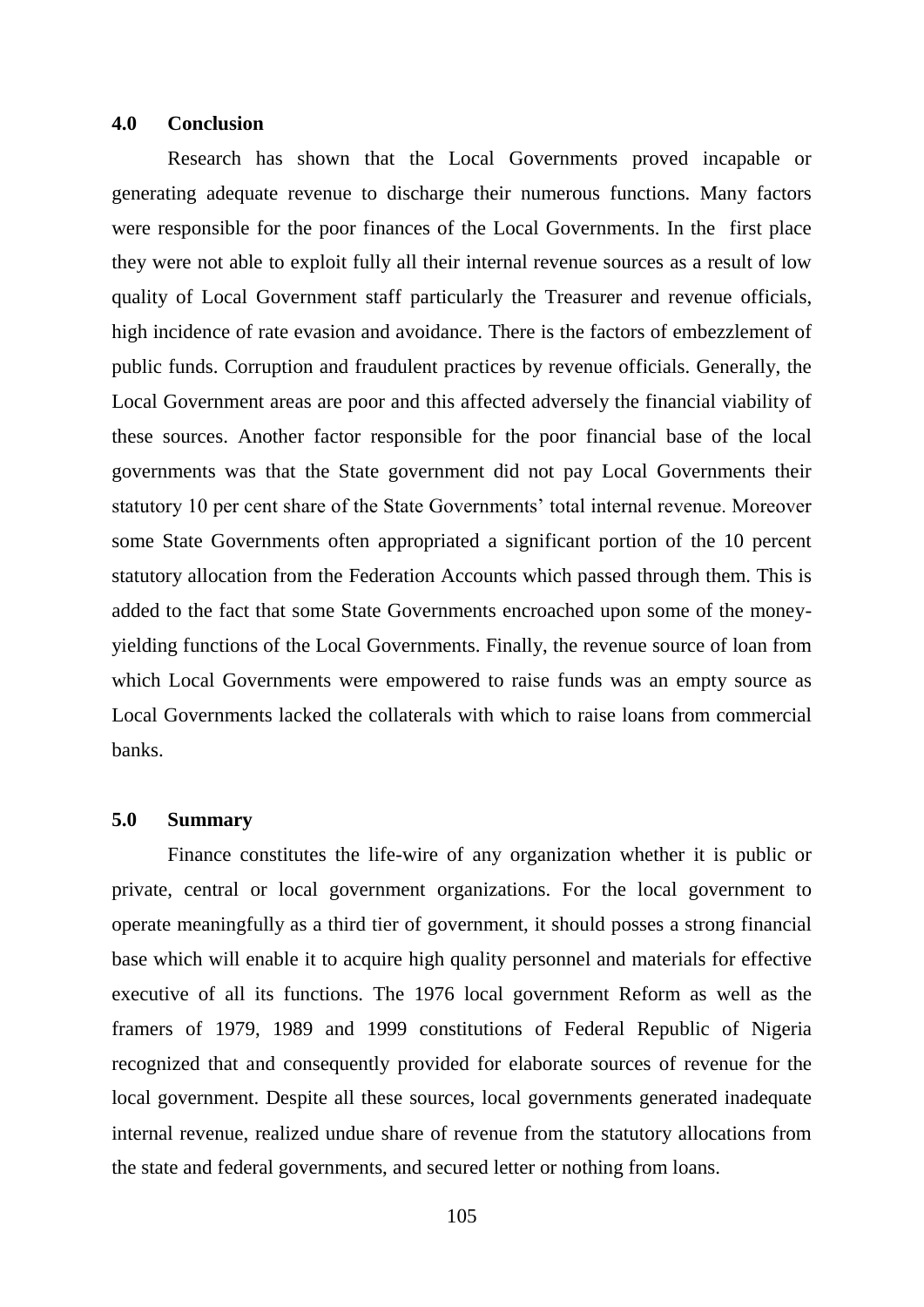#### **4.0 Conclusion**

Research has shown that the Local Governments proved incapable or generating adequate revenue to discharge their numerous functions. Many factors were responsible for the poor finances of the Local Governments. In the first place they were not able to exploit fully all their internal revenue sources as a result of low quality of Local Government staff particularly the Treasurer and revenue officials, high incidence of rate evasion and avoidance. There is the factors of embezzlement of public funds. Corruption and fraudulent practices by revenue officials. Generally, the Local Government areas are poor and this affected adversely the financial viability of these sources. Another factor responsible for the poor financial base of the local governments was that the State government did not pay Local Governments their statutory 10 per cent share of the State Governments' total internal revenue. Moreover some State Governments often appropriated a significant portion of the 10 percent statutory allocation from the Federation Accounts which passed through them. This is added to the fact that some State Governments encroached upon some of the moneyyielding functions of the Local Governments. Finally, the revenue source of loan from which Local Governments were empowered to raise funds was an empty source as Local Governments lacked the collaterals with which to raise loans from commercial banks.

#### **5.0 Summary**

Finance constitutes the life-wire of any organization whether it is public or private, central or local government organizations. For the local government to operate meaningfully as a third tier of government, it should posses a strong financial base which will enable it to acquire high quality personnel and materials for effective executive of all its functions. The 1976 local government Reform as well as the framers of 1979, 1989 and 1999 constitutions of Federal Republic of Nigeria recognized that and consequently provided for elaborate sources of revenue for the local government. Despite all these sources, local governments generated inadequate internal revenue, realized undue share of revenue from the statutory allocations from the state and federal governments, and secured letter or nothing from loans.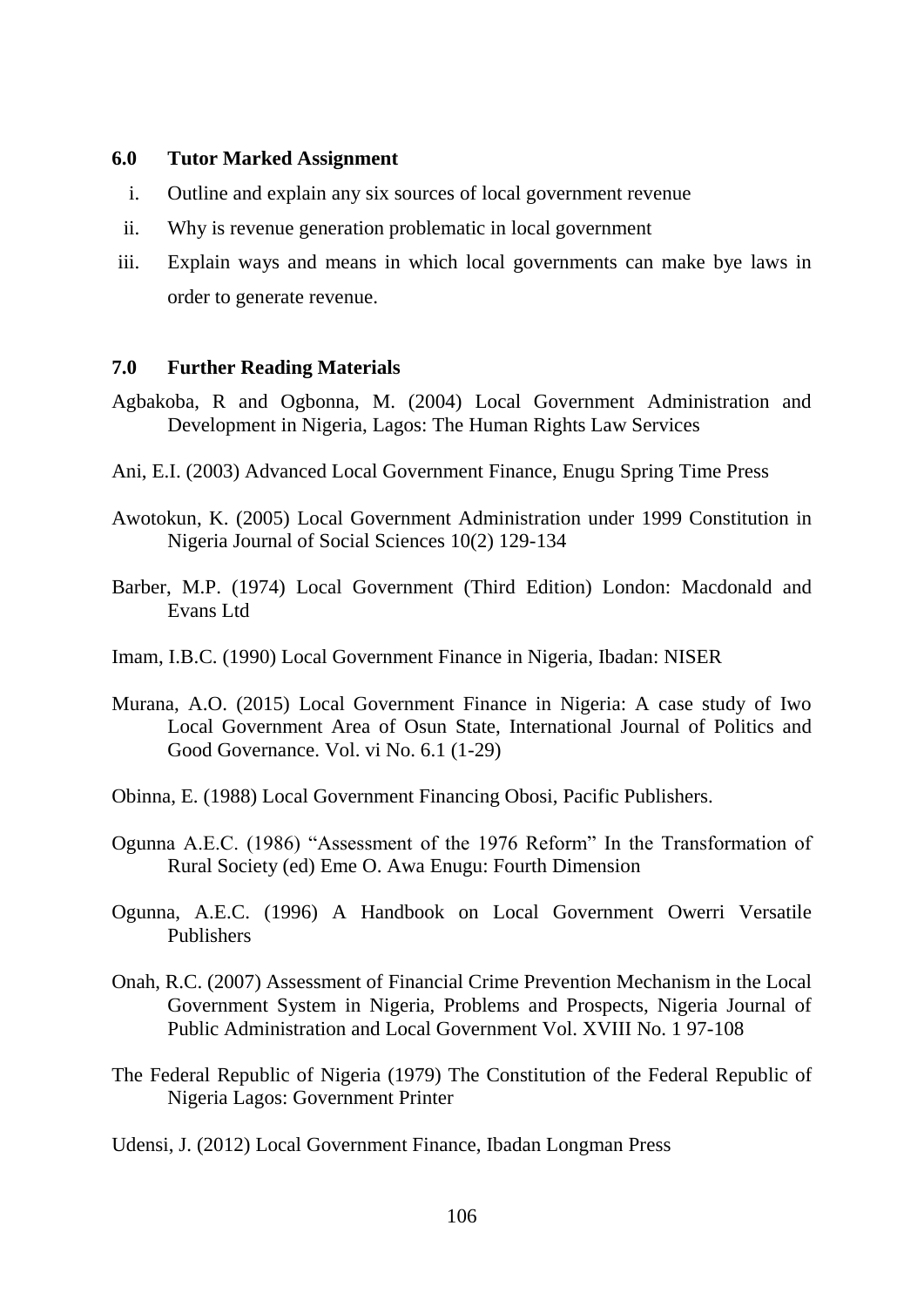### **6.0 Tutor Marked Assignment**

- i. Outline and explain any six sources of local government revenue
- ii. Why is revenue generation problematic in local government
- iii. Explain ways and means in which local governments can make bye laws in order to generate revenue.

# **7.0 Further Reading Materials**

- Agbakoba, R and Ogbonna, M. (2004) Local Government Administration and Development in Nigeria, Lagos: The Human Rights Law Services
- Ani, E.I. (2003) Advanced Local Government Finance, Enugu Spring Time Press
- Awotokun, K. (2005) Local Government Administration under 1999 Constitution in Nigeria Journal of Social Sciences 10(2) 129-134
- Barber, M.P. (1974) Local Government (Third Edition) London: Macdonald and Evans Ltd
- Imam, I.B.C. (1990) Local Government Finance in Nigeria, Ibadan: NISER
- Murana, A.O. (2015) Local Government Finance in Nigeria: A case study of Iwo Local Government Area of Osun State, International Journal of Politics and Good Governance. Vol. vi No. 6.1 (1-29)
- Obinna, E. (1988) Local Government Financing Obosi, Pacific Publishers.
- Ogunna A.E.C. (1986) "Assessment of the 1976 Reform" In the Transformation of Rural Society (ed) Eme O. Awa Enugu: Fourth Dimension
- Ogunna, A.E.C. (1996) A Handbook on Local Government Owerri Versatile Publishers
- Onah, R.C. (2007) Assessment of Financial Crime Prevention Mechanism in the Local Government System in Nigeria, Problems and Prospects, Nigeria Journal of Public Administration and Local Government Vol. XVIII No. 1 97-108
- The Federal Republic of Nigeria (1979) The Constitution of the Federal Republic of Nigeria Lagos: Government Printer

Udensi, J. (2012) Local Government Finance, Ibadan Longman Press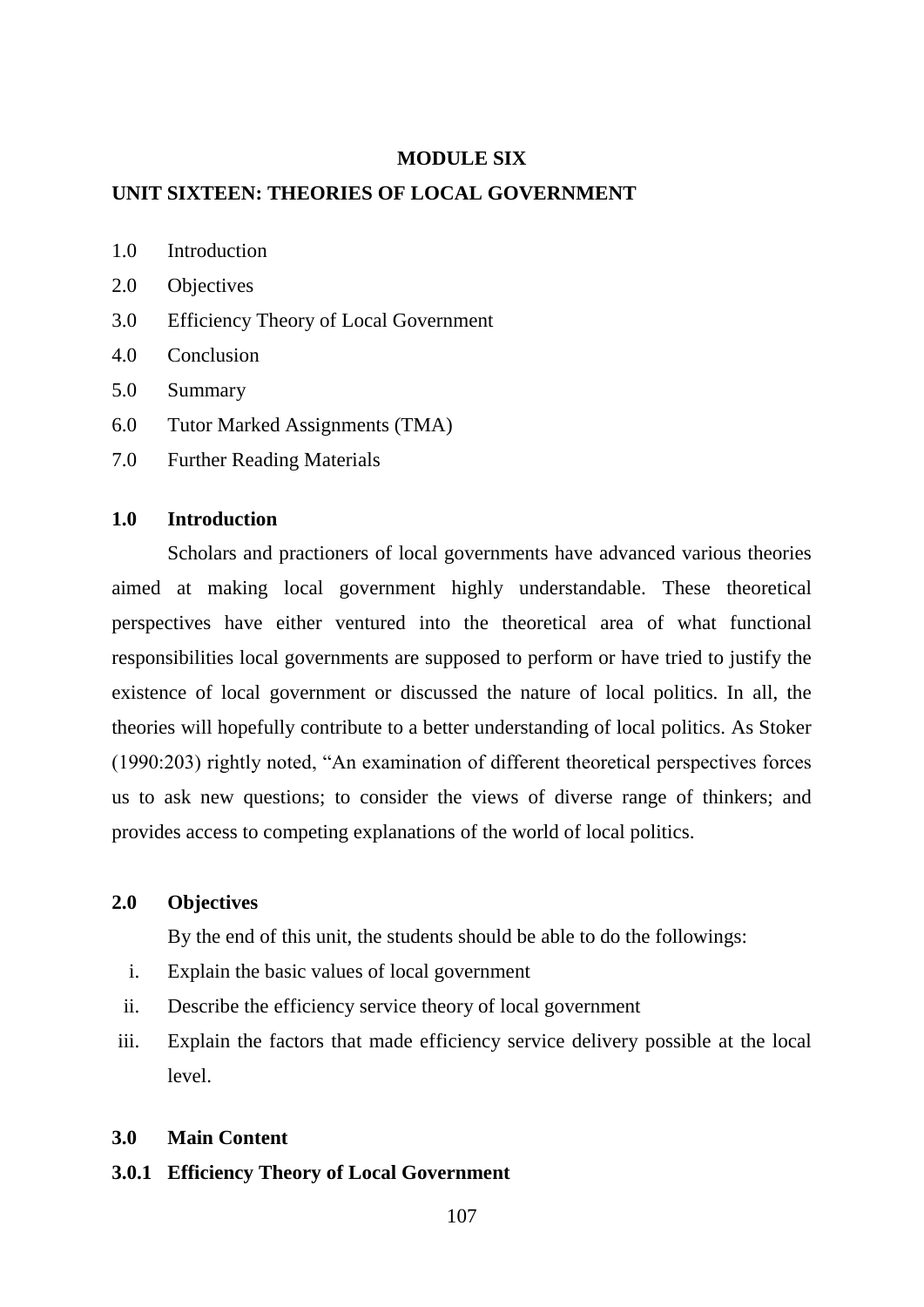#### **MODULE SIX**

#### **UNIT SIXTEEN: THEORIES OF LOCAL GOVERNMENT**

- 1.0 Introduction
- 2.0 Objectives
- 3.0 Efficiency Theory of Local Government
- 4.0 Conclusion
- 5.0 Summary
- 6.0 Tutor Marked Assignments (TMA)
- 7.0 Further Reading Materials

# **1.0 Introduction**

Scholars and practioners of local governments have advanced various theories aimed at making local government highly understandable. These theoretical perspectives have either ventured into the theoretical area of what functional responsibilities local governments are supposed to perform or have tried to justify the existence of local government or discussed the nature of local politics. In all, the theories will hopefully contribute to a better understanding of local politics. As Stoker (1990:203) rightly noted, "An examination of different theoretical perspectives forces us to ask new questions; to consider the views of diverse range of thinkers; and provides access to competing explanations of the world of local politics.

### **2.0 Objectives**

By the end of this unit, the students should be able to do the followings:

- i. Explain the basic values of local government
- ii. Describe the efficiency service theory of local government
- iii. Explain the factors that made efficiency service delivery possible at the local level.

#### **3.0 Main Content**

#### **3.0.1 Efficiency Theory of Local Government**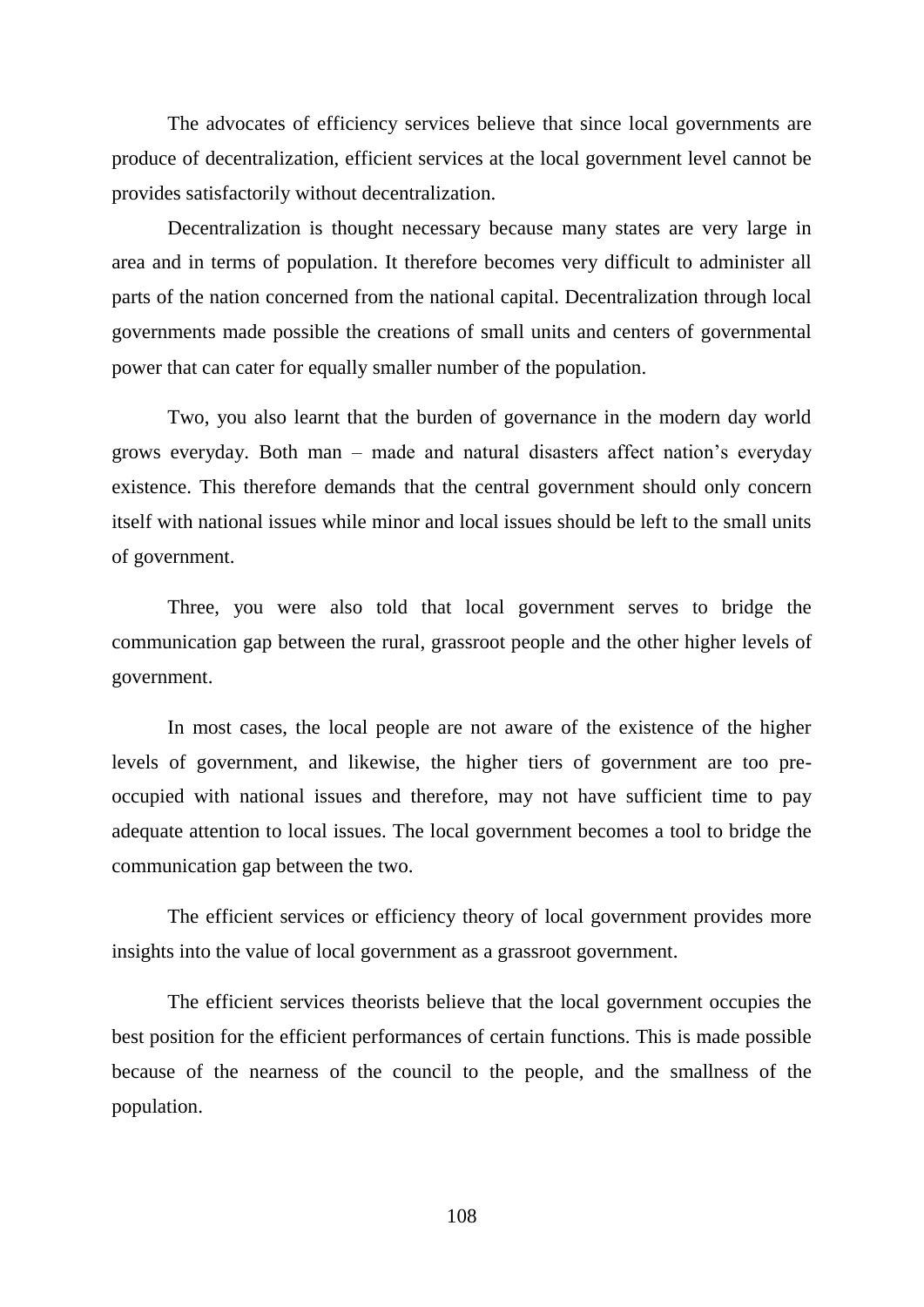The advocates of efficiency services believe that since local governments are produce of decentralization, efficient services at the local government level cannot be provides satisfactorily without decentralization.

Decentralization is thought necessary because many states are very large in area and in terms of population. It therefore becomes very difficult to administer all parts of the nation concerned from the national capital. Decentralization through local governments made possible the creations of small units and centers of governmental power that can cater for equally smaller number of the population.

Two, you also learnt that the burden of governance in the modern day world grows everyday. Both man – made and natural disasters affect nation"s everyday existence. This therefore demands that the central government should only concern itself with national issues while minor and local issues should be left to the small units of government.

Three, you were also told that local government serves to bridge the communication gap between the rural, grassroot people and the other higher levels of government.

In most cases, the local people are not aware of the existence of the higher levels of government, and likewise, the higher tiers of government are too preoccupied with national issues and therefore, may not have sufficient time to pay adequate attention to local issues. The local government becomes a tool to bridge the communication gap between the two.

The efficient services or efficiency theory of local government provides more insights into the value of local government as a grassroot government.

The efficient services theorists believe that the local government occupies the best position for the efficient performances of certain functions. This is made possible because of the nearness of the council to the people, and the smallness of the population.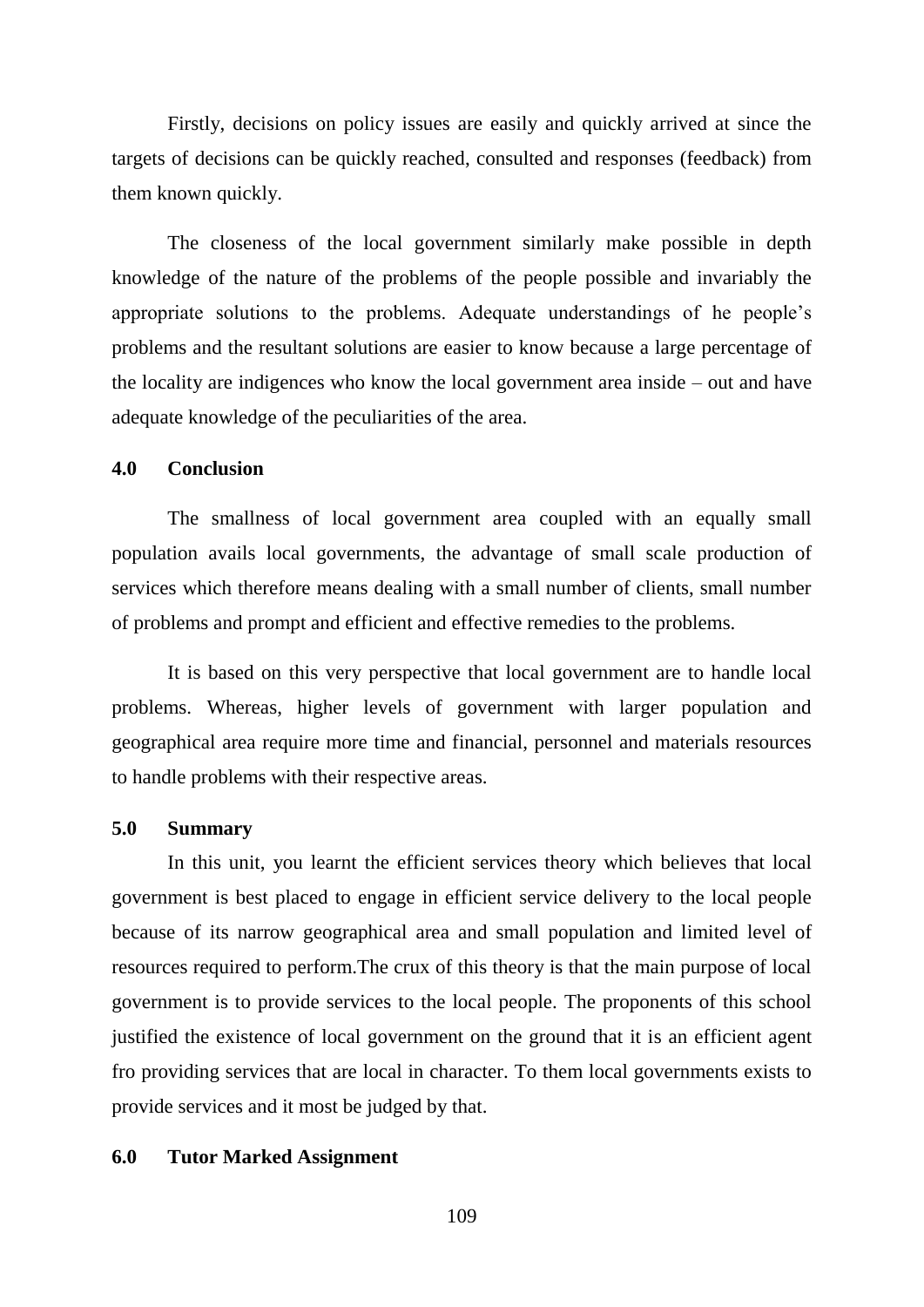Firstly, decisions on policy issues are easily and quickly arrived at since the targets of decisions can be quickly reached, consulted and responses (feedback) from them known quickly.

The closeness of the local government similarly make possible in depth knowledge of the nature of the problems of the people possible and invariably the appropriate solutions to the problems. Adequate understandings of he people"s problems and the resultant solutions are easier to know because a large percentage of the locality are indigences who know the local government area inside – out and have adequate knowledge of the peculiarities of the area.

## **4.0 Conclusion**

The smallness of local government area coupled with an equally small population avails local governments, the advantage of small scale production of services which therefore means dealing with a small number of clients, small number of problems and prompt and efficient and effective remedies to the problems.

It is based on this very perspective that local government are to handle local problems. Whereas, higher levels of government with larger population and geographical area require more time and financial, personnel and materials resources to handle problems with their respective areas.

## **5.0 Summary**

In this unit, you learnt the efficient services theory which believes that local government is best placed to engage in efficient service delivery to the local people because of its narrow geographical area and small population and limited level of resources required to perform.The crux of this theory is that the main purpose of local government is to provide services to the local people. The proponents of this school justified the existence of local government on the ground that it is an efficient agent fro providing services that are local in character. To them local governments exists to provide services and it most be judged by that.

#### **6.0 Tutor Marked Assignment**

109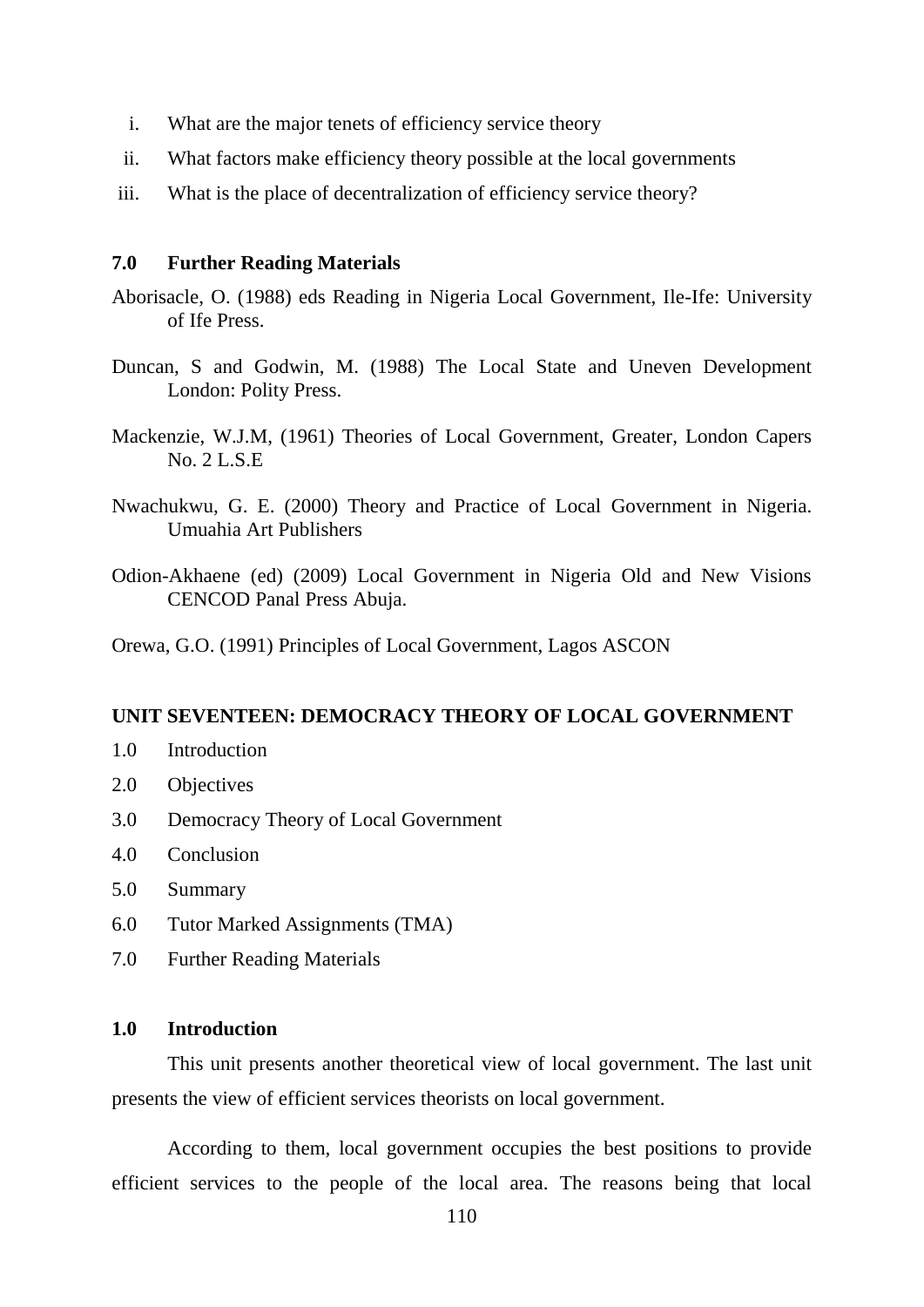- i. What are the major tenets of efficiency service theory
- ii. What factors make efficiency theory possible at the local governments
- iii. What is the place of decentralization of efficiency service theory?

## **7.0 Further Reading Materials**

- Aborisacle, O. (1988) eds Reading in Nigeria Local Government, Ile-Ife: University of Ife Press.
- Duncan, S and Godwin, M. (1988) The Local State and Uneven Development London: Polity Press.
- Mackenzie, W.J.M, (1961) Theories of Local Government, Greater, London Capers No. 2 L.S.E
- Nwachukwu, G. E. (2000) Theory and Practice of Local Government in Nigeria. Umuahia Art Publishers
- Odion-Akhaene (ed) (2009) Local Government in Nigeria Old and New Visions CENCOD Panal Press Abuja.

Orewa, G.O. (1991) Principles of Local Government, Lagos ASCON

#### **UNIT SEVENTEEN: DEMOCRACY THEORY OF LOCAL GOVERNMENT**

- 1.0 Introduction
- 2.0 Objectives
- 3.0 Democracy Theory of Local Government
- 4.0 Conclusion
- 5.0 Summary
- 6.0 Tutor Marked Assignments (TMA)
- 7.0 Further Reading Materials

# **1.0 Introduction**

This unit presents another theoretical view of local government. The last unit presents the view of efficient services theorists on local government.

According to them, local government occupies the best positions to provide efficient services to the people of the local area. The reasons being that local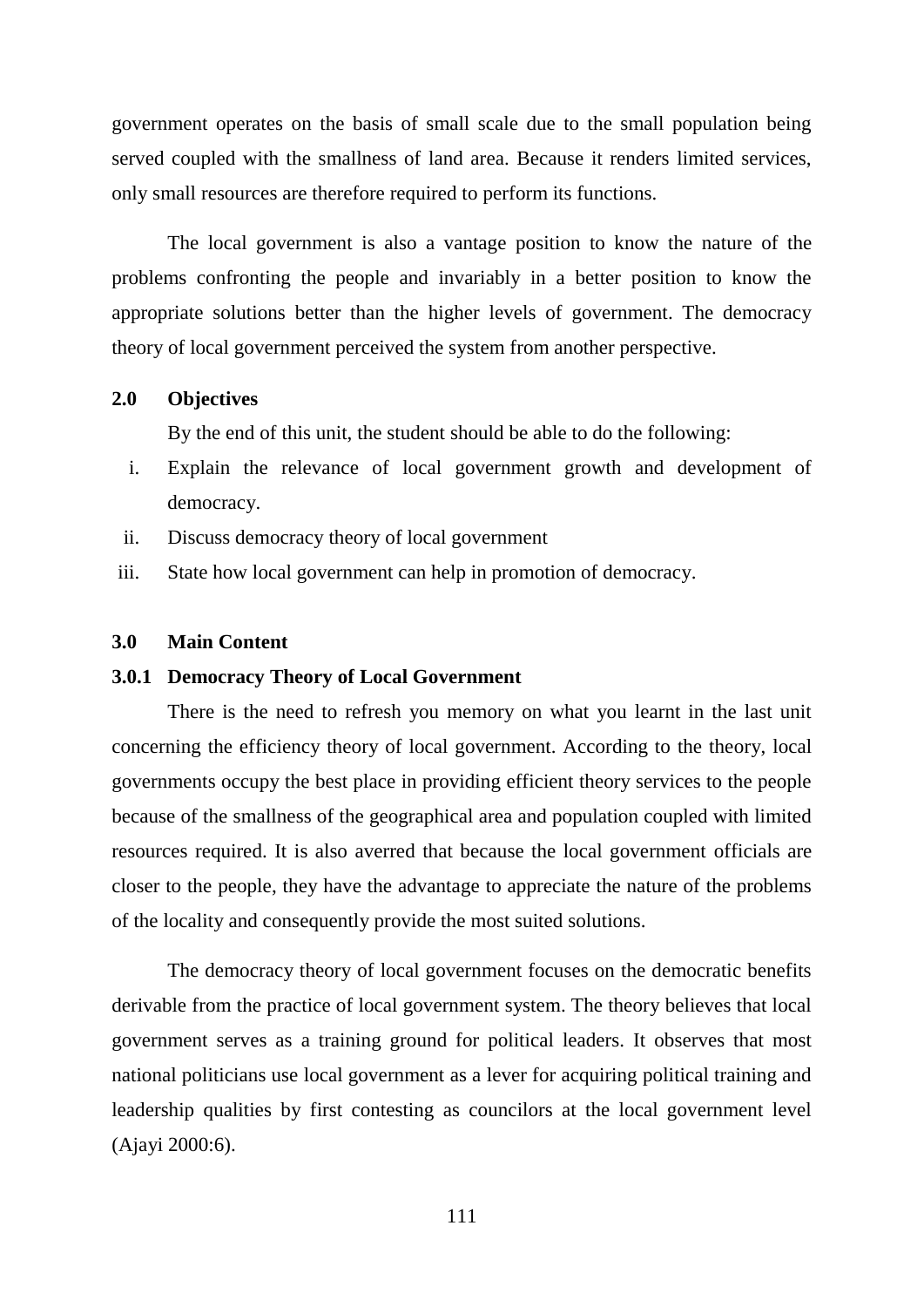government operates on the basis of small scale due to the small population being served coupled with the smallness of land area. Because it renders limited services, only small resources are therefore required to perform its functions.

The local government is also a vantage position to know the nature of the problems confronting the people and invariably in a better position to know the appropriate solutions better than the higher levels of government. The democracy theory of local government perceived the system from another perspective.

## **2.0 Objectives**

By the end of this unit, the student should be able to do the following:

- i. Explain the relevance of local government growth and development of democracy.
- ii. Discuss democracy theory of local government
- iii. State how local government can help in promotion of democracy.

## **3.0 Main Content**

#### **3.0.1 Democracy Theory of Local Government**

There is the need to refresh you memory on what you learnt in the last unit concerning the efficiency theory of local government. According to the theory, local governments occupy the best place in providing efficient theory services to the people because of the smallness of the geographical area and population coupled with limited resources required. It is also averred that because the local government officials are closer to the people, they have the advantage to appreciate the nature of the problems of the locality and consequently provide the most suited solutions.

The democracy theory of local government focuses on the democratic benefits derivable from the practice of local government system. The theory believes that local government serves as a training ground for political leaders. It observes that most national politicians use local government as a lever for acquiring political training and leadership qualities by first contesting as councilors at the local government level (Ajayi 2000:6).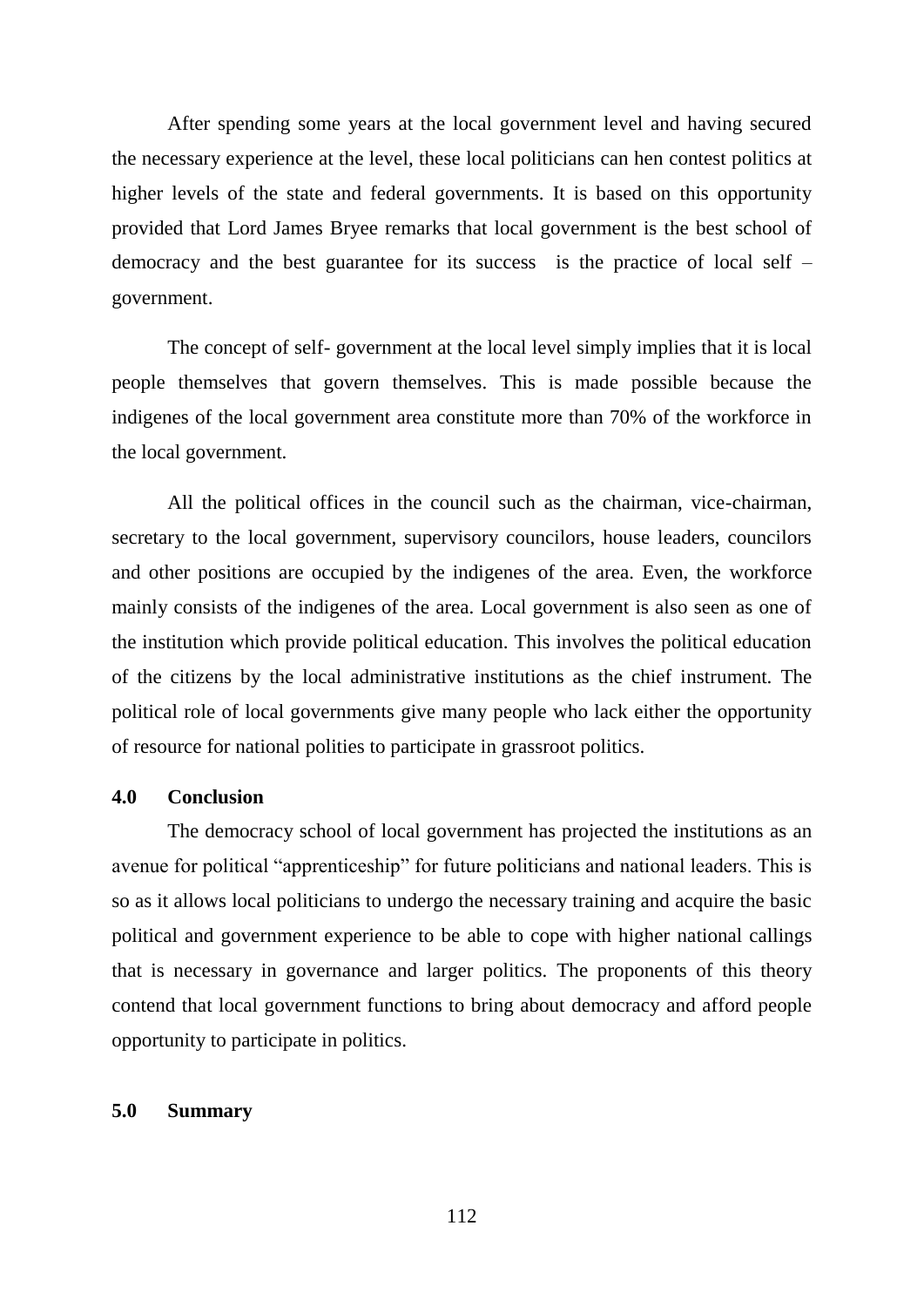After spending some years at the local government level and having secured the necessary experience at the level, these local politicians can hen contest politics at higher levels of the state and federal governments. It is based on this opportunity provided that Lord James Bryee remarks that local government is the best school of democracy and the best guarantee for its success is the practice of local self – government.

The concept of self- government at the local level simply implies that it is local people themselves that govern themselves. This is made possible because the indigenes of the local government area constitute more than 70% of the workforce in the local government.

All the political offices in the council such as the chairman, vice-chairman, secretary to the local government, supervisory councilors, house leaders, councilors and other positions are occupied by the indigenes of the area. Even, the workforce mainly consists of the indigenes of the area. Local government is also seen as one of the institution which provide political education. This involves the political education of the citizens by the local administrative institutions as the chief instrument. The political role of local governments give many people who lack either the opportunity of resource for national polities to participate in grassroot politics.

# **4.0 Conclusion**

The democracy school of local government has projected the institutions as an avenue for political "apprenticeship" for future politicians and national leaders. This is so as it allows local politicians to undergo the necessary training and acquire the basic political and government experience to be able to cope with higher national callings that is necessary in governance and larger politics. The proponents of this theory contend that local government functions to bring about democracy and afford people opportunity to participate in politics.

## **5.0 Summary**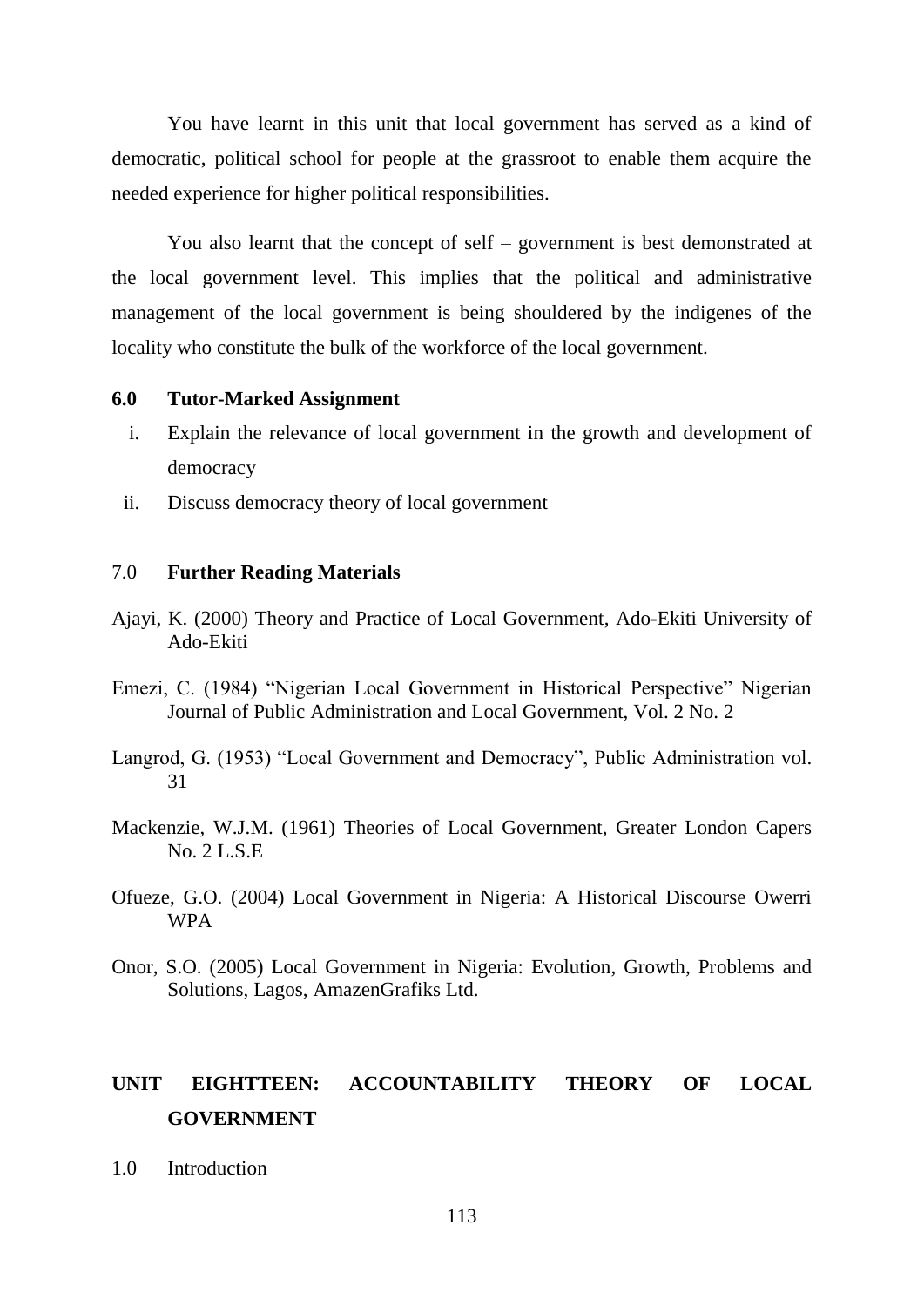You have learnt in this unit that local government has served as a kind of democratic, political school for people at the grassroot to enable them acquire the needed experience for higher political responsibilities.

You also learnt that the concept of self – government is best demonstrated at the local government level. This implies that the political and administrative management of the local government is being shouldered by the indigenes of the locality who constitute the bulk of the workforce of the local government.

## **6.0 Tutor-Marked Assignment**

- i. Explain the relevance of local government in the growth and development of democracy
- ii. Discuss democracy theory of local government

## 7.0 **Further Reading Materials**

- Ajayi, K. (2000) Theory and Practice of Local Government, Ado-Ekiti University of Ado-Ekiti
- Emezi, C. (1984) "Nigerian Local Government in Historical Perspective" Nigerian Journal of Public Administration and Local Government, Vol. 2 No. 2
- Langrod, G. (1953) "Local Government and Democracy", Public Administration vol. 31
- Mackenzie, W.J.M. (1961) Theories of Local Government, Greater London Capers No. 2 L.S.E
- Ofueze, G.O. (2004) Local Government in Nigeria: A Historical Discourse Owerri WPA
- Onor, S.O. (2005) Local Government in Nigeria: Evolution, Growth, Problems and Solutions, Lagos, AmazenGrafiks Ltd.

# **UNIT EIGHTTEEN: ACCOUNTABILITY THEORY OF LOCAL GOVERNMENT**

1.0 Introduction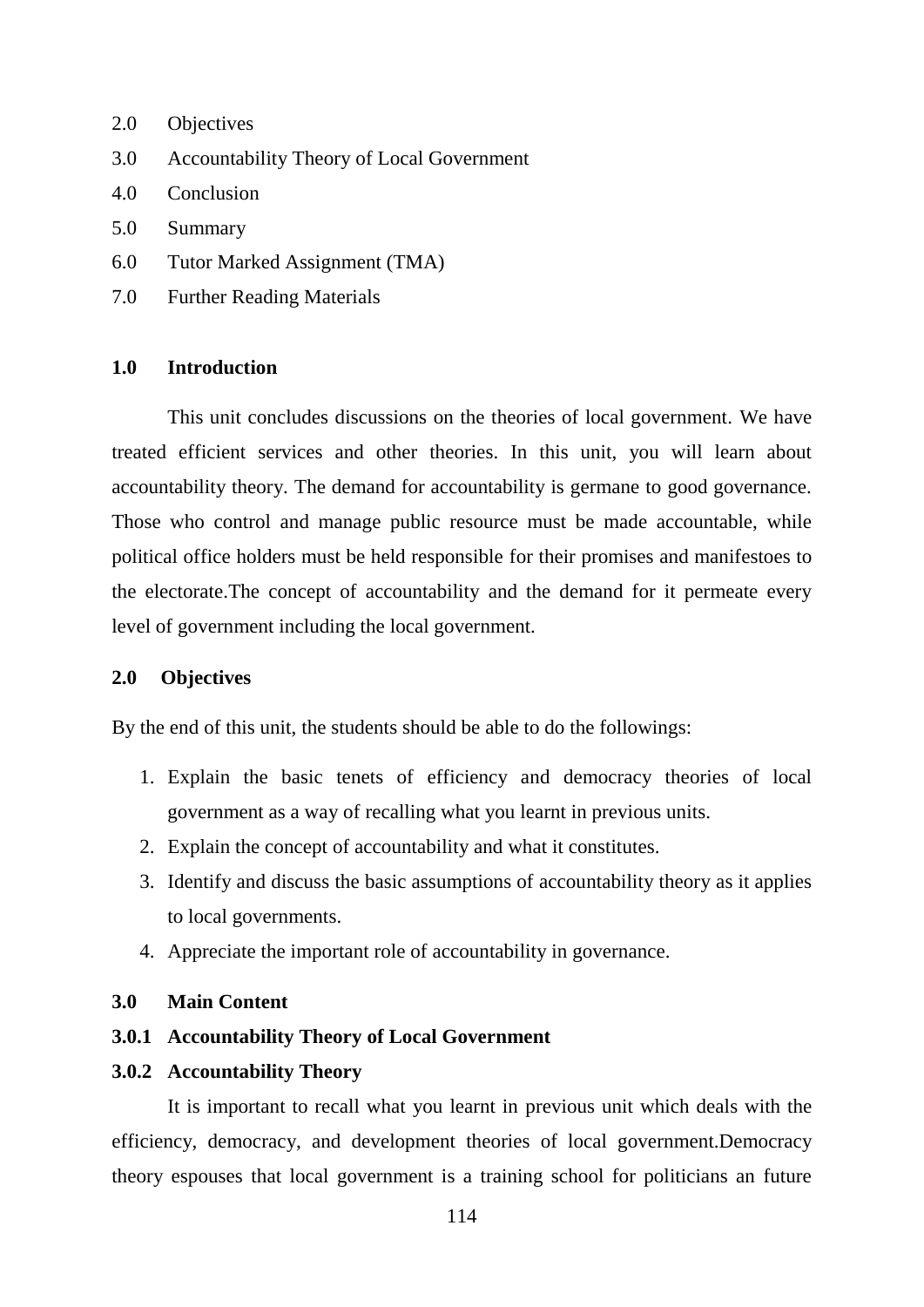- 2.0 Objectives
- 3.0 Accountability Theory of Local Government
- 4.0 Conclusion
- 5.0 Summary
- 6.0 Tutor Marked Assignment (TMA)
- 7.0 Further Reading Materials

## **1.0 Introduction**

This unit concludes discussions on the theories of local government. We have treated efficient services and other theories. In this unit, you will learn about accountability theory. The demand for accountability is germane to good governance. Those who control and manage public resource must be made accountable, while political office holders must be held responsible for their promises and manifestoes to the electorate.The concept of accountability and the demand for it permeate every level of government including the local government.

## **2.0 Objectives**

By the end of this unit, the students should be able to do the followings:

- 1. Explain the basic tenets of efficiency and democracy theories of local government as a way of recalling what you learnt in previous units.
- 2. Explain the concept of accountability and what it constitutes.
- 3. Identify and discuss the basic assumptions of accountability theory as it applies to local governments.
- 4. Appreciate the important role of accountability in governance.

#### **3.0 Main Content**

## **3.0.1 Accountability Theory of Local Government**

#### **3.0.2 Accountability Theory**

It is important to recall what you learnt in previous unit which deals with the efficiency, democracy, and development theories of local government.Democracy theory espouses that local government is a training school for politicians an future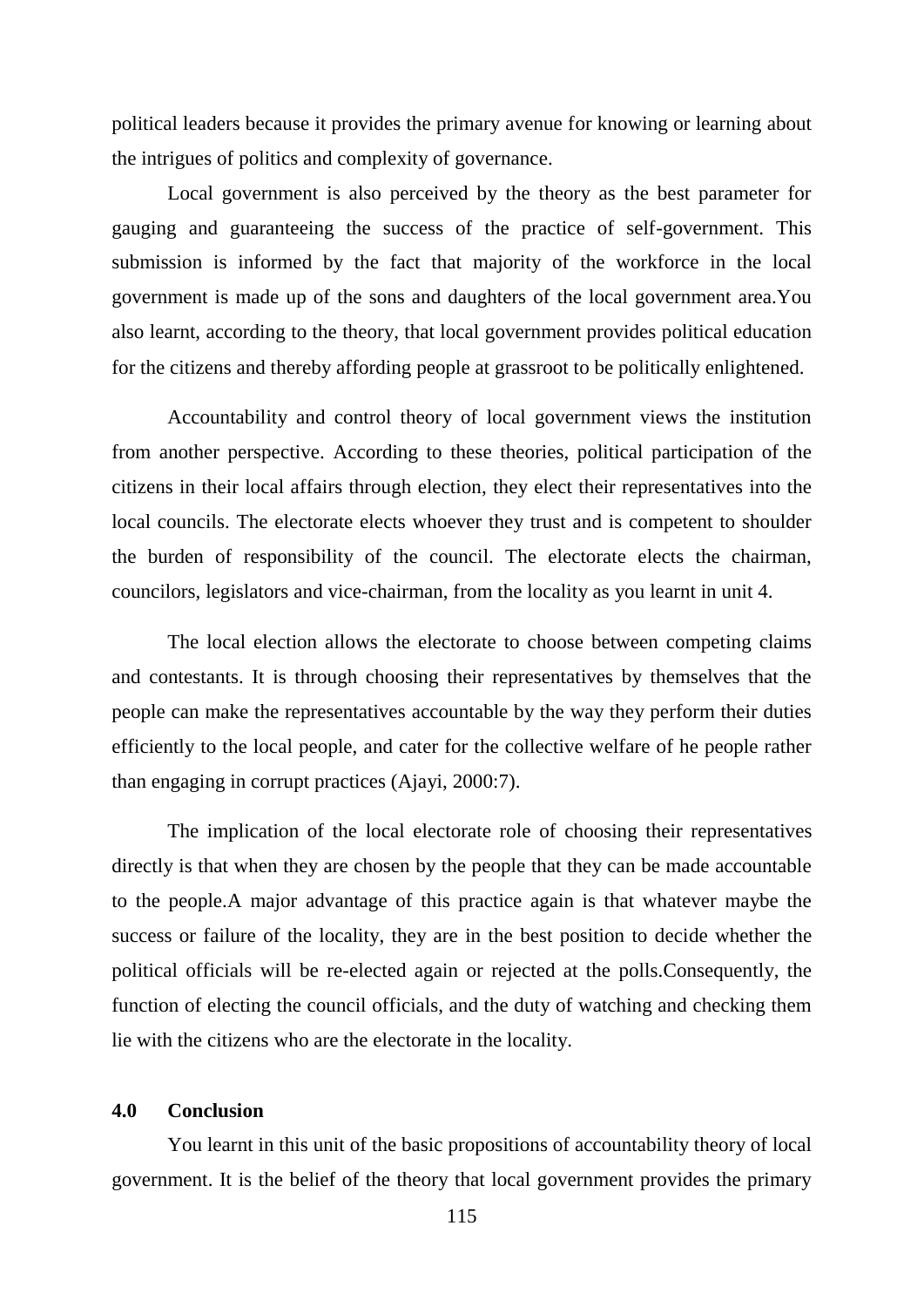political leaders because it provides the primary avenue for knowing or learning about the intrigues of politics and complexity of governance.

Local government is also perceived by the theory as the best parameter for gauging and guaranteeing the success of the practice of self-government. This submission is informed by the fact that majority of the workforce in the local government is made up of the sons and daughters of the local government area.You also learnt, according to the theory, that local government provides political education for the citizens and thereby affording people at grassroot to be politically enlightened.

Accountability and control theory of local government views the institution from another perspective. According to these theories, political participation of the citizens in their local affairs through election, they elect their representatives into the local councils. The electorate elects whoever they trust and is competent to shoulder the burden of responsibility of the council. The electorate elects the chairman, councilors, legislators and vice-chairman, from the locality as you learnt in unit 4.

The local election allows the electorate to choose between competing claims and contestants. It is through choosing their representatives by themselves that the people can make the representatives accountable by the way they perform their duties efficiently to the local people, and cater for the collective welfare of he people rather than engaging in corrupt practices (Ajayi, 2000:7).

The implication of the local electorate role of choosing their representatives directly is that when they are chosen by the people that they can be made accountable to the people.A major advantage of this practice again is that whatever maybe the success or failure of the locality, they are in the best position to decide whether the political officials will be re-elected again or rejected at the polls.Consequently, the function of electing the council officials, and the duty of watching and checking them lie with the citizens who are the electorate in the locality.

## **4.0 Conclusion**

You learnt in this unit of the basic propositions of accountability theory of local government. It is the belief of the theory that local government provides the primary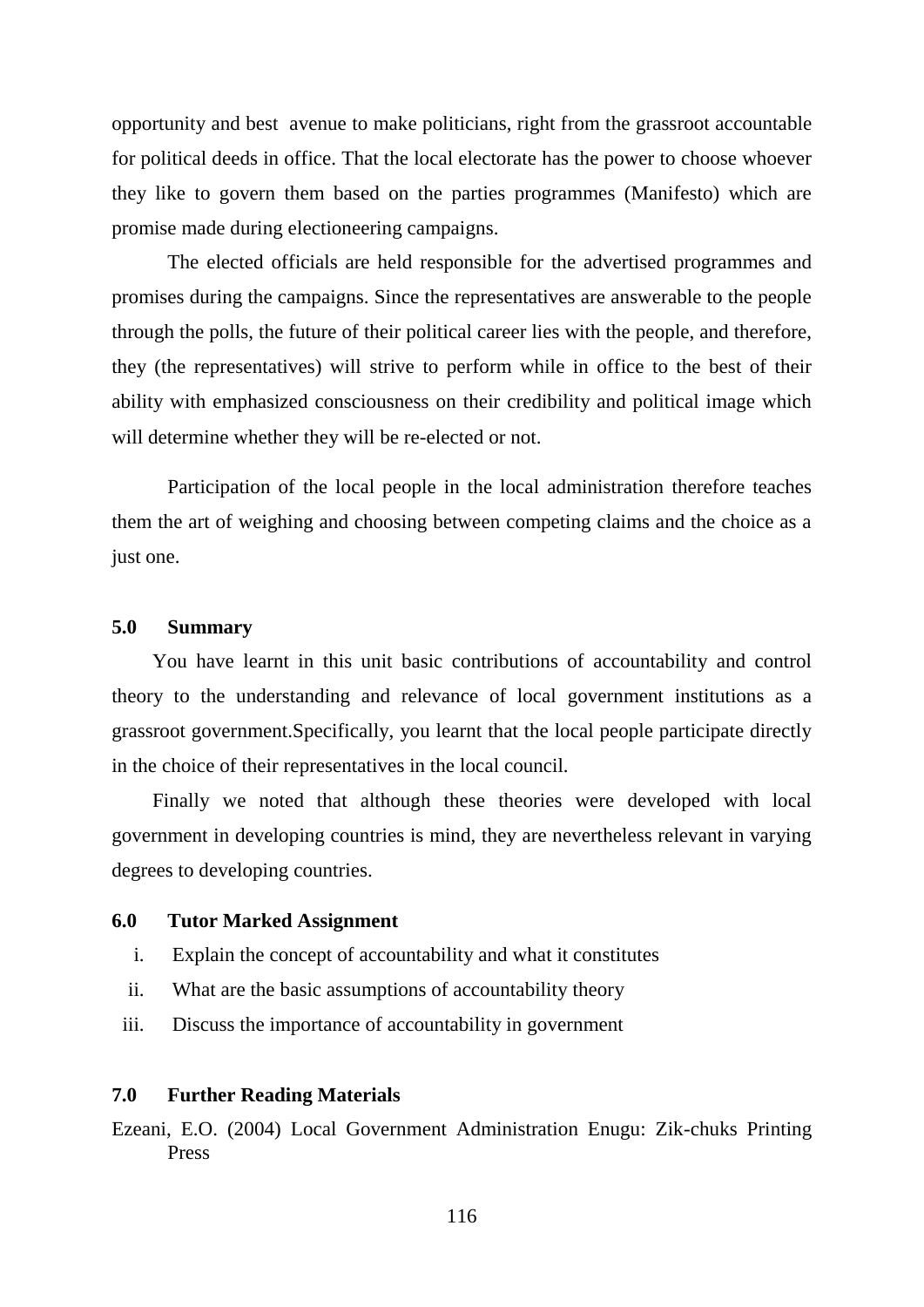opportunity and best avenue to make politicians, right from the grassroot accountable for political deeds in office. That the local electorate has the power to choose whoever they like to govern them based on the parties programmes (Manifesto) which are promise made during electioneering campaigns.

The elected officials are held responsible for the advertised programmes and promises during the campaigns. Since the representatives are answerable to the people through the polls, the future of their political career lies with the people, and therefore, they (the representatives) will strive to perform while in office to the best of their ability with emphasized consciousness on their credibility and political image which will determine whether they will be re-elected or not.

Participation of the local people in the local administration therefore teaches them the art of weighing and choosing between competing claims and the choice as a just one.

# **5.0 Summary**

You have learnt in this unit basic contributions of accountability and control theory to the understanding and relevance of local government institutions as a grassroot government.Specifically, you learnt that the local people participate directly in the choice of their representatives in the local council.

Finally we noted that although these theories were developed with local government in developing countries is mind, they are nevertheless relevant in varying degrees to developing countries.

#### **6.0 Tutor Marked Assignment**

- i. Explain the concept of accountability and what it constitutes
- ii. What are the basic assumptions of accountability theory
- iii. Discuss the importance of accountability in government

# **7.0 Further Reading Materials**

Ezeani, E.O. (2004) Local Government Administration Enugu: Zik-chuks Printing Press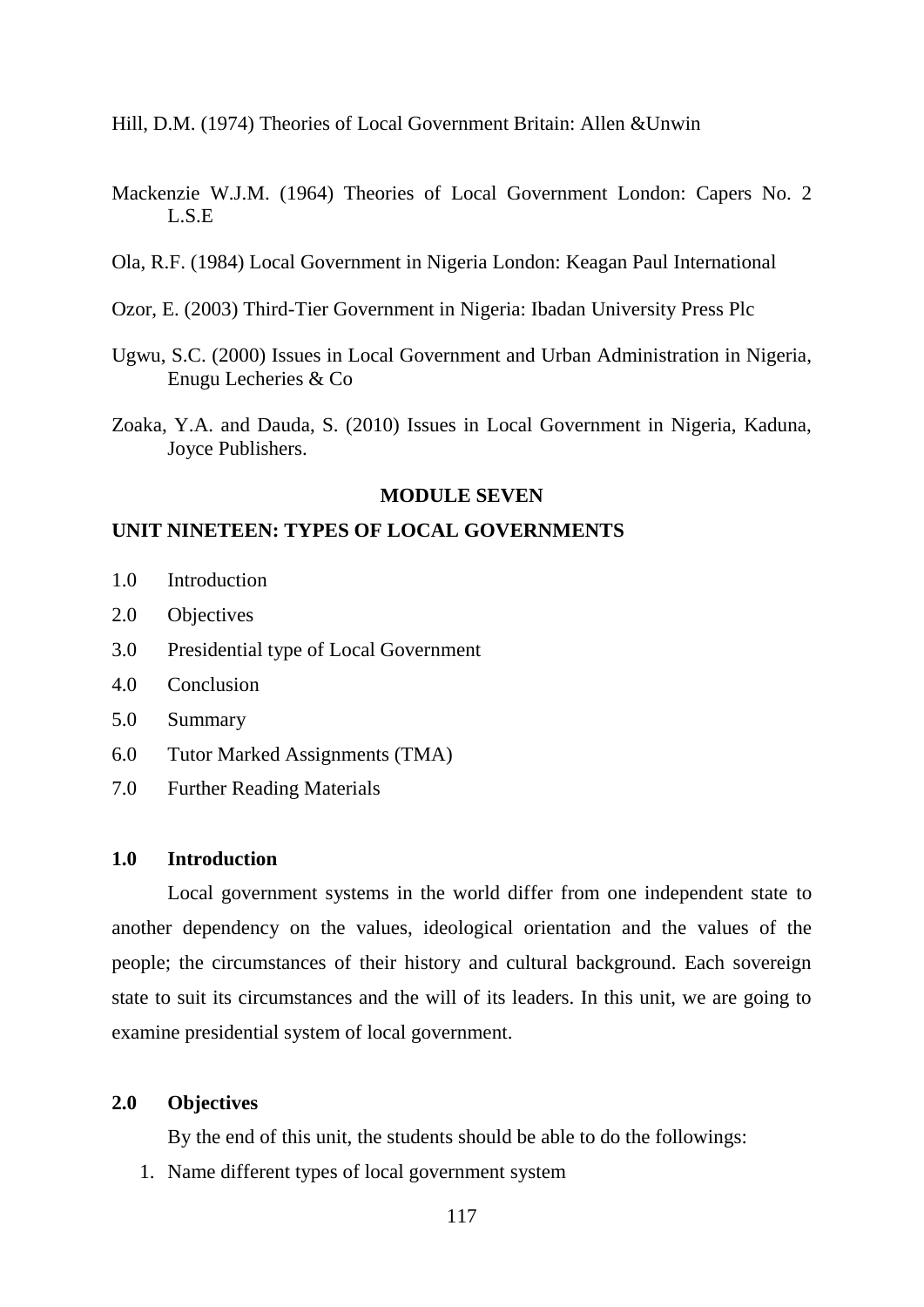Hill, D.M. (1974) Theories of Local Government Britain: Allen &Unwin

- Mackenzie W.J.M. (1964) Theories of Local Government London: Capers No. 2 L.S.E
- Ola, R.F. (1984) Local Government in Nigeria London: Keagan Paul International
- Ozor, E. (2003) Third-Tier Government in Nigeria: Ibadan University Press Plc
- Ugwu, S.C. (2000) Issues in Local Government and Urban Administration in Nigeria, Enugu Lecheries & Co
- Zoaka, Y.A. and Dauda, S. (2010) Issues in Local Government in Nigeria, Kaduna, Joyce Publishers.

#### **MODULE SEVEN**

## **UNIT NINETEEN: TYPES OF LOCAL GOVERNMENTS**

- 1.0 Introduction
- 2.0 Objectives
- 3.0 Presidential type of Local Government
- 4.0 Conclusion
- 5.0 Summary
- 6.0 Tutor Marked Assignments (TMA)
- 7.0 Further Reading Materials

#### **1.0 Introduction**

Local government systems in the world differ from one independent state to another dependency on the values, ideological orientation and the values of the people; the circumstances of their history and cultural background. Each sovereign state to suit its circumstances and the will of its leaders. In this unit, we are going to examine presidential system of local government.

#### **2.0 Objectives**

By the end of this unit, the students should be able to do the followings:

1. Name different types of local government system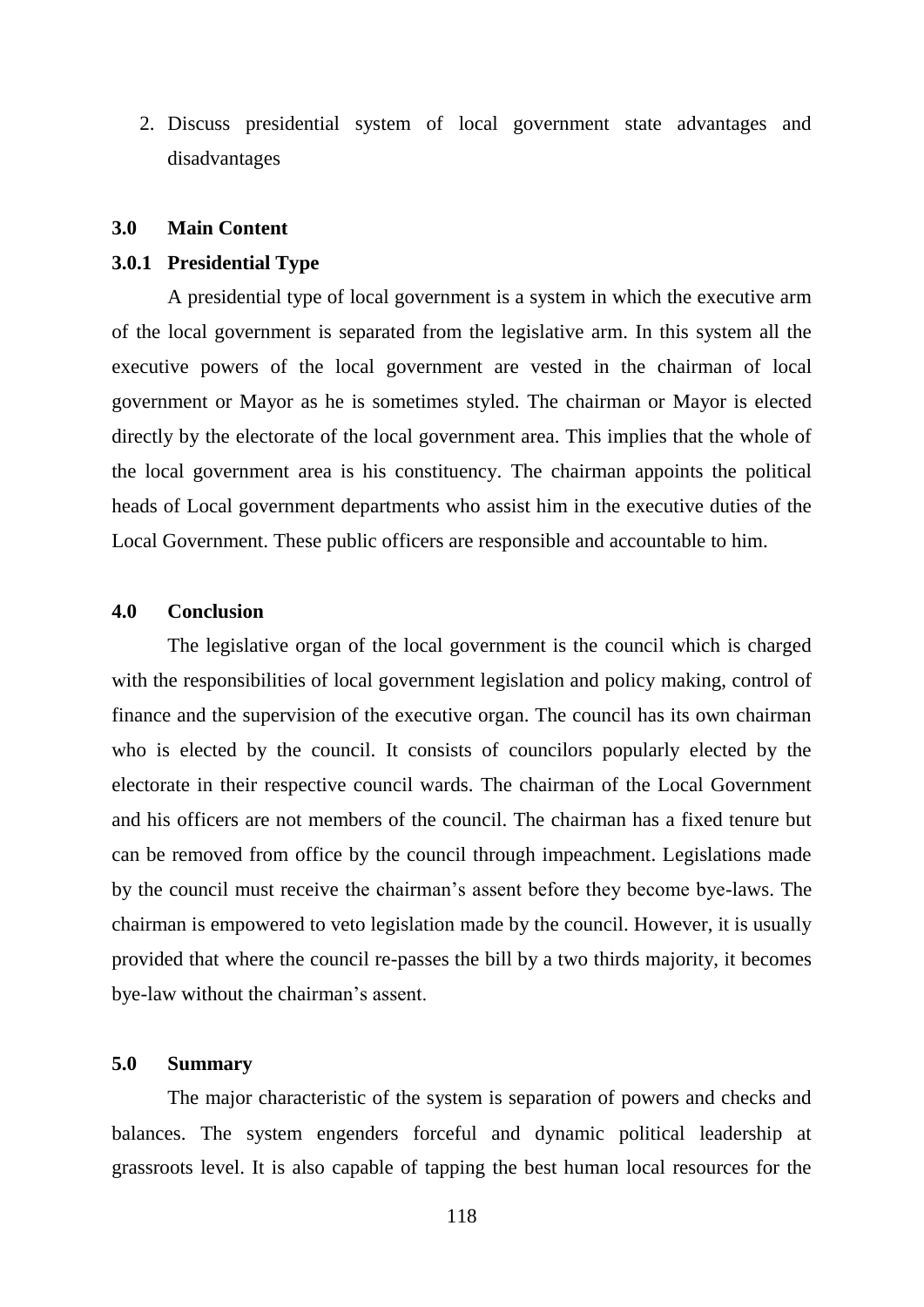2. Discuss presidential system of local government state advantages and disadvantages

#### **3.0 Main Content**

#### **3.0.1 Presidential Type**

A presidential type of local government is a system in which the executive arm of the local government is separated from the legislative arm. In this system all the executive powers of the local government are vested in the chairman of local government or Mayor as he is sometimes styled. The chairman or Mayor is elected directly by the electorate of the local government area. This implies that the whole of the local government area is his constituency. The chairman appoints the political heads of Local government departments who assist him in the executive duties of the Local Government. These public officers are responsible and accountable to him.

## **4.0 Conclusion**

The legislative organ of the local government is the council which is charged with the responsibilities of local government legislation and policy making, control of finance and the supervision of the executive organ. The council has its own chairman who is elected by the council. It consists of councilors popularly elected by the electorate in their respective council wards. The chairman of the Local Government and his officers are not members of the council. The chairman has a fixed tenure but can be removed from office by the council through impeachment. Legislations made by the council must receive the chairman"s assent before they become bye-laws. The chairman is empowered to veto legislation made by the council. However, it is usually provided that where the council re-passes the bill by a two thirds majority, it becomes bye-law without the chairman"s assent.

# **5.0 Summary**

The major characteristic of the system is separation of powers and checks and balances. The system engenders forceful and dynamic political leadership at grassroots level. It is also capable of tapping the best human local resources for the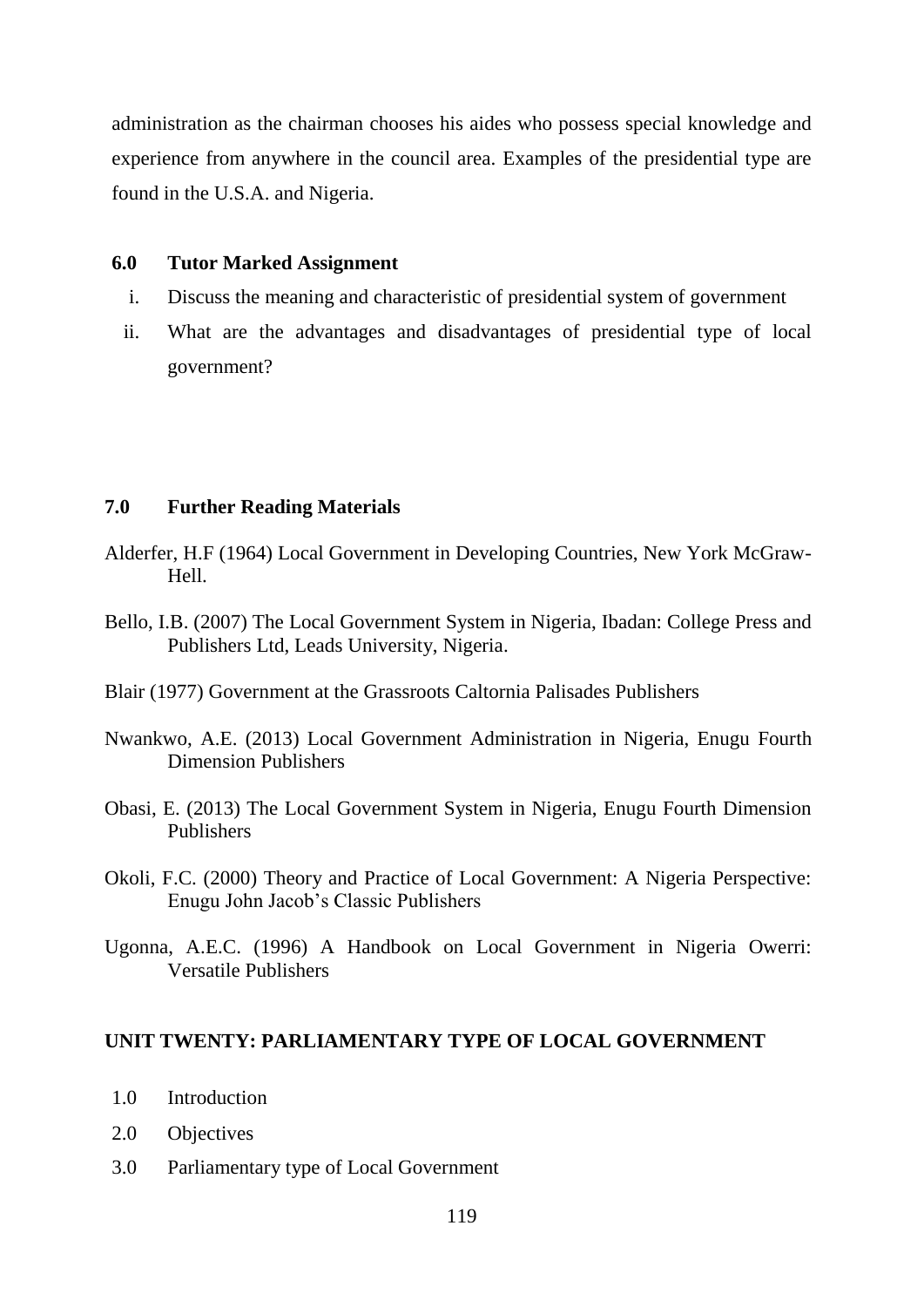administration as the chairman chooses his aides who possess special knowledge and experience from anywhere in the council area. Examples of the presidential type are found in the U.S.A. and Nigeria.

# **6.0 Tutor Marked Assignment**

- i. Discuss the meaning and characteristic of presidential system of government
- ii. What are the advantages and disadvantages of presidential type of local government?

# **7.0 Further Reading Materials**

- Alderfer, H.F (1964) Local Government in Developing Countries, New York McGraw-Hell.
- Bello, I.B. (2007) The Local Government System in Nigeria, Ibadan: College Press and Publishers Ltd, Leads University, Nigeria.
- Blair (1977) Government at the Grassroots Caltornia Palisades Publishers
- Nwankwo, A.E. (2013) Local Government Administration in Nigeria, Enugu Fourth Dimension Publishers
- Obasi, E. (2013) The Local Government System in Nigeria, Enugu Fourth Dimension Publishers
- Okoli, F.C. (2000) Theory and Practice of Local Government: A Nigeria Perspective: Enugu John Jacob"s Classic Publishers
- Ugonna, A.E.C. (1996) A Handbook on Local Government in Nigeria Owerri: Versatile Publishers

## **UNIT TWENTY: PARLIAMENTARY TYPE OF LOCAL GOVERNMENT**

- 1.0 Introduction
- 2.0 Objectives
- 3.0 Parliamentary type of Local Government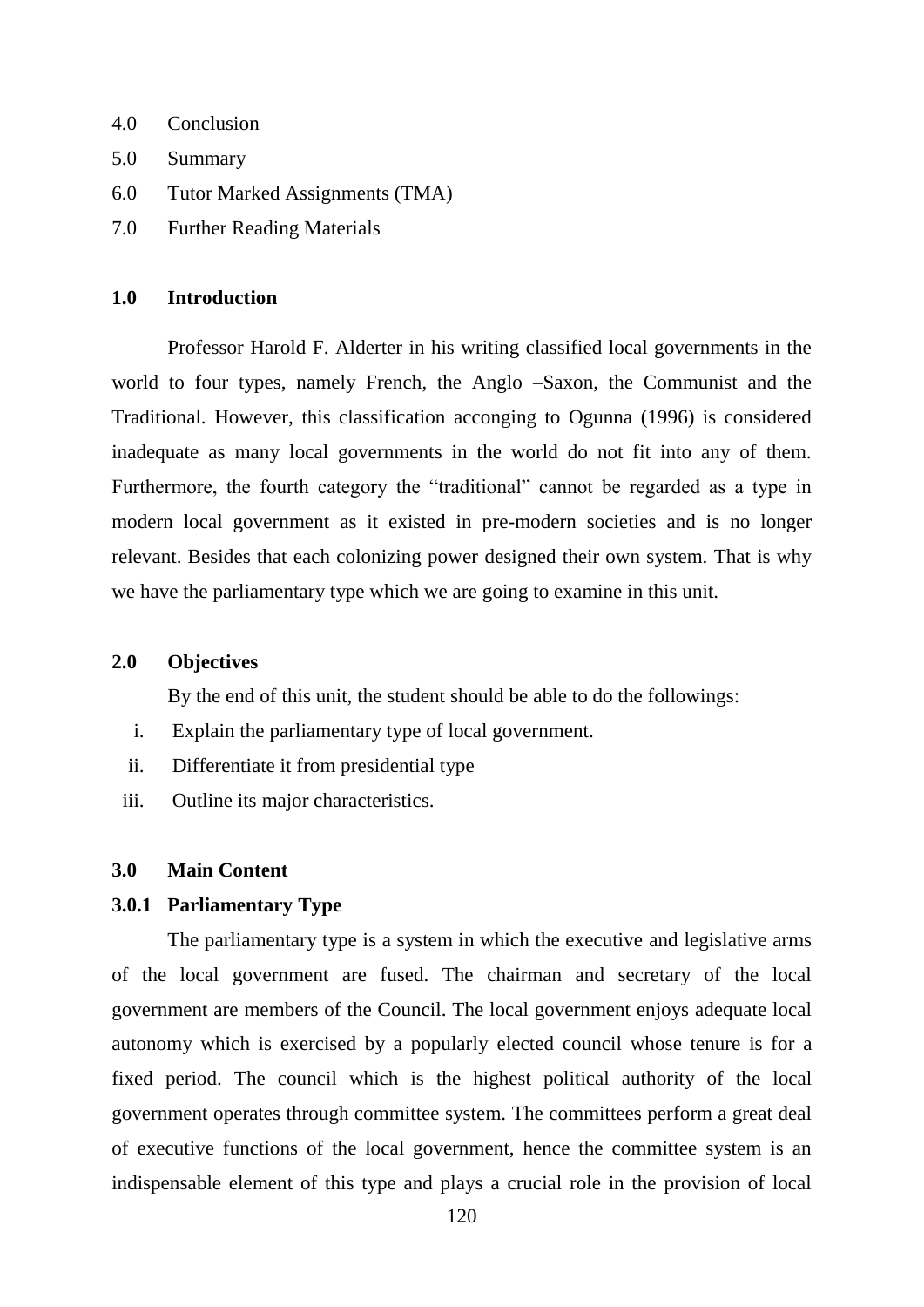- 4.0 Conclusion
- 5.0 Summary
- 6.0 Tutor Marked Assignments (TMA)
- 7.0 Further Reading Materials

## **1.0 Introduction**

Professor Harold F. Alderter in his writing classified local governments in the world to four types, namely French, the Anglo –Saxon, the Communist and the Traditional. However, this classification acconging to Ogunna (1996) is considered inadequate as many local governments in the world do not fit into any of them. Furthermore, the fourth category the "traditional" cannot be regarded as a type in modern local government as it existed in pre-modern societies and is no longer relevant. Besides that each colonizing power designed their own system. That is why we have the parliamentary type which we are going to examine in this unit.

## **2.0 Objectives**

By the end of this unit, the student should be able to do the followings:

- i. Explain the parliamentary type of local government.
- ii. Differentiate it from presidential type
- iii. Outline its major characteristics.

## **3.0 Main Content**

#### **3.0.1 Parliamentary Type**

The parliamentary type is a system in which the executive and legislative arms of the local government are fused. The chairman and secretary of the local government are members of the Council. The local government enjoys adequate local autonomy which is exercised by a popularly elected council whose tenure is for a fixed period. The council which is the highest political authority of the local government operates through committee system. The committees perform a great deal of executive functions of the local government, hence the committee system is an indispensable element of this type and plays a crucial role in the provision of local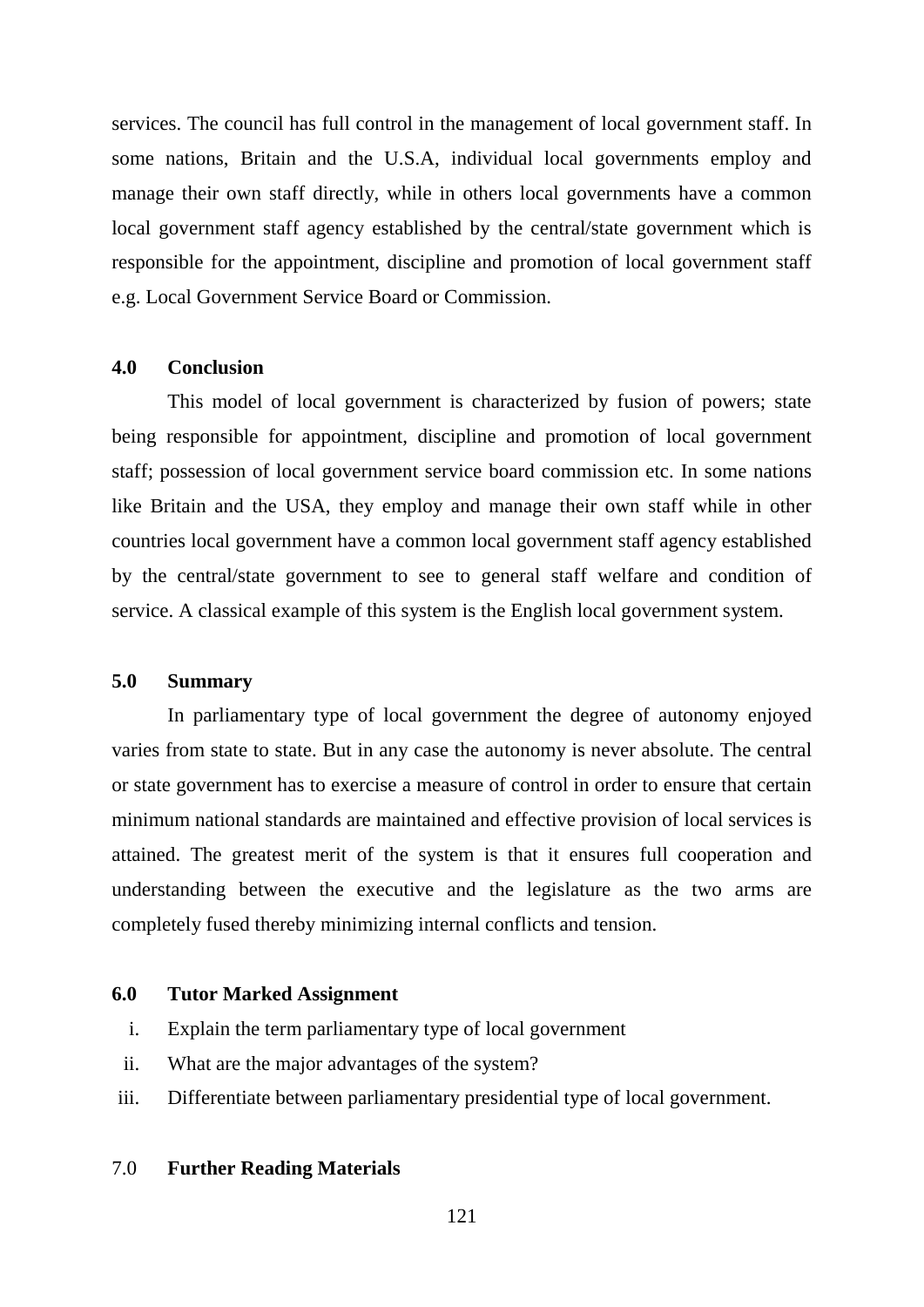services. The council has full control in the management of local government staff. In some nations, Britain and the U.S.A, individual local governments employ and manage their own staff directly, while in others local governments have a common local government staff agency established by the central/state government which is responsible for the appointment, discipline and promotion of local government staff e.g. Local Government Service Board or Commission.

## **4.0 Conclusion**

This model of local government is characterized by fusion of powers; state being responsible for appointment, discipline and promotion of local government staff; possession of local government service board commission etc. In some nations like Britain and the USA, they employ and manage their own staff while in other countries local government have a common local government staff agency established by the central/state government to see to general staff welfare and condition of service. A classical example of this system is the English local government system.

#### **5.0 Summary**

In parliamentary type of local government the degree of autonomy enjoyed varies from state to state. But in any case the autonomy is never absolute. The central or state government has to exercise a measure of control in order to ensure that certain minimum national standards are maintained and effective provision of local services is attained. The greatest merit of the system is that it ensures full cooperation and understanding between the executive and the legislature as the two arms are completely fused thereby minimizing internal conflicts and tension.

## **6.0 Tutor Marked Assignment**

- i. Explain the term parliamentary type of local government
- ii. What are the major advantages of the system?
- iii. Differentiate between parliamentary presidential type of local government.

#### 7.0 **Further Reading Materials**

121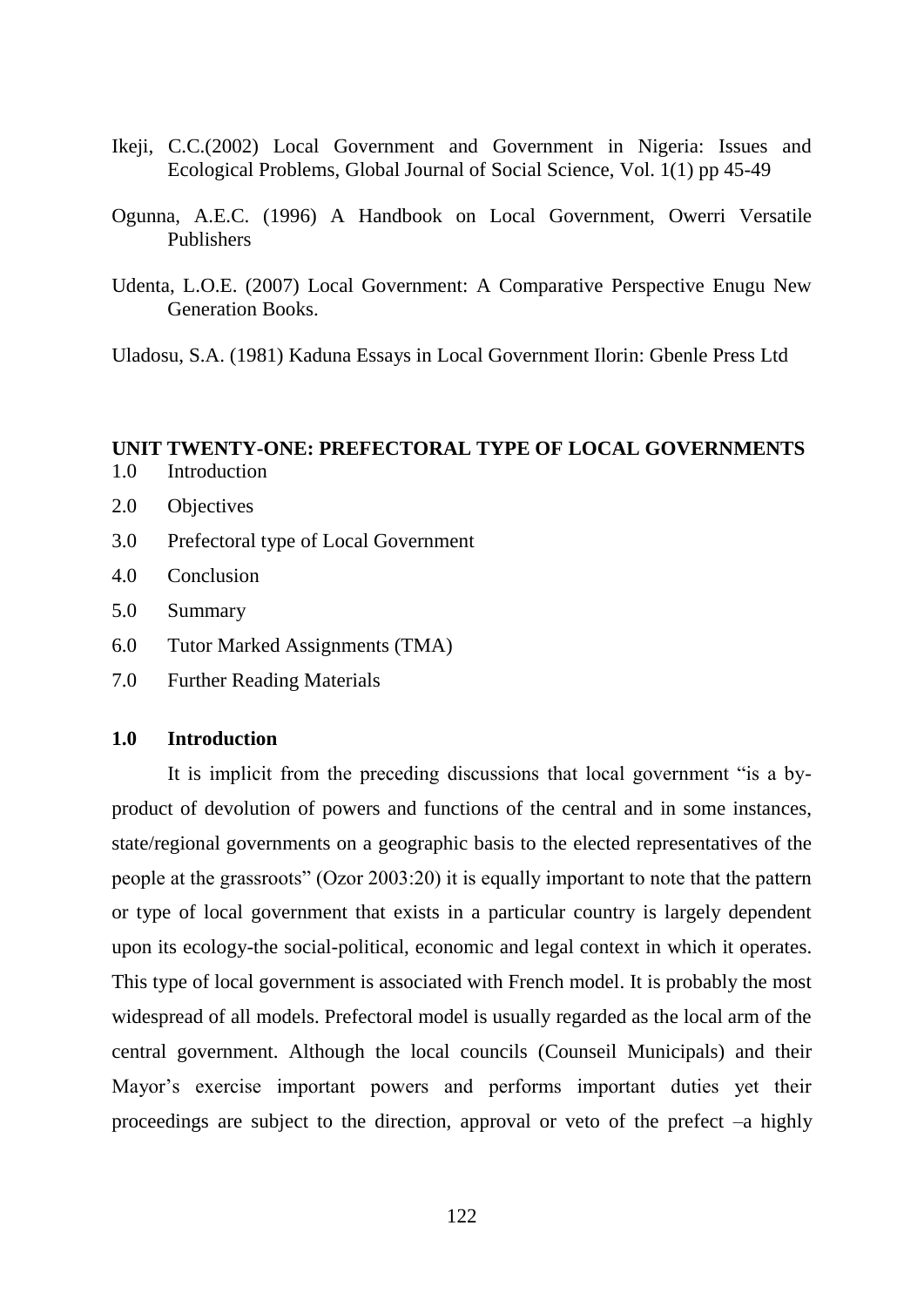- Ikeji, C.C.(2002) Local Government and Government in Nigeria: Issues and Ecological Problems, Global Journal of Social Science, Vol. 1(1) pp 45-49
- Ogunna, A.E.C. (1996) A Handbook on Local Government, Owerri Versatile Publishers
- Udenta, L.O.E. (2007) Local Government: A Comparative Perspective Enugu New Generation Books.

Uladosu, S.A. (1981) Kaduna Essays in Local Government Ilorin: Gbenle Press Ltd

# **UNIT TWENTY-ONE: PREFECTORAL TYPE OF LOCAL GOVERNMENTS**

- 1.0 Introduction
- 2.0 Objectives
- 3.0 Prefectoral type of Local Government
- 4.0 Conclusion
- 5.0 Summary
- 6.0 Tutor Marked Assignments (TMA)
- 7.0 Further Reading Materials

## **1.0 Introduction**

It is implicit from the preceding discussions that local government "is a byproduct of devolution of powers and functions of the central and in some instances, state/regional governments on a geographic basis to the elected representatives of the people at the grassroots" (Ozor 2003:20) it is equally important to note that the pattern or type of local government that exists in a particular country is largely dependent upon its ecology-the social-political, economic and legal context in which it operates. This type of local government is associated with French model. It is probably the most widespread of all models. Prefectoral model is usually regarded as the local arm of the central government. Although the local councils (Counseil Municipals) and their Mayor"s exercise important powers and performs important duties yet their proceedings are subject to the direction, approval or veto of the prefect –a highly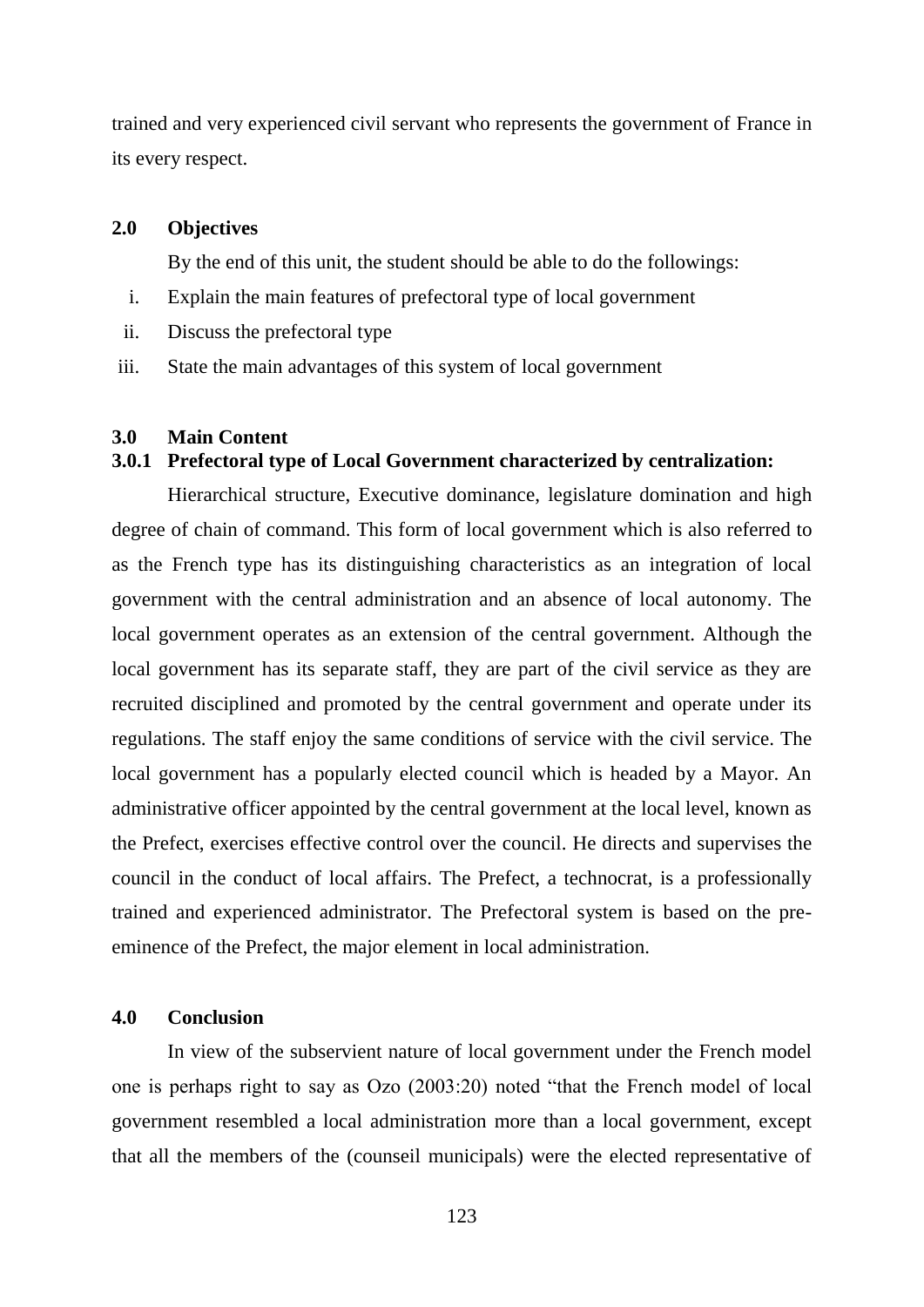trained and very experienced civil servant who represents the government of France in its every respect.

#### **2.0 Objectives**

By the end of this unit, the student should be able to do the followings:

- i. Explain the main features of prefectoral type of local government
- ii. Discuss the prefectoral type
- iii. State the main advantages of this system of local government

## **3.0 Main Content**

## **3.0.1 Prefectoral type of Local Government characterized by centralization:**

Hierarchical structure, Executive dominance, legislature domination and high degree of chain of command. This form of local government which is also referred to as the French type has its distinguishing characteristics as an integration of local government with the central administration and an absence of local autonomy. The local government operates as an extension of the central government. Although the local government has its separate staff, they are part of the civil service as they are recruited disciplined and promoted by the central government and operate under its regulations. The staff enjoy the same conditions of service with the civil service. The local government has a popularly elected council which is headed by a Mayor. An administrative officer appointed by the central government at the local level, known as the Prefect, exercises effective control over the council. He directs and supervises the council in the conduct of local affairs. The Prefect, a technocrat, is a professionally trained and experienced administrator. The Prefectoral system is based on the preeminence of the Prefect, the major element in local administration.

# **4.0 Conclusion**

In view of the subservient nature of local government under the French model one is perhaps right to say as Ozo (2003:20) noted "that the French model of local government resembled a local administration more than a local government, except that all the members of the (counseil municipals) were the elected representative of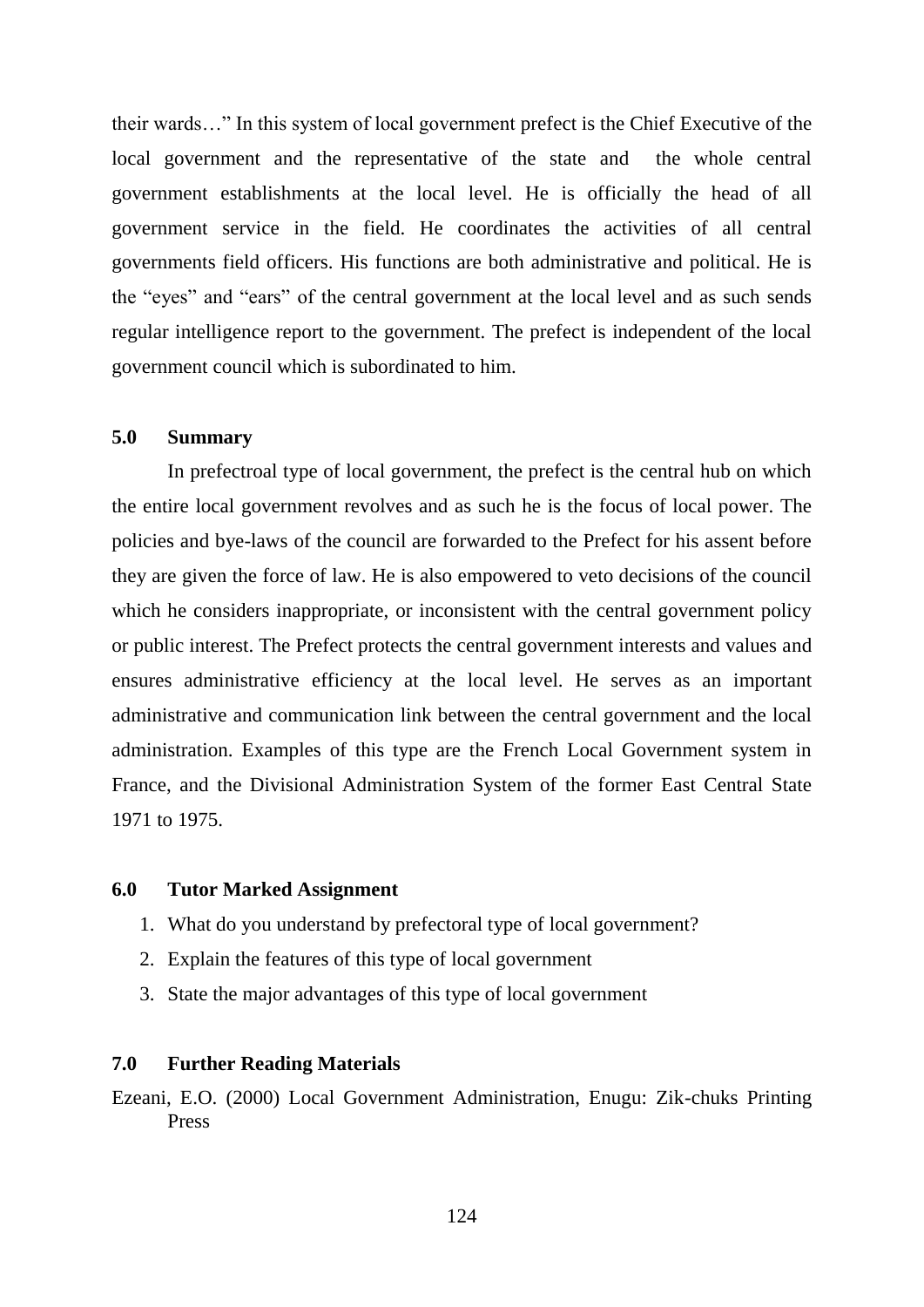their wards…" In this system of local government prefect is the Chief Executive of the local government and the representative of the state and the whole central government establishments at the local level. He is officially the head of all government service in the field. He coordinates the activities of all central governments field officers. His functions are both administrative and political. He is the "eyes" and "ears" of the central government at the local level and as such sends regular intelligence report to the government. The prefect is independent of the local government council which is subordinated to him.

# **5.0 Summary**

In prefectroal type of local government, the prefect is the central hub on which the entire local government revolves and as such he is the focus of local power. The policies and bye-laws of the council are forwarded to the Prefect for his assent before they are given the force of law. He is also empowered to veto decisions of the council which he considers inappropriate, or inconsistent with the central government policy or public interest. The Prefect protects the central government interests and values and ensures administrative efficiency at the local level. He serves as an important administrative and communication link between the central government and the local administration. Examples of this type are the French Local Government system in France, and the Divisional Administration System of the former East Central State 1971 to 1975.

#### **6.0 Tutor Marked Assignment**

- 1. What do you understand by prefectoral type of local government?
- 2. Explain the features of this type of local government
- 3. State the major advantages of this type of local government

## **7.0 Further Reading Materials**

Ezeani, E.O. (2000) Local Government Administration, Enugu: Zik-chuks Printing Press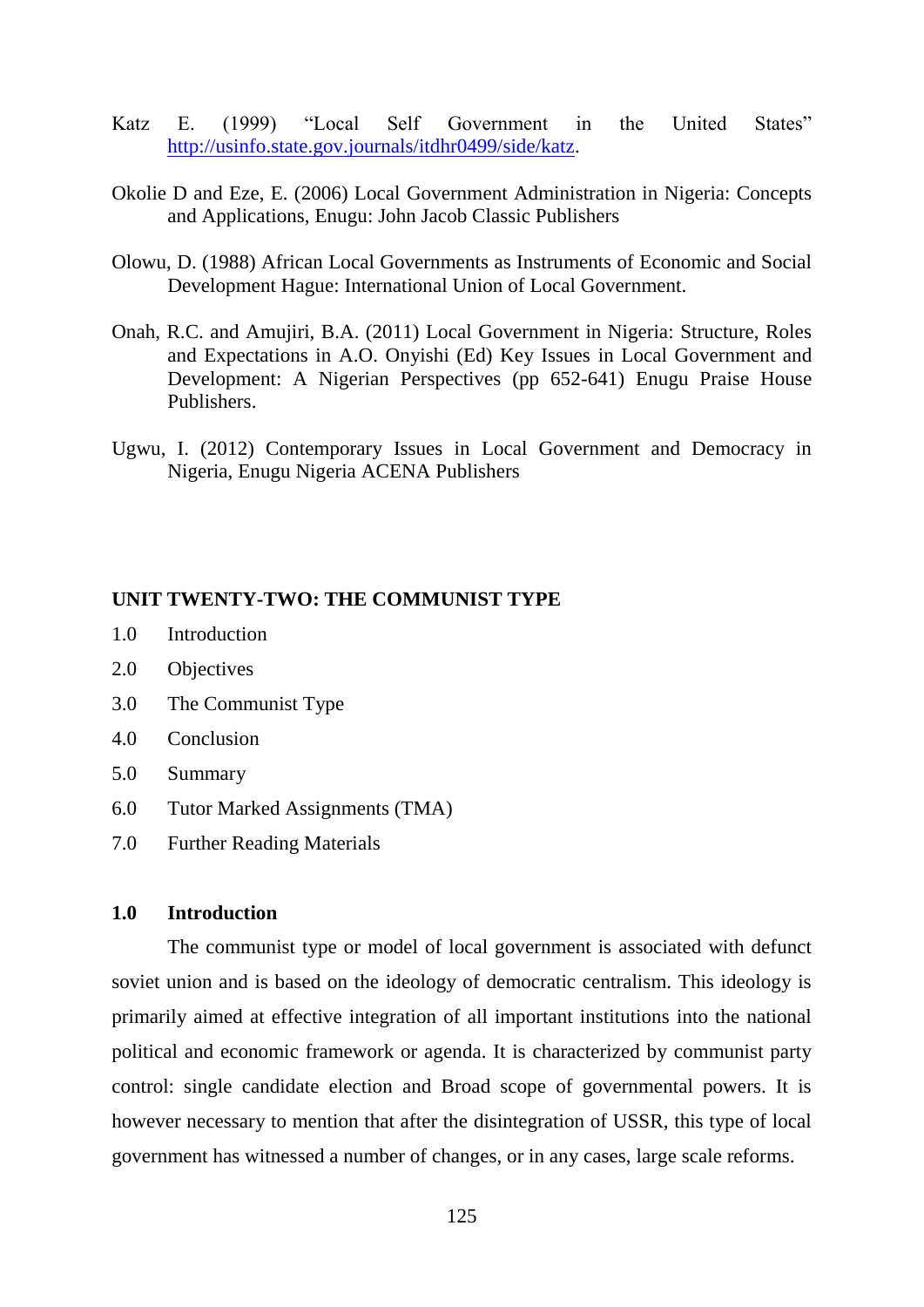- Katz E. (1999) "Local Self Government in the United States" [http://usinfo.state.gov.journals/itdhr0499/side/katz.](http://usinfo.state.gov.journals/itdhr0499/side/katz)
- Okolie D and Eze, E. (2006) Local Government Administration in Nigeria: Concepts and Applications, Enugu: John Jacob Classic Publishers
- Olowu, D. (1988) African Local Governments as Instruments of Economic and Social Development Hague: International Union of Local Government.
- Onah, R.C. and Amujiri, B.A. (2011) Local Government in Nigeria: Structure, Roles and Expectations in A.O. Onyishi (Ed) Key Issues in Local Government and Development: A Nigerian Perspectives (pp 652-641) Enugu Praise House Publishers.
- Ugwu, I. (2012) Contemporary Issues in Local Government and Democracy in Nigeria, Enugu Nigeria ACENA Publishers

#### **UNIT TWENTY-TWO: THE COMMUNIST TYPE**

- 1.0 Introduction
- 2.0 Objectives
- 3.0 The Communist Type
- 4.0 Conclusion
- 5.0 Summary
- 6.0 Tutor Marked Assignments (TMA)
- 7.0 Further Reading Materials

## **1.0 Introduction**

The communist type or model of local government is associated with defunct soviet union and is based on the ideology of democratic centralism. This ideology is primarily aimed at effective integration of all important institutions into the national political and economic framework or agenda. It is characterized by communist party control: single candidate election and Broad scope of governmental powers. It is however necessary to mention that after the disintegration of USSR, this type of local government has witnessed a number of changes, or in any cases, large scale reforms.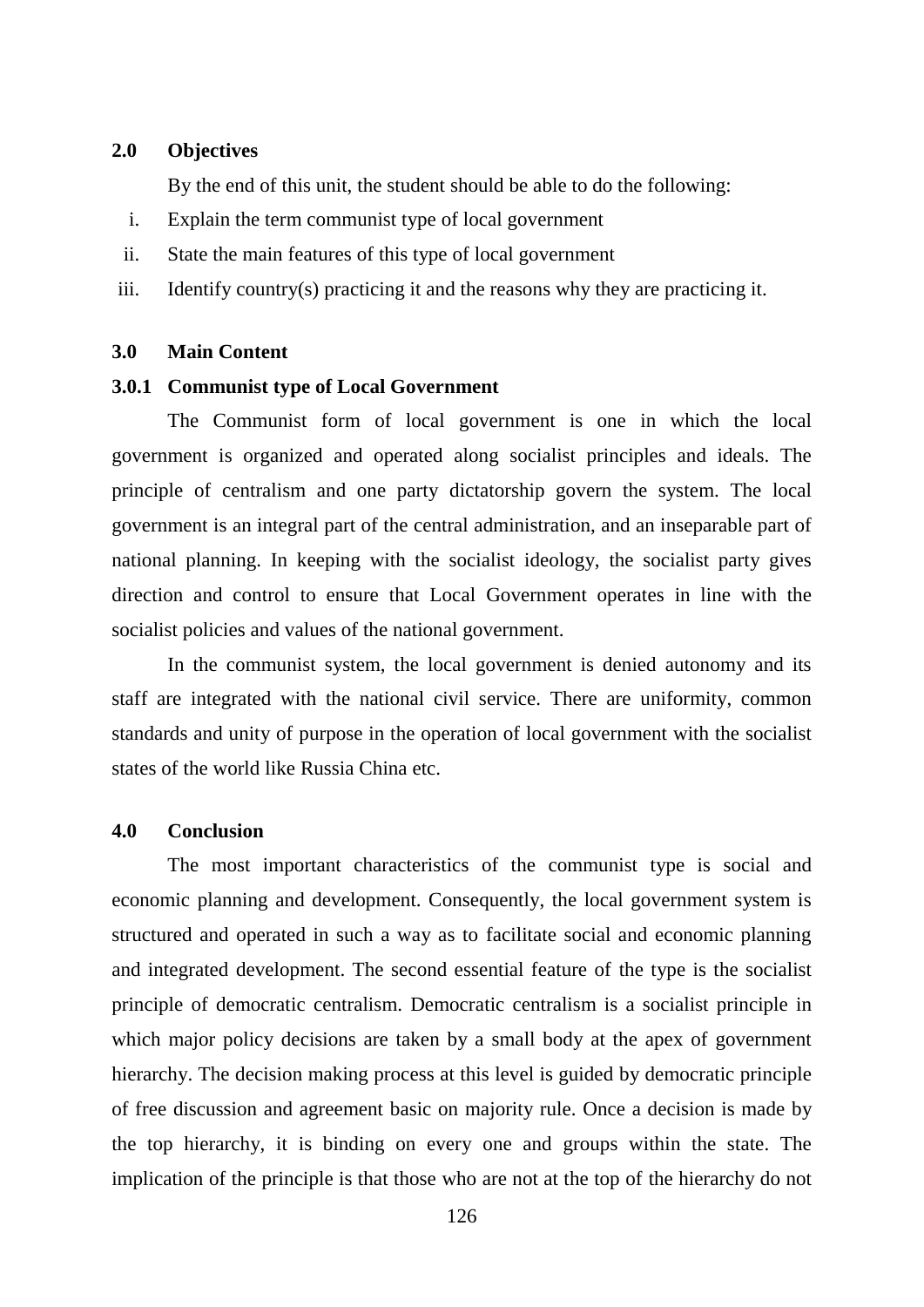## **2.0 Objectives**

By the end of this unit, the student should be able to do the following:

- i. Explain the term communist type of local government
- ii. State the main features of this type of local government
- iii. Identify country(s) practicing it and the reasons why they are practicing it.

## **3.0 Main Content**

#### **3.0.1 Communist type of Local Government**

The Communist form of local government is one in which the local government is organized and operated along socialist principles and ideals. The principle of centralism and one party dictatorship govern the system. The local government is an integral part of the central administration, and an inseparable part of national planning. In keeping with the socialist ideology, the socialist party gives direction and control to ensure that Local Government operates in line with the socialist policies and values of the national government.

In the communist system, the local government is denied autonomy and its staff are integrated with the national civil service. There are uniformity, common standards and unity of purpose in the operation of local government with the socialist states of the world like Russia China etc.

## **4.0 Conclusion**

The most important characteristics of the communist type is social and economic planning and development. Consequently, the local government system is structured and operated in such a way as to facilitate social and economic planning and integrated development. The second essential feature of the type is the socialist principle of democratic centralism. Democratic centralism is a socialist principle in which major policy decisions are taken by a small body at the apex of government hierarchy. The decision making process at this level is guided by democratic principle of free discussion and agreement basic on majority rule. Once a decision is made by the top hierarchy, it is binding on every one and groups within the state. The implication of the principle is that those who are not at the top of the hierarchy do not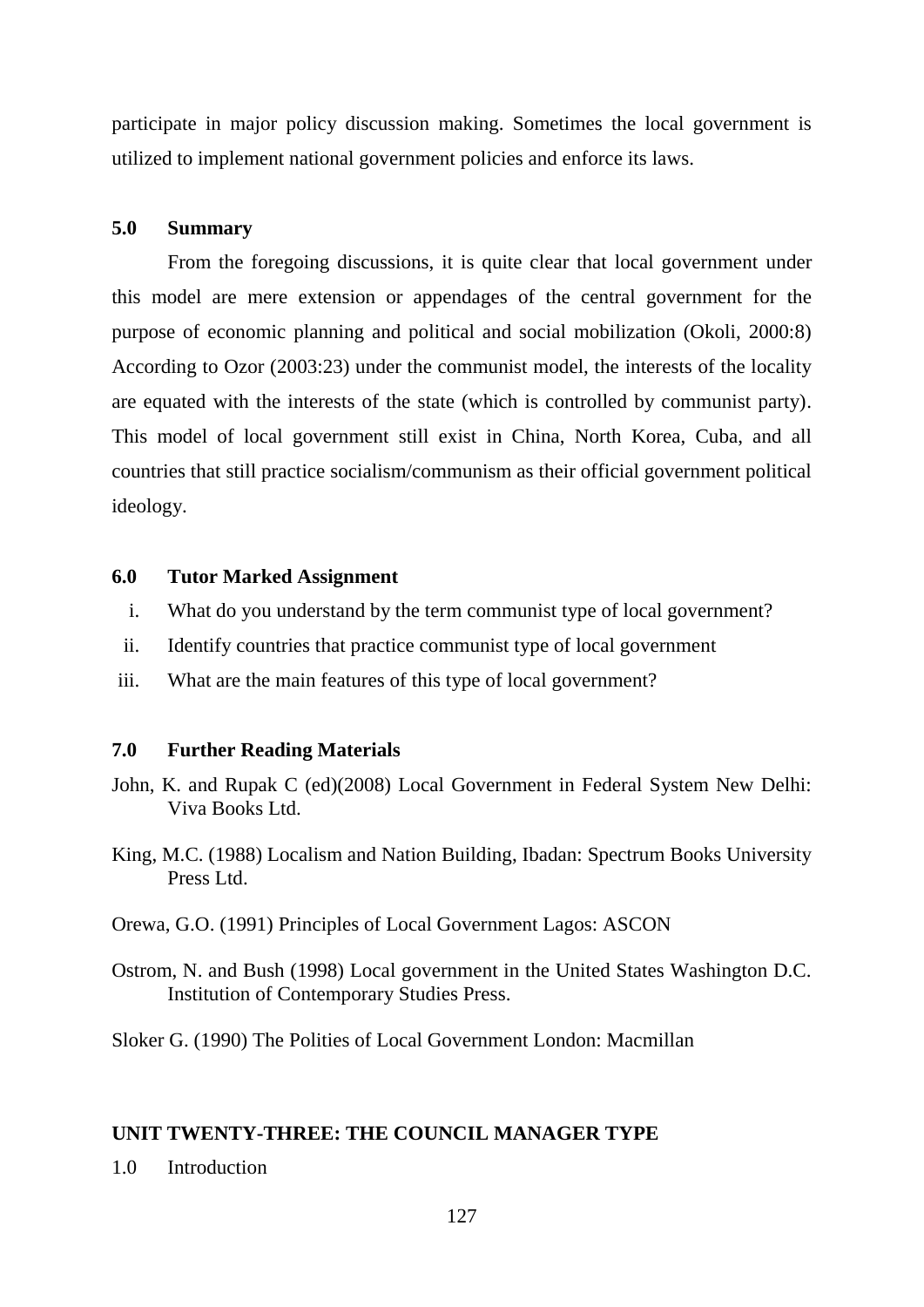participate in major policy discussion making. Sometimes the local government is utilized to implement national government policies and enforce its laws.

#### **5.0 Summary**

From the foregoing discussions, it is quite clear that local government under this model are mere extension or appendages of the central government for the purpose of economic planning and political and social mobilization (Okoli, 2000:8) According to Ozor (2003:23) under the communist model, the interests of the locality are equated with the interests of the state (which is controlled by communist party). This model of local government still exist in China, North Korea, Cuba, and all countries that still practice socialism/communism as their official government political ideology.

## **6.0 Tutor Marked Assignment**

- i. What do you understand by the term communist type of local government?
- ii. Identify countries that practice communist type of local government
- iii. What are the main features of this type of local government?

#### **7.0 Further Reading Materials**

- John, K. and Rupak C (ed)(2008) Local Government in Federal System New Delhi: Viva Books Ltd.
- King, M.C. (1988) Localism and Nation Building, Ibadan: Spectrum Books University Press Ltd.
- Orewa, G.O. (1991) Principles of Local Government Lagos: ASCON
- Ostrom, N. and Bush (1998) Local government in the United States Washington D.C. Institution of Contemporary Studies Press.

Sloker G. (1990) The Polities of Local Government London: Macmillan

#### **UNIT TWENTY-THREE: THE COUNCIL MANAGER TYPE**

1.0 Introduction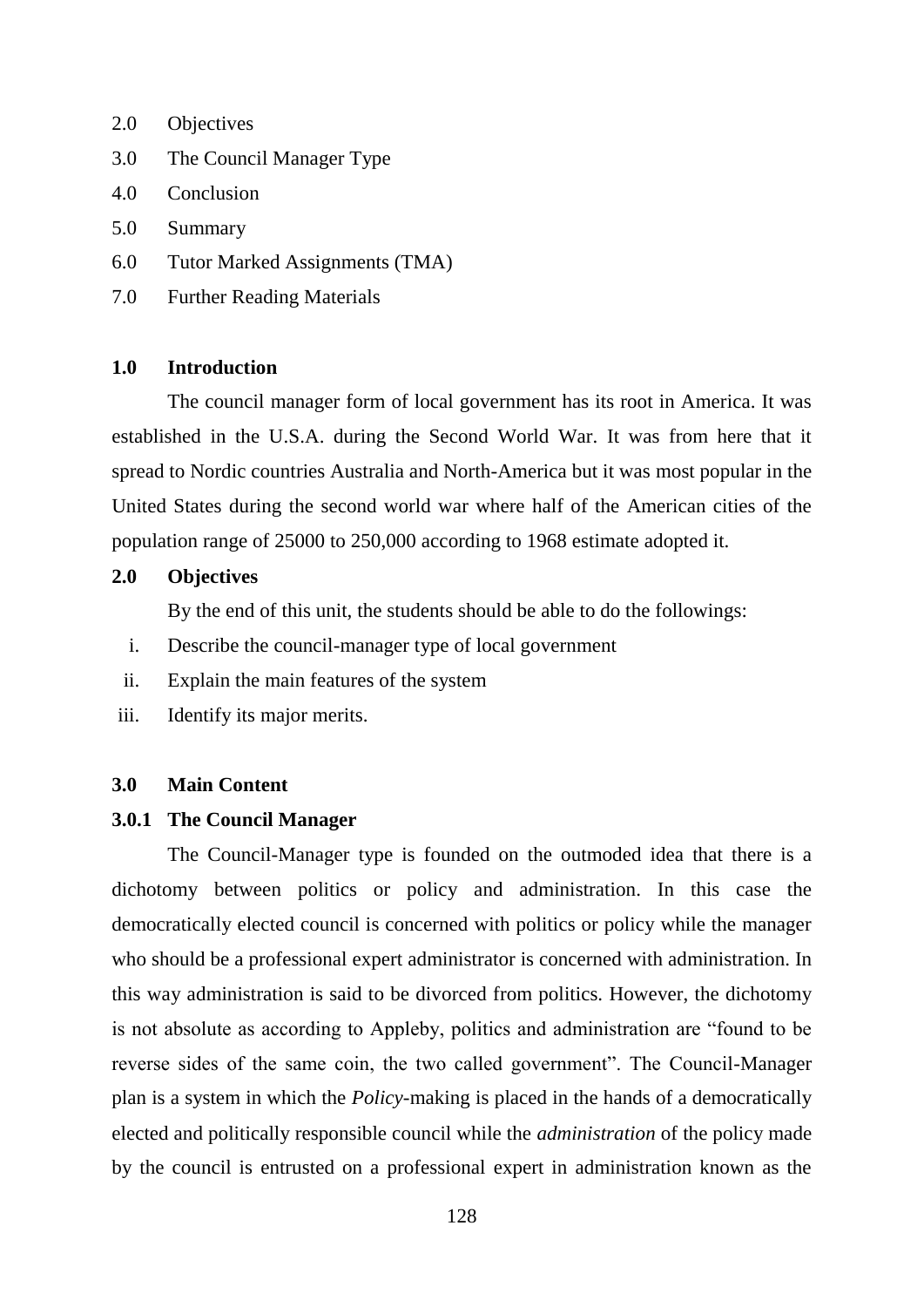- 2.0 Objectives
- 3.0 The Council Manager Type
- 4.0 Conclusion
- 5.0 Summary
- 6.0 Tutor Marked Assignments (TMA)
- 7.0 Further Reading Materials

## **1.0 Introduction**

The council manager form of local government has its root in America. It was established in the U.S.A. during the Second World War. It was from here that it spread to Nordic countries Australia and North-America but it was most popular in the United States during the second world war where half of the American cities of the population range of 25000 to 250,000 according to 1968 estimate adopted it.

# **2.0 Objectives**

By the end of this unit, the students should be able to do the followings:

- i. Describe the council-manager type of local government
- ii. Explain the main features of the system
- iii. Identify its major merits.

#### **3.0 Main Content**

#### **3.0.1 The Council Manager**

The Council-Manager type is founded on the outmoded idea that there is a dichotomy between politics or policy and administration. In this case the democratically elected council is concerned with politics or policy while the manager who should be a professional expert administrator is concerned with administration. In this way administration is said to be divorced from politics. However, the dichotomy is not absolute as according to Appleby, politics and administration are "found to be reverse sides of the same coin, the two called government". The Council-Manager plan is a system in which the *Policy-*making is placed in the hands of a democratically elected and politically responsible council while the *administration* of the policy made by the council is entrusted on a professional expert in administration known as the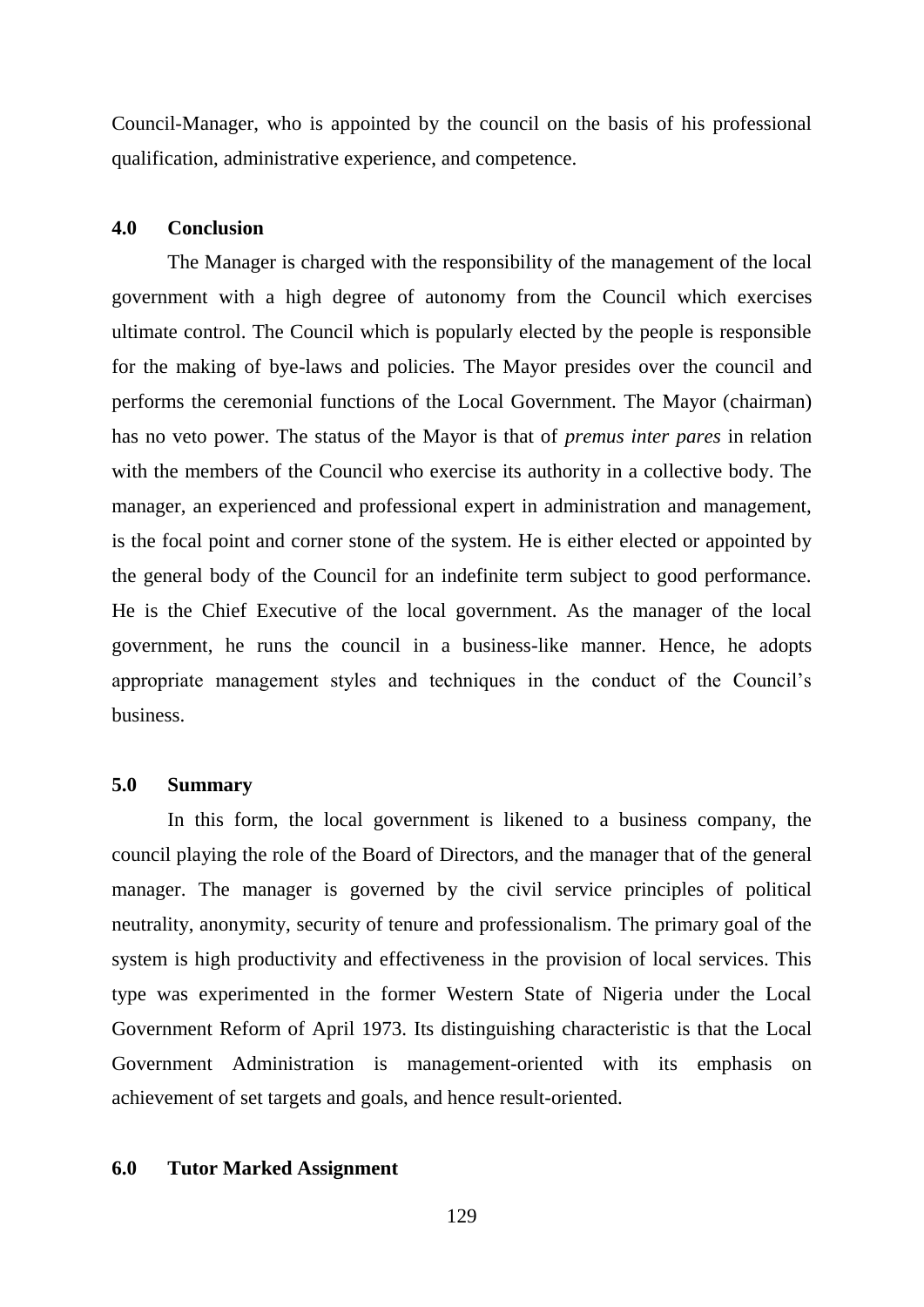Council-Manager, who is appointed by the council on the basis of his professional qualification, administrative experience, and competence.

#### **4.0 Conclusion**

The Manager is charged with the responsibility of the management of the local government with a high degree of autonomy from the Council which exercises ultimate control. The Council which is popularly elected by the people is responsible for the making of bye-laws and policies. The Mayor presides over the council and performs the ceremonial functions of the Local Government. The Mayor (chairman) has no veto power. The status of the Mayor is that of *premus inter pares* in relation with the members of the Council who exercise its authority in a collective body. The manager, an experienced and professional expert in administration and management, is the focal point and corner stone of the system. He is either elected or appointed by the general body of the Council for an indefinite term subject to good performance. He is the Chief Executive of the local government. As the manager of the local government, he runs the council in a business-like manner. Hence, he adopts appropriate management styles and techniques in the conduct of the Council"s business.

#### **5.0 Summary**

In this form, the local government is likened to a business company, the council playing the role of the Board of Directors, and the manager that of the general manager. The manager is governed by the civil service principles of political neutrality, anonymity, security of tenure and professionalism. The primary goal of the system is high productivity and effectiveness in the provision of local services. This type was experimented in the former Western State of Nigeria under the Local Government Reform of April 1973. Its distinguishing characteristic is that the Local Government Administration is management-oriented with its emphasis on achievement of set targets and goals, and hence result-oriented.

#### **6.0 Tutor Marked Assignment**

129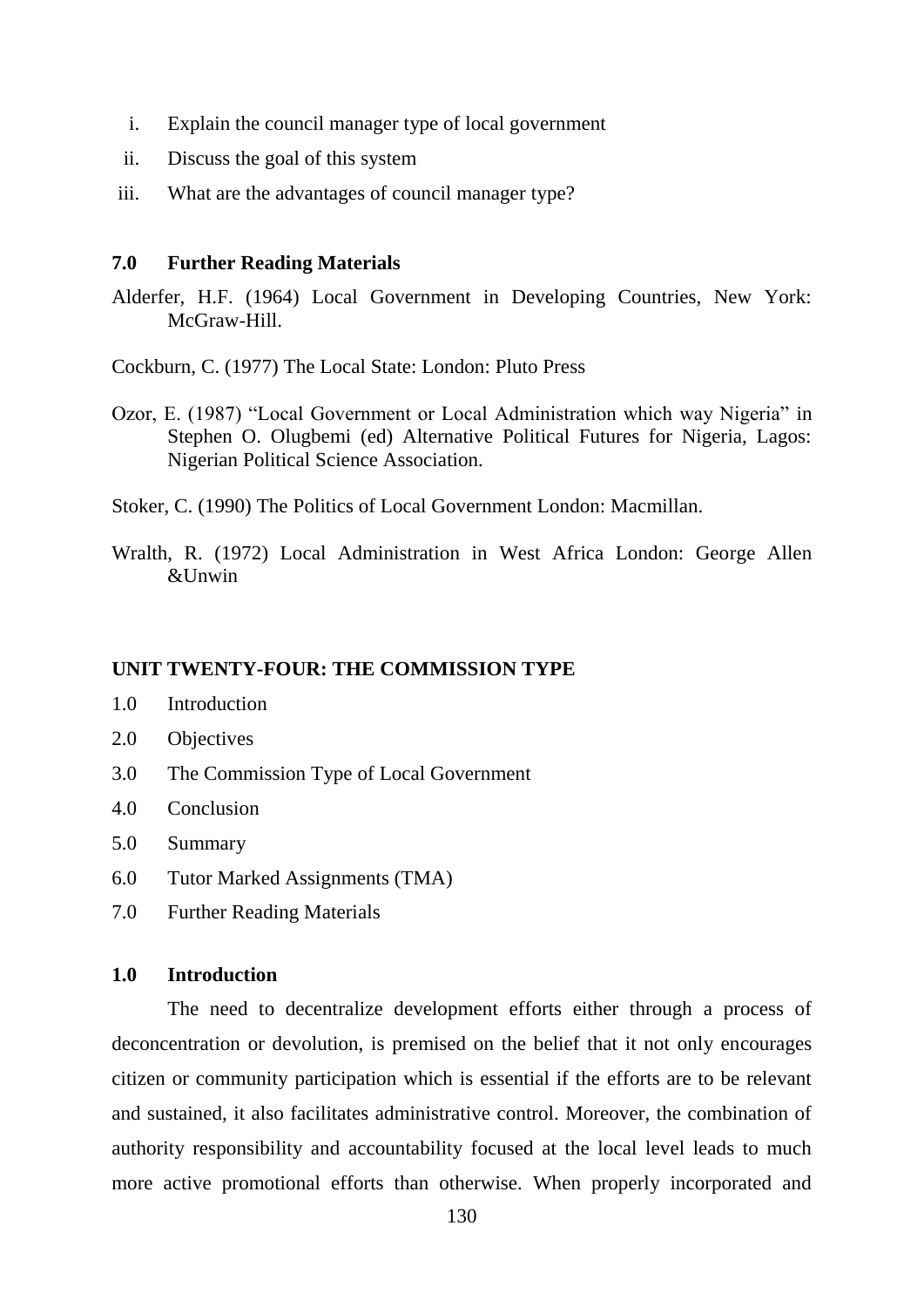- i. Explain the council manager type of local government
- ii. Discuss the goal of this system
- iii. What are the advantages of council manager type?

## **7.0 Further Reading Materials**

Alderfer, H.F. (1964) Local Government in Developing Countries, New York: McGraw-Hill

Cockburn, C. (1977) The Local State: London: Pluto Press

- Ozor, E. (1987) "Local Government or Local Administration which way Nigeria" in Stephen O. Olugbemi (ed) Alternative Political Futures for Nigeria, Lagos: Nigerian Political Science Association.
- Stoker, C. (1990) The Politics of Local Government London: Macmillan.
- Wralth, R. (1972) Local Administration in West Africa London: George Allen  $&$ Unwin

#### **UNIT TWENTY-FOUR: THE COMMISSION TYPE**

- 1.0 Introduction
- 2.0 Objectives
- 3.0 The Commission Type of Local Government
- 4.0 Conclusion
- 5.0 Summary
- 6.0 Tutor Marked Assignments (TMA)
- 7.0 Further Reading Materials

#### **1.0 Introduction**

The need to decentralize development efforts either through a process of deconcentration or devolution, is premised on the belief that it not only encourages citizen or community participation which is essential if the efforts are to be relevant and sustained, it also facilitates administrative control. Moreover, the combination of authority responsibility and accountability focused at the local level leads to much more active promotional efforts than otherwise. When properly incorporated and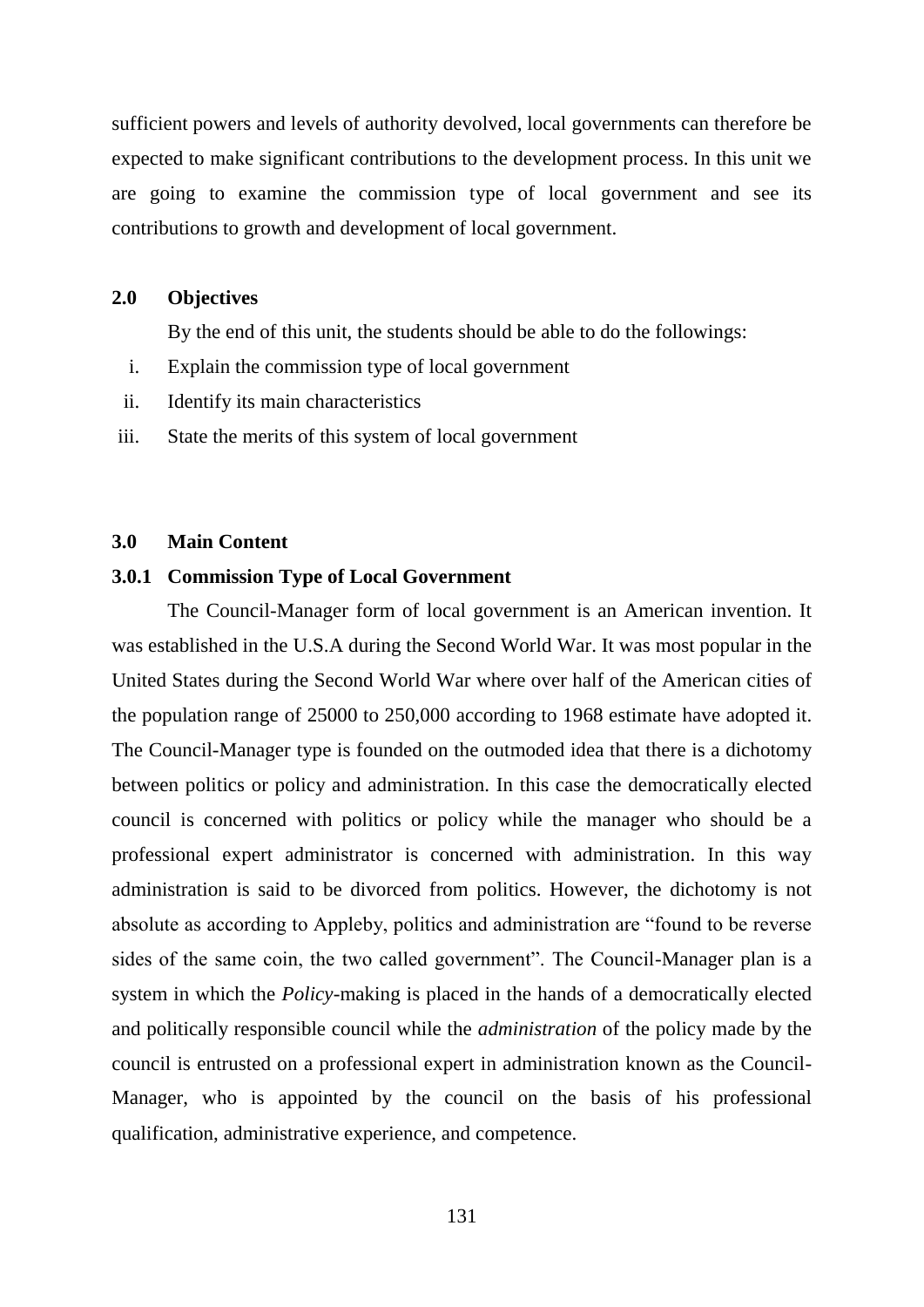sufficient powers and levels of authority devolved, local governments can therefore be expected to make significant contributions to the development process. In this unit we are going to examine the commission type of local government and see its contributions to growth and development of local government.

## **2.0 Objectives**

By the end of this unit, the students should be able to do the followings:

- i. Explain the commission type of local government
- ii. Identify its main characteristics
- iii. State the merits of this system of local government

#### **3.0 Main Content**

## **3.0.1 Commission Type of Local Government**

The Council-Manager form of local government is an American invention. It was established in the U.S.A during the Second World War. It was most popular in the United States during the Second World War where over half of the American cities of the population range of 25000 to 250,000 according to 1968 estimate have adopted it. The Council-Manager type is founded on the outmoded idea that there is a dichotomy between politics or policy and administration. In this case the democratically elected council is concerned with politics or policy while the manager who should be a professional expert administrator is concerned with administration. In this way administration is said to be divorced from politics. However, the dichotomy is not absolute as according to Appleby, politics and administration are "found to be reverse sides of the same coin, the two called government". The Council-Manager plan is a system in which the *Policy-*making is placed in the hands of a democratically elected and politically responsible council while the *administration* of the policy made by the council is entrusted on a professional expert in administration known as the Council-Manager, who is appointed by the council on the basis of his professional qualification, administrative experience, and competence.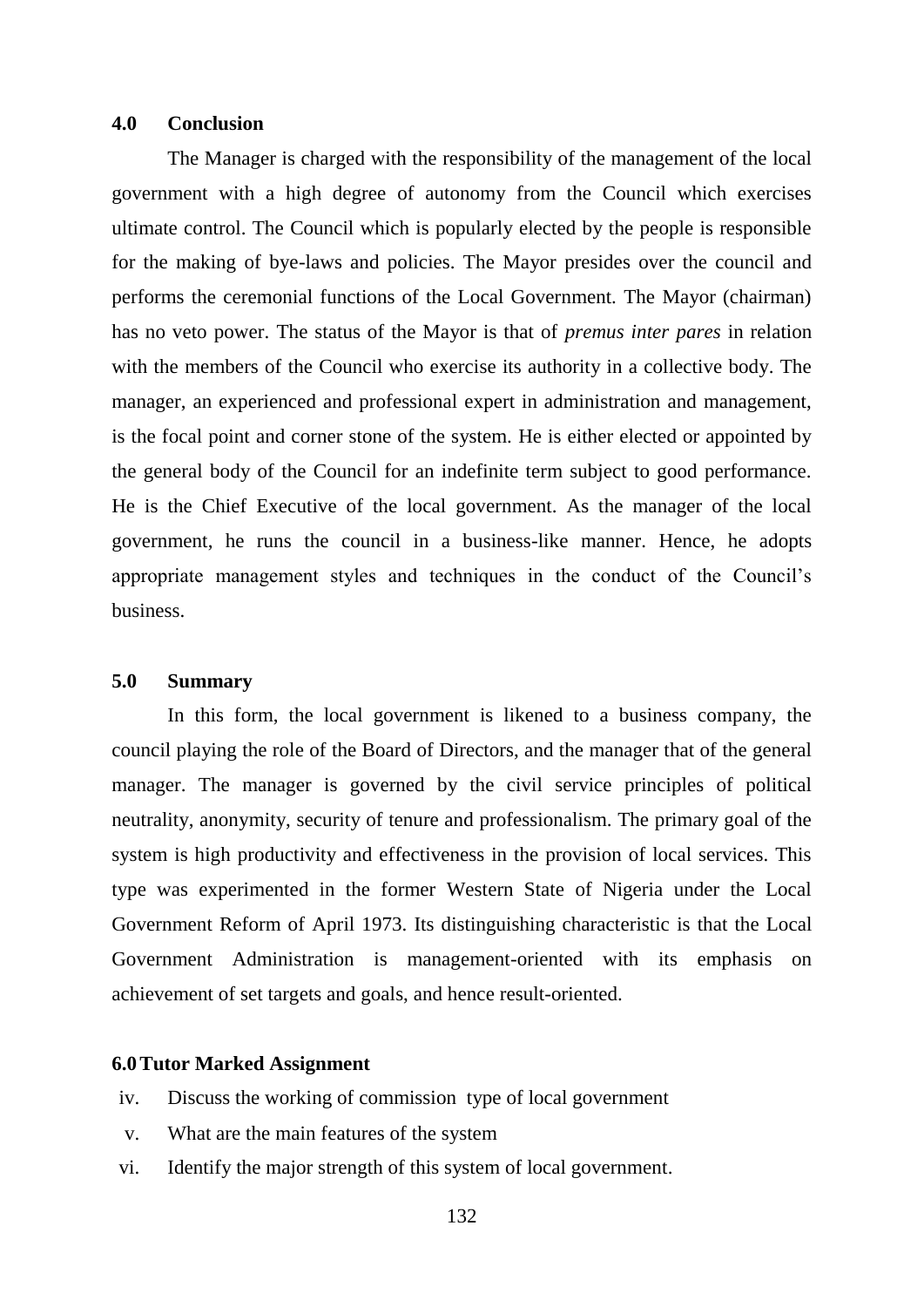#### **4.0 Conclusion**

The Manager is charged with the responsibility of the management of the local government with a high degree of autonomy from the Council which exercises ultimate control. The Council which is popularly elected by the people is responsible for the making of bye-laws and policies. The Mayor presides over the council and performs the ceremonial functions of the Local Government. The Mayor (chairman) has no veto power. The status of the Mayor is that of *premus inter pares* in relation with the members of the Council who exercise its authority in a collective body. The manager, an experienced and professional expert in administration and management, is the focal point and corner stone of the system. He is either elected or appointed by the general body of the Council for an indefinite term subject to good performance. He is the Chief Executive of the local government. As the manager of the local government, he runs the council in a business-like manner. Hence, he adopts appropriate management styles and techniques in the conduct of the Council"s business.

#### **5.0 Summary**

In this form, the local government is likened to a business company, the council playing the role of the Board of Directors, and the manager that of the general manager. The manager is governed by the civil service principles of political neutrality, anonymity, security of tenure and professionalism. The primary goal of the system is high productivity and effectiveness in the provision of local services. This type was experimented in the former Western State of Nigeria under the Local Government Reform of April 1973. Its distinguishing characteristic is that the Local Government Administration is management-oriented with its emphasis on achievement of set targets and goals, and hence result-oriented.

#### **6.0Tutor Marked Assignment**

- iv. Discuss the working of commission type of local government
- v. What are the main features of the system
- vi. Identify the major strength of this system of local government.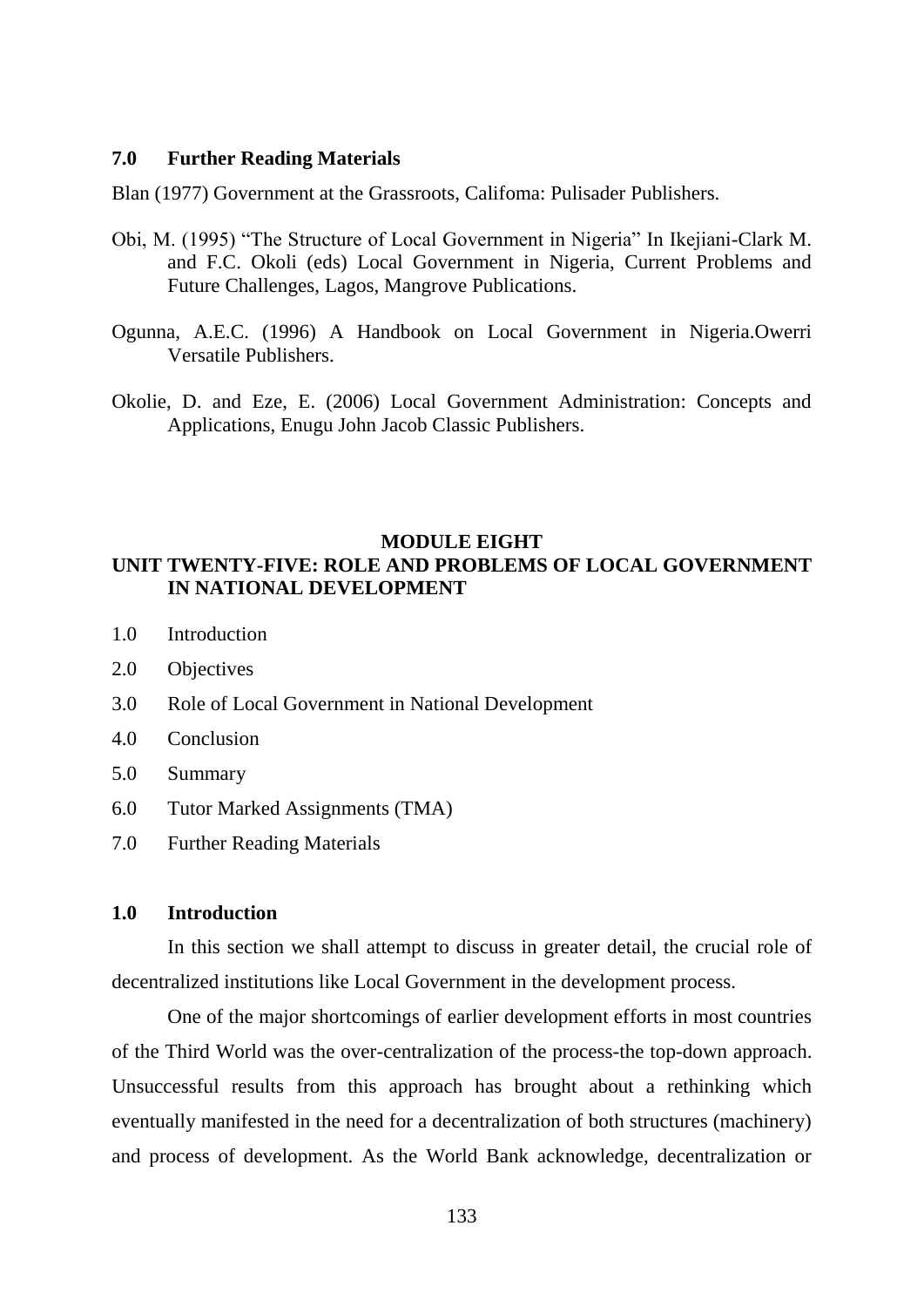#### **7.0 Further Reading Materials**

Blan (1977) Government at the Grassroots, Califoma: Pulisader Publishers.

- Obi, M. (1995) "The Structure of Local Government in Nigeria" In Ikejiani-Clark M. and F.C. Okoli (eds) Local Government in Nigeria, Current Problems and Future Challenges, Lagos, Mangrove Publications.
- Ogunna, A.E.C. (1996) A Handbook on Local Government in Nigeria.Owerri Versatile Publishers.
- Okolie, D. and Eze, E. (2006) Local Government Administration: Concepts and Applications, Enugu John Jacob Classic Publishers.

## **MODULE EIGHT**

# **UNIT TWENTY-FIVE: ROLE AND PROBLEMS OF LOCAL GOVERNMENT IN NATIONAL DEVELOPMENT**

- 1.0 Introduction
- 2.0 Objectives
- 3.0 Role of Local Government in National Development
- 4.0 Conclusion
- 5.0 Summary
- 6.0 Tutor Marked Assignments (TMA)
- 7.0 Further Reading Materials

## **1.0 Introduction**

In this section we shall attempt to discuss in greater detail, the crucial role of decentralized institutions like Local Government in the development process.

One of the major shortcomings of earlier development efforts in most countries of the Third World was the over-centralization of the process-the top-down approach. Unsuccessful results from this approach has brought about a rethinking which eventually manifested in the need for a decentralization of both structures (machinery) and process of development. As the World Bank acknowledge, decentralization or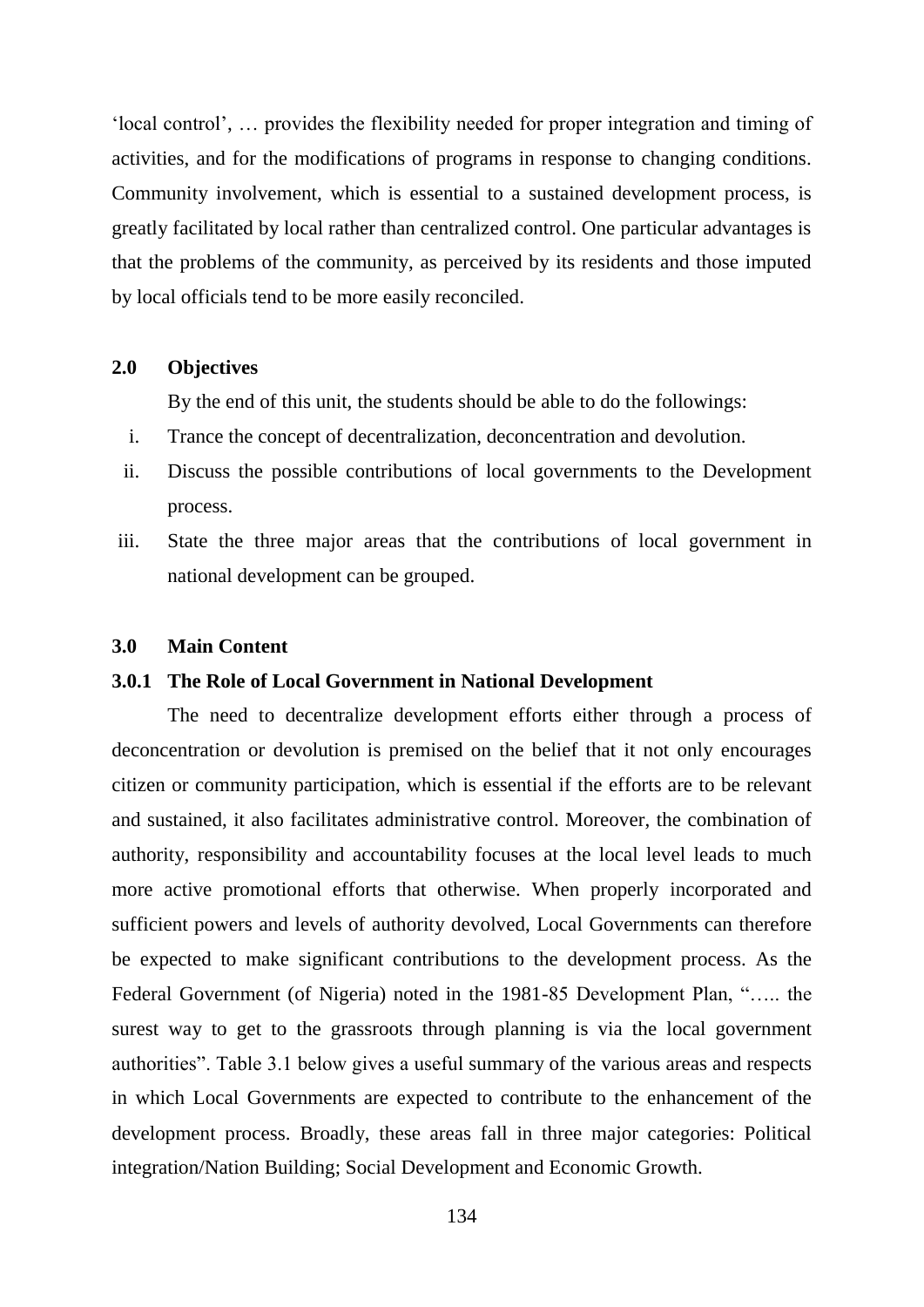"local control", … provides the flexibility needed for proper integration and timing of activities, and for the modifications of programs in response to changing conditions. Community involvement, which is essential to a sustained development process, is greatly facilitated by local rather than centralized control. One particular advantages is that the problems of the community, as perceived by its residents and those imputed by local officials tend to be more easily reconciled.

## **2.0 Objectives**

By the end of this unit, the students should be able to do the followings:

- i. Trance the concept of decentralization, deconcentration and devolution.
- ii. Discuss the possible contributions of local governments to the Development process.
- iii. State the three major areas that the contributions of local government in national development can be grouped.

#### **3.0 Main Content**

#### **3.0.1 The Role of Local Government in National Development**

The need to decentralize development efforts either through a process of deconcentration or devolution is premised on the belief that it not only encourages citizen or community participation, which is essential if the efforts are to be relevant and sustained, it also facilitates administrative control. Moreover, the combination of authority, responsibility and accountability focuses at the local level leads to much more active promotional efforts that otherwise. When properly incorporated and sufficient powers and levels of authority devolved, Local Governments can therefore be expected to make significant contributions to the development process. As the Federal Government (of Nigeria) noted in the 1981-85 Development Plan, "….. the surest way to get to the grassroots through planning is via the local government authorities". Table 3.1 below gives a useful summary of the various areas and respects in which Local Governments are expected to contribute to the enhancement of the development process. Broadly, these areas fall in three major categories: Political integration/Nation Building; Social Development and Economic Growth.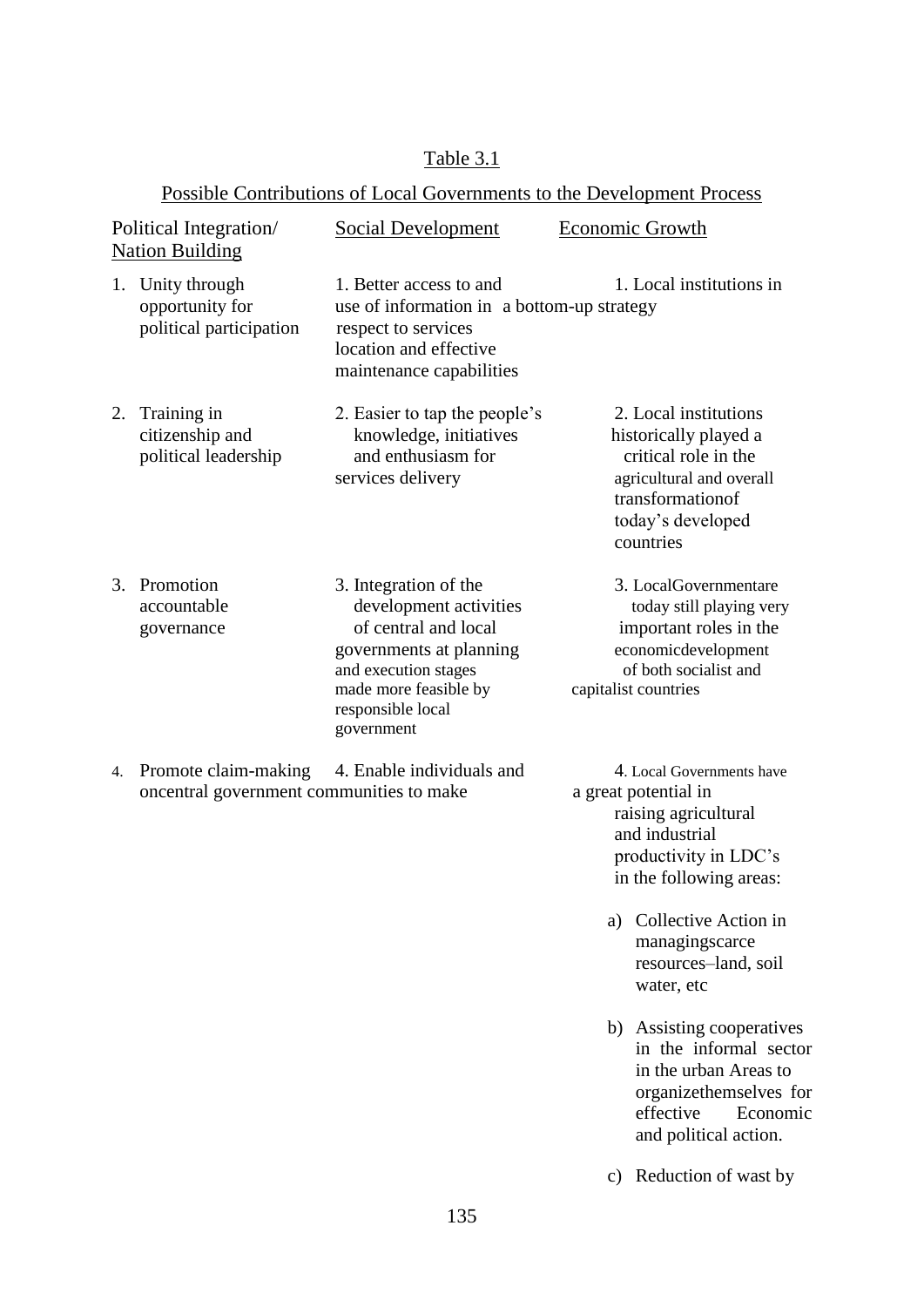# Table 3.1

# Possible Contributions of Local Governments to the Development Process

| Political Integration/<br><b>Nation Building</b> |                                                                  | <b>Social Development</b>                                                                                                                                                              | Economic Growth                                                                                                                                                                                                                                                                                                                                                          |
|--------------------------------------------------|------------------------------------------------------------------|----------------------------------------------------------------------------------------------------------------------------------------------------------------------------------------|--------------------------------------------------------------------------------------------------------------------------------------------------------------------------------------------------------------------------------------------------------------------------------------------------------------------------------------------------------------------------|
|                                                  | 1. Unity through<br>opportunity for<br>political participation   | 1. Better access to and<br>use of information in a bottom-up strategy<br>respect to services<br>location and effective<br>maintenance capabilities                                     | 1. Local institutions in                                                                                                                                                                                                                                                                                                                                                 |
|                                                  | 2. Training in<br>citizenship and<br>political leadership        | 2. Easier to tap the people's<br>knowledge, initiatives<br>and enthusiasm for<br>services delivery                                                                                     | 2. Local institutions<br>historically played a<br>critical role in the<br>agricultural and overall<br>transformationof<br>today's developed<br>countries                                                                                                                                                                                                                 |
|                                                  | 3. Promotion<br>accountable<br>governance                        | 3. Integration of the<br>development activities<br>of central and local<br>governments at planning<br>and execution stages<br>made more feasible by<br>responsible local<br>government | 3. LocalGovernmentare<br>today still playing very<br>important roles in the<br>economicdevelopment<br>of both socialist and<br>capitalist countries                                                                                                                                                                                                                      |
| 4.                                               | Promote claim-making<br>oncentral government communities to make | 4. Enable individuals and                                                                                                                                                              | 4. Local Governments have<br>a great potential in<br>raising agricultural<br>and industrial<br>productivity in LDC's<br>in the following areas:<br>Collective Action in<br>a)<br>managingscarce<br>resources-land, soil<br>water, etc<br>b) Assisting cooperatives<br>in the informal sector<br>in the urban Areas to<br>organizethemselves for<br>effective<br>Economic |

c) Reduction of wast by

and political action.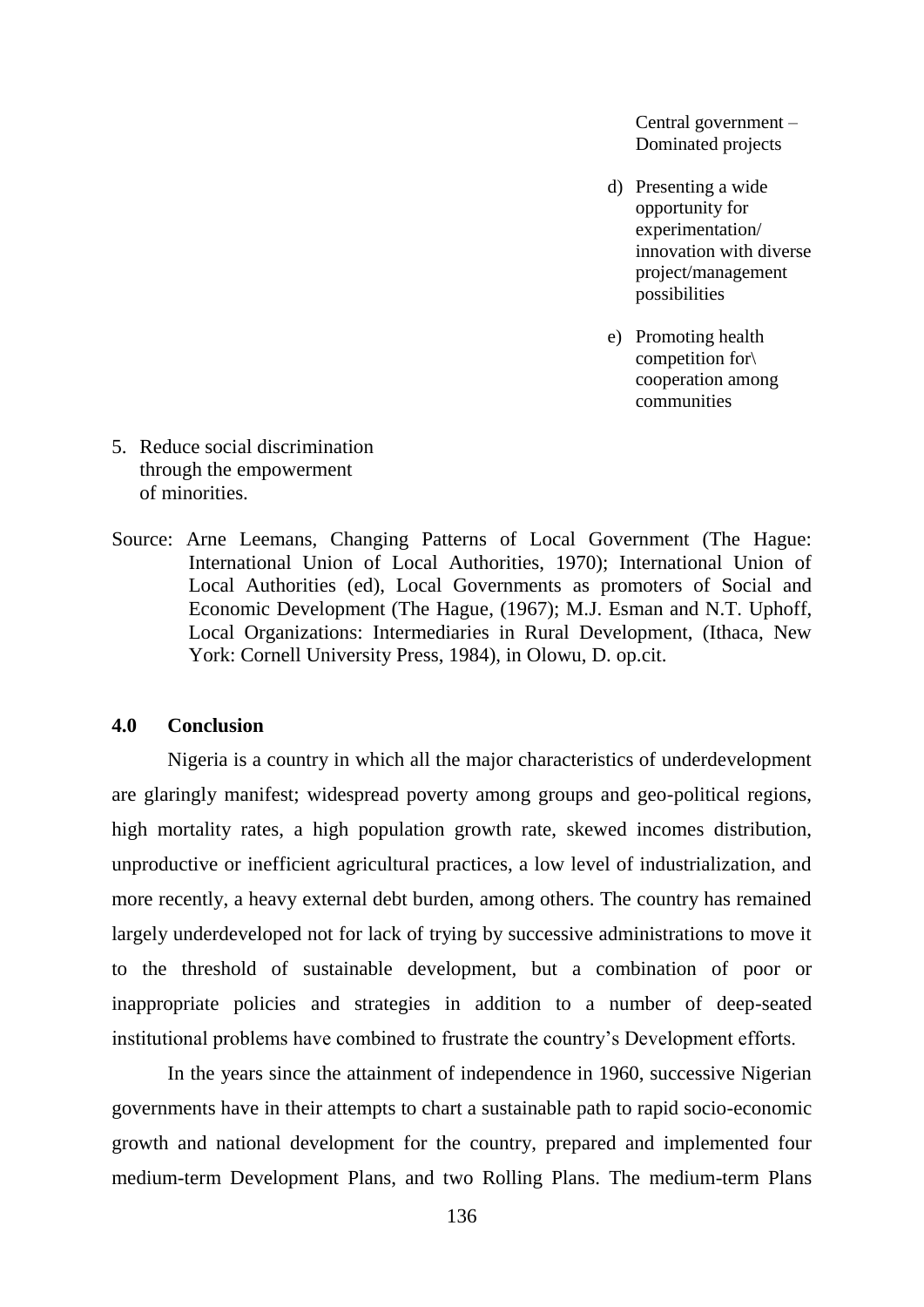Central government – Dominated projects

- d) Presenting a wide opportunity for experimentation/ innovation with diverse project/management possibilities
- e) Promoting health competition for\ cooperation among communities

- 5. Reduce social discrimination through the empowerment of minorities.
- Source: Arne Leemans, Changing Patterns of Local Government (The Hague: International Union of Local Authorities, 1970); International Union of Local Authorities (ed), Local Governments as promoters of Social and Economic Development (The Hague, (1967); M.J. Esman and N.T. Uphoff, Local Organizations: Intermediaries in Rural Development, (Ithaca, New York: Cornell University Press, 1984), in Olowu, D. op.cit.

#### **4.0 Conclusion**

Nigeria is a country in which all the major characteristics of underdevelopment are glaringly manifest; widespread poverty among groups and geo-political regions, high mortality rates, a high population growth rate, skewed incomes distribution, unproductive or inefficient agricultural practices, a low level of industrialization, and more recently, a heavy external debt burden, among others. The country has remained largely underdeveloped not for lack of trying by successive administrations to move it to the threshold of sustainable development, but a combination of poor or inappropriate policies and strategies in addition to a number of deep-seated institutional problems have combined to frustrate the country"s Development efforts.

In the years since the attainment of independence in 1960, successive Nigerian governments have in their attempts to chart a sustainable path to rapid socio-economic growth and national development for the country, prepared and implemented four medium-term Development Plans, and two Rolling Plans. The medium-term Plans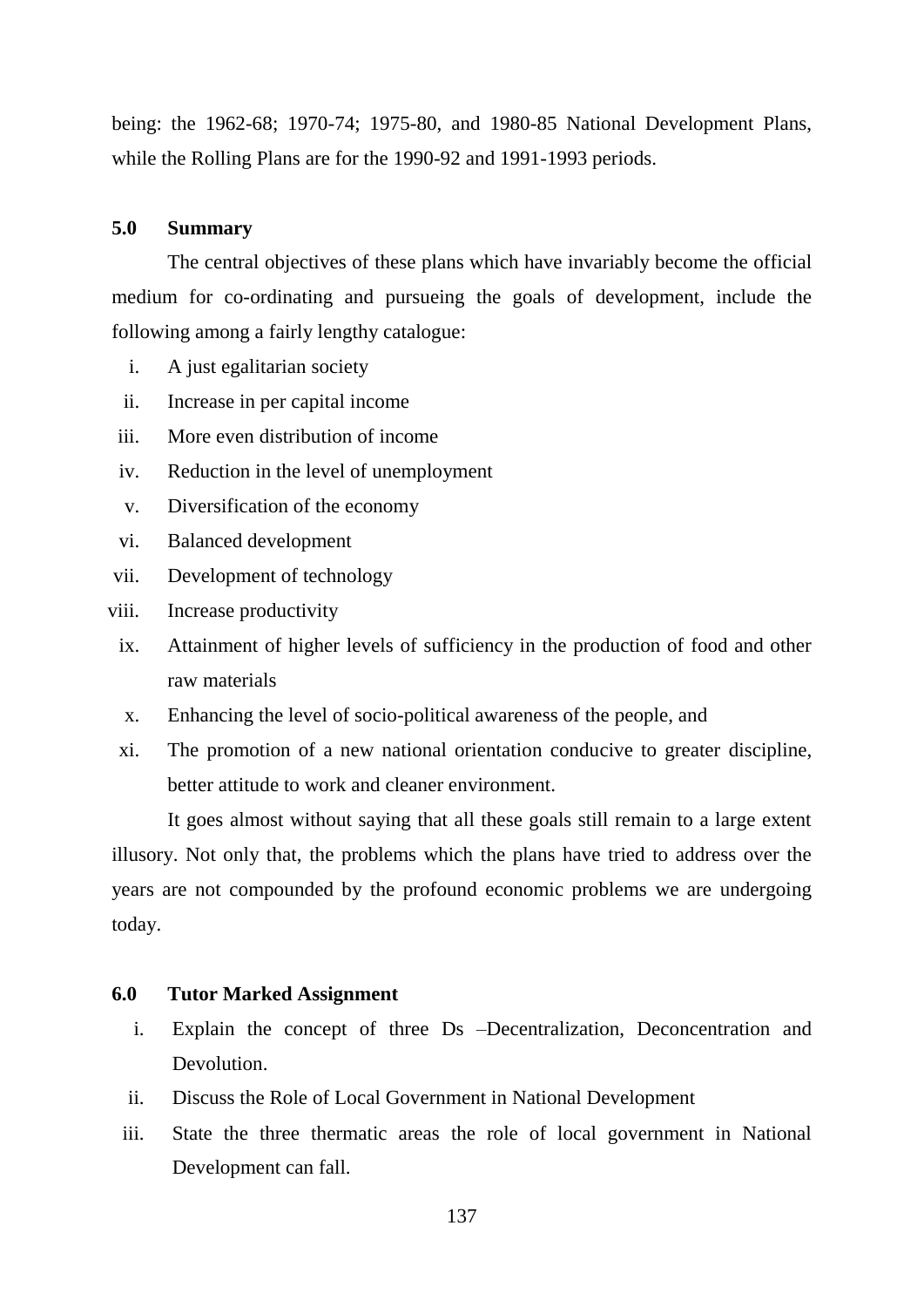being: the 1962-68; 1970-74; 1975-80, and 1980-85 National Development Plans, while the Rolling Plans are for the 1990-92 and 1991-1993 periods.

#### **5.0 Summary**

The central objectives of these plans which have invariably become the official medium for co-ordinating and pursueing the goals of development, include the following among a fairly lengthy catalogue:

- i. A just egalitarian society
- ii. Increase in per capital income
- iii. More even distribution of income
- iv. Reduction in the level of unemployment
- v. Diversification of the economy
- vi. Balanced development
- vii. Development of technology
- viii. Increase productivity
- ix. Attainment of higher levels of sufficiency in the production of food and other raw materials
- x. Enhancing the level of socio-political awareness of the people, and
- xi. The promotion of a new national orientation conducive to greater discipline, better attitude to work and cleaner environment.

It goes almost without saying that all these goals still remain to a large extent illusory. Not only that, the problems which the plans have tried to address over the years are not compounded by the profound economic problems we are undergoing today.

# **6.0 Tutor Marked Assignment**

- i. Explain the concept of three Ds –Decentralization, Deconcentration and **Devolution**
- ii. Discuss the Role of Local Government in National Development
- iii. State the three thermatic areas the role of local government in National Development can fall.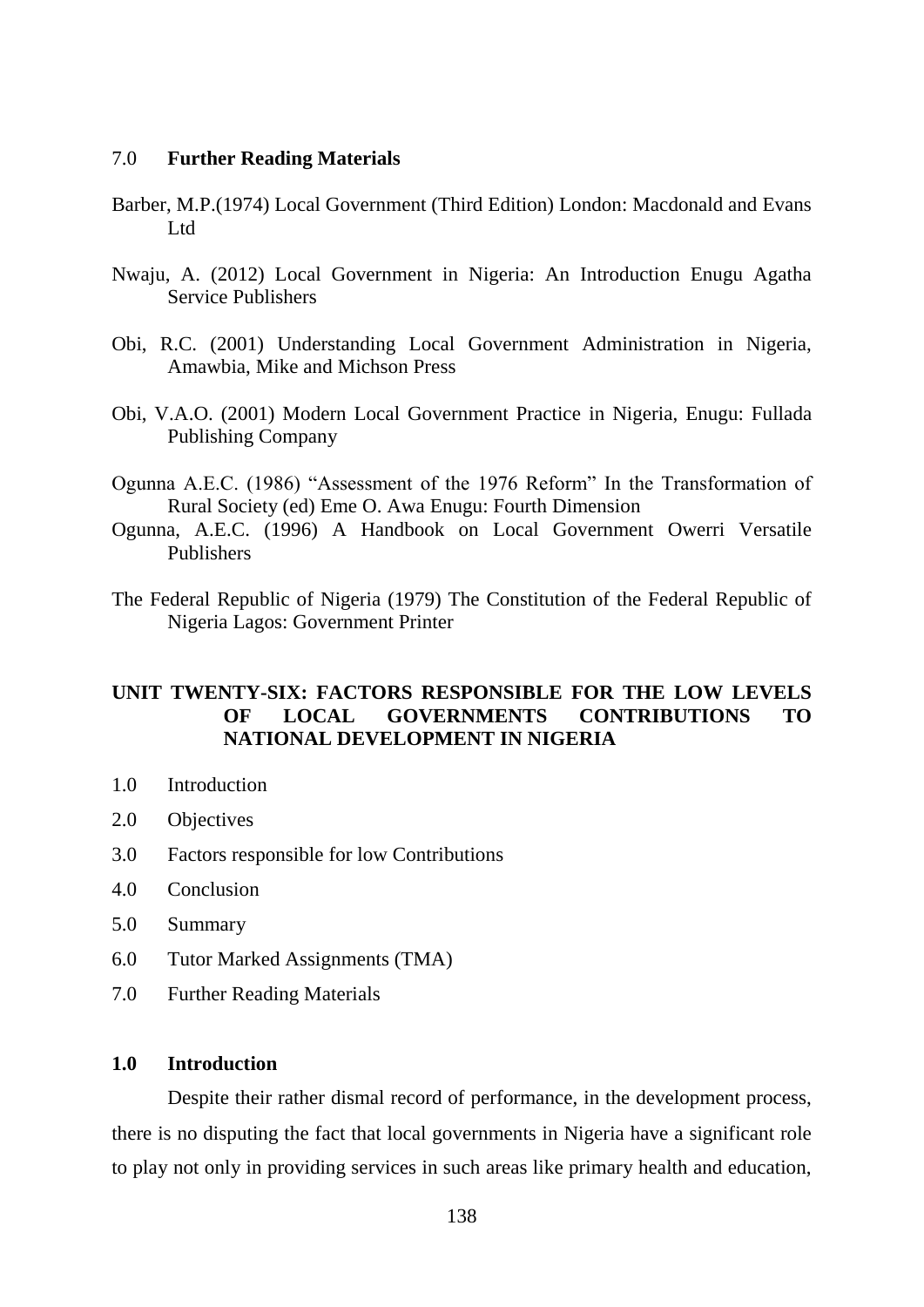## 7.0 **Further Reading Materials**

- Barber, M.P.(1974) Local Government (Third Edition) London: Macdonald and Evans Ltd
- Nwaju, A. (2012) Local Government in Nigeria: An Introduction Enugu Agatha Service Publishers
- Obi, R.C. (2001) Understanding Local Government Administration in Nigeria, Amawbia, Mike and Michson Press
- Obi, V.A.O. (2001) Modern Local Government Practice in Nigeria, Enugu: Fullada Publishing Company
- Ogunna A.E.C. (1986) "Assessment of the 1976 Reform" In the Transformation of Rural Society (ed) Eme O. Awa Enugu: Fourth Dimension
- Ogunna, A.E.C. (1996) A Handbook on Local Government Owerri Versatile Publishers
- The Federal Republic of Nigeria (1979) The Constitution of the Federal Republic of Nigeria Lagos: Government Printer

# **UNIT TWENTY-SIX: FACTORS RESPONSIBLE FOR THE LOW LEVELS OF LOCAL GOVERNMENTS CONTRIBUTIONS TO NATIONAL DEVELOPMENT IN NIGERIA**

- 1.0 Introduction
- 2.0 Objectives
- 3.0 Factors responsible for low Contributions
- 4.0 Conclusion
- 5.0 Summary
- 6.0 Tutor Marked Assignments (TMA)
- 7.0 Further Reading Materials

# **1.0 Introduction**

Despite their rather dismal record of performance, in the development process, there is no disputing the fact that local governments in Nigeria have a significant role to play not only in providing services in such areas like primary health and education,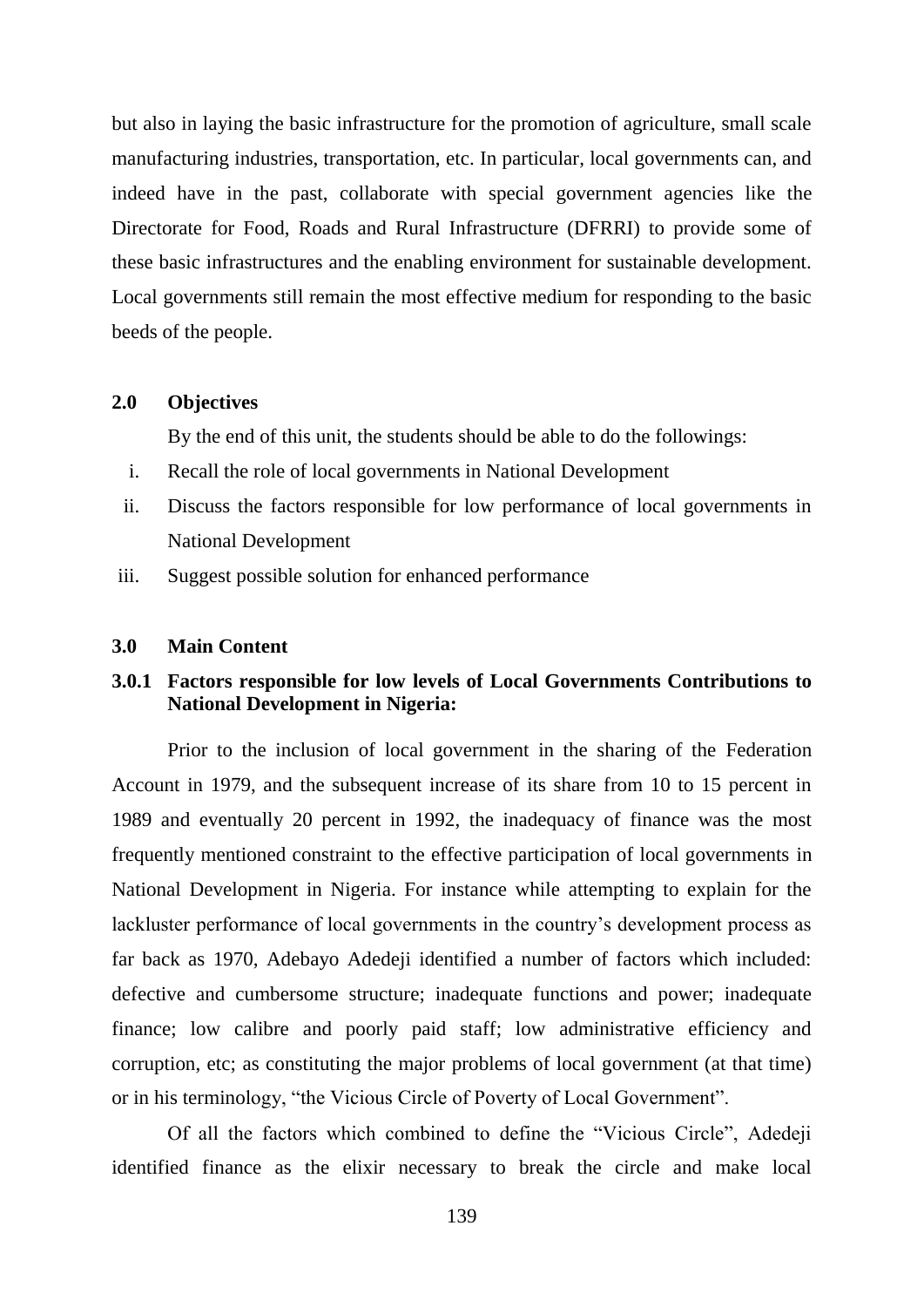but also in laying the basic infrastructure for the promotion of agriculture, small scale manufacturing industries, transportation, etc. In particular, local governments can, and indeed have in the past, collaborate with special government agencies like the Directorate for Food, Roads and Rural Infrastructure (DFRRI) to provide some of these basic infrastructures and the enabling environment for sustainable development. Local governments still remain the most effective medium for responding to the basic beeds of the people.

## **2.0 Objectives**

By the end of this unit, the students should be able to do the followings:

- i. Recall the role of local governments in National Development
- ii. Discuss the factors responsible for low performance of local governments in National Development
- iii. Suggest possible solution for enhanced performance

#### **3.0 Main Content**

# **3.0.1 Factors responsible for low levels of Local Governments Contributions to National Development in Nigeria:**

Prior to the inclusion of local government in the sharing of the Federation Account in 1979, and the subsequent increase of its share from 10 to 15 percent in 1989 and eventually 20 percent in 1992, the inadequacy of finance was the most frequently mentioned constraint to the effective participation of local governments in National Development in Nigeria. For instance while attempting to explain for the lackluster performance of local governments in the country"s development process as far back as 1970, Adebayo Adedeji identified a number of factors which included: defective and cumbersome structure; inadequate functions and power; inadequate finance; low calibre and poorly paid staff; low administrative efficiency and corruption, etc; as constituting the major problems of local government (at that time) or in his terminology, "the Vicious Circle of Poverty of Local Government".

Of all the factors which combined to define the "Vicious Circle", Adedeji identified finance as the elixir necessary to break the circle and make local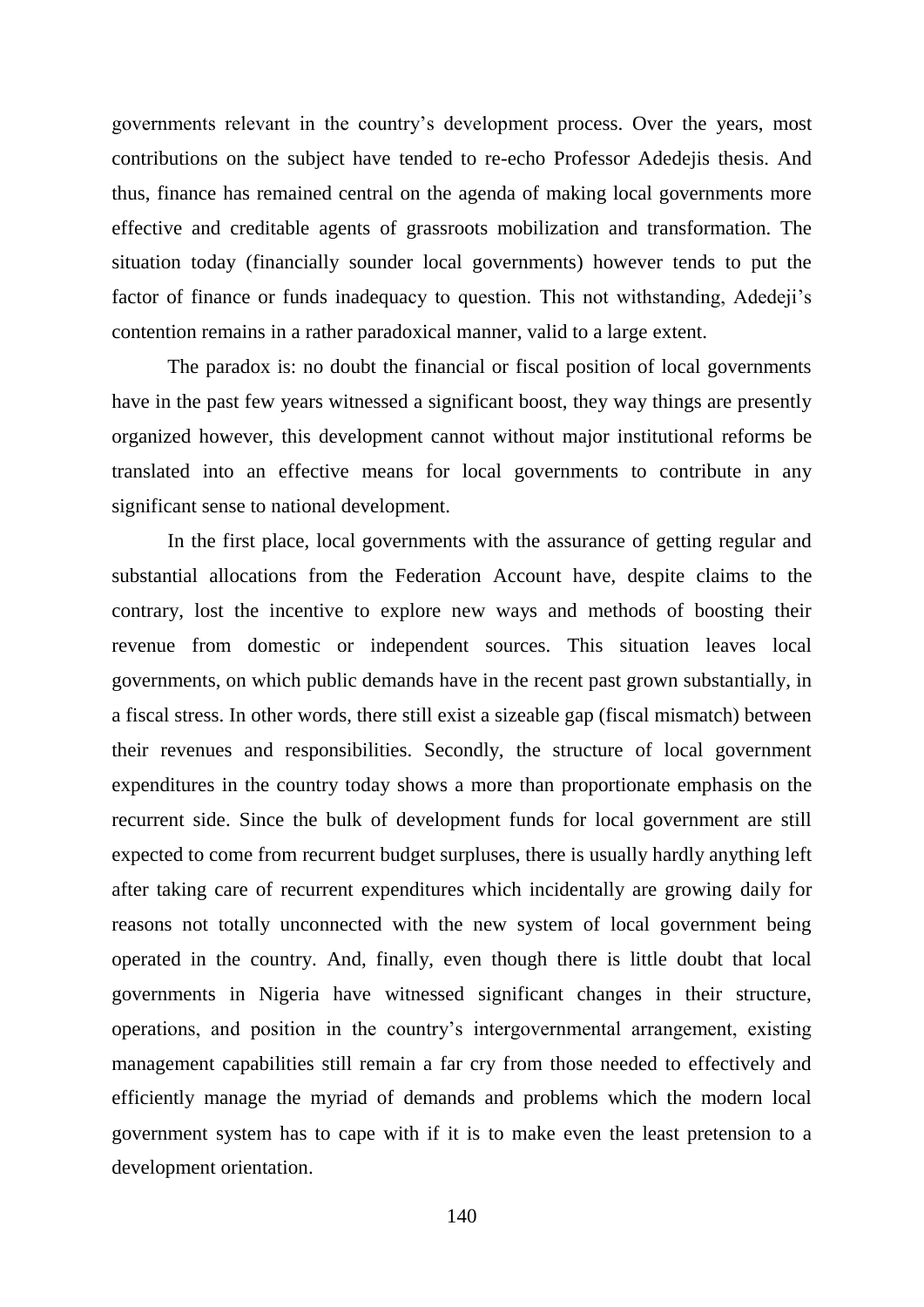governments relevant in the country"s development process. Over the years, most contributions on the subject have tended to re-echo Professor Adedejis thesis. And thus, finance has remained central on the agenda of making local governments more effective and creditable agents of grassroots mobilization and transformation. The situation today (financially sounder local governments) however tends to put the factor of finance or funds inadequacy to question. This not withstanding, Adedeji's contention remains in a rather paradoxical manner, valid to a large extent.

The paradox is: no doubt the financial or fiscal position of local governments have in the past few years witnessed a significant boost, they way things are presently organized however, this development cannot without major institutional reforms be translated into an effective means for local governments to contribute in any significant sense to national development.

In the first place, local governments with the assurance of getting regular and substantial allocations from the Federation Account have, despite claims to the contrary, lost the incentive to explore new ways and methods of boosting their revenue from domestic or independent sources. This situation leaves local governments, on which public demands have in the recent past grown substantially, in a fiscal stress. In other words, there still exist a sizeable gap (fiscal mismatch) between their revenues and responsibilities. Secondly, the structure of local government expenditures in the country today shows a more than proportionate emphasis on the recurrent side. Since the bulk of development funds for local government are still expected to come from recurrent budget surpluses, there is usually hardly anything left after taking care of recurrent expenditures which incidentally are growing daily for reasons not totally unconnected with the new system of local government being operated in the country. And, finally, even though there is little doubt that local governments in Nigeria have witnessed significant changes in their structure, operations, and position in the country"s intergovernmental arrangement, existing management capabilities still remain a far cry from those needed to effectively and efficiently manage the myriad of demands and problems which the modern local government system has to cape with if it is to make even the least pretension to a development orientation.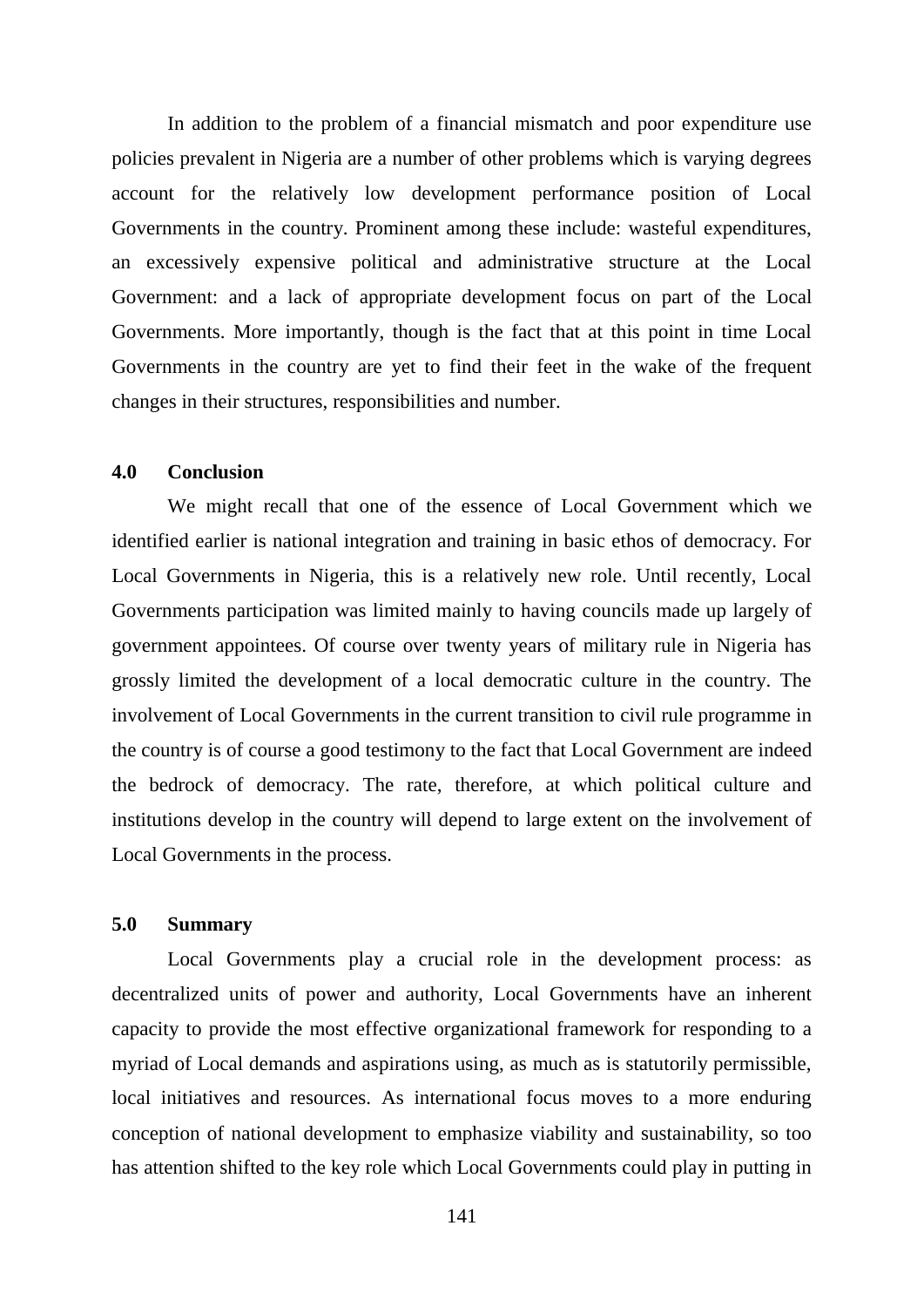In addition to the problem of a financial mismatch and poor expenditure use policies prevalent in Nigeria are a number of other problems which is varying degrees account for the relatively low development performance position of Local Governments in the country. Prominent among these include: wasteful expenditures, an excessively expensive political and administrative structure at the Local Government: and a lack of appropriate development focus on part of the Local Governments. More importantly, though is the fact that at this point in time Local Governments in the country are yet to find their feet in the wake of the frequent changes in their structures, responsibilities and number.

## **4.0 Conclusion**

We might recall that one of the essence of Local Government which we identified earlier is national integration and training in basic ethos of democracy. For Local Governments in Nigeria, this is a relatively new role. Until recently, Local Governments participation was limited mainly to having councils made up largely of government appointees. Of course over twenty years of military rule in Nigeria has grossly limited the development of a local democratic culture in the country. The involvement of Local Governments in the current transition to civil rule programme in the country is of course a good testimony to the fact that Local Government are indeed the bedrock of democracy. The rate, therefore, at which political culture and institutions develop in the country will depend to large extent on the involvement of Local Governments in the process.

## **5.0 Summary**

Local Governments play a crucial role in the development process: as decentralized units of power and authority, Local Governments have an inherent capacity to provide the most effective organizational framework for responding to a myriad of Local demands and aspirations using, as much as is statutorily permissible, local initiatives and resources. As international focus moves to a more enduring conception of national development to emphasize viability and sustainability, so too has attention shifted to the key role which Local Governments could play in putting in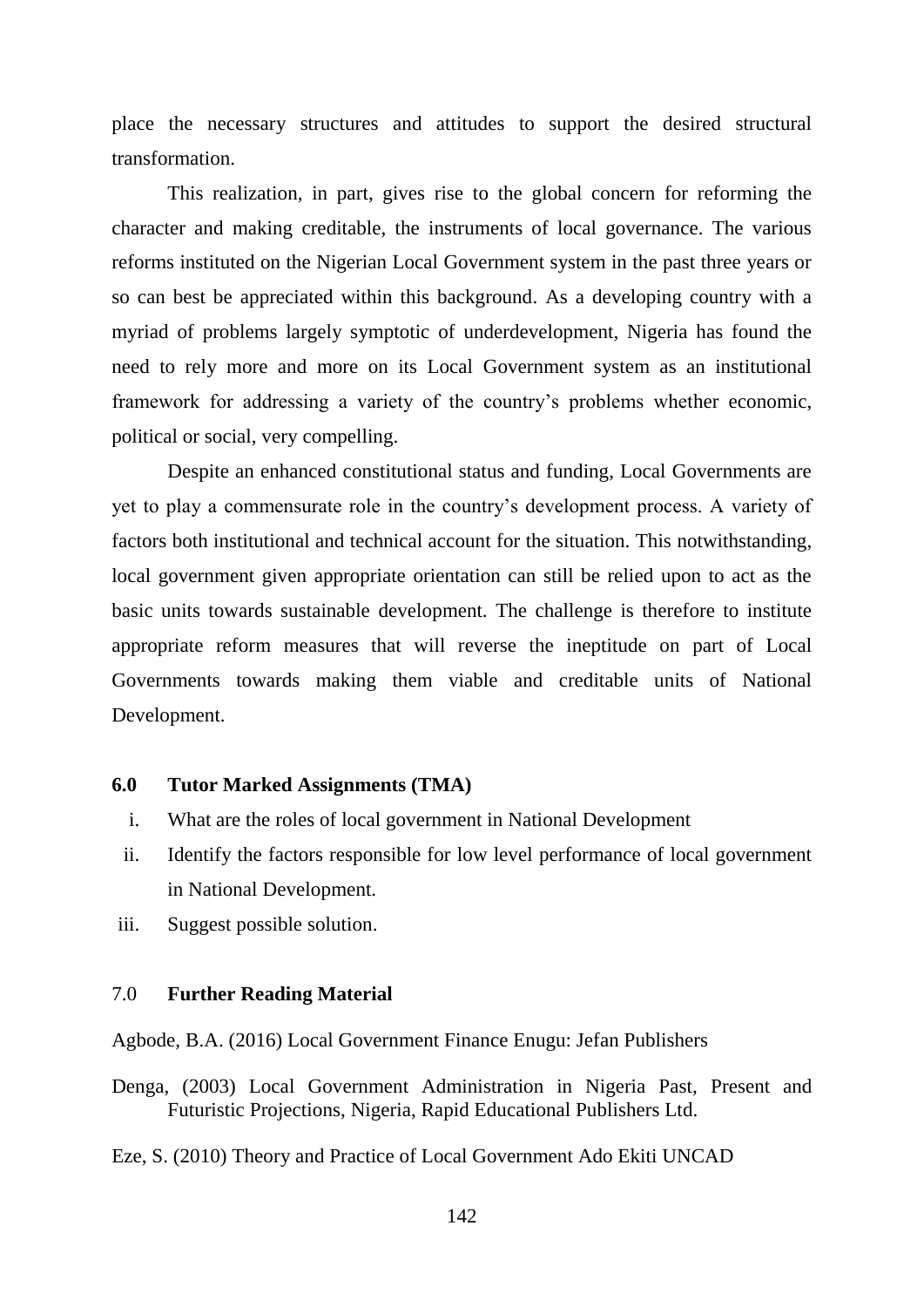place the necessary structures and attitudes to support the desired structural transformation.

This realization, in part, gives rise to the global concern for reforming the character and making creditable, the instruments of local governance. The various reforms instituted on the Nigerian Local Government system in the past three years or so can best be appreciated within this background. As a developing country with a myriad of problems largely symptotic of underdevelopment, Nigeria has found the need to rely more and more on its Local Government system as an institutional framework for addressing a variety of the country"s problems whether economic, political or social, very compelling.

Despite an enhanced constitutional status and funding, Local Governments are yet to play a commensurate role in the country"s development process. A variety of factors both institutional and technical account for the situation. This notwithstanding, local government given appropriate orientation can still be relied upon to act as the basic units towards sustainable development. The challenge is therefore to institute appropriate reform measures that will reverse the ineptitude on part of Local Governments towards making them viable and creditable units of National Development.

## **6.0 Tutor Marked Assignments (TMA)**

- i. What are the roles of local government in National Development
- ii. Identify the factors responsible for low level performance of local government in National Development.
- iii. Suggest possible solution.

#### 7.0 **Further Reading Material**

Agbode, B.A. (2016) Local Government Finance Enugu: Jefan Publishers

- Denga, (2003) Local Government Administration in Nigeria Past, Present and Futuristic Projections, Nigeria, Rapid Educational Publishers Ltd.
- Eze, S. (2010) Theory and Practice of Local Government Ado Ekiti UNCAD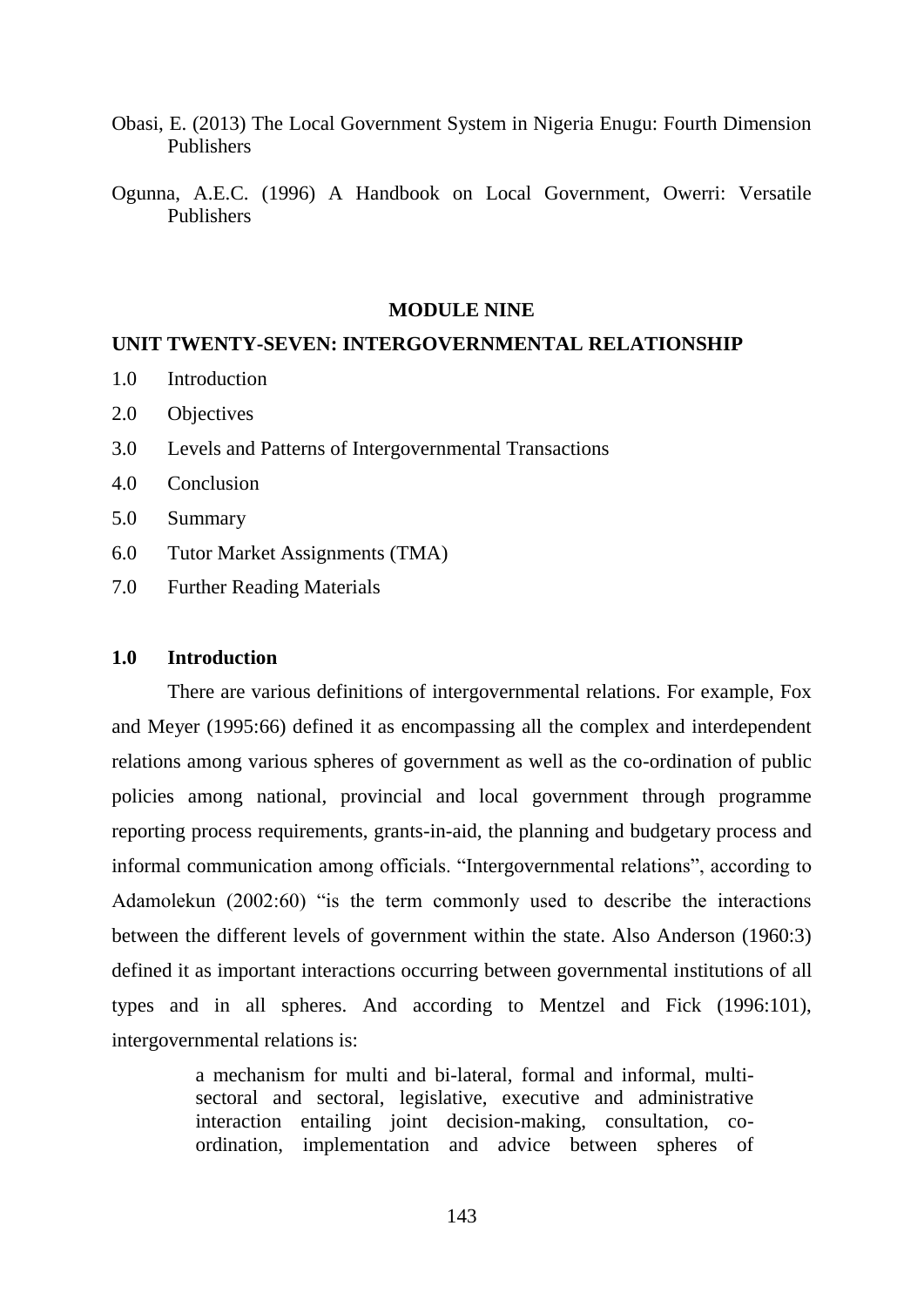- Obasi, E. (2013) The Local Government System in Nigeria Enugu: Fourth Dimension Publishers
- Ogunna, A.E.C. (1996) A Handbook on Local Government, Owerri: Versatile Publishers

#### **MODULE NINE**

## **UNIT TWENTY-SEVEN: INTERGOVERNMENTAL RELATIONSHIP**

- 1.0 Introduction
- 2.0 Objectives
- 3.0 Levels and Patterns of Intergovernmental Transactions
- 4.0 Conclusion
- 5.0 Summary
- 6.0 Tutor Market Assignments (TMA)
- 7.0 Further Reading Materials

#### **1.0 Introduction**

There are various definitions of intergovernmental relations. For example, Fox and Meyer (1995:66) defined it as encompassing all the complex and interdependent relations among various spheres of government as well as the co-ordination of public policies among national, provincial and local government through programme reporting process requirements, grants-in-aid, the planning and budgetary process and informal communication among officials. "Intergovernmental relations", according to Adamolekun (2002:60) "is the term commonly used to describe the interactions between the different levels of government within the state. Also Anderson (1960:3) defined it as important interactions occurring between governmental institutions of all types and in all spheres. And according to Mentzel and Fick (1996:101), intergovernmental relations is:

> a mechanism for multi and bi-lateral, formal and informal, multisectoral and sectoral, legislative, executive and administrative interaction entailing joint decision-making, consultation, coordination, implementation and advice between spheres of

> > 143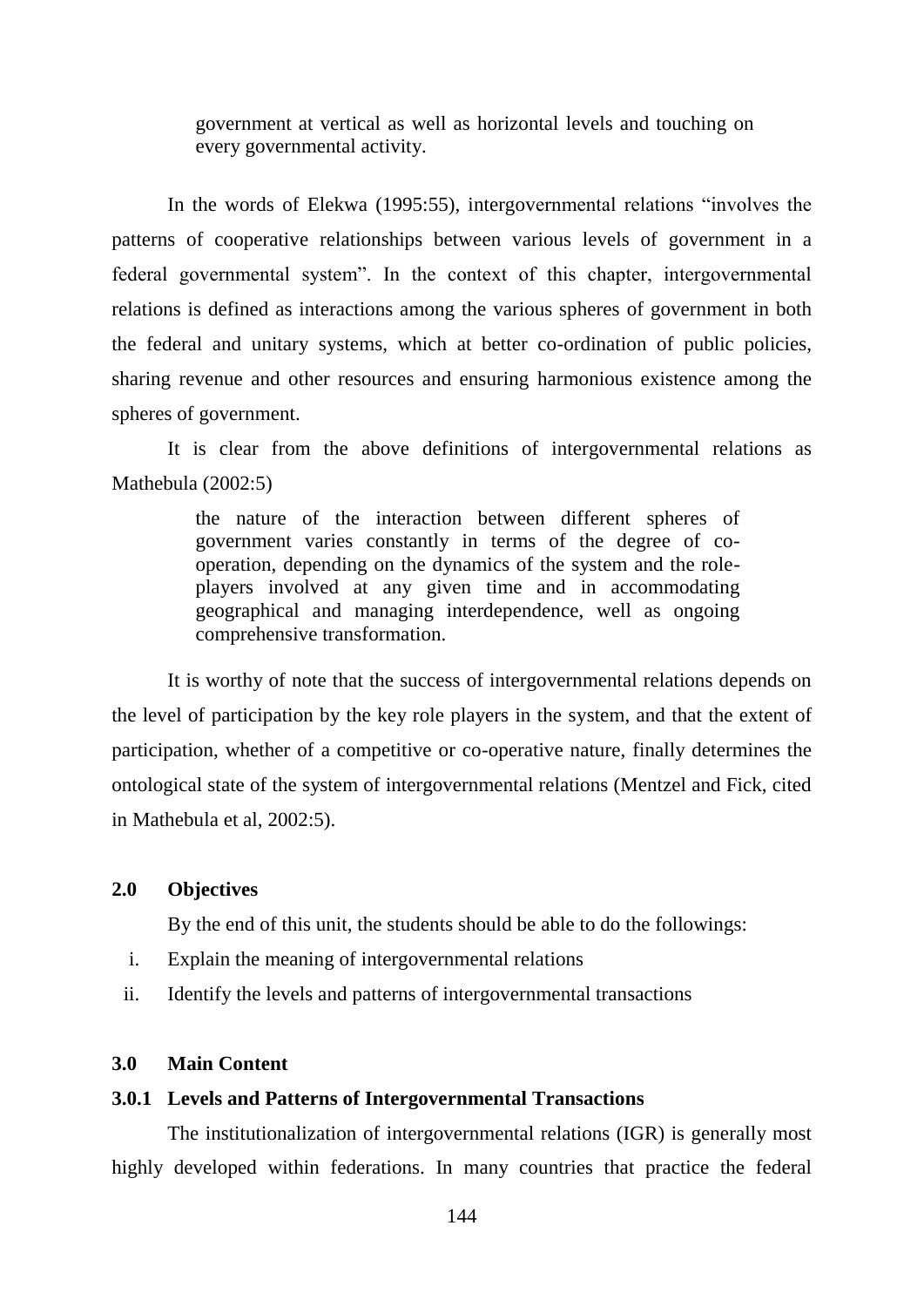government at vertical as well as horizontal levels and touching on every governmental activity.

In the words of Elekwa (1995:55), intergovernmental relations "involves the patterns of cooperative relationships between various levels of government in a federal governmental system". In the context of this chapter, intergovernmental relations is defined as interactions among the various spheres of government in both the federal and unitary systems, which at better co-ordination of public policies, sharing revenue and other resources and ensuring harmonious existence among the spheres of government.

It is clear from the above definitions of intergovernmental relations as Mathebula (2002:5)

> the nature of the interaction between different spheres of government varies constantly in terms of the degree of cooperation, depending on the dynamics of the system and the roleplayers involved at any given time and in accommodating geographical and managing interdependence, well as ongoing comprehensive transformation.

It is worthy of note that the success of intergovernmental relations depends on the level of participation by the key role players in the system, and that the extent of participation, whether of a competitive or co-operative nature, finally determines the ontological state of the system of intergovernmental relations (Mentzel and Fick, cited in Mathebula et al, 2002:5).

#### **2.0 Objectives**

By the end of this unit, the students should be able to do the followings:

- i. Explain the meaning of intergovernmental relations
- ii. Identify the levels and patterns of intergovernmental transactions

# **3.0 Main Content**

#### **3.0.1 Levels and Patterns of Intergovernmental Transactions**

The institutionalization of intergovernmental relations (IGR) is generally most highly developed within federations. In many countries that practice the federal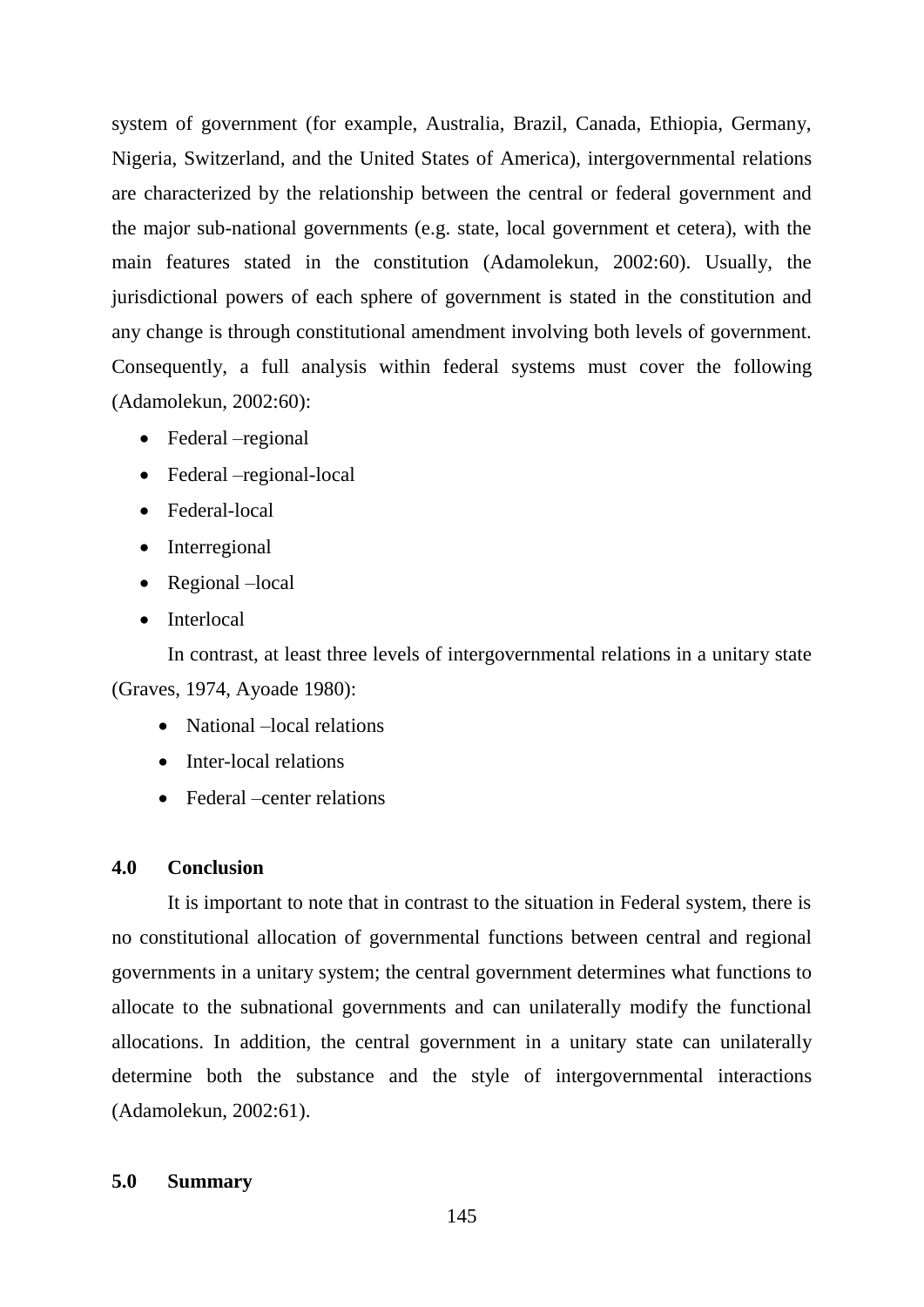system of government (for example, Australia, Brazil, Canada, Ethiopia, Germany, Nigeria, Switzerland, and the United States of America), intergovernmental relations are characterized by the relationship between the central or federal government and the major sub-national governments (e.g. state, local government et cetera), with the main features stated in the constitution (Adamolekun, 2002:60). Usually, the jurisdictional powers of each sphere of government is stated in the constitution and any change is through constitutional amendment involving both levels of government. Consequently, a full analysis within federal systems must cover the following (Adamolekun, 2002:60):

- Federal –regional
- Federal –regional-local
- Federal-local
- Interregional
- Regional –local
- Interlocal

In contrast, at least three levels of intergovernmental relations in a unitary state (Graves, 1974, Ayoade 1980):

- National –local relations
- Inter-local relations
- Federal –center relations

#### **4.0 Conclusion**

It is important to note that in contrast to the situation in Federal system, there is no constitutional allocation of governmental functions between central and regional governments in a unitary system; the central government determines what functions to allocate to the subnational governments and can unilaterally modify the functional allocations. In addition, the central government in a unitary state can unilaterally determine both the substance and the style of intergovernmental interactions (Adamolekun, 2002:61).

## **5.0 Summary**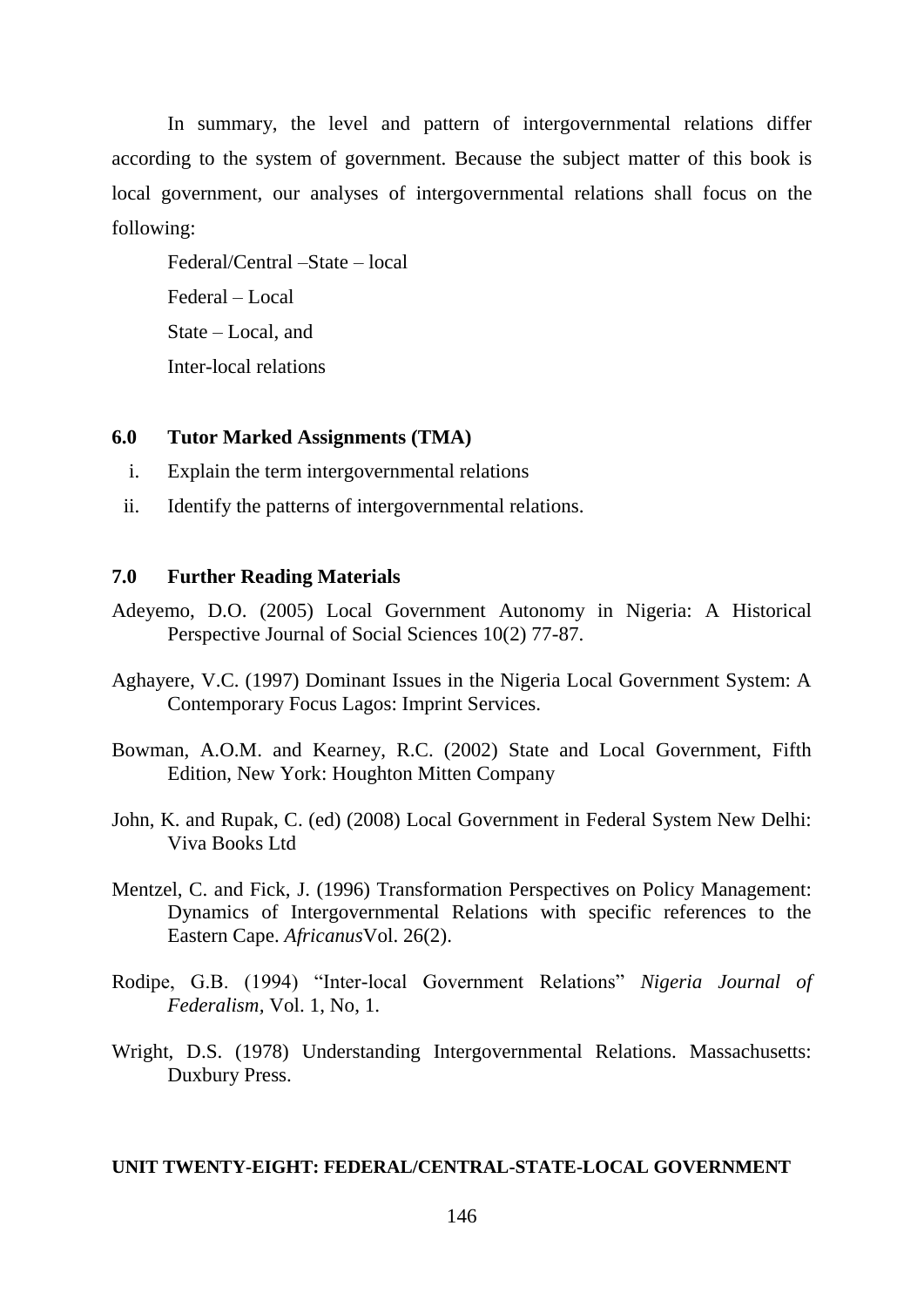In summary, the level and pattern of intergovernmental relations differ according to the system of government. Because the subject matter of this book is local government, our analyses of intergovernmental relations shall focus on the following:

Federal/Central –State – local Federal – Local State – Local, and Inter-local relations

### **6.0 Tutor Marked Assignments (TMA)**

- i. Explain the term intergovernmental relations
- ii. Identify the patterns of intergovernmental relations.

# **7.0 Further Reading Materials**

- Adeyemo, D.O. (2005) Local Government Autonomy in Nigeria: A Historical Perspective Journal of Social Sciences 10(2) 77-87.
- Aghayere, V.C. (1997) Dominant Issues in the Nigeria Local Government System: A Contemporary Focus Lagos: Imprint Services.
- Bowman, A.O.M. and Kearney, R.C. (2002) State and Local Government, Fifth Edition, New York: Houghton Mitten Company
- John, K. and Rupak, C. (ed) (2008) Local Government in Federal System New Delhi: Viva Books Ltd
- Mentzel, C. and Fick, J. (1996) Transformation Perspectives on Policy Management: Dynamics of Intergovernmental Relations with specific references to the Eastern Cape. *Africanus*Vol. 26(2).
- Rodipe, G.B. (1994) "Inter-local Government Relations" *Nigeria Journal of Federalism,* Vol. 1, No, 1.
- Wright, D.S. (1978) Understanding Intergovernmental Relations. Massachusetts: Duxbury Press.

### **UNIT TWENTY-EIGHT: FEDERAL/CENTRAL-STATE-LOCAL GOVERNMENT**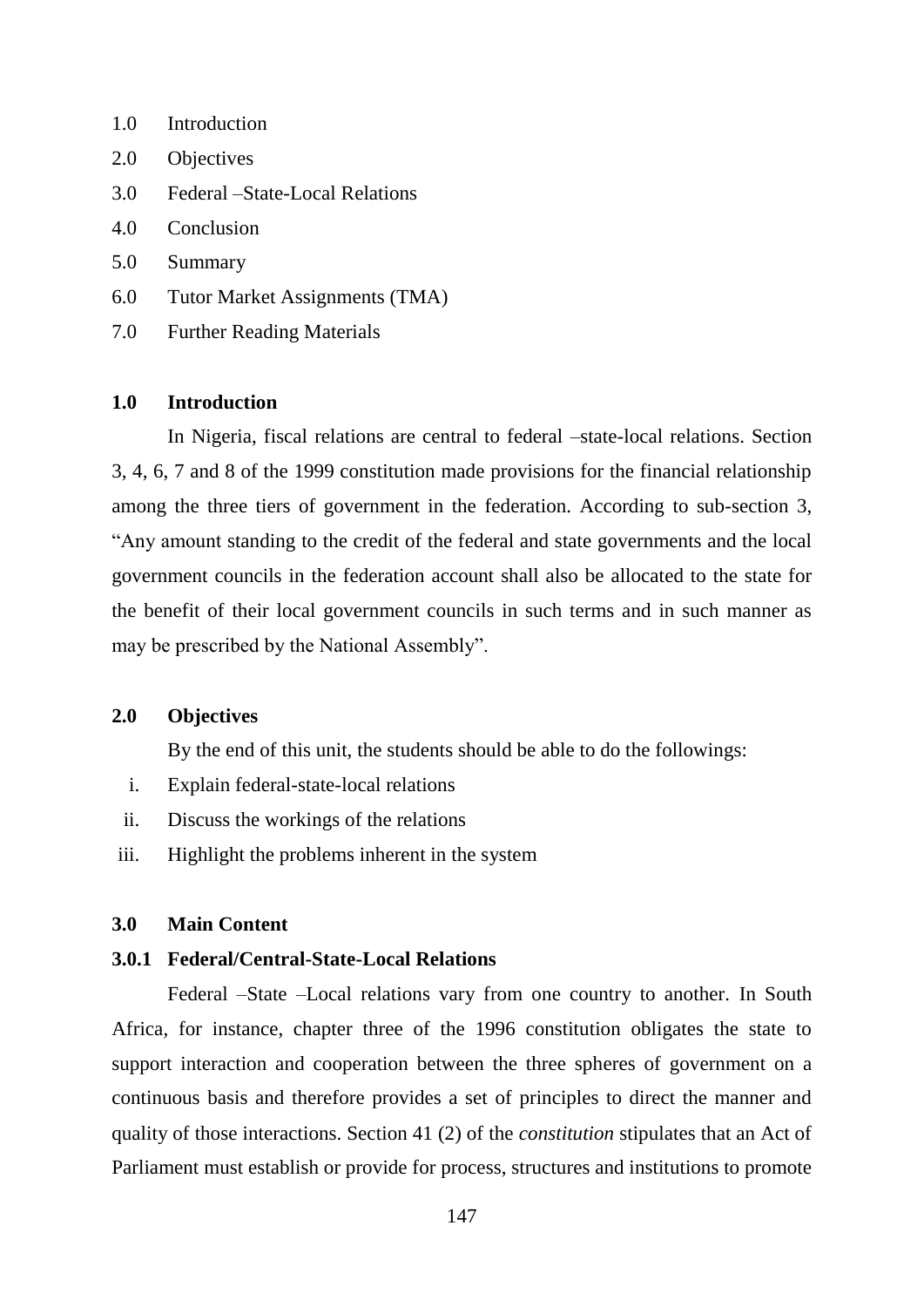- 1.0 Introduction
- 2.0 Objectives
- 3.0 Federal –State-Local Relations
- 4.0 Conclusion
- 5.0 Summary
- 6.0 Tutor Market Assignments (TMA)
- 7.0 Further Reading Materials

# **1.0 Introduction**

In Nigeria, fiscal relations are central to federal –state-local relations. Section 3, 4, 6, 7 and 8 of the 1999 constitution made provisions for the financial relationship among the three tiers of government in the federation. According to sub-section 3, "Any amount standing to the credit of the federal and state governments and the local government councils in the federation account shall also be allocated to the state for the benefit of their local government councils in such terms and in such manner as may be prescribed by the National Assembly".

### **2.0 Objectives**

By the end of this unit, the students should be able to do the followings:

- i. Explain federal-state-local relations
- ii. Discuss the workings of the relations
- iii. Highlight the problems inherent in the system

#### **3.0 Main Content**

### **3.0.1 Federal/Central-State-Local Relations**

Federal –State –Local relations vary from one country to another. In South Africa, for instance, chapter three of the 1996 constitution obligates the state to support interaction and cooperation between the three spheres of government on a continuous basis and therefore provides a set of principles to direct the manner and quality of those interactions. Section 41 (2) of the *constitution* stipulates that an Act of Parliament must establish or provide for process, structures and institutions to promote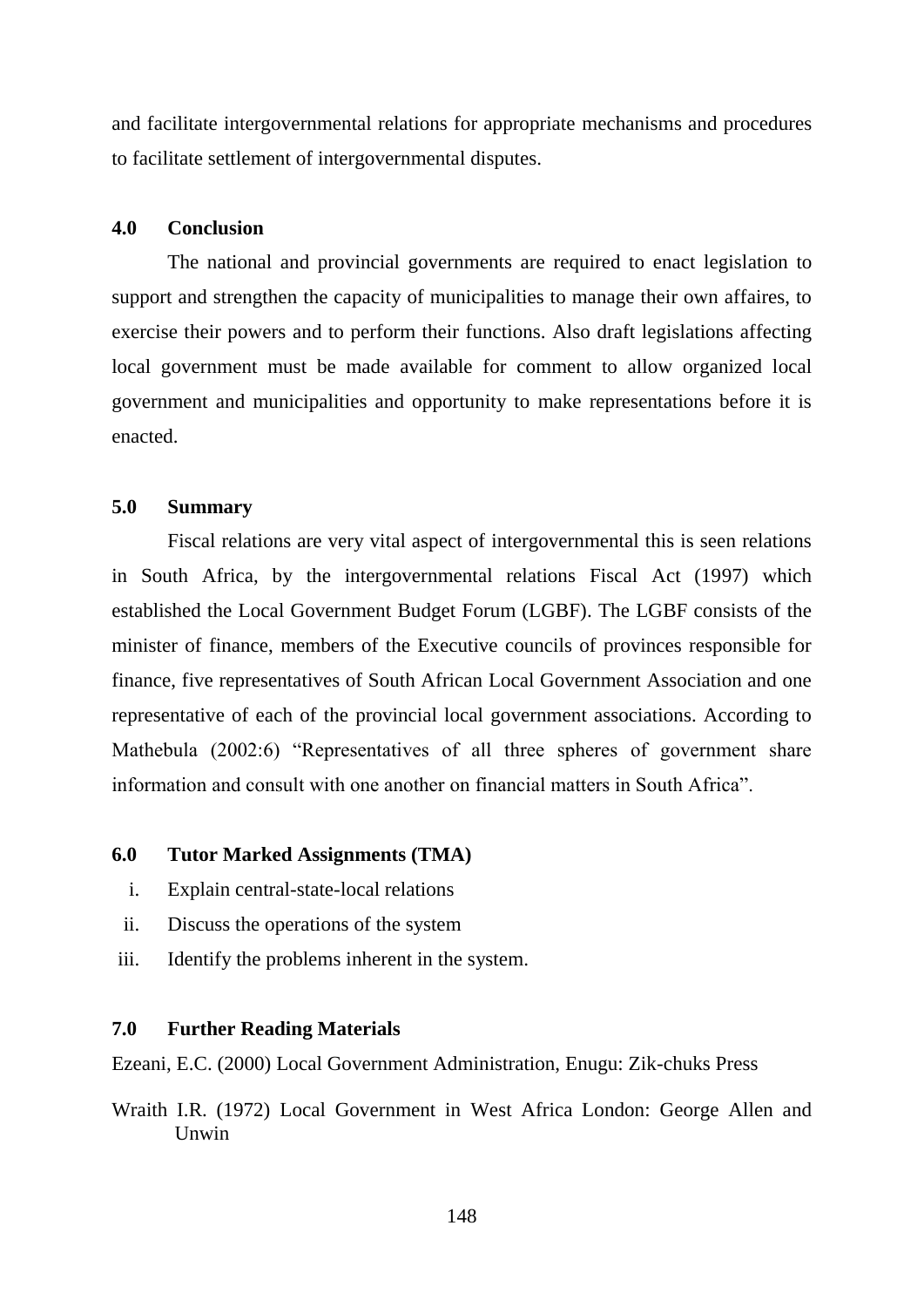and facilitate intergovernmental relations for appropriate mechanisms and procedures to facilitate settlement of intergovernmental disputes.

### **4.0 Conclusion**

The national and provincial governments are required to enact legislation to support and strengthen the capacity of municipalities to manage their own affaires, to exercise their powers and to perform their functions. Also draft legislations affecting local government must be made available for comment to allow organized local government and municipalities and opportunity to make representations before it is enacted.

## **5.0 Summary**

Fiscal relations are very vital aspect of intergovernmental this is seen relations in South Africa, by the intergovernmental relations Fiscal Act (1997) which established the Local Government Budget Forum (LGBF). The LGBF consists of the minister of finance, members of the Executive councils of provinces responsible for finance, five representatives of South African Local Government Association and one representative of each of the provincial local government associations. According to Mathebula (2002:6) "Representatives of all three spheres of government share information and consult with one another on financial matters in South Africa".

### **6.0 Tutor Marked Assignments (TMA)**

- i. Explain central-state-local relations
- ii. Discuss the operations of the system
- iii. Identify the problems inherent in the system.

# **7.0 Further Reading Materials**

Ezeani, E.C. (2000) Local Government Administration, Enugu: Zik-chuks Press

Wraith I.R. (1972) Local Government in West Africa London: George Allen and **I**Inwin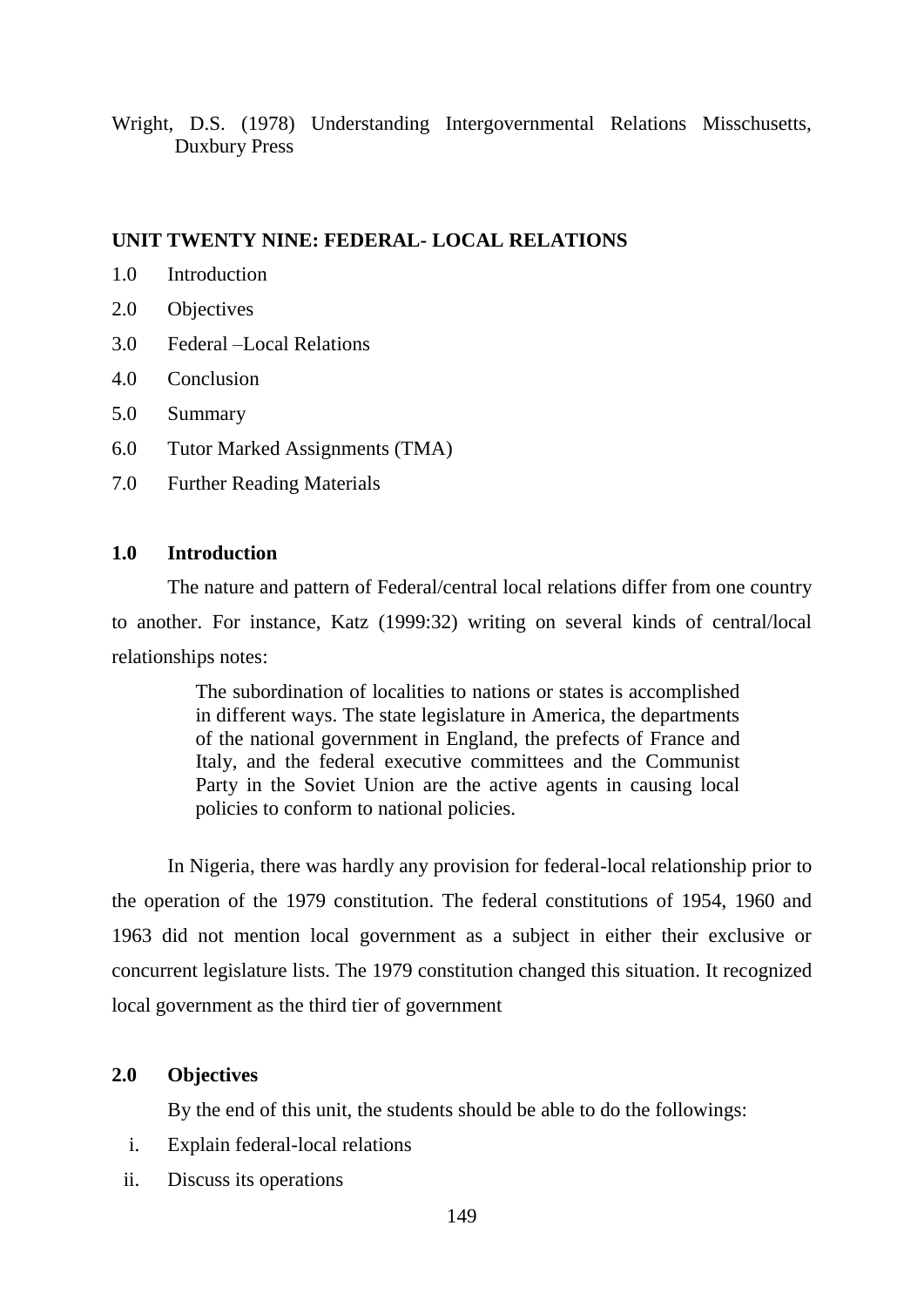Wright, D.S. (1978) Understanding Intergovernmental Relations Misschusetts, Duxbury Press

### **UNIT TWENTY NINE: FEDERAL- LOCAL RELATIONS**

- 1.0 Introduction
- 2.0 Objectives
- 3.0 Federal –Local Relations
- 4.0 Conclusion
- 5.0 Summary
- 6.0 Tutor Marked Assignments (TMA)
- 7.0 Further Reading Materials

# **1.0 Introduction**

The nature and pattern of Federal/central local relations differ from one country to another. For instance, Katz (1999:32) writing on several kinds of central/local relationships notes:

> The subordination of localities to nations or states is accomplished in different ways. The state legislature in America, the departments of the national government in England, the prefects of France and Italy, and the federal executive committees and the Communist Party in the Soviet Union are the active agents in causing local policies to conform to national policies.

In Nigeria, there was hardly any provision for federal-local relationship prior to the operation of the 1979 constitution. The federal constitutions of 1954, 1960 and 1963 did not mention local government as a subject in either their exclusive or concurrent legislature lists. The 1979 constitution changed this situation. It recognized local government as the third tier of government

### **2.0 Objectives**

By the end of this unit, the students should be able to do the followings:

- i. Explain federal-local relations
- ii. Discuss its operations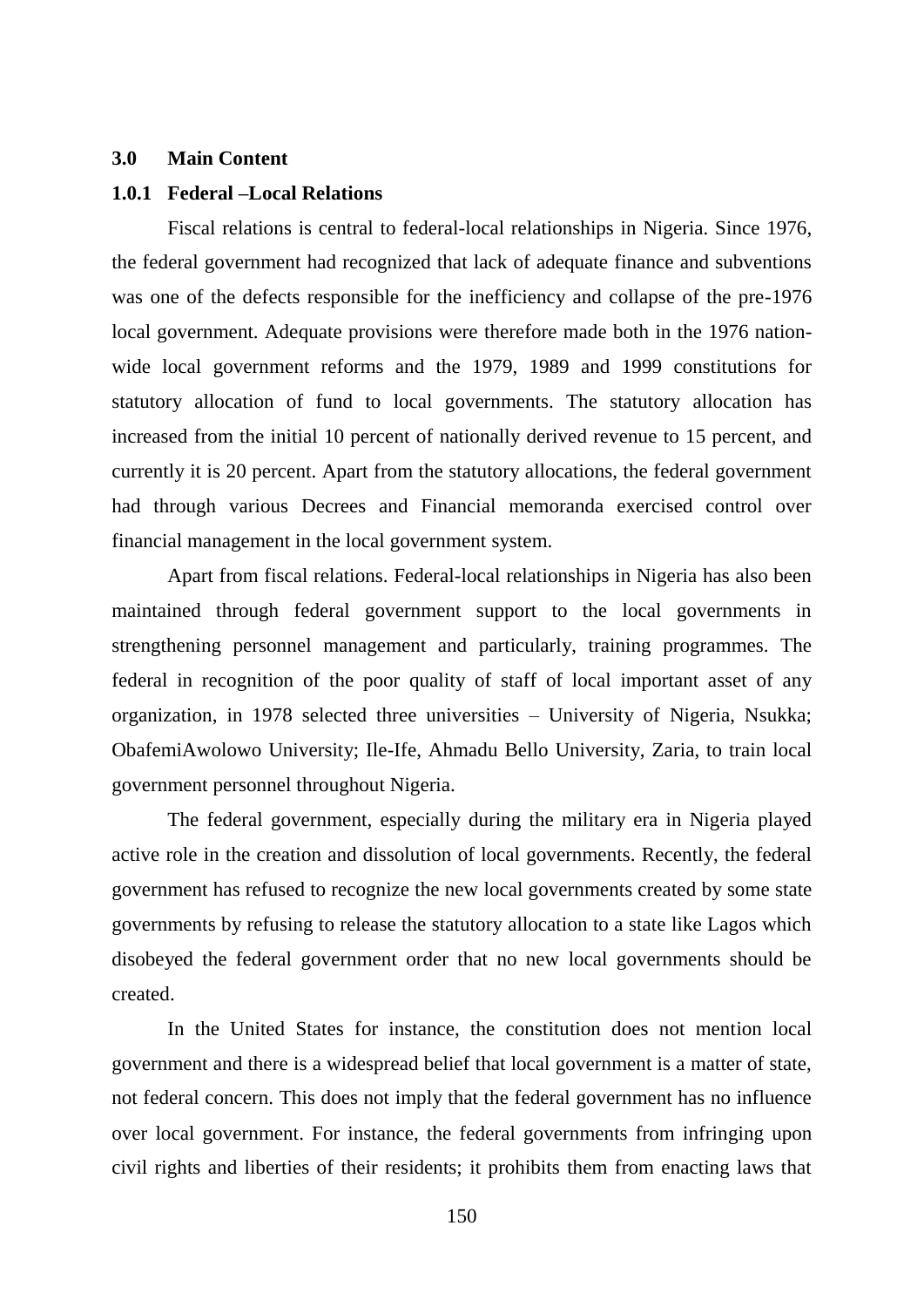#### **3.0 Main Content**

### **1.0.1 Federal –Local Relations**

Fiscal relations is central to federal-local relationships in Nigeria. Since 1976, the federal government had recognized that lack of adequate finance and subventions was one of the defects responsible for the inefficiency and collapse of the pre-1976 local government. Adequate provisions were therefore made both in the 1976 nationwide local government reforms and the 1979, 1989 and 1999 constitutions for statutory allocation of fund to local governments. The statutory allocation has increased from the initial 10 percent of nationally derived revenue to 15 percent, and currently it is 20 percent. Apart from the statutory allocations, the federal government had through various Decrees and Financial memoranda exercised control over financial management in the local government system.

Apart from fiscal relations. Federal-local relationships in Nigeria has also been maintained through federal government support to the local governments in strengthening personnel management and particularly, training programmes. The federal in recognition of the poor quality of staff of local important asset of any organization, in 1978 selected three universities – University of Nigeria, Nsukka; ObafemiAwolowo University; Ile-Ife, Ahmadu Bello University, Zaria, to train local government personnel throughout Nigeria.

The federal government, especially during the military era in Nigeria played active role in the creation and dissolution of local governments. Recently, the federal government has refused to recognize the new local governments created by some state governments by refusing to release the statutory allocation to a state like Lagos which disobeyed the federal government order that no new local governments should be created.

In the United States for instance, the constitution does not mention local government and there is a widespread belief that local government is a matter of state, not federal concern. This does not imply that the federal government has no influence over local government. For instance, the federal governments from infringing upon civil rights and liberties of their residents; it prohibits them from enacting laws that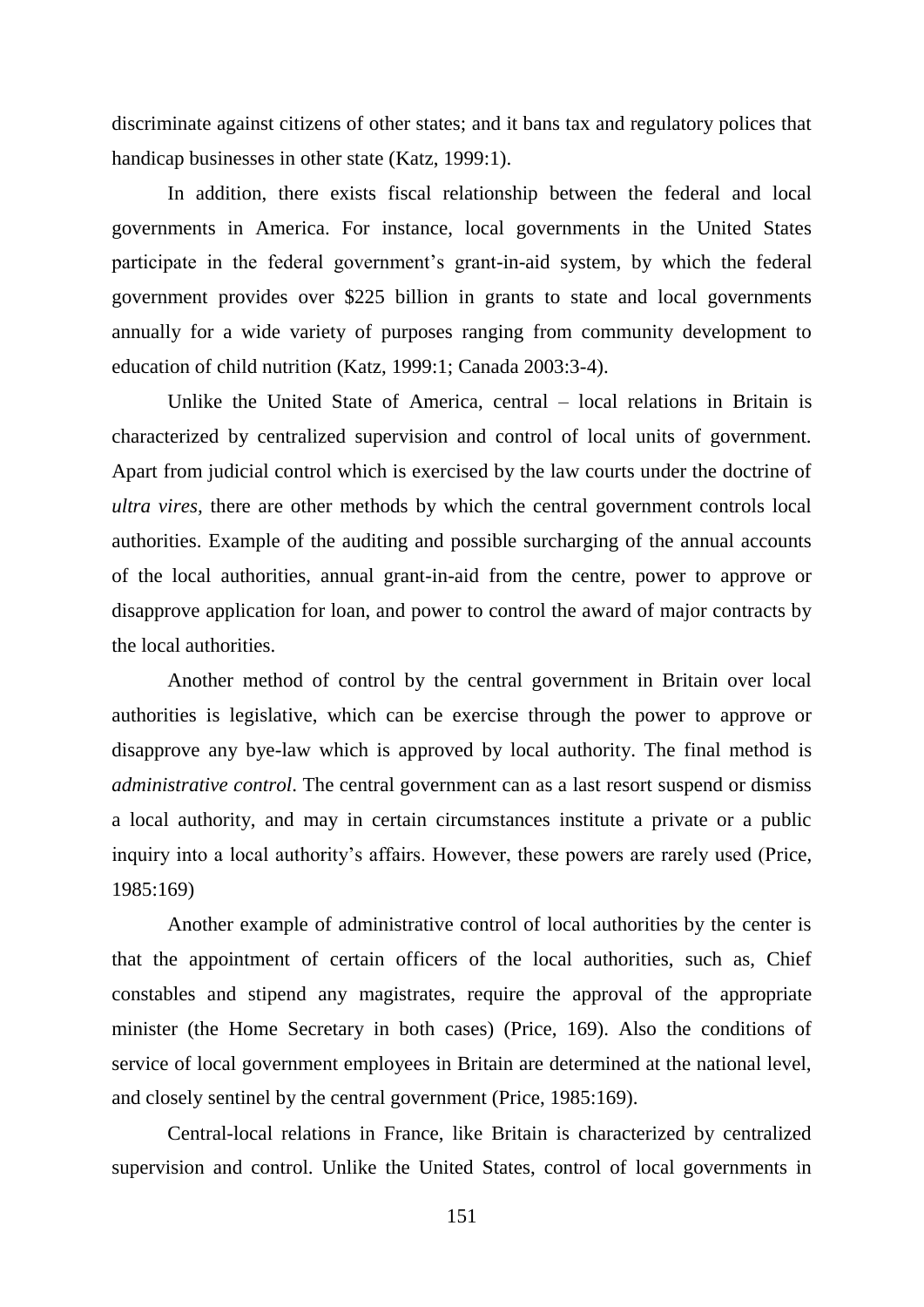discriminate against citizens of other states; and it bans tax and regulatory polices that handicap businesses in other state (Katz, 1999:1).

In addition, there exists fiscal relationship between the federal and local governments in America. For instance, local governments in the United States participate in the federal government"s grant-in-aid system, by which the federal government provides over \$225 billion in grants to state and local governments annually for a wide variety of purposes ranging from community development to education of child nutrition (Katz, 1999:1; Canada 2003:3-4).

Unlike the United State of America, central – local relations in Britain is characterized by centralized supervision and control of local units of government. Apart from judicial control which is exercised by the law courts under the doctrine of *ultra vires,* there are other methods by which the central government controls local authorities. Example of the auditing and possible surcharging of the annual accounts of the local authorities, annual grant-in-aid from the centre, power to approve or disapprove application for loan, and power to control the award of major contracts by the local authorities.

Another method of control by the central government in Britain over local authorities is legislative, which can be exercise through the power to approve or disapprove any bye-law which is approved by local authority. The final method is *administrative control*. The central government can as a last resort suspend or dismiss a local authority, and may in certain circumstances institute a private or a public inquiry into a local authority's affairs. However, these powers are rarely used (Price, 1985:169)

Another example of administrative control of local authorities by the center is that the appointment of certain officers of the local authorities, such as, Chief constables and stipend any magistrates, require the approval of the appropriate minister (the Home Secretary in both cases) (Price, 169). Also the conditions of service of local government employees in Britain are determined at the national level, and closely sentinel by the central government (Price, 1985:169).

Central-local relations in France, like Britain is characterized by centralized supervision and control. Unlike the United States, control of local governments in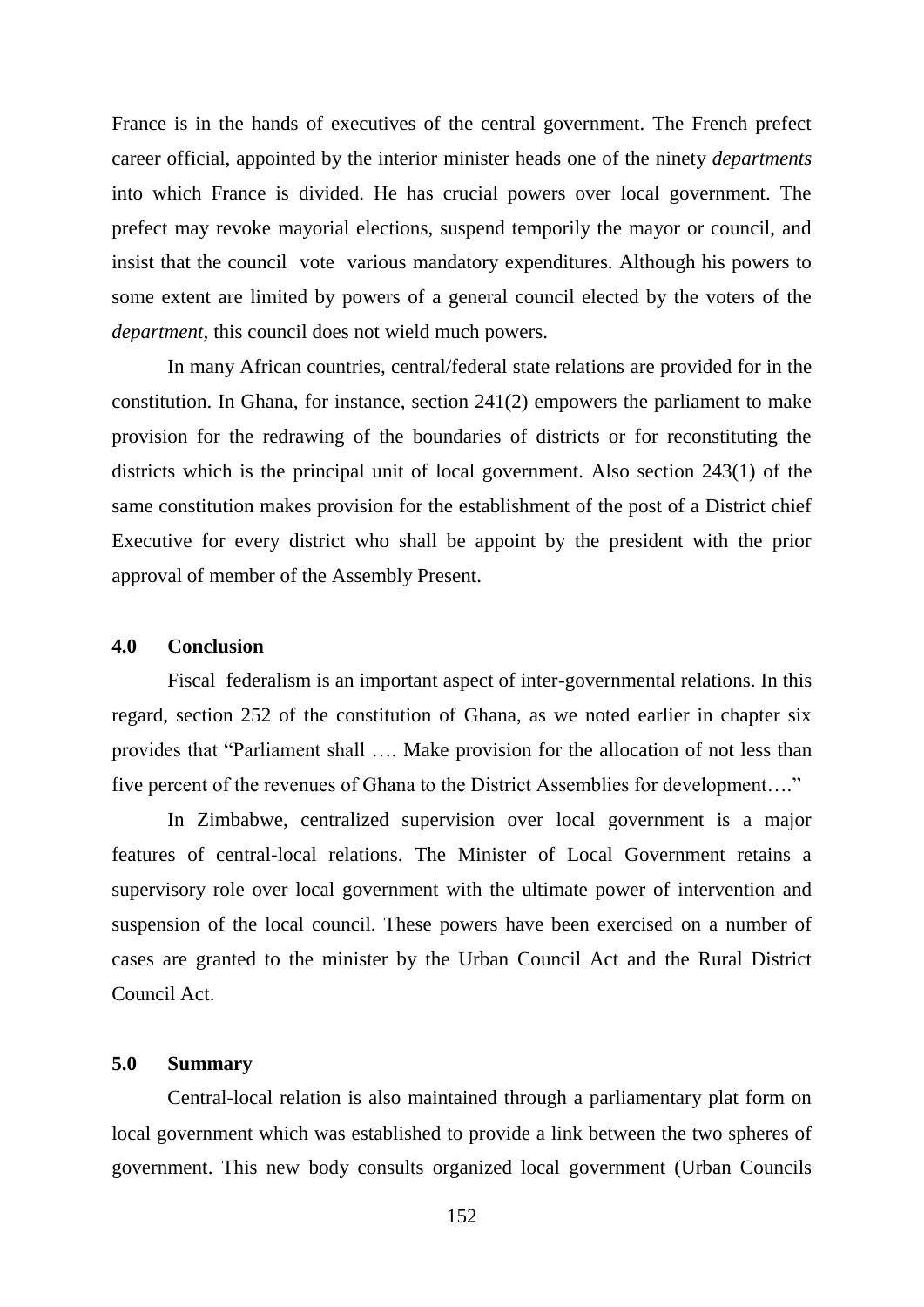France is in the hands of executives of the central government. The French prefect career official, appointed by the interior minister heads one of the ninety *departments*  into which France is divided. He has crucial powers over local government. The prefect may revoke mayorial elections, suspend temporily the mayor or council, and insist that the council vote various mandatory expenditures. Although his powers to some extent are limited by powers of a general council elected by the voters of the *department,* this council does not wield much powers.

In many African countries, central/federal state relations are provided for in the constitution. In Ghana, for instance, section 241(2) empowers the parliament to make provision for the redrawing of the boundaries of districts or for reconstituting the districts which is the principal unit of local government. Also section 243(1) of the same constitution makes provision for the establishment of the post of a District chief Executive for every district who shall be appoint by the president with the prior approval of member of the Assembly Present.

#### **4.0 Conclusion**

Fiscal federalism is an important aspect of inter-governmental relations. In this regard, section 252 of the constitution of Ghana, as we noted earlier in chapter six provides that "Parliament shall …. Make provision for the allocation of not less than five percent of the revenues of Ghana to the District Assemblies for development…."

In Zimbabwe, centralized supervision over local government is a major features of central-local relations. The Minister of Local Government retains a supervisory role over local government with the ultimate power of intervention and suspension of the local council. These powers have been exercised on a number of cases are granted to the minister by the Urban Council Act and the Rural District Council Act.

# **5.0 Summary**

Central-local relation is also maintained through a parliamentary plat form on local government which was established to provide a link between the two spheres of government. This new body consults organized local government (Urban Councils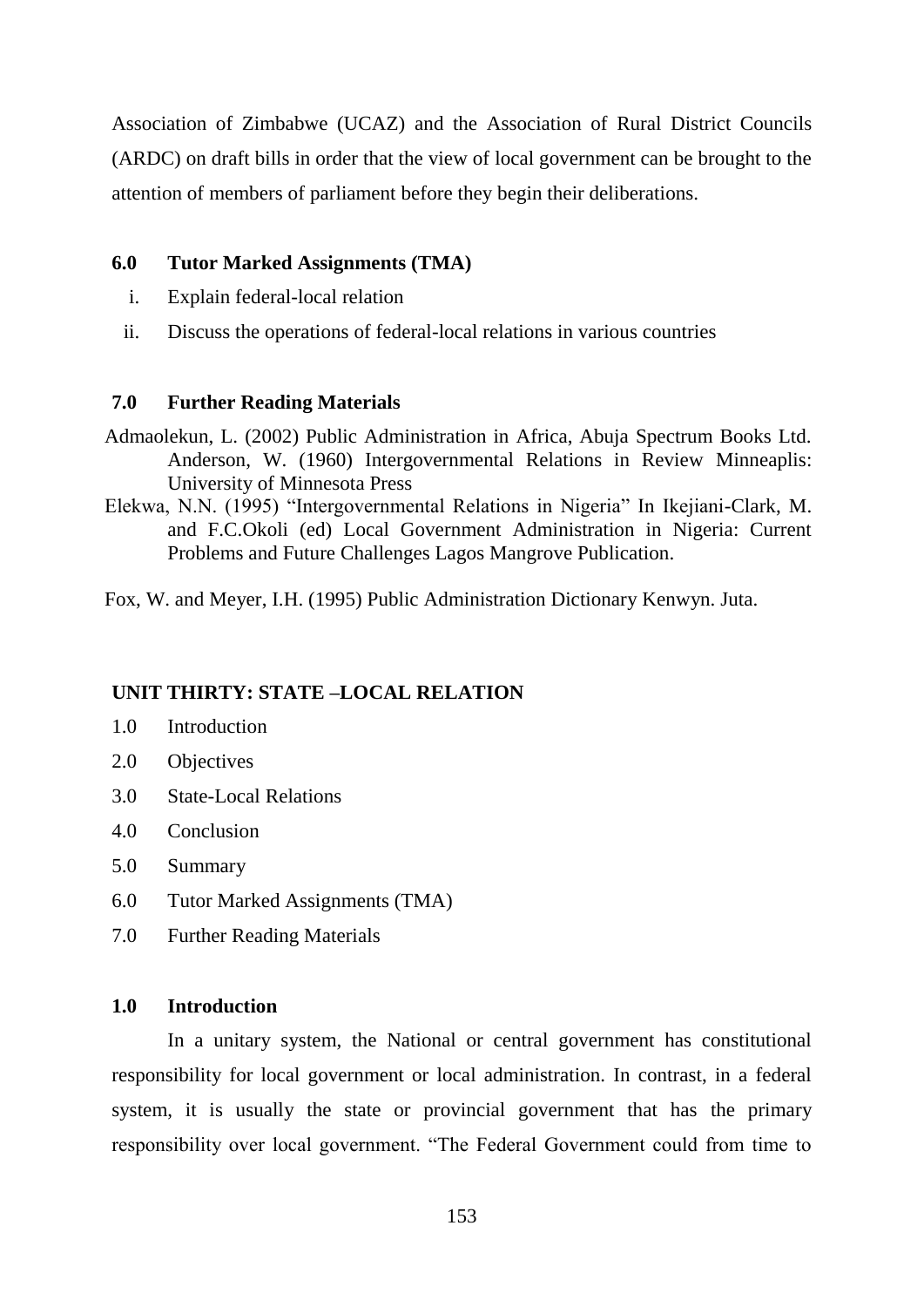Association of Zimbabwe (UCAZ) and the Association of Rural District Councils (ARDC) on draft bills in order that the view of local government can be brought to the attention of members of parliament before they begin their deliberations.

# **6.0 Tutor Marked Assignments (TMA)**

- i. Explain federal-local relation
- ii. Discuss the operations of federal-local relations in various countries

# **7.0 Further Reading Materials**

- Admaolekun, L. (2002) Public Administration in Africa, Abuja Spectrum Books Ltd. Anderson, W. (1960) Intergovernmental Relations in Review Minneaplis: University of Minnesota Press
- Elekwa, N.N. (1995) "Intergovernmental Relations in Nigeria" In Ikejiani-Clark, M. and F.C.Okoli (ed) Local Government Administration in Nigeria: Current Problems and Future Challenges Lagos Mangrove Publication.

Fox, W. and Meyer, I.H. (1995) Public Administration Dictionary Kenwyn. Juta.

### **UNIT THIRTY: STATE –LOCAL RELATION**

- 1.0 Introduction
- 2.0 Objectives
- 3.0 State-Local Relations
- 4.0 Conclusion
- 5.0 Summary
- 6.0 Tutor Marked Assignments (TMA)
- 7.0 Further Reading Materials

# **1.0 Introduction**

In a unitary system, the National or central government has constitutional responsibility for local government or local administration. In contrast, in a federal system, it is usually the state or provincial government that has the primary responsibility over local government. "The Federal Government could from time to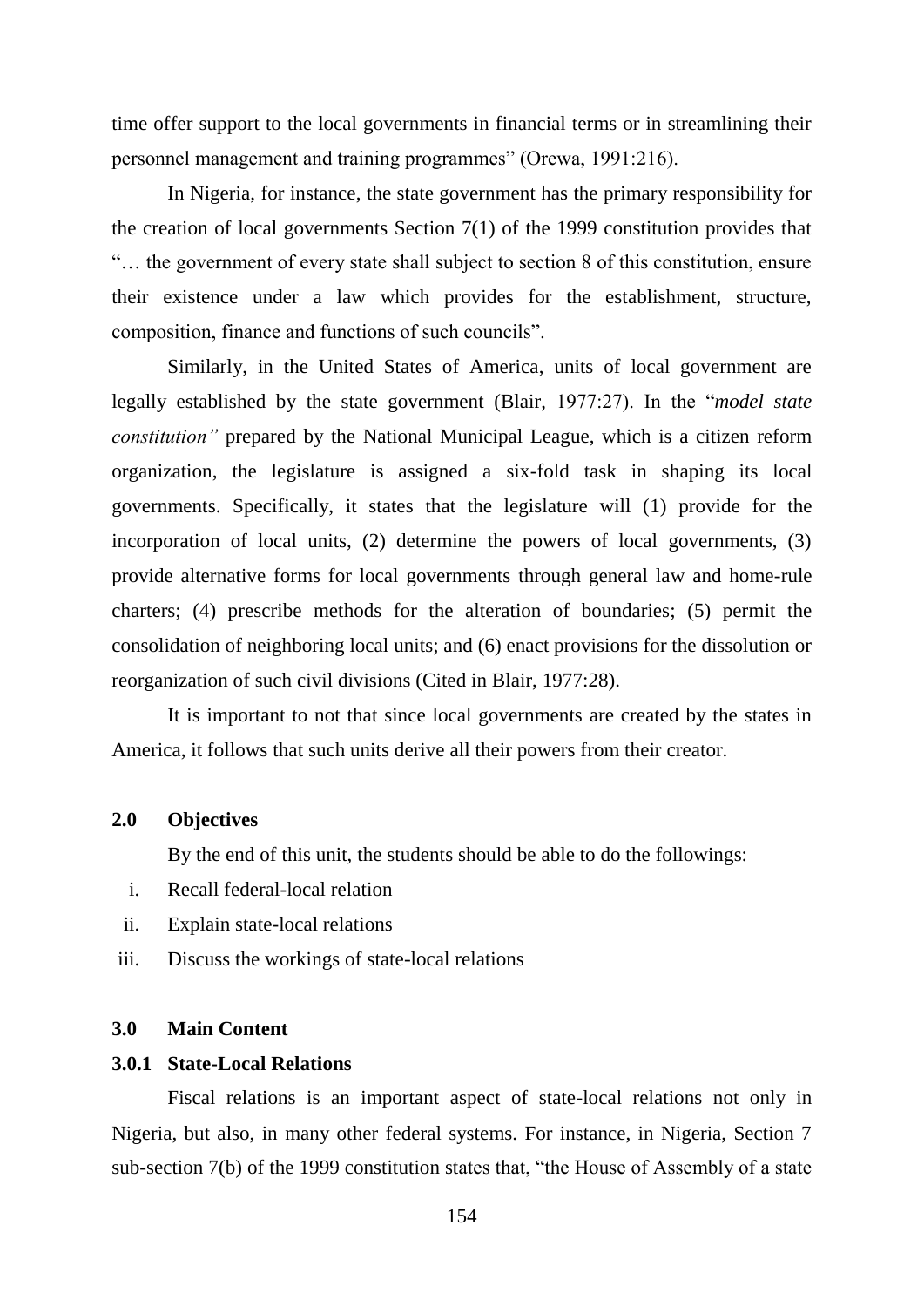time offer support to the local governments in financial terms or in streamlining their personnel management and training programmes" (Orewa, 1991:216).

In Nigeria, for instance, the state government has the primary responsibility for the creation of local governments Section 7(1) of the 1999 constitution provides that "… the government of every state shall subject to section 8 of this constitution, ensure their existence under a law which provides for the establishment, structure, composition, finance and functions of such councils".

Similarly, in the United States of America, units of local government are legally established by the state government (Blair, 1977:27). In the "*model state constitution"* prepared by the National Municipal League, which is a citizen reform organization, the legislature is assigned a six-fold task in shaping its local governments. Specifically, it states that the legislature will (1) provide for the incorporation of local units, (2) determine the powers of local governments, (3) provide alternative forms for local governments through general law and home-rule charters; (4) prescribe methods for the alteration of boundaries; (5) permit the consolidation of neighboring local units; and (6) enact provisions for the dissolution or reorganization of such civil divisions (Cited in Blair, 1977:28).

It is important to not that since local governments are created by the states in America, it follows that such units derive all their powers from their creator.

#### **2.0 Objectives**

By the end of this unit, the students should be able to do the followings:

- i. Recall federal-local relation
- ii. Explain state-local relations
- iii. Discuss the workings of state-local relations

# **3.0 Main Content**

### **3.0.1 State-Local Relations**

Fiscal relations is an important aspect of state-local relations not only in Nigeria, but also, in many other federal systems. For instance, in Nigeria, Section 7 sub-section 7(b) of the 1999 constitution states that, "the House of Assembly of a state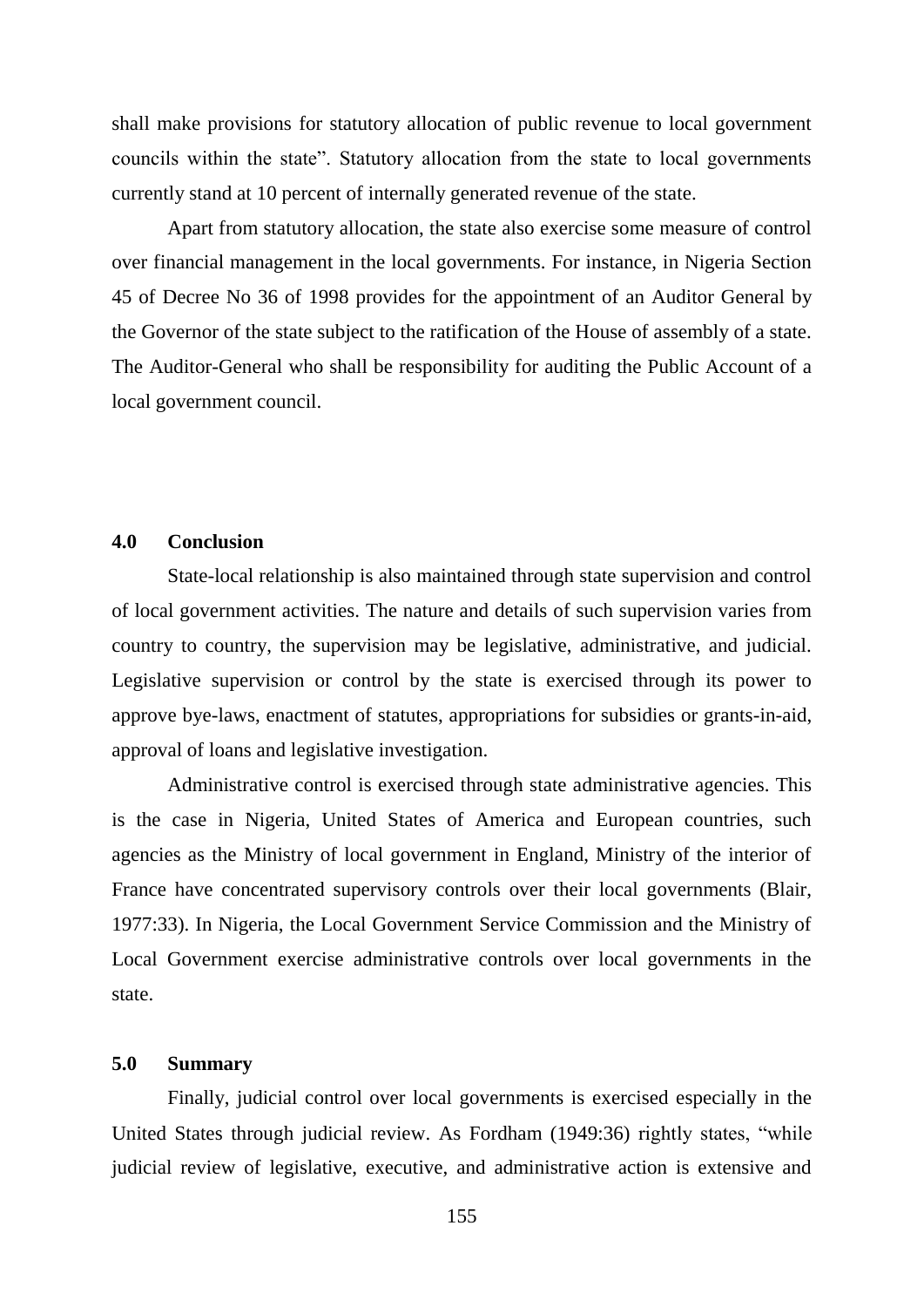shall make provisions for statutory allocation of public revenue to local government councils within the state". Statutory allocation from the state to local governments currently stand at 10 percent of internally generated revenue of the state.

Apart from statutory allocation, the state also exercise some measure of control over financial management in the local governments. For instance, in Nigeria Section 45 of Decree No 36 of 1998 provides for the appointment of an Auditor General by the Governor of the state subject to the ratification of the House of assembly of a state. The Auditor-General who shall be responsibility for auditing the Public Account of a local government council.

### **4.0 Conclusion**

State-local relationship is also maintained through state supervision and control of local government activities. The nature and details of such supervision varies from country to country, the supervision may be legislative, administrative, and judicial. Legislative supervision or control by the state is exercised through its power to approve bye-laws, enactment of statutes, appropriations for subsidies or grants-in-aid, approval of loans and legislative investigation.

Administrative control is exercised through state administrative agencies. This is the case in Nigeria, United States of America and European countries, such agencies as the Ministry of local government in England, Ministry of the interior of France have concentrated supervisory controls over their local governments (Blair, 1977:33). In Nigeria, the Local Government Service Commission and the Ministry of Local Government exercise administrative controls over local governments in the state.

# **5.0 Summary**

Finally, judicial control over local governments is exercised especially in the United States through judicial review. As Fordham (1949:36) rightly states, "while judicial review of legislative, executive, and administrative action is extensive and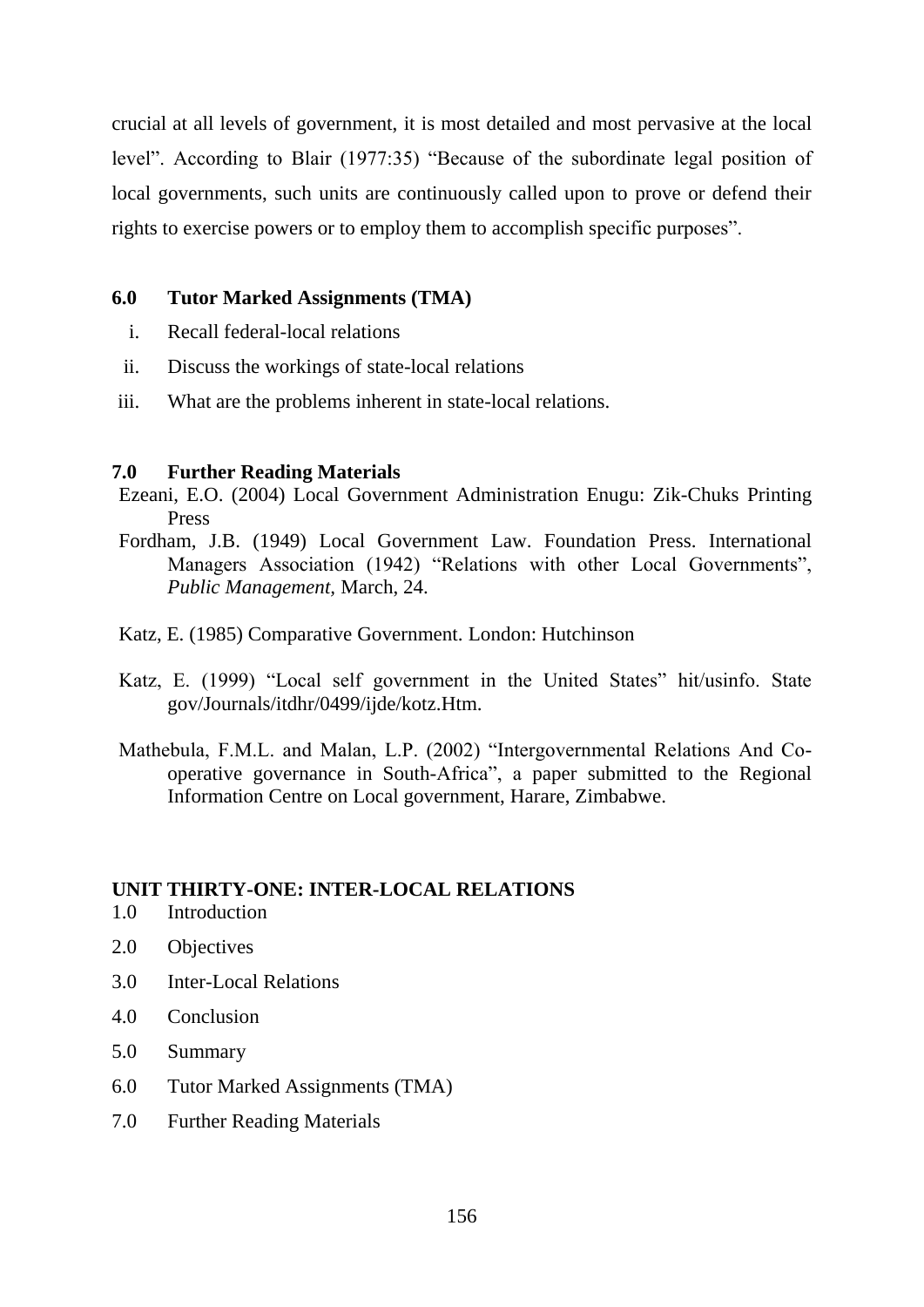crucial at all levels of government, it is most detailed and most pervasive at the local level". According to Blair (1977:35) "Because of the subordinate legal position of local governments, such units are continuously called upon to prove or defend their rights to exercise powers or to employ them to accomplish specific purposes".

# **6.0 Tutor Marked Assignments (TMA)**

- i. Recall federal-local relations
- ii. Discuss the workings of state-local relations
- iii. What are the problems inherent in state-local relations.

# **7.0 Further Reading Materials**

- Ezeani, E.O. (2004) Local Government Administration Enugu: Zik-Chuks Printing Press
- Fordham, J.B. (1949) Local Government Law. Foundation Press. International Managers Association (1942) "Relations with other Local Governments", *Public Management,* March, 24.
- Katz, E. (1985) Comparative Government. London: Hutchinson
- Katz, E. (1999) "Local self government in the United States" hit/usinfo. State gov/Journals/itdhr/0499/ijde/kotz.Htm.
- Mathebula, F.M.L. and Malan, L.P. (2002) "Intergovernmental Relations And Cooperative governance in South-Africa", a paper submitted to the Regional Information Centre on Local government, Harare, Zimbabwe.

# **UNIT THIRTY-ONE: INTER-LOCAL RELATIONS**

- 1.0 Introduction
- 2.0 Objectives
- 3.0 Inter-Local Relations
- 4.0 Conclusion
- 5.0 Summary
- 6.0 Tutor Marked Assignments (TMA)
- 7.0 Further Reading Materials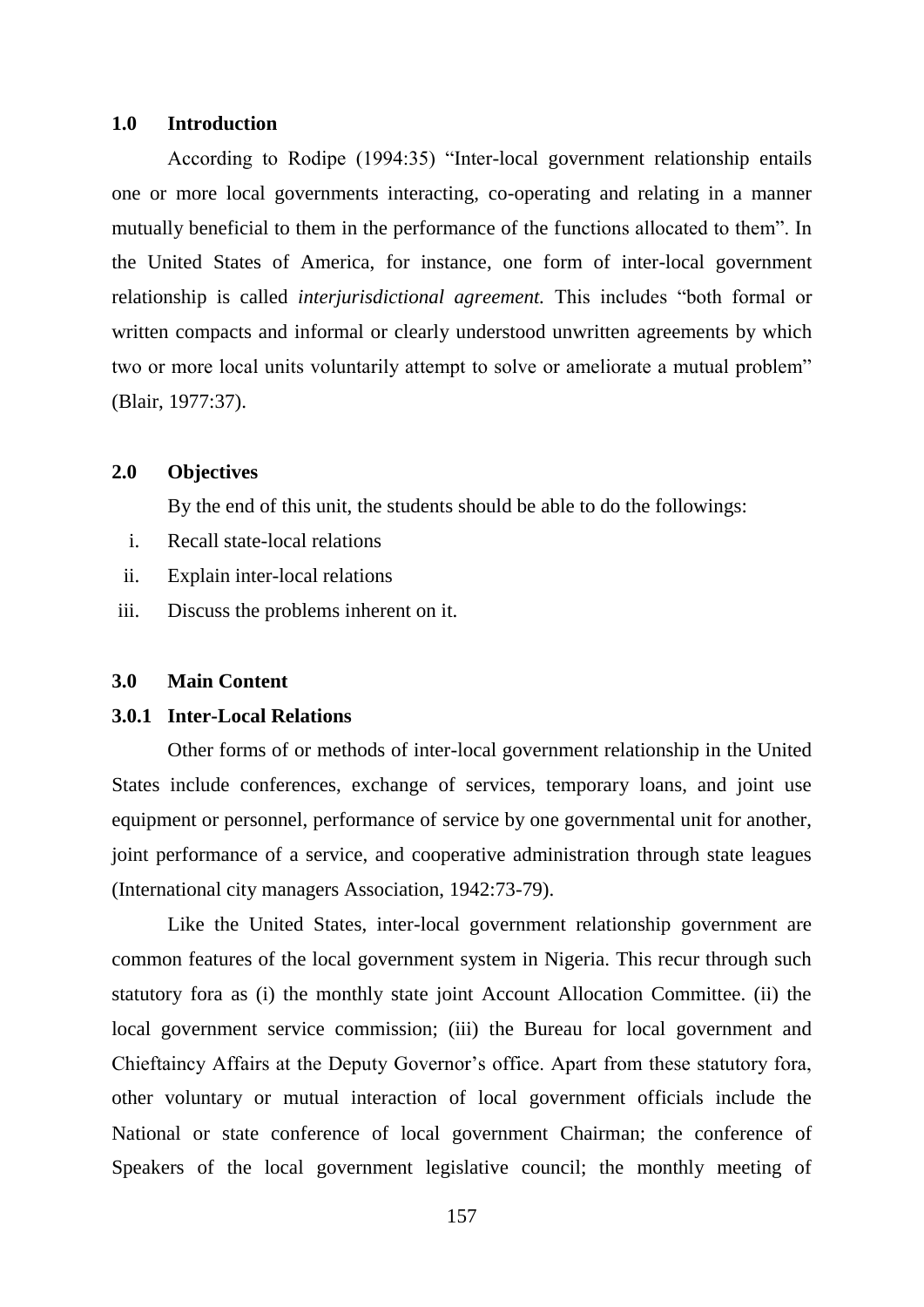### **1.0 Introduction**

According to Rodipe (1994:35) "Inter-local government relationship entails one or more local governments interacting, co-operating and relating in a manner mutually beneficial to them in the performance of the functions allocated to them". In the United States of America, for instance, one form of inter-local government relationship is called *interjurisdictional agreement.* This includes "both formal or written compacts and informal or clearly understood unwritten agreements by which two or more local units voluntarily attempt to solve or ameliorate a mutual problem" (Blair, 1977:37).

### **2.0 Objectives**

By the end of this unit, the students should be able to do the followings:

- i. Recall state-local relations
- ii. Explain inter-local relations
- iii. Discuss the problems inherent on it.

#### **3.0 Main Content**

### **3.0.1 Inter-Local Relations**

Other forms of or methods of inter-local government relationship in the United States include conferences, exchange of services, temporary loans, and joint use equipment or personnel, performance of service by one governmental unit for another, joint performance of a service, and cooperative administration through state leagues (International city managers Association, 1942:73-79).

Like the United States, inter-local government relationship government are common features of the local government system in Nigeria. This recur through such statutory fora as (i) the monthly state joint Account Allocation Committee. (ii) the local government service commission; (iii) the Bureau for local government and Chieftaincy Affairs at the Deputy Governor"s office. Apart from these statutory fora, other voluntary or mutual interaction of local government officials include the National or state conference of local government Chairman; the conference of Speakers of the local government legislative council; the monthly meeting of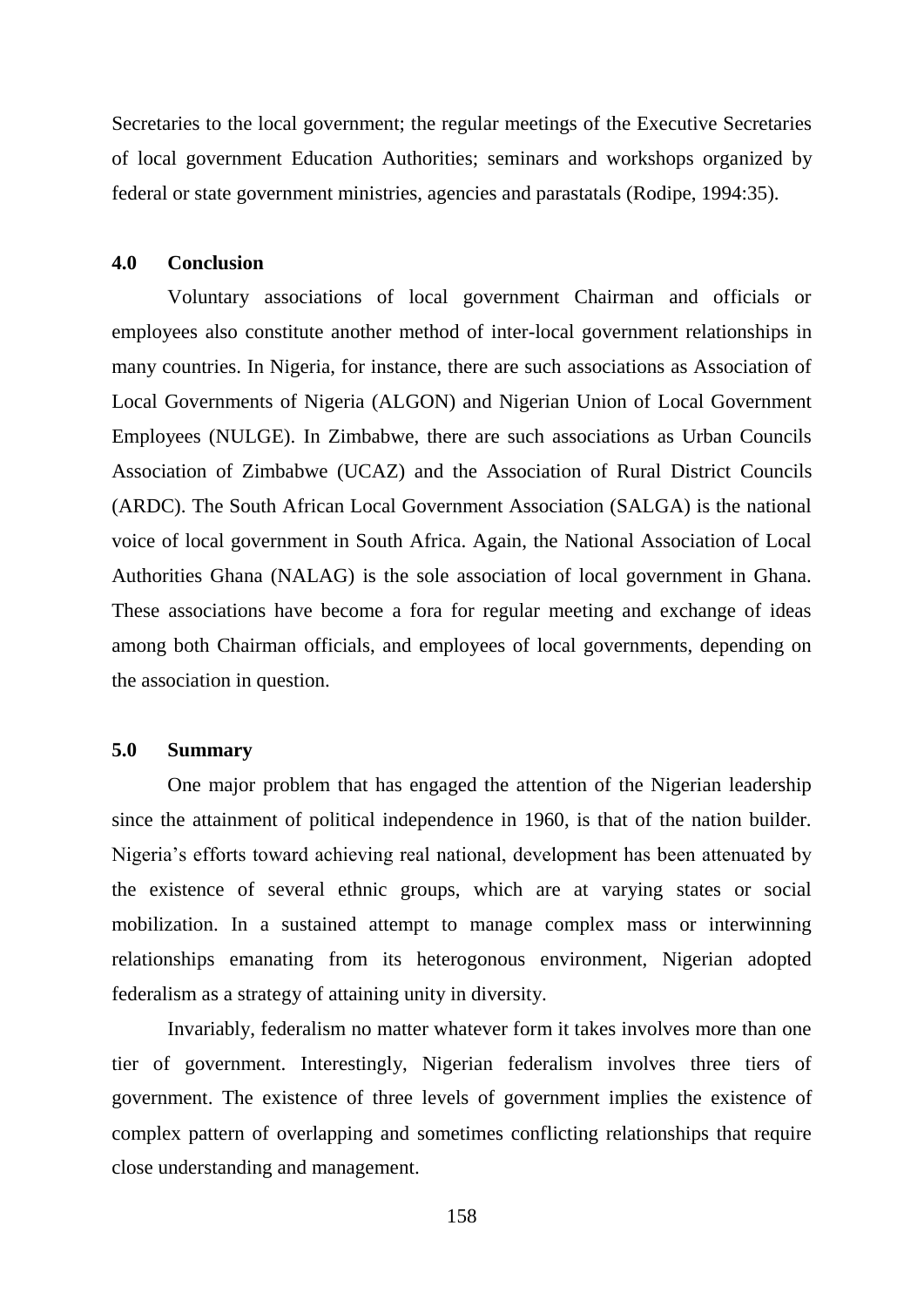Secretaries to the local government; the regular meetings of the Executive Secretaries of local government Education Authorities; seminars and workshops organized by federal or state government ministries, agencies and parastatals (Rodipe, 1994:35).

### **4.0 Conclusion**

Voluntary associations of local government Chairman and officials or employees also constitute another method of inter-local government relationships in many countries. In Nigeria, for instance, there are such associations as Association of Local Governments of Nigeria (ALGON) and Nigerian Union of Local Government Employees (NULGE). In Zimbabwe, there are such associations as Urban Councils Association of Zimbabwe (UCAZ) and the Association of Rural District Councils (ARDC). The South African Local Government Association (SALGA) is the national voice of local government in South Africa. Again, the National Association of Local Authorities Ghana (NALAG) is the sole association of local government in Ghana. These associations have become a fora for regular meeting and exchange of ideas among both Chairman officials, and employees of local governments, depending on the association in question.

### **5.0 Summary**

One major problem that has engaged the attention of the Nigerian leadership since the attainment of political independence in 1960, is that of the nation builder. Nigeria"s efforts toward achieving real national, development has been attenuated by the existence of several ethnic groups, which are at varying states or social mobilization. In a sustained attempt to manage complex mass or interwinning relationships emanating from its heterogonous environment, Nigerian adopted federalism as a strategy of attaining unity in diversity.

Invariably, federalism no matter whatever form it takes involves more than one tier of government. Interestingly, Nigerian federalism involves three tiers of government. The existence of three levels of government implies the existence of complex pattern of overlapping and sometimes conflicting relationships that require close understanding and management.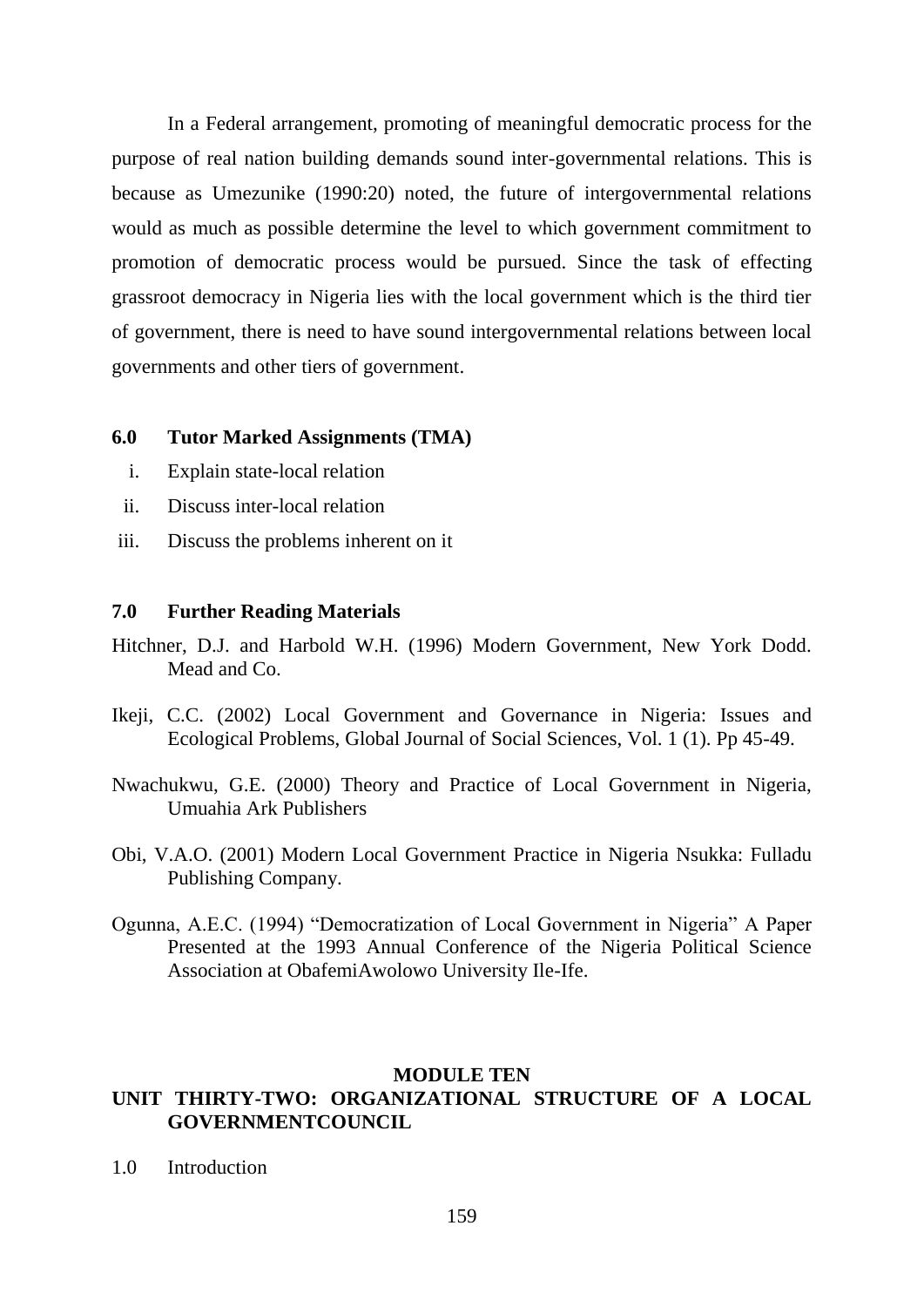In a Federal arrangement, promoting of meaningful democratic process for the purpose of real nation building demands sound inter-governmental relations. This is because as Umezunike (1990:20) noted, the future of intergovernmental relations would as much as possible determine the level to which government commitment to promotion of democratic process would be pursued. Since the task of effecting grassroot democracy in Nigeria lies with the local government which is the third tier of government, there is need to have sound intergovernmental relations between local governments and other tiers of government.

### **6.0 Tutor Marked Assignments (TMA)**

- i. Explain state-local relation
- ii. Discuss inter-local relation
- iii. Discuss the problems inherent on it

### **7.0 Further Reading Materials**

- Hitchner, D.J. and Harbold W.H. (1996) Modern Government, New York Dodd. Mead and Co.
- Ikeji, C.C. (2002) Local Government and Governance in Nigeria: Issues and Ecological Problems, Global Journal of Social Sciences, Vol. 1 (1). Pp 45-49.
- Nwachukwu, G.E. (2000) Theory and Practice of Local Government in Nigeria, Umuahia Ark Publishers
- Obi, V.A.O. (2001) Modern Local Government Practice in Nigeria Nsukka: Fulladu Publishing Company.
- Ogunna, A.E.C. (1994) "Democratization of Local Government in Nigeria" A Paper Presented at the 1993 Annual Conference of the Nigeria Political Science Association at ObafemiAwolowo University Ile-Ife.

#### **MODULE TEN**

# **UNIT THIRTY-TWO: ORGANIZATIONAL STRUCTURE OF A LOCAL GOVERNMENTCOUNCIL**

1.0 Introduction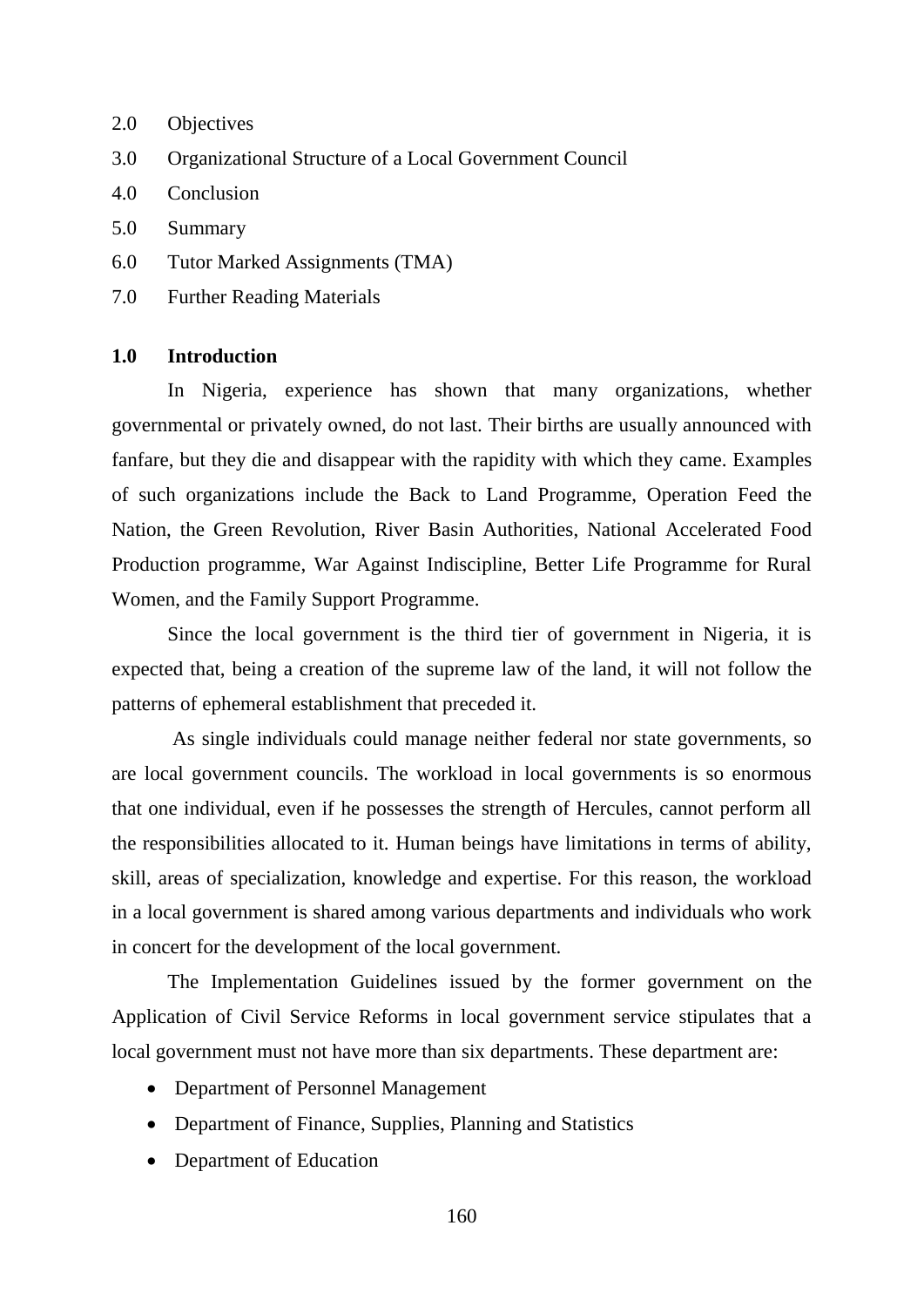- 2.0 Objectives
- 3.0 Organizational Structure of a Local Government Council
- 4.0 Conclusion
- 5.0 Summary
- 6.0 Tutor Marked Assignments (TMA)
- 7.0 Further Reading Materials

# **1.0 Introduction**

In Nigeria, experience has shown that many organizations, whether governmental or privately owned, do not last. Their births are usually announced with fanfare, but they die and disappear with the rapidity with which they came. Examples of such organizations include the Back to Land Programme, Operation Feed the Nation, the Green Revolution, River Basin Authorities, National Accelerated Food Production programme, War Against Indiscipline, Better Life Programme for Rural Women, and the Family Support Programme.

Since the local government is the third tier of government in Nigeria, it is expected that, being a creation of the supreme law of the land, it will not follow the patterns of ephemeral establishment that preceded it.

As single individuals could manage neither federal nor state governments, so are local government councils. The workload in local governments is so enormous that one individual, even if he possesses the strength of Hercules, cannot perform all the responsibilities allocated to it. Human beings have limitations in terms of ability, skill, areas of specialization, knowledge and expertise. For this reason, the workload in a local government is shared among various departments and individuals who work in concert for the development of the local government.

The Implementation Guidelines issued by the former government on the Application of Civil Service Reforms in local government service stipulates that a local government must not have more than six departments. These department are:

- Department of Personnel Management
- Department of Finance, Supplies, Planning and Statistics
- Department of Education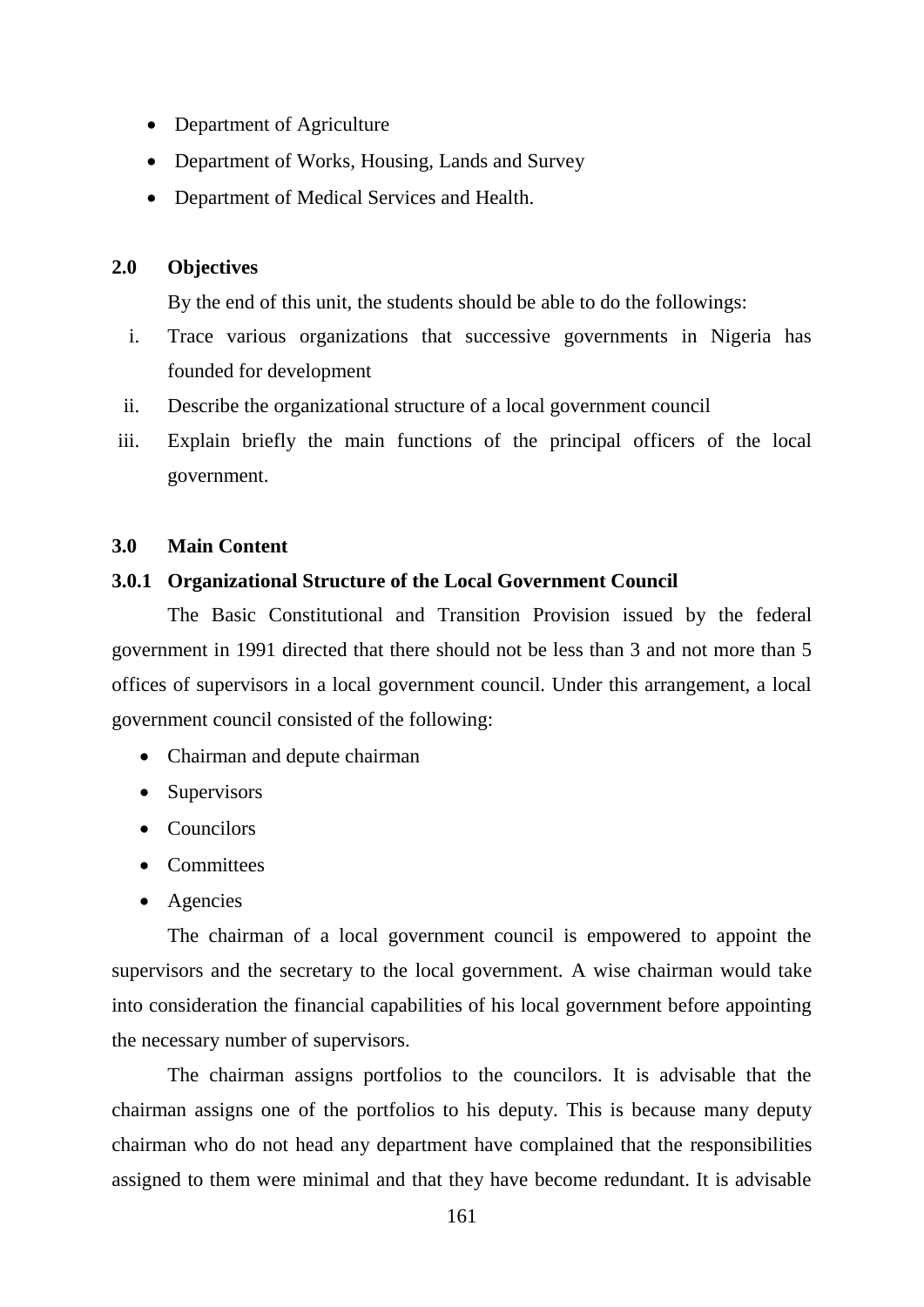- Department of Agriculture
- Department of Works, Housing, Lands and Survey
- Department of Medical Services and Health.

### **2.0 Objectives**

By the end of this unit, the students should be able to do the followings:

- i. Trace various organizations that successive governments in Nigeria has founded for development
- ii. Describe the organizational structure of a local government council
- iii. Explain briefly the main functions of the principal officers of the local government.

### **3.0 Main Content**

#### **3.0.1 Organizational Structure of the Local Government Council**

The Basic Constitutional and Transition Provision issued by the federal government in 1991 directed that there should not be less than 3 and not more than 5 offices of supervisors in a local government council. Under this arrangement, a local government council consisted of the following:

- Chairman and depute chairman
- Supervisors
- Councilors
- Committees
- Agencies

The chairman of a local government council is empowered to appoint the supervisors and the secretary to the local government. A wise chairman would take into consideration the financial capabilities of his local government before appointing the necessary number of supervisors.

The chairman assigns portfolios to the councilors. It is advisable that the chairman assigns one of the portfolios to his deputy. This is because many deputy chairman who do not head any department have complained that the responsibilities assigned to them were minimal and that they have become redundant. It is advisable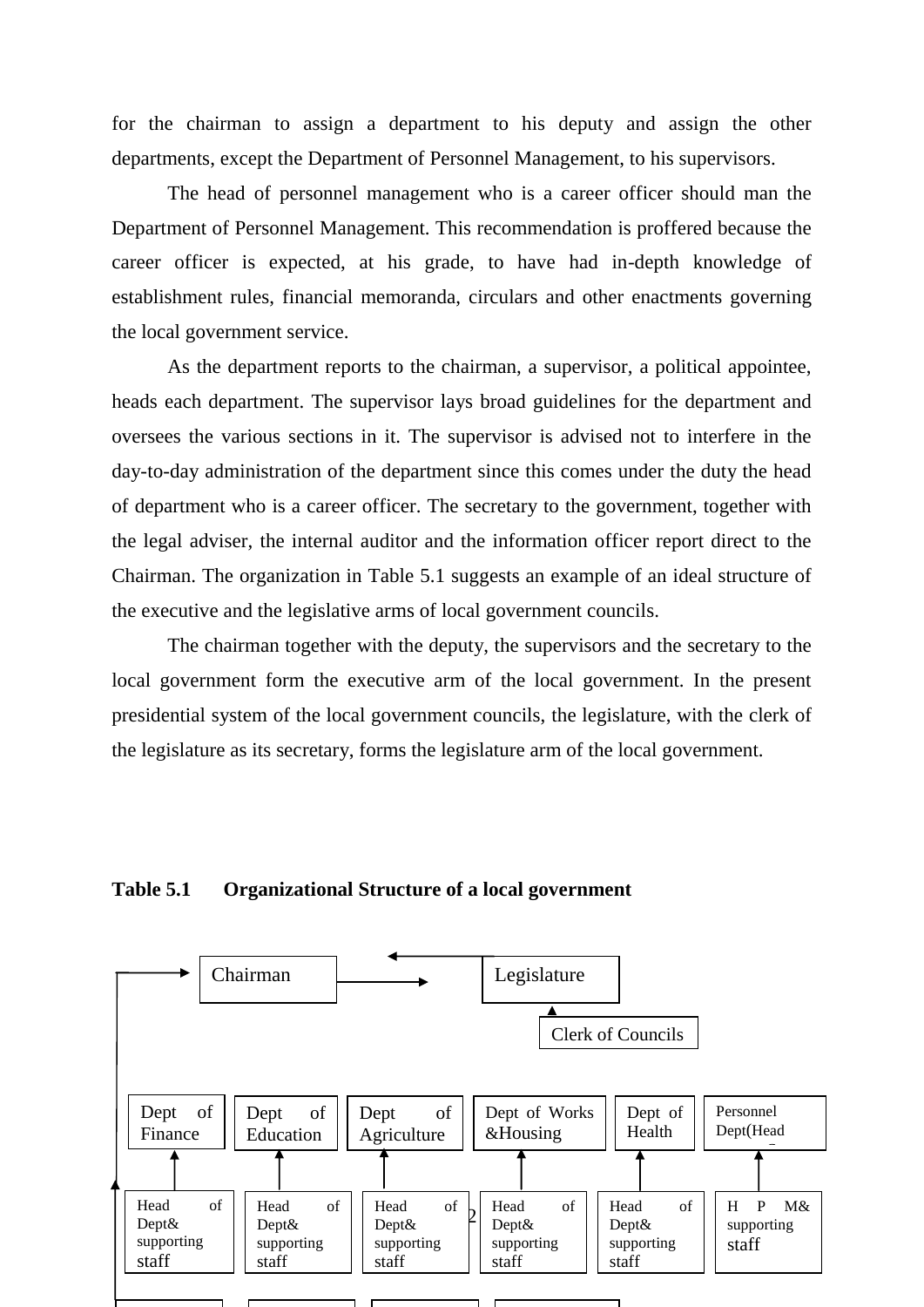for the chairman to assign a department to his deputy and assign the other departments, except the Department of Personnel Management, to his supervisors.

The head of personnel management who is a career officer should man the Department of Personnel Management. This recommendation is proffered because the career officer is expected, at his grade, to have had in-depth knowledge of establishment rules, financial memoranda, circulars and other enactments governing the local government service.

As the department reports to the chairman, a supervisor, a political appointee, heads each department. The supervisor lays broad guidelines for the department and oversees the various sections in it. The supervisor is advised not to interfere in the day-to-day administration of the department since this comes under the duty the head of department who is a career officer. The secretary to the government, together with the legal adviser, the internal auditor and the information officer report direct to the Chairman. The organization in Table 5.1 suggests an example of an ideal structure of the executive and the legislative arms of local government councils.

The chairman together with the deputy, the supervisors and the secretary to the local government form the executive arm of the local government. In the present presidential system of the local government councils, the legislature, with the clerk of the legislature as its secretary, forms the legislature arm of the local government.

### **Table 5.1 Organizational Structure of a local government**

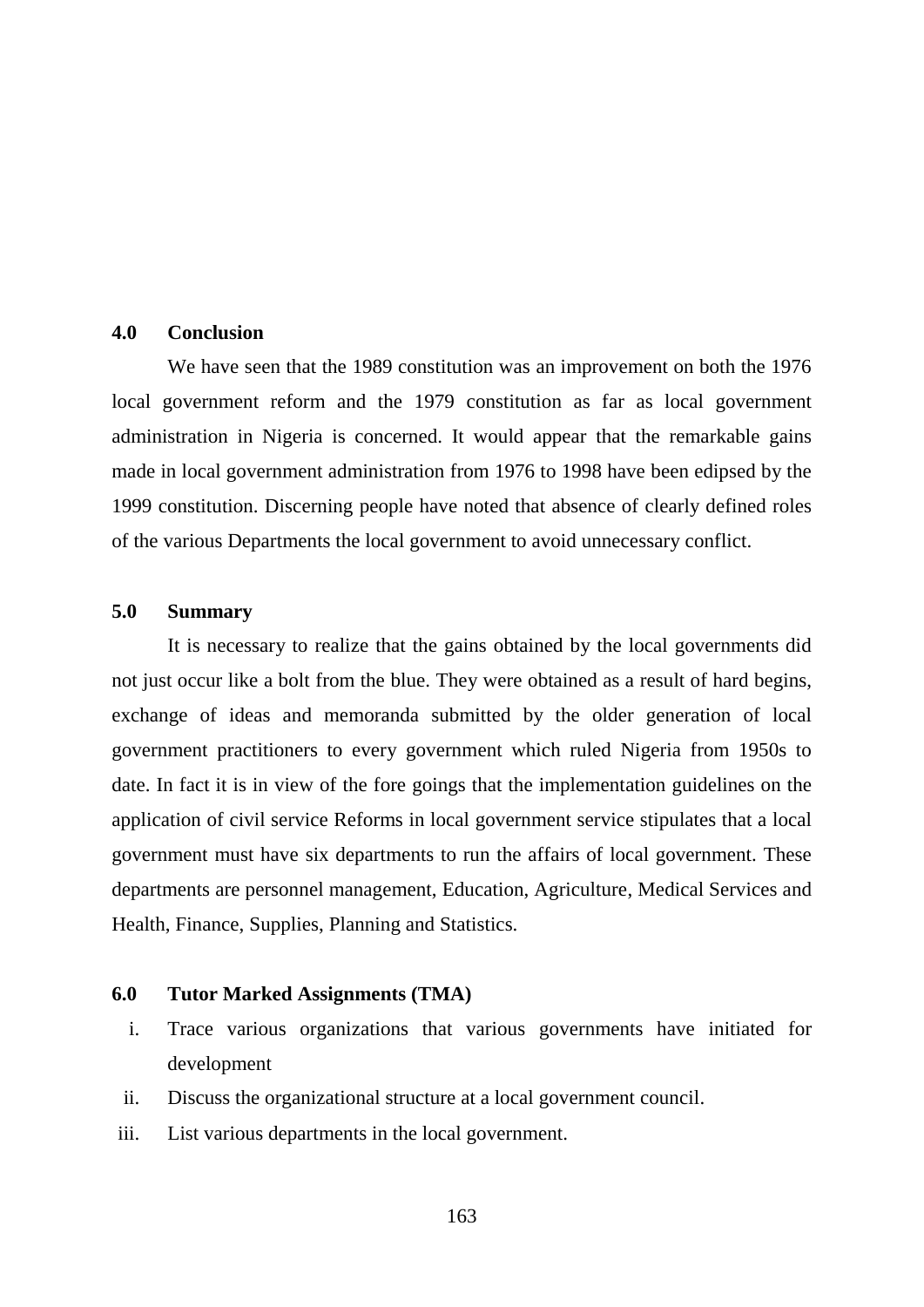### **4.0 Conclusion**

We have seen that the 1989 constitution was an improvement on both the 1976 local government reform and the 1979 constitution as far as local government administration in Nigeria is concerned. It would appear that the remarkable gains made in local government administration from 1976 to 1998 have been edipsed by the 1999 constitution. Discerning people have noted that absence of clearly defined roles of the various Departments the local government to avoid unnecessary conflict.

### **5.0 Summary**

It is necessary to realize that the gains obtained by the local governments did not just occur like a bolt from the blue. They were obtained as a result of hard begins, exchange of ideas and memoranda submitted by the older generation of local government practitioners to every government which ruled Nigeria from 1950s to date. In fact it is in view of the fore goings that the implementation guidelines on the application of civil service Reforms in local government service stipulates that a local government must have six departments to run the affairs of local government. These departments are personnel management, Education, Agriculture, Medical Services and Health, Finance, Supplies, Planning and Statistics.

# **6.0 Tutor Marked Assignments (TMA)**

- i. Trace various organizations that various governments have initiated for development
- ii. Discuss the organizational structure at a local government council.
- iii. List various departments in the local government.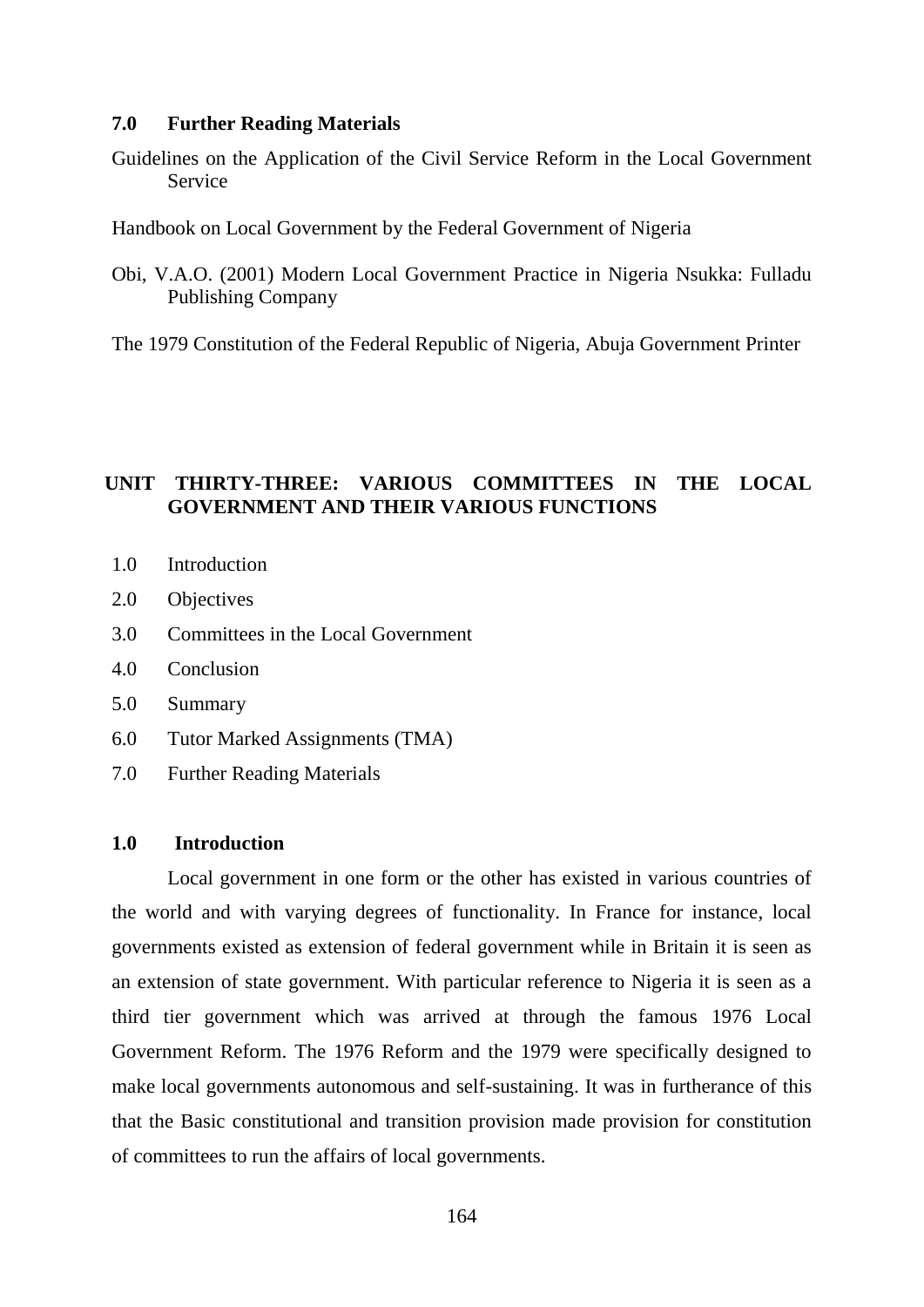#### **7.0 Further Reading Materials**

Guidelines on the Application of the Civil Service Reform in the Local Government Service

Handbook on Local Government by the Federal Government of Nigeria

Obi, V.A.O. (2001) Modern Local Government Practice in Nigeria Nsukka: Fulladu Publishing Company

The 1979 Constitution of the Federal Republic of Nigeria, Abuja Government Printer

# **UNIT THIRTY-THREE: VARIOUS COMMITTEES IN THE LOCAL GOVERNMENT AND THEIR VARIOUS FUNCTIONS**

- 1.0 Introduction
- 2.0 Objectives
- 3.0 Committees in the Local Government
- 4.0 Conclusion
- 5.0 Summary
- 6.0 Tutor Marked Assignments (TMA)
- 7.0 Further Reading Materials

### **1.0 Introduction**

Local government in one form or the other has existed in various countries of the world and with varying degrees of functionality. In France for instance, local governments existed as extension of federal government while in Britain it is seen as an extension of state government. With particular reference to Nigeria it is seen as a third tier government which was arrived at through the famous 1976 Local Government Reform. The 1976 Reform and the 1979 were specifically designed to make local governments autonomous and self-sustaining. It was in furtherance of this that the Basic constitutional and transition provision made provision for constitution of committees to run the affairs of local governments.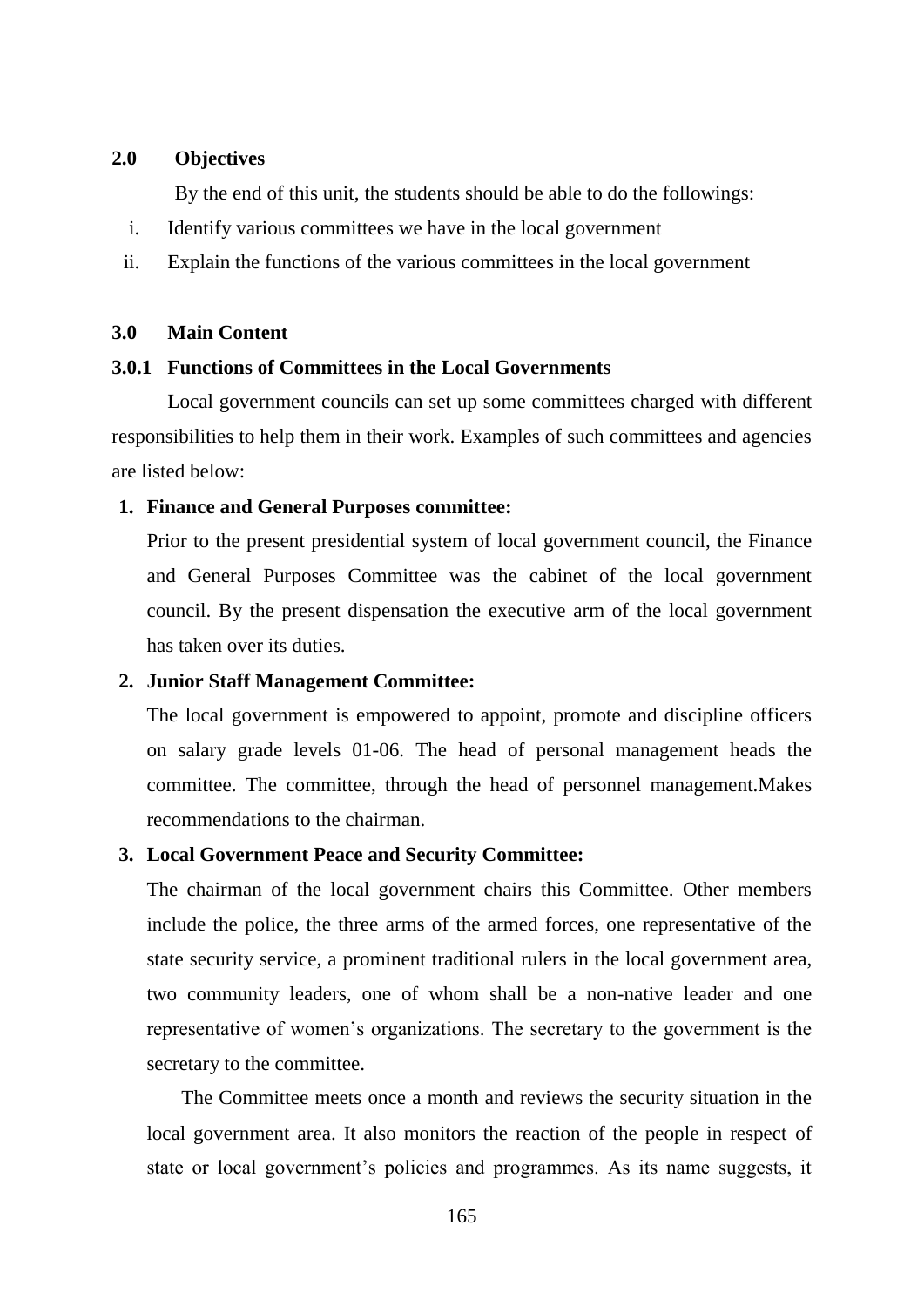### **2.0 Objectives**

By the end of this unit, the students should be able to do the followings:

- i. Identify various committees we have in the local government
- ii. Explain the functions of the various committees in the local government

### **3.0 Main Content**

## **3.0.1 Functions of Committees in the Local Governments**

Local government councils can set up some committees charged with different responsibilities to help them in their work. Examples of such committees and agencies are listed below:

### **1. Finance and General Purposes committee:**

Prior to the present presidential system of local government council, the Finance and General Purposes Committee was the cabinet of the local government council. By the present dispensation the executive arm of the local government has taken over its duties.

### **2. Junior Staff Management Committee:**

The local government is empowered to appoint, promote and discipline officers on salary grade levels 01-06. The head of personal management heads the committee. The committee, through the head of personnel management.Makes recommendations to the chairman.

### **3. Local Government Peace and Security Committee:**

The chairman of the local government chairs this Committee. Other members include the police, the three arms of the armed forces, one representative of the state security service, a prominent traditional rulers in the local government area, two community leaders, one of whom shall be a non-native leader and one representative of women"s organizations. The secretary to the government is the secretary to the committee.

The Committee meets once a month and reviews the security situation in the local government area. It also monitors the reaction of the people in respect of state or local government's policies and programmes. As its name suggests, it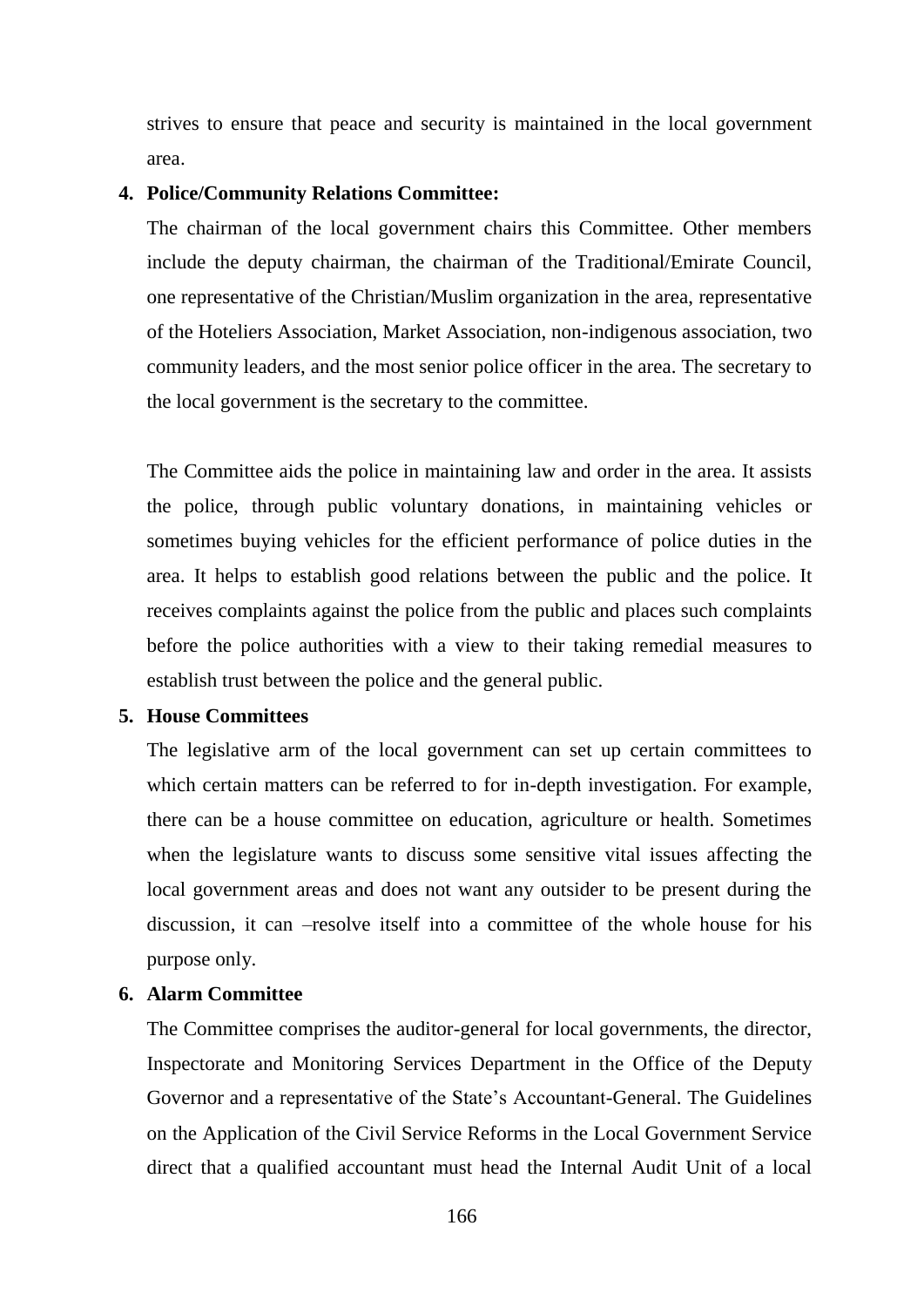strives to ensure that peace and security is maintained in the local government area.

### **4. Police/Community Relations Committee:**

The chairman of the local government chairs this Committee. Other members include the deputy chairman, the chairman of the Traditional/Emirate Council, one representative of the Christian/Muslim organization in the area, representative of the Hoteliers Association, Market Association, non-indigenous association, two community leaders, and the most senior police officer in the area. The secretary to the local government is the secretary to the committee.

The Committee aids the police in maintaining law and order in the area. It assists the police, through public voluntary donations, in maintaining vehicles or sometimes buying vehicles for the efficient performance of police duties in the area. It helps to establish good relations between the public and the police. It receives complaints against the police from the public and places such complaints before the police authorities with a view to their taking remedial measures to establish trust between the police and the general public.

### **5. House Committees**

The legislative arm of the local government can set up certain committees to which certain matters can be referred to for in-depth investigation. For example, there can be a house committee on education, agriculture or health. Sometimes when the legislature wants to discuss some sensitive vital issues affecting the local government areas and does not want any outsider to be present during the discussion, it can –resolve itself into a committee of the whole house for his purpose only.

### **6. Alarm Committee**

The Committee comprises the auditor-general for local governments, the director, Inspectorate and Monitoring Services Department in the Office of the Deputy Governor and a representative of the State's Accountant-General. The Guidelines on the Application of the Civil Service Reforms in the Local Government Service direct that a qualified accountant must head the Internal Audit Unit of a local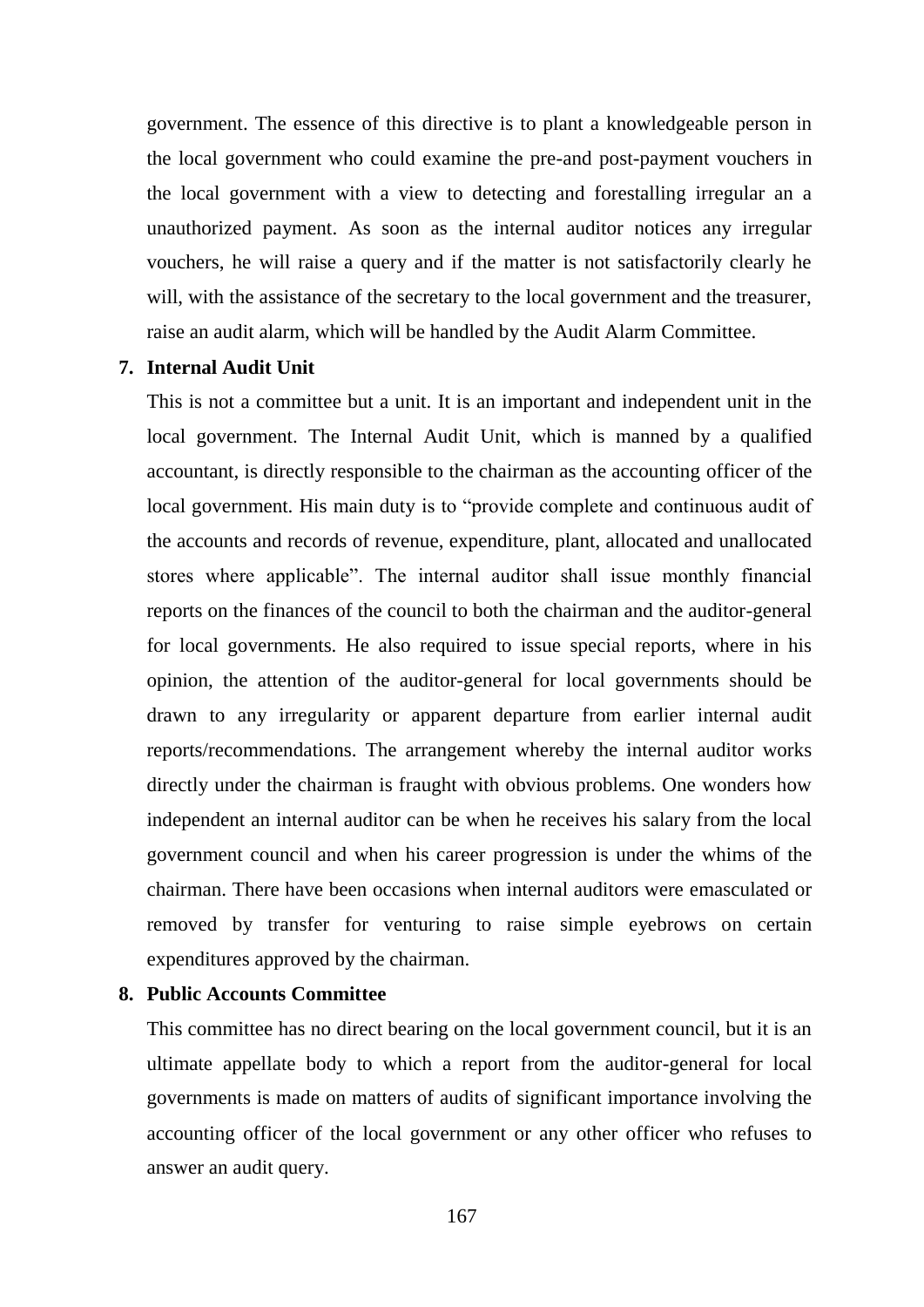government. The essence of this directive is to plant a knowledgeable person in the local government who could examine the pre-and post-payment vouchers in the local government with a view to detecting and forestalling irregular an a unauthorized payment. As soon as the internal auditor notices any irregular vouchers, he will raise a query and if the matter is not satisfactorily clearly he will, with the assistance of the secretary to the local government and the treasurer, raise an audit alarm, which will be handled by the Audit Alarm Committee.

### **7. Internal Audit Unit**

This is not a committee but a unit. It is an important and independent unit in the local government. The Internal Audit Unit, which is manned by a qualified accountant, is directly responsible to the chairman as the accounting officer of the local government. His main duty is to "provide complete and continuous audit of the accounts and records of revenue, expenditure, plant, allocated and unallocated stores where applicable". The internal auditor shall issue monthly financial reports on the finances of the council to both the chairman and the auditor-general for local governments. He also required to issue special reports, where in his opinion, the attention of the auditor-general for local governments should be drawn to any irregularity or apparent departure from earlier internal audit reports/recommendations. The arrangement whereby the internal auditor works directly under the chairman is fraught with obvious problems. One wonders how independent an internal auditor can be when he receives his salary from the local government council and when his career progression is under the whims of the chairman. There have been occasions when internal auditors were emasculated or removed by transfer for venturing to raise simple eyebrows on certain expenditures approved by the chairman.

# **8. Public Accounts Committee**

This committee has no direct bearing on the local government council, but it is an ultimate appellate body to which a report from the auditor-general for local governments is made on matters of audits of significant importance involving the accounting officer of the local government or any other officer who refuses to answer an audit query.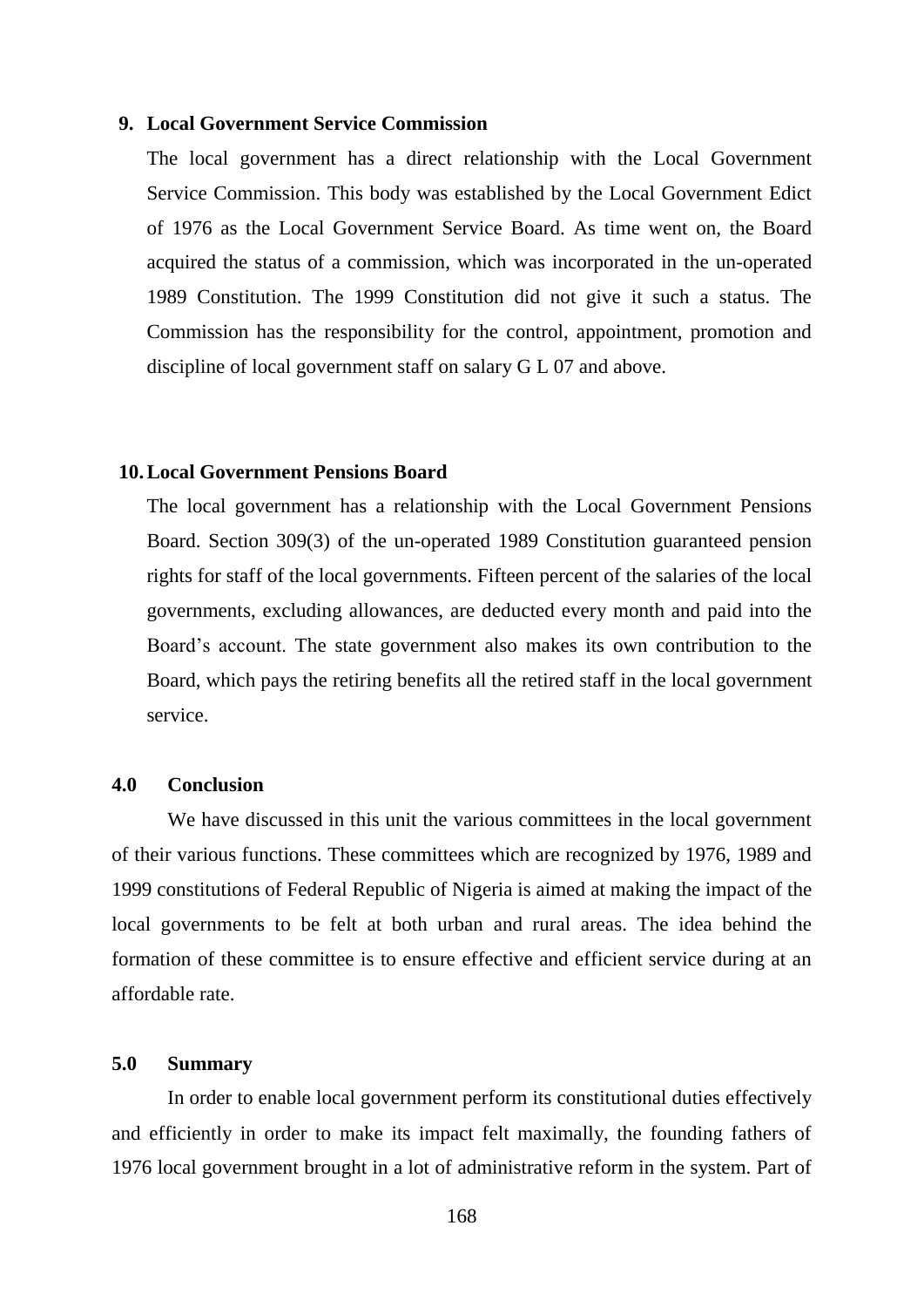### **9. Local Government Service Commission**

The local government has a direct relationship with the Local Government Service Commission. This body was established by the Local Government Edict of 1976 as the Local Government Service Board. As time went on, the Board acquired the status of a commission, which was incorporated in the un-operated 1989 Constitution. The 1999 Constitution did not give it such a status. The Commission has the responsibility for the control, appointment, promotion and discipline of local government staff on salary G L 07 and above.

#### **10.Local Government Pensions Board**

The local government has a relationship with the Local Government Pensions Board. Section 309(3) of the un-operated 1989 Constitution guaranteed pension rights for staff of the local governments. Fifteen percent of the salaries of the local governments, excluding allowances, are deducted every month and paid into the Board"s account. The state government also makes its own contribution to the Board, which pays the retiring benefits all the retired staff in the local government service.

#### **4.0 Conclusion**

We have discussed in this unit the various committees in the local government of their various functions. These committees which are recognized by 1976, 1989 and 1999 constitutions of Federal Republic of Nigeria is aimed at making the impact of the local governments to be felt at both urban and rural areas. The idea behind the formation of these committee is to ensure effective and efficient service during at an affordable rate.

# **5.0 Summary**

In order to enable local government perform its constitutional duties effectively and efficiently in order to make its impact felt maximally, the founding fathers of 1976 local government brought in a lot of administrative reform in the system. Part of